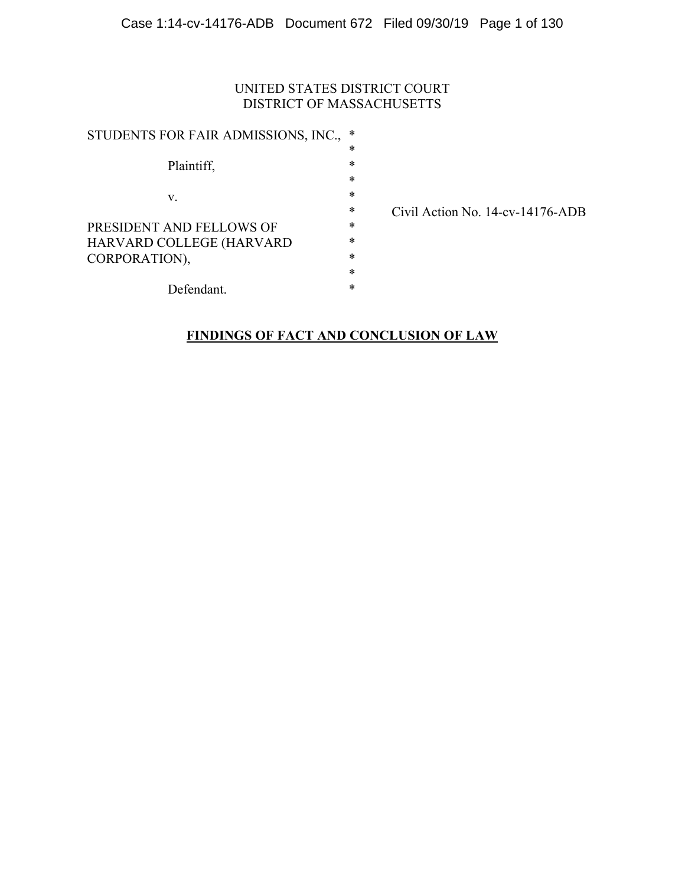## UNITED STATES DISTRICT COURT DISTRICT OF MASSACHUSETTS

| STUDENTS FOR FAIR ADMISSIONS, INC., | $\ast$ |
|-------------------------------------|--------|
|                                     | $\ast$ |
| Plaintiff,                          | $\ast$ |
|                                     | $\ast$ |
| V.                                  | $\ast$ |
|                                     | $\ast$ |
| PRESIDENT AND FELLOWS OF            | $\ast$ |
| HARVARD COLLEGE (HARVARD            | $\ast$ |
| CORPORATION),                       | $\ast$ |
|                                     | $\ast$ |
| Defendant.                          | *      |

Civil Action No. 14-cv-14176-ADB

## **FINDINGS OF FACT AND CONCLUSION OF LAW**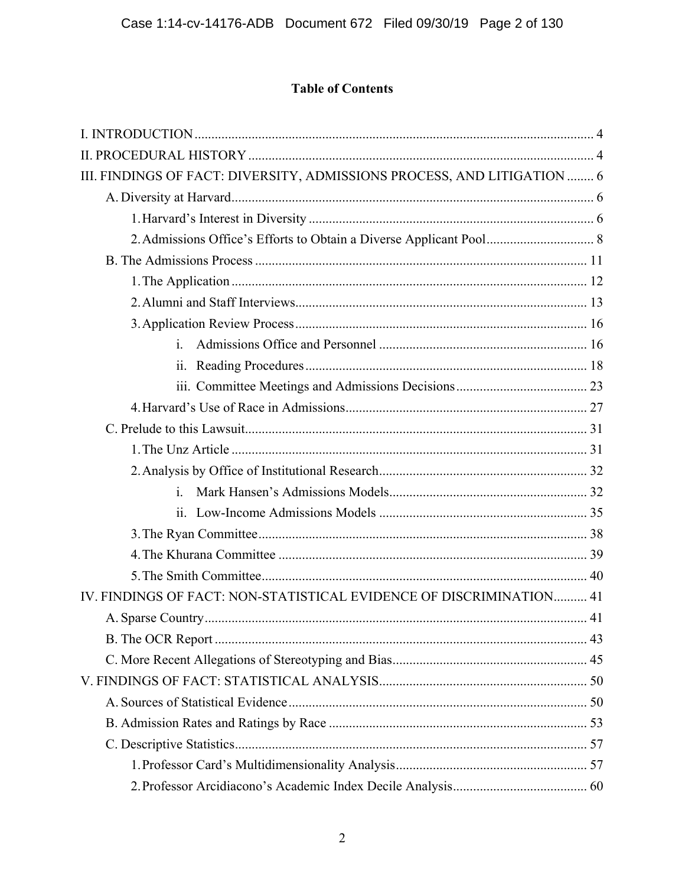# **Table of Contents**

| III. FINDINGS OF FACT: DIVERSITY, ADMISSIONS PROCESS, AND LITIGATION  6 |  |
|-------------------------------------------------------------------------|--|
|                                                                         |  |
|                                                                         |  |
|                                                                         |  |
|                                                                         |  |
|                                                                         |  |
|                                                                         |  |
|                                                                         |  |
| $\mathbf{i}$ .                                                          |  |
| 11.                                                                     |  |
|                                                                         |  |
|                                                                         |  |
|                                                                         |  |
|                                                                         |  |
|                                                                         |  |
| $\mathbf{i}$ .                                                          |  |
|                                                                         |  |
|                                                                         |  |
|                                                                         |  |
|                                                                         |  |
| IV. FINDINGS OF FACT: NON-STATISTICAL EVIDENCE OF DISCRIMINATION 41     |  |
|                                                                         |  |
|                                                                         |  |
|                                                                         |  |
|                                                                         |  |
|                                                                         |  |
|                                                                         |  |
|                                                                         |  |
|                                                                         |  |
|                                                                         |  |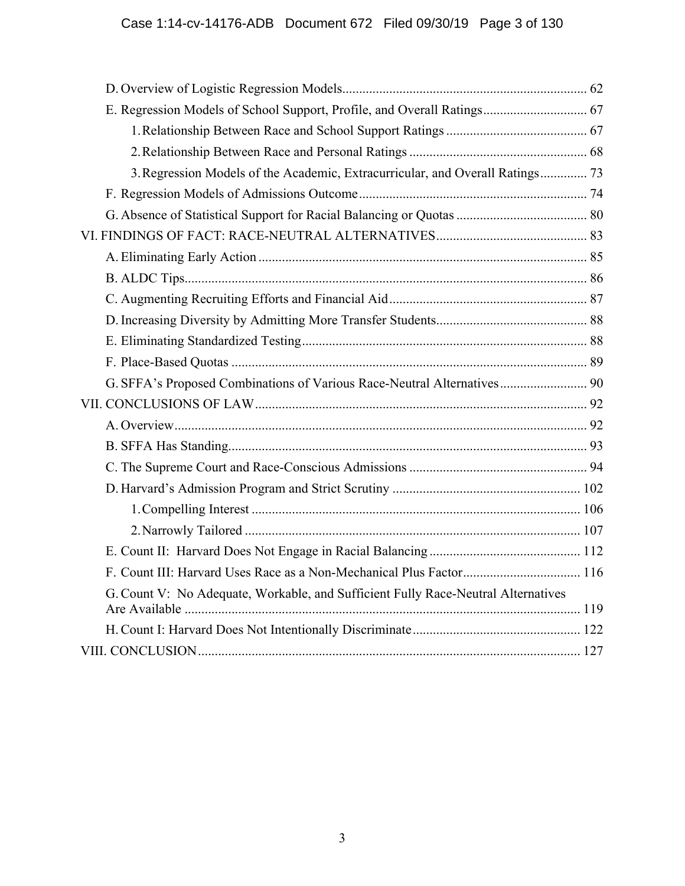| E. Regression Models of School Support, Profile, and Overall Ratings 67           |  |
|-----------------------------------------------------------------------------------|--|
|                                                                                   |  |
|                                                                                   |  |
| 3. Regression Models of the Academic, Extracurricular, and Overall Ratings 73     |  |
|                                                                                   |  |
|                                                                                   |  |
|                                                                                   |  |
|                                                                                   |  |
|                                                                                   |  |
|                                                                                   |  |
|                                                                                   |  |
|                                                                                   |  |
|                                                                                   |  |
| G. SFFA's Proposed Combinations of Various Race-Neutral Alternatives 90           |  |
|                                                                                   |  |
|                                                                                   |  |
|                                                                                   |  |
|                                                                                   |  |
|                                                                                   |  |
|                                                                                   |  |
|                                                                                   |  |
|                                                                                   |  |
| F. Count III: Harvard Uses Race as a Non-Mechanical Plus Factor 116               |  |
| G. Count V: No Adequate, Workable, and Sufficient Fully Race-Neutral Alternatives |  |
|                                                                                   |  |
|                                                                                   |  |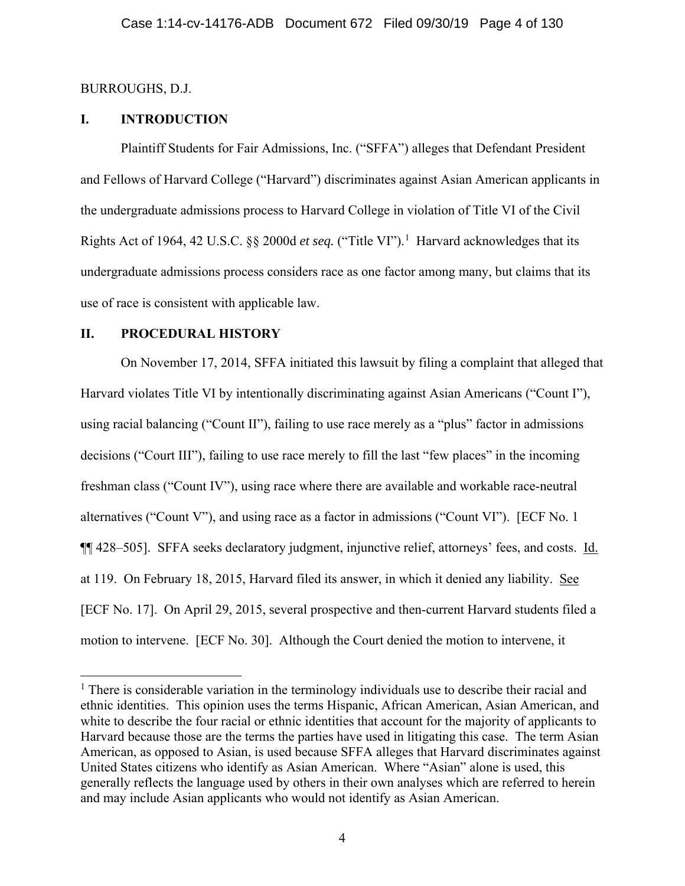## BURROUGHS, D.J.

## **I. INTRODUCTION**

Plaintiff Students for Fair Admissions, Inc. ("SFFA") alleges that Defendant President and Fellows of Harvard College ("Harvard") discriminates against Asian American applicants in the undergraduate admissions process to Harvard College in violation of Title VI of the Civil Rights Act of 1964, 42 U.S.C. §§ 2000d et seq. ("Title VI").<sup>1</sup> Harvard acknowledges that its undergraduate admissions process considers race as one factor among many, but claims that its use of race is consistent with applicable law.

## **II. PROCEDURAL HISTORY**

On November 17, 2014, SFFA initiated this lawsuit by filing a complaint that alleged that Harvard violates Title VI by intentionally discriminating against Asian Americans ("Count I"), using racial balancing ("Count II"), failing to use race merely as a "plus" factor in admissions decisions ("Court III"), failing to use race merely to fill the last "few places" in the incoming freshman class ("Count IV"), using race where there are available and workable race-neutral alternatives ("Count V"), and using race as a factor in admissions ("Count VI"). [ECF No. 1 ¶¶ 428–505]. SFFA seeks declaratory judgment, injunctive relief, attorneys' fees, and costs. Id. at 119. On February 18, 2015, Harvard filed its answer, in which it denied any liability. See [ECF No. 17]. On April 29, 2015, several prospective and then-current Harvard students filed a motion to intervene. [ECF No. 30]. Although the Court denied the motion to intervene, it

<sup>&</sup>lt;sup>1</sup> There is considerable variation in the terminology individuals use to describe their racial and ethnic identities. This opinion uses the terms Hispanic, African American, Asian American, and white to describe the four racial or ethnic identities that account for the majority of applicants to Harvard because those are the terms the parties have used in litigating this case. The term Asian American, as opposed to Asian, is used because SFFA alleges that Harvard discriminates against United States citizens who identify as Asian American. Where "Asian" alone is used, this generally reflects the language used by others in their own analyses which are referred to herein and may include Asian applicants who would not identify as Asian American.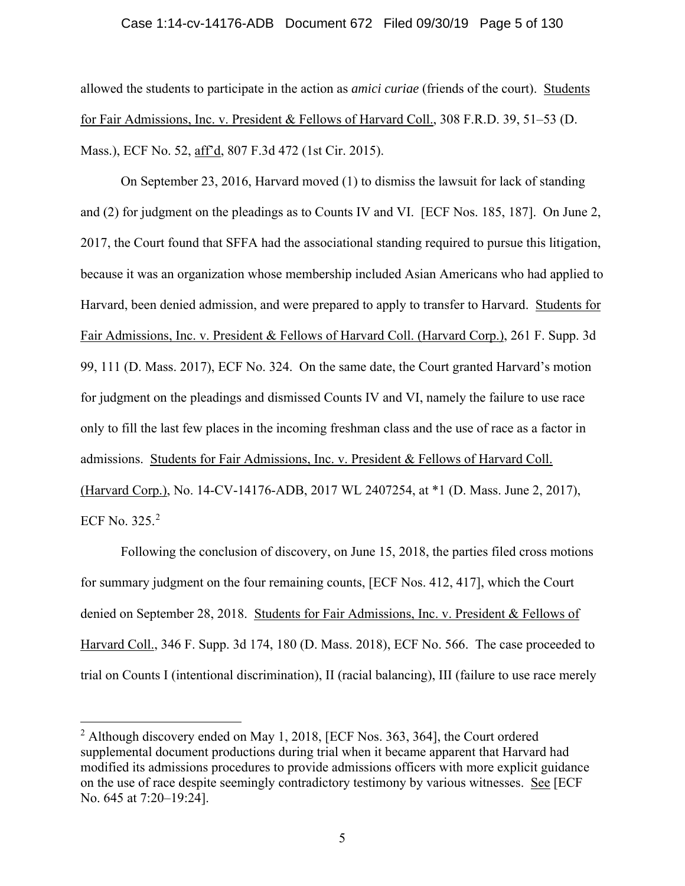#### Case 1:14-cv-14176-ADB Document 672 Filed 09/30/19 Page 5 of 130

allowed the students to participate in the action as *amici curiae* (friends of the court). Students for Fair Admissions, Inc. v. President & Fellows of Harvard Coll., 308 F.R.D. 39, 51–53 (D. Mass.), ECF No. 52, aff'd, 807 F.3d 472 (1st Cir. 2015).

On September 23, 2016, Harvard moved (1) to dismiss the lawsuit for lack of standing and (2) for judgment on the pleadings as to Counts IV and VI. [ECF Nos. 185, 187]. On June 2, 2017, the Court found that SFFA had the associational standing required to pursue this litigation, because it was an organization whose membership included Asian Americans who had applied to Harvard, been denied admission, and were prepared to apply to transfer to Harvard. Students for Fair Admissions, Inc. v. President & Fellows of Harvard Coll. (Harvard Corp.), 261 F. Supp. 3d 99, 111 (D. Mass. 2017), ECF No. 324. On the same date, the Court granted Harvard's motion for judgment on the pleadings and dismissed Counts IV and VI, namely the failure to use race only to fill the last few places in the incoming freshman class and the use of race as a factor in admissions. Students for Fair Admissions, Inc. v. President & Fellows of Harvard Coll. (Harvard Corp.), No. 14-CV-14176-ADB, 2017 WL 2407254, at \*1 (D. Mass. June 2, 2017), ECF No. 325.<sup>2</sup>

Following the conclusion of discovery, on June 15, 2018, the parties filed cross motions for summary judgment on the four remaining counts, [ECF Nos. 412, 417], which the Court denied on September 28, 2018. Students for Fair Admissions, Inc. v. President & Fellows of Harvard Coll., 346 F. Supp. 3d 174, 180 (D. Mass. 2018), ECF No. 566. The case proceeded to trial on Counts I (intentional discrimination), II (racial balancing), III (failure to use race merely

 $2$  Although discovery ended on May 1, 2018, [ECF Nos. 363, 364], the Court ordered supplemental document productions during trial when it became apparent that Harvard had modified its admissions procedures to provide admissions officers with more explicit guidance on the use of race despite seemingly contradictory testimony by various witnesses. See [ECF No. 645 at 7:20–19:24].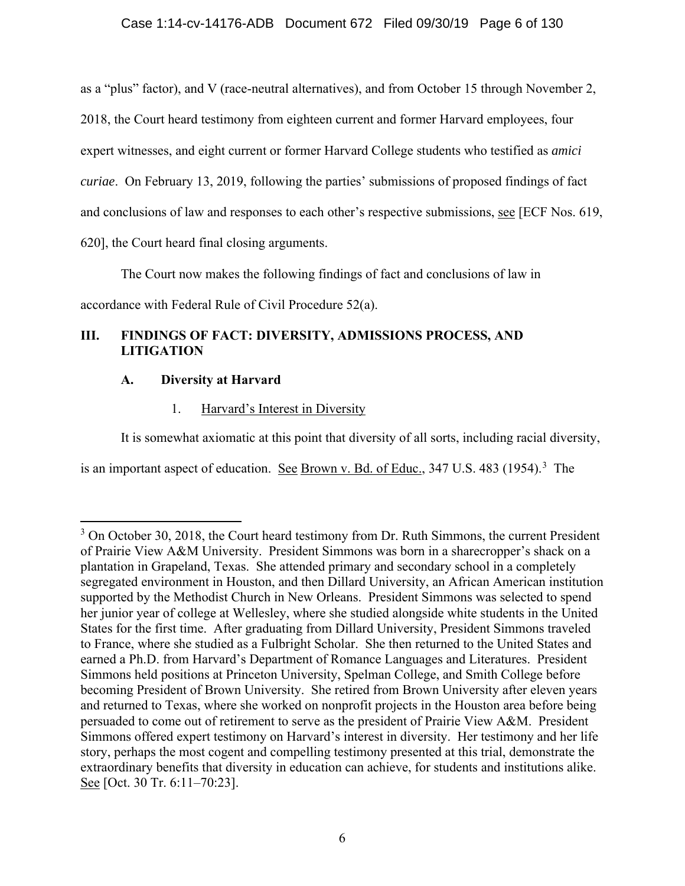as a "plus" factor), and V (race-neutral alternatives), and from October 15 through November 2, 2018, the Court heard testimony from eighteen current and former Harvard employees, four expert witnesses, and eight current or former Harvard College students who testified as *amici curiae*. On February 13, 2019, following the parties' submissions of proposed findings of fact and conclusions of law and responses to each other's respective submissions, see [ECF Nos. 619, 620], the Court heard final closing arguments.

The Court now makes the following findings of fact and conclusions of law in accordance with Federal Rule of Civil Procedure 52(a).

## **III. FINDINGS OF FACT: DIVERSITY, ADMISSIONS PROCESS, AND LITIGATION**

## **A. Diversity at Harvard**

1. Harvard's Interest in Diversity

It is somewhat axiomatic at this point that diversity of all sorts, including racial diversity,

is an important aspect of education. See Brown v. Bd. of Educ., 347 U.S. 483 (1954).<sup>3</sup> The

 $3$  On October 30, 2018, the Court heard testimony from Dr. Ruth Simmons, the current President of Prairie View A&M University. President Simmons was born in a sharecropper's shack on a plantation in Grapeland, Texas. She attended primary and secondary school in a completely segregated environment in Houston, and then Dillard University, an African American institution supported by the Methodist Church in New Orleans. President Simmons was selected to spend her junior year of college at Wellesley, where she studied alongside white students in the United States for the first time. After graduating from Dillard University, President Simmons traveled to France, where she studied as a Fulbright Scholar. She then returned to the United States and earned a Ph.D. from Harvard's Department of Romance Languages and Literatures. President Simmons held positions at Princeton University, Spelman College, and Smith College before becoming President of Brown University. She retired from Brown University after eleven years and returned to Texas, where she worked on nonprofit projects in the Houston area before being persuaded to come out of retirement to serve as the president of Prairie View A&M. President Simmons offered expert testimony on Harvard's interest in diversity. Her testimony and her life story, perhaps the most cogent and compelling testimony presented at this trial, demonstrate the extraordinary benefits that diversity in education can achieve, for students and institutions alike. See [Oct. 30 Tr. 6:11–70:23].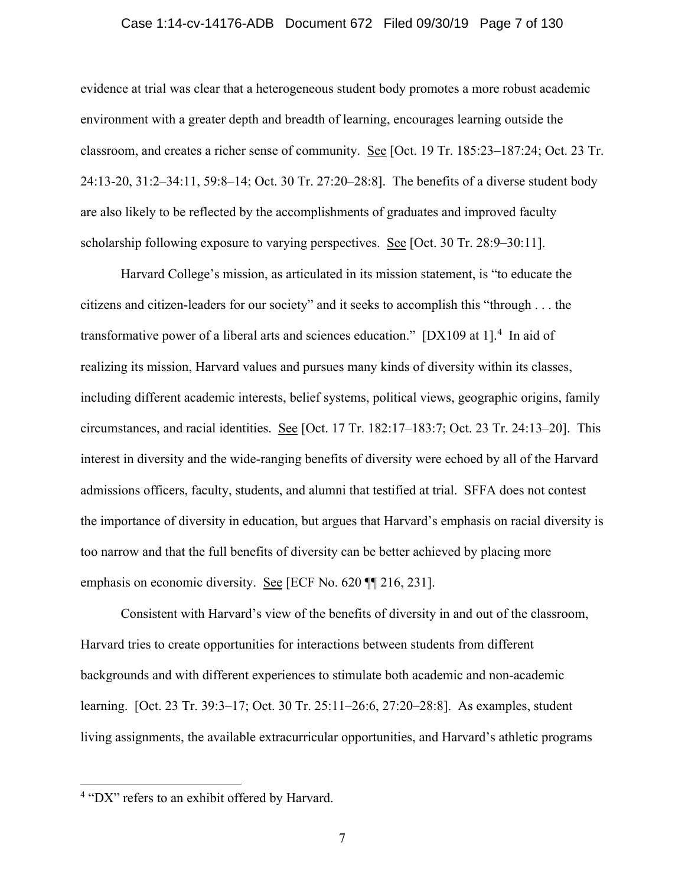#### Case 1:14-cv-14176-ADB Document 672 Filed 09/30/19 Page 7 of 130

evidence at trial was clear that a heterogeneous student body promotes a more robust academic environment with a greater depth and breadth of learning, encourages learning outside the classroom, and creates a richer sense of community. See [Oct. 19 Tr. 185:23–187:24; Oct. 23 Tr. 24:13-20, 31:2–34:11, 59:8–14; Oct. 30 Tr. 27:20–28:8]. The benefits of a diverse student body are also likely to be reflected by the accomplishments of graduates and improved faculty scholarship following exposure to varying perspectives. See [Oct. 30 Tr. 28:9–30:11].

Harvard College's mission, as articulated in its mission statement, is "to educate the citizens and citizen-leaders for our society" and it seeks to accomplish this "through . . . the transformative power of a liberal arts and sciences education." [DX109 at 1].<sup>4</sup> In aid of realizing its mission, Harvard values and pursues many kinds of diversity within its classes, including different academic interests, belief systems, political views, geographic origins, family circumstances, and racial identities. See [Oct. 17 Tr. 182:17–183:7; Oct. 23 Tr. 24:13–20]. This interest in diversity and the wide-ranging benefits of diversity were echoed by all of the Harvard admissions officers, faculty, students, and alumni that testified at trial. SFFA does not contest the importance of diversity in education, but argues that Harvard's emphasis on racial diversity is too narrow and that the full benefits of diversity can be better achieved by placing more emphasis on economic diversity. See [ECF No. 620 ][216, 231].

Consistent with Harvard's view of the benefits of diversity in and out of the classroom, Harvard tries to create opportunities for interactions between students from different backgrounds and with different experiences to stimulate both academic and non-academic learning. [Oct. 23 Tr. 39:3–17; Oct. 30 Tr. 25:11–26:6, 27:20–28:8]. As examples, student living assignments, the available extracurricular opportunities, and Harvard's athletic programs

<sup>&</sup>lt;sup>4</sup> "DX" refers to an exhibit offered by Harvard.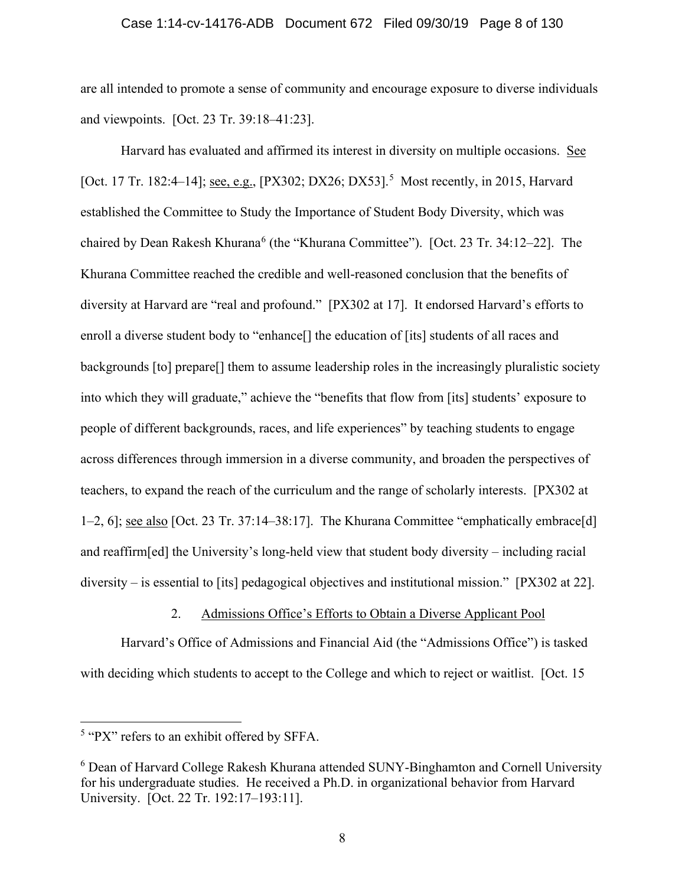are all intended to promote a sense of community and encourage exposure to diverse individuals and viewpoints. [Oct. 23 Tr. 39:18–41:23].

Harvard has evaluated and affirmed its interest in diversity on multiple occasions. See [Oct. 17 Tr. 182:4–14]; see, e.g., [PX302; DX26; DX53].<sup>5</sup> Most recently, in 2015, Harvard established the Committee to Study the Importance of Student Body Diversity, which was chaired by Dean Rakesh Khurana<sup>6</sup> (the "Khurana Committee"). [Oct. 23 Tr. 34:12-22]. The Khurana Committee reached the credible and well-reasoned conclusion that the benefits of diversity at Harvard are "real and profound." [PX302 at 17]. It endorsed Harvard's efforts to enroll a diverse student body to "enhance<sup>[]</sup> the education of [its] students of all races and backgrounds [to] prepare[] them to assume leadership roles in the increasingly pluralistic society into which they will graduate," achieve the "benefits that flow from [its] students' exposure to people of different backgrounds, races, and life experiences" by teaching students to engage across differences through immersion in a diverse community, and broaden the perspectives of teachers, to expand the reach of the curriculum and the range of scholarly interests. [PX302 at 1–2, 6]; see also [Oct. 23 Tr. 37:14–38:17]. The Khurana Committee "emphatically embrace[d] and reaffirm[ed] the University's long-held view that student body diversity – including racial diversity – is essential to [its] pedagogical objectives and institutional mission." [PX302 at 22].

## 2. Admissions Office's Efforts to Obtain a Diverse Applicant Pool

Harvard's Office of Admissions and Financial Aid (the "Admissions Office") is tasked with deciding which students to accept to the College and which to reject or waitlist. [Oct. 15]

 $5$  "PX" refers to an exhibit offered by SFFA.

<sup>&</sup>lt;sup>6</sup> Dean of Harvard College Rakesh Khurana attended SUNY-Binghamton and Cornell University for his undergraduate studies. He received a Ph.D. in organizational behavior from Harvard University. [Oct. 22 Tr. 192:17–193:11].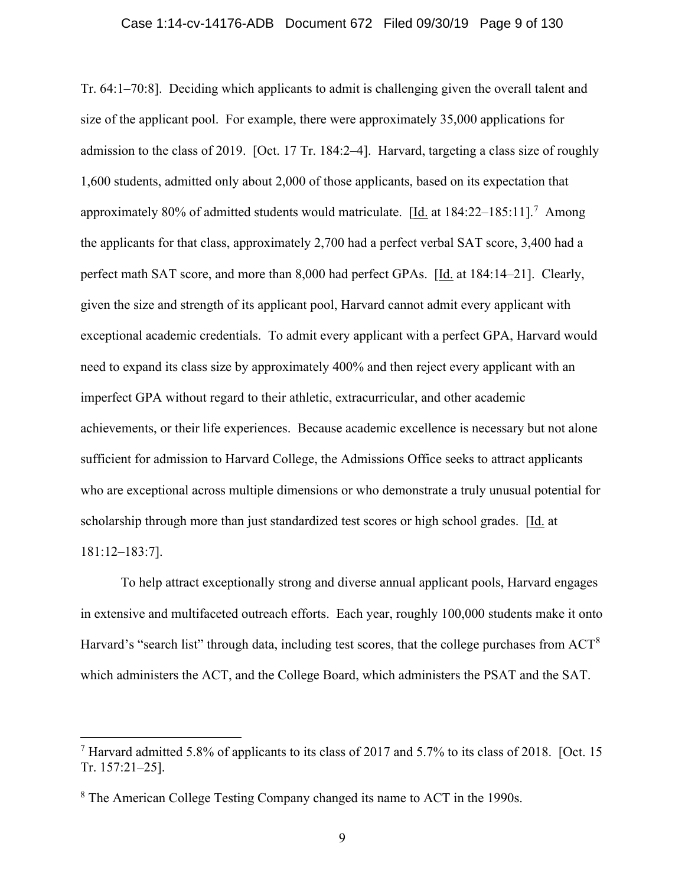Tr. 64:1–70:8]. Deciding which applicants to admit is challenging given the overall talent and size of the applicant pool. For example, there were approximately 35,000 applications for admission to the class of 2019. [Oct. 17 Tr. 184:2–4]. Harvard, targeting a class size of roughly 1,600 students, admitted only about 2,000 of those applicants, based on its expectation that approximately 80% of admitted students would matriculate.  $[\underline{Id}]$  at 184:22–185:11].<sup>7</sup> Among the applicants for that class, approximately 2,700 had a perfect verbal SAT score, 3,400 had a perfect math SAT score, and more than 8,000 had perfect GPAs. [Id. at 184:14–21]. Clearly, given the size and strength of its applicant pool, Harvard cannot admit every applicant with exceptional academic credentials. To admit every applicant with a perfect GPA, Harvard would need to expand its class size by approximately 400% and then reject every applicant with an imperfect GPA without regard to their athletic, extracurricular, and other academic achievements, or their life experiences. Because academic excellence is necessary but not alone sufficient for admission to Harvard College, the Admissions Office seeks to attract applicants who are exceptional across multiple dimensions or who demonstrate a truly unusual potential for scholarship through more than just standardized test scores or high school grades. [Id. at 181:12–183:7].

To help attract exceptionally strong and diverse annual applicant pools, Harvard engages in extensive and multifaceted outreach efforts. Each year, roughly 100,000 students make it onto Harvard's "search list" through data, including test scores, that the college purchases from ACT<sup>8</sup> which administers the ACT, and the College Board, which administers the PSAT and the SAT.

<sup>&</sup>lt;sup>7</sup> Harvard admitted 5.8% of applicants to its class of 2017 and 5.7% to its class of 2018. [Oct. 15 Tr. 157:21–25].

<sup>&</sup>lt;sup>8</sup> The American College Testing Company changed its name to ACT in the 1990s.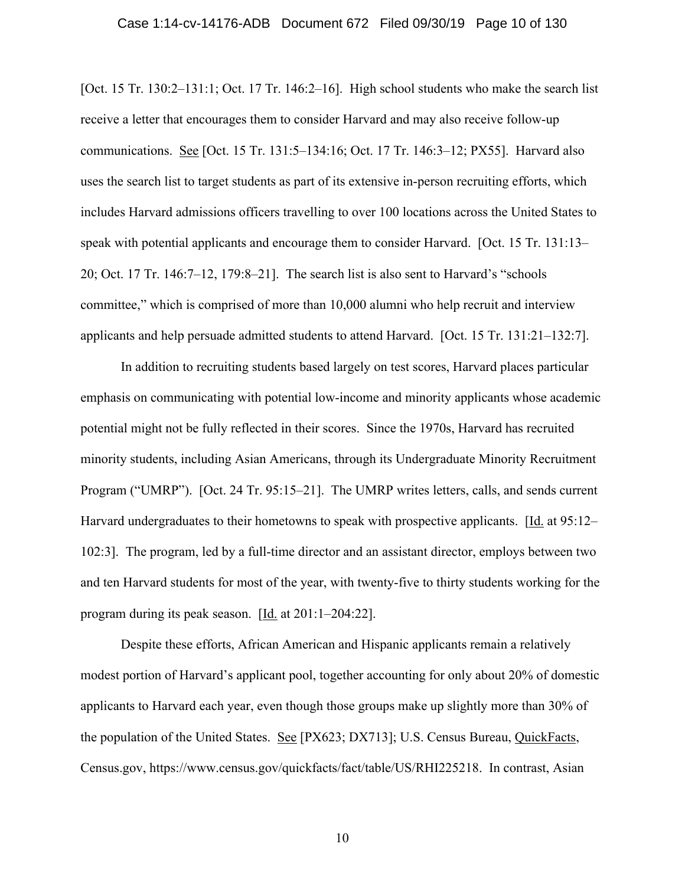#### Case 1:14-cv-14176-ADB Document 672 Filed 09/30/19 Page 10 of 130

[Oct. 15 Tr. 130:2–131:1; Oct. 17 Tr. 146:2–16]. High school students who make the search list receive a letter that encourages them to consider Harvard and may also receive follow-up communications. See [Oct. 15 Tr. 131:5–134:16; Oct. 17 Tr. 146:3–12; PX55]. Harvard also uses the search list to target students as part of its extensive in-person recruiting efforts, which includes Harvard admissions officers travelling to over 100 locations across the United States to speak with potential applicants and encourage them to consider Harvard. [Oct. 15 Tr. 131:13– 20; Oct. 17 Tr. 146:7–12, 179:8–21]. The search list is also sent to Harvard's "schools committee," which is comprised of more than 10,000 alumni who help recruit and interview applicants and help persuade admitted students to attend Harvard. [Oct. 15 Tr. 131:21–132:7].

In addition to recruiting students based largely on test scores, Harvard places particular emphasis on communicating with potential low-income and minority applicants whose academic potential might not be fully reflected in their scores. Since the 1970s, Harvard has recruited minority students, including Asian Americans, through its Undergraduate Minority Recruitment Program ("UMRP"). [Oct. 24 Tr. 95:15–21]. The UMRP writes letters, calls, and sends current Harvard undergraduates to their hometowns to speak with prospective applicants. [Id. at 95:12– 102:3]. The program, led by a full-time director and an assistant director, employs between two and ten Harvard students for most of the year, with twenty-five to thirty students working for the program during its peak season. [Id. at 201:1–204:22].

Despite these efforts, African American and Hispanic applicants remain a relatively modest portion of Harvard's applicant pool, together accounting for only about 20% of domestic applicants to Harvard each year, even though those groups make up slightly more than 30% of the population of the United States. See [PX623; DX713]; U.S. Census Bureau, QuickFacts, Census.gov, https://www.census.gov/quickfacts/fact/table/US/RHI225218. In contrast, Asian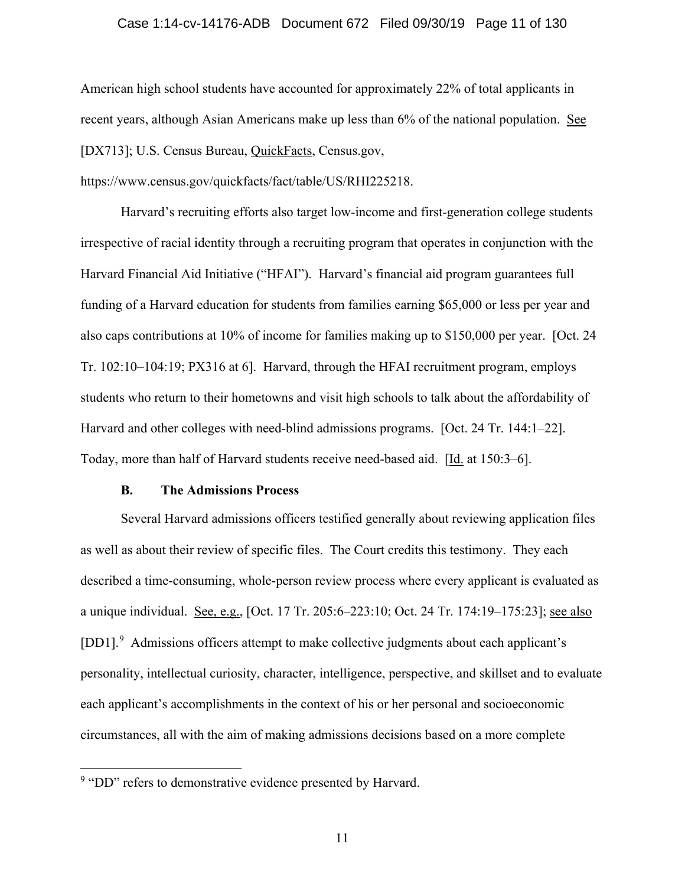#### Case 1:14-cv-14176-ADB Document 672 Filed 09/30/19 Page 11 of 130

American high school students have accounted for approximately 22% of total applicants in recent years, although Asian Americans make up less than 6% of the national population. See [DX713]; U.S. Census Bureau, QuickFacts, Census.gov,

https://www.census.gov/quickfacts/fact/table/US/RHI225218.

Harvard's recruiting efforts also target low-income and first-generation college students irrespective of racial identity through a recruiting program that operates in conjunction with the Harvard Financial Aid Initiative ("HFAI"). Harvard's financial aid program guarantees full funding of a Harvard education for students from families earning \$65,000 or less per year and also caps contributions at 10% of income for families making up to \$150,000 per year. [Oct. 24 Tr. 102:10–104:19; PX316 at 6]. Harvard, through the HFAI recruitment program, employs students who return to their hometowns and visit high schools to talk about the affordability of Harvard and other colleges with need-blind admissions programs. [Oct. 24 Tr. 144:1–22]. Today, more than half of Harvard students receive need-based aid. [Id. at 150:3–6].

#### **B. The Admissions Process**

Several Harvard admissions officers testified generally about reviewing application files as well as about their review of specific files. The Court credits this testimony. They each described a time-consuming, whole-person review process where every applicant is evaluated as a unique individual. See, e.g., [Oct. 17 Tr. 205:6–223:10; Oct. 24 Tr. 174:19–175:23]; see also [DD1].<sup>9</sup> Admissions officers attempt to make collective judgments about each applicant's personality, intellectual curiosity, character, intelligence, perspective, and skillset and to evaluate each applicant's accomplishments in the context of his or her personal and socioeconomic circumstances, all with the aim of making admissions decisions based on a more complete

<sup>&</sup>lt;sup>9</sup> "DD" refers to demonstrative evidence presented by Harvard.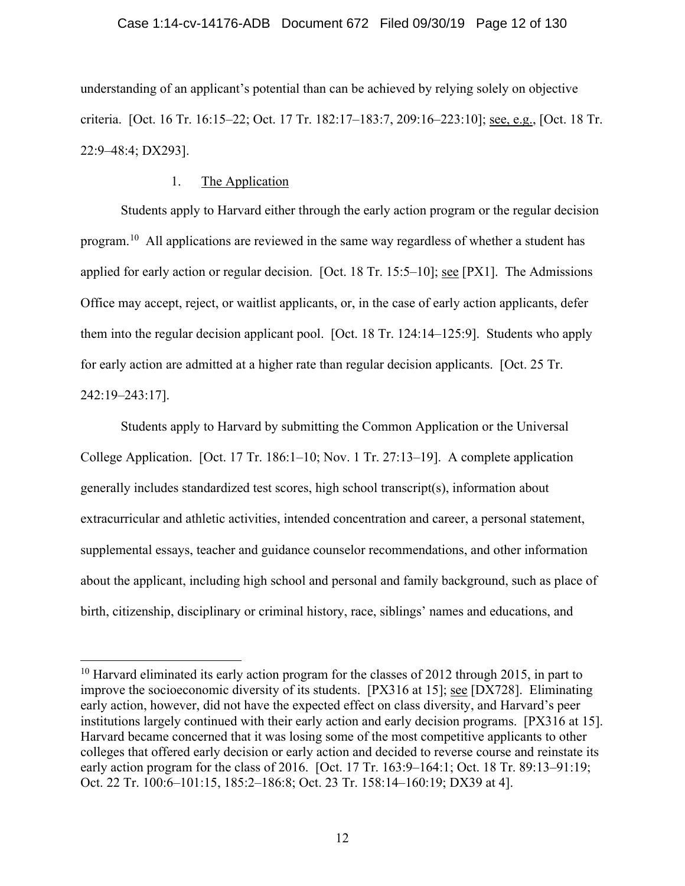understanding of an applicant's potential than can be achieved by relying solely on objective criteria. [Oct. 16 Tr. 16:15–22; Oct. 17 Tr. 182:17–183:7, 209:16–223:10]; see, e.g., [Oct. 18 Tr. 22:9–48:4; DX293].

## 1. The Application

Students apply to Harvard either through the early action program or the regular decision program.10 All applications are reviewed in the same way regardless of whether a student has applied for early action or regular decision. [Oct. 18 Tr. 15:5–10]; see [PX1]. The Admissions Office may accept, reject, or waitlist applicants, or, in the case of early action applicants, defer them into the regular decision applicant pool. [Oct. 18 Tr. 124:14–125:9]. Students who apply for early action are admitted at a higher rate than regular decision applicants. [Oct. 25 Tr. 242:19–243:17].

Students apply to Harvard by submitting the Common Application or the Universal College Application. [Oct. 17 Tr. 186:1–10; Nov. 1 Tr. 27:13–19]. A complete application generally includes standardized test scores, high school transcript(s), information about extracurricular and athletic activities, intended concentration and career, a personal statement, supplemental essays, teacher and guidance counselor recommendations, and other information about the applicant, including high school and personal and family background, such as place of birth, citizenship, disciplinary or criminal history, race, siblings' names and educations, and

 $10$  Harvard eliminated its early action program for the classes of 2012 through 2015, in part to improve the socioeconomic diversity of its students. [PX316 at 15]; see [DX728]. Eliminating early action, however, did not have the expected effect on class diversity, and Harvard's peer institutions largely continued with their early action and early decision programs. [PX316 at 15]. Harvard became concerned that it was losing some of the most competitive applicants to other colleges that offered early decision or early action and decided to reverse course and reinstate its early action program for the class of 2016. [Oct. 17 Tr. 163:9–164:1; Oct. 18 Tr. 89:13–91:19; Oct. 22 Tr. 100:6–101:15, 185:2–186:8; Oct. 23 Tr. 158:14–160:19; DX39 at 4].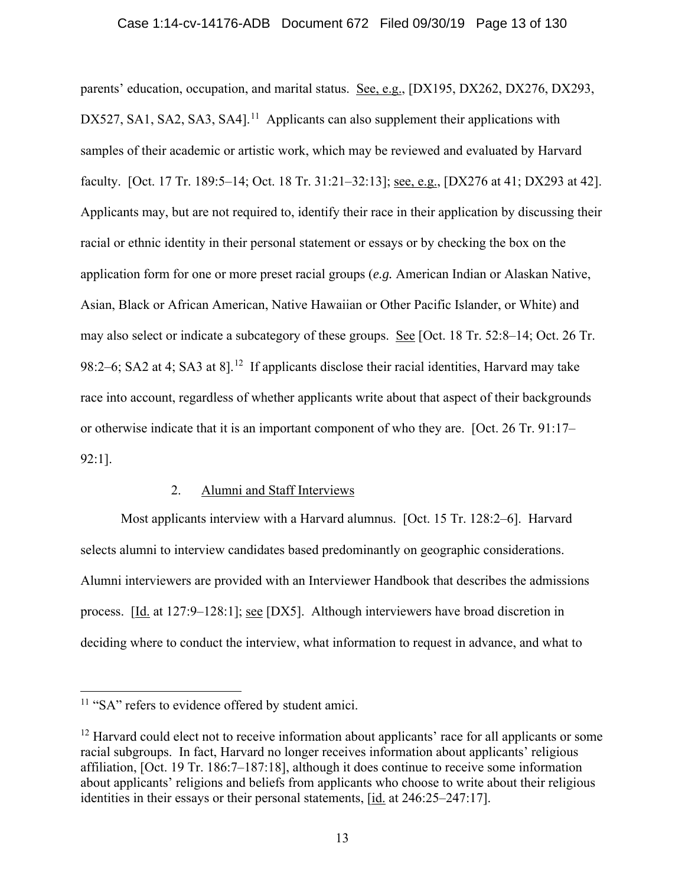#### Case 1:14-cv-14176-ADB Document 672 Filed 09/30/19 Page 13 of 130

parents' education, occupation, and marital status. See, e.g., [DX195, DX262, DX276, DX293, DX527, SA1, SA2, SA3, SA4].<sup>11</sup> Applicants can also supplement their applications with samples of their academic or artistic work, which may be reviewed and evaluated by Harvard faculty. [Oct. 17 Tr. 189:5–14; Oct. 18 Tr. 31:21–32:13]; see, e.g., [DX276 at 41; DX293 at 42]. Applicants may, but are not required to, identify their race in their application by discussing their racial or ethnic identity in their personal statement or essays or by checking the box on the application form for one or more preset racial groups (*e.g.* American Indian or Alaskan Native, Asian, Black or African American, Native Hawaiian or Other Pacific Islander, or White) and may also select or indicate a subcategory of these groups. See [Oct. 18 Tr. 52:8–14; Oct. 26 Tr. 98:2–6; SA2 at 4; SA3 at 8].<sup>12</sup> If applicants disclose their racial identities, Harvard may take race into account, regardless of whether applicants write about that aspect of their backgrounds or otherwise indicate that it is an important component of who they are. [Oct. 26 Tr. 91:17– 92:1].

### 2. Alumni and Staff Interviews

Most applicants interview with a Harvard alumnus. [Oct. 15 Tr. 128:2–6]. Harvard selects alumni to interview candidates based predominantly on geographic considerations. Alumni interviewers are provided with an Interviewer Handbook that describes the admissions process. [Id. at 127:9–128:1]; see [DX5]. Although interviewers have broad discretion in deciding where to conduct the interview, what information to request in advance, and what to

<sup>&</sup>lt;sup>11</sup> "SA" refers to evidence offered by student amici.

 $12$  Harvard could elect not to receive information about applicants' race for all applicants or some racial subgroups. In fact, Harvard no longer receives information about applicants' religious affiliation, [Oct. 19 Tr. 186:7–187:18], although it does continue to receive some information about applicants' religions and beliefs from applicants who choose to write about their religious identities in their essays or their personal statements, [id. at 246:25–247:17].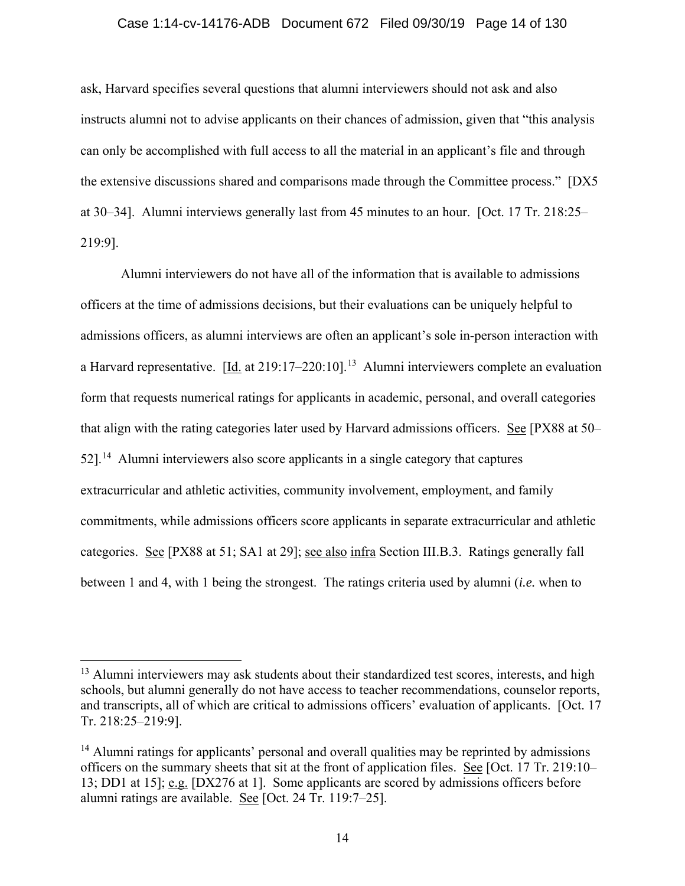#### Case 1:14-cv-14176-ADB Document 672 Filed 09/30/19 Page 14 of 130

ask, Harvard specifies several questions that alumni interviewers should not ask and also instructs alumni not to advise applicants on their chances of admission, given that "this analysis can only be accomplished with full access to all the material in an applicant's file and through the extensive discussions shared and comparisons made through the Committee process." [DX5 at 30–34]. Alumni interviews generally last from 45 minutes to an hour. [Oct. 17 Tr. 218:25– 219:9].

Alumni interviewers do not have all of the information that is available to admissions officers at the time of admissions decisions, but their evaluations can be uniquely helpful to admissions officers, as alumni interviews are often an applicant's sole in-person interaction with a Harvard representative. [Id. at 219:17–220:10].<sup>13</sup> Alumni interviewers complete an evaluation form that requests numerical ratings for applicants in academic, personal, and overall categories that align with the rating categories later used by Harvard admissions officers. See [PX88 at 50–  $52$ <sup>14</sup> Alumni interviewers also score applicants in a single category that captures extracurricular and athletic activities, community involvement, employment, and family commitments, while admissions officers score applicants in separate extracurricular and athletic categories. See [PX88 at 51; SA1 at 29]; see also infra Section III.B.3. Ratings generally fall between 1 and 4, with 1 being the strongest. The ratings criteria used by alumni (*i.e.* when to

<sup>&</sup>lt;sup>13</sup> Alumni interviewers may ask students about their standardized test scores, interests, and high schools, but alumni generally do not have access to teacher recommendations, counselor reports, and transcripts, all of which are critical to admissions officers' evaluation of applicants. [Oct. 17 Tr. 218:25–219:9].

 $14$  Alumni ratings for applicants' personal and overall qualities may be reprinted by admissions officers on the summary sheets that sit at the front of application files. See [Oct. 17 Tr. 219:10– 13; DD1 at 15]; e.g. [DX276 at 1]. Some applicants are scored by admissions officers before alumni ratings are available. See [Oct. 24 Tr. 119:7–25].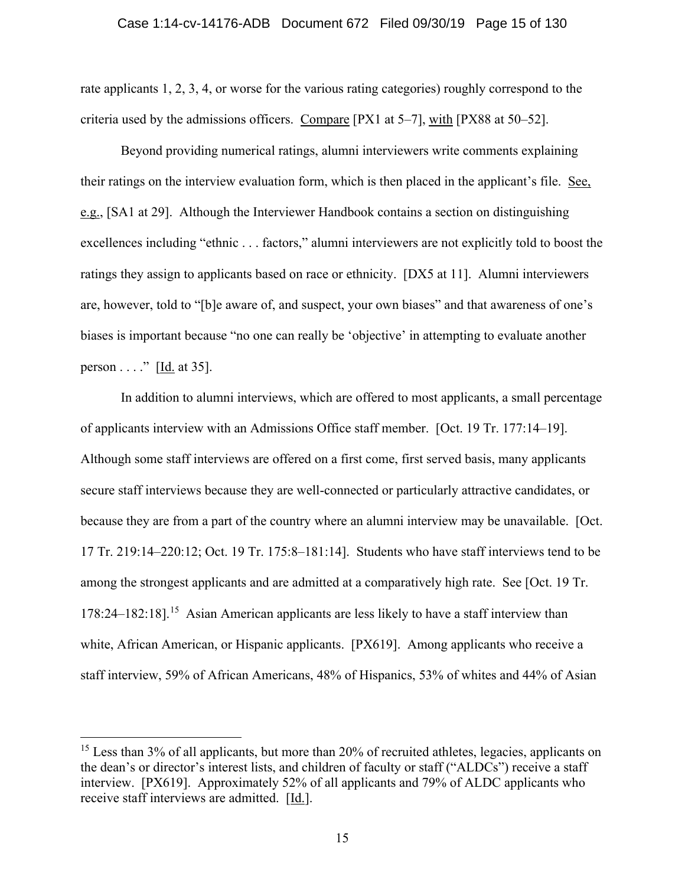rate applicants 1, 2, 3, 4, or worse for the various rating categories) roughly correspond to the criteria used by the admissions officers. Compare [PX1 at 5–7], with [PX88 at 50–52].

Beyond providing numerical ratings, alumni interviewers write comments explaining their ratings on the interview evaluation form, which is then placed in the applicant's file. See, e.g., [SA1 at 29]. Although the Interviewer Handbook contains a section on distinguishing excellences including "ethnic . . . factors," alumni interviewers are not explicitly told to boost the ratings they assign to applicants based on race or ethnicity. [DX5 at 11]. Alumni interviewers are, however, told to "[b]e aware of, and suspect, your own biases" and that awareness of one's biases is important because "no one can really be 'objective' in attempting to evaluate another person  $\dots$ ." [Id. at 35].

In addition to alumni interviews, which are offered to most applicants, a small percentage of applicants interview with an Admissions Office staff member. [Oct. 19 Tr. 177:14–19]. Although some staff interviews are offered on a first come, first served basis, many applicants secure staff interviews because they are well-connected or particularly attractive candidates, or because they are from a part of the country where an alumni interview may be unavailable. [Oct. 17 Tr. 219:14–220:12; Oct. 19 Tr. 175:8–181:14]. Students who have staff interviews tend to be among the strongest applicants and are admitted at a comparatively high rate. See [Oct. 19 Tr. 178:24–182:18].15 Asian American applicants are less likely to have a staff interview than white, African American, or Hispanic applicants. [PX619]. Among applicants who receive a staff interview, 59% of African Americans, 48% of Hispanics, 53% of whites and 44% of Asian

<sup>&</sup>lt;sup>15</sup> Less than 3% of all applicants, but more than 20% of recruited athletes, legacies, applicants on the dean's or director's interest lists, and children of faculty or staff ("ALDCs") receive a staff interview. [PX619]. Approximately 52% of all applicants and 79% of ALDC applicants who receive staff interviews are admitted. [Id.].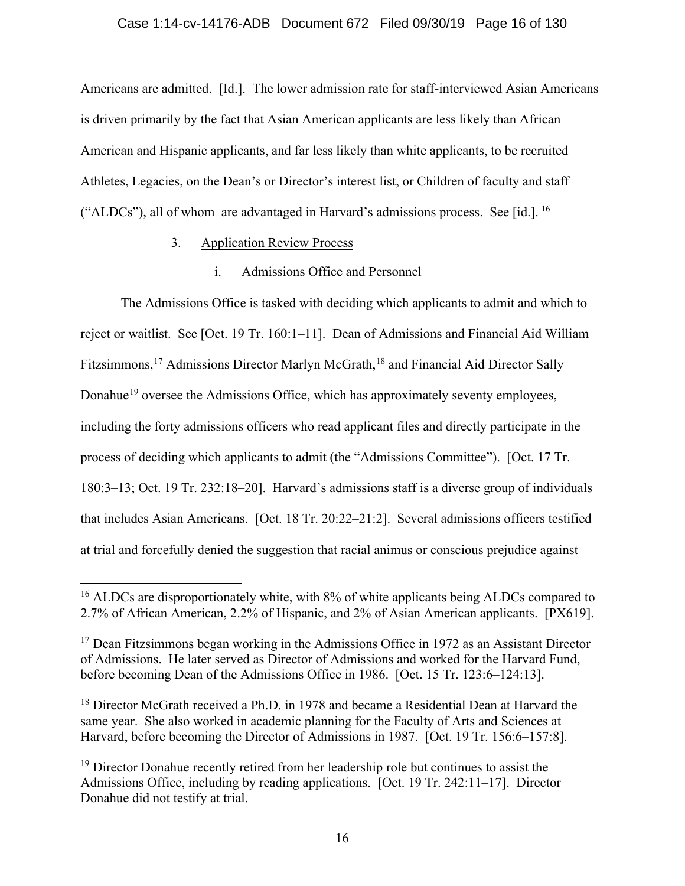Americans are admitted. [Id.]. The lower admission rate for staff-interviewed Asian Americans is driven primarily by the fact that Asian American applicants are less likely than African American and Hispanic applicants, and far less likely than white applicants, to be recruited Athletes, Legacies, on the Dean's or Director's interest list, or Children of faculty and staff ("ALDCs"), all of whom are advantaged in Harvard's admissions process. See [id.]. 16

## 3. Application Review Process

## i. Admissions Office and Personnel

The Admissions Office is tasked with deciding which applicants to admit and which to reject or waitlist. See [Oct. 19 Tr. 160:1–11]. Dean of Admissions and Financial Aid William Fitzsimmons,<sup>17</sup> Admissions Director Marlyn McGrath,<sup>18</sup> and Financial Aid Director Sally Donahue19 oversee the Admissions Office, which has approximately seventy employees, including the forty admissions officers who read applicant files and directly participate in the process of deciding which applicants to admit (the "Admissions Committee"). [Oct. 17 Tr. 180:3–13; Oct. 19 Tr. 232:18–20]. Harvard's admissions staff is a diverse group of individuals that includes Asian Americans. [Oct. 18 Tr. 20:22–21:2]. Several admissions officers testified at trial and forcefully denied the suggestion that racial animus or conscious prejudice against

 $16$  ALDCs are disproportionately white, with  $8\%$  of white applicants being ALDCs compared to 2.7% of African American, 2.2% of Hispanic, and 2% of Asian American applicants. [PX619].

 $17$  Dean Fitzsimmons began working in the Admissions Office in 1972 as an Assistant Director of Admissions. He later served as Director of Admissions and worked for the Harvard Fund, before becoming Dean of the Admissions Office in 1986. [Oct. 15 Tr. 123:6–124:13].

<sup>&</sup>lt;sup>18</sup> Director McGrath received a Ph.D. in 1978 and became a Residential Dean at Harvard the same year. She also worked in academic planning for the Faculty of Arts and Sciences at Harvard, before becoming the Director of Admissions in 1987. [Oct. 19 Tr. 156:6–157:8].

 $19$  Director Donahue recently retired from her leadership role but continues to assist the Admissions Office, including by reading applications. [Oct. 19 Tr. 242:11–17]. Director Donahue did not testify at trial.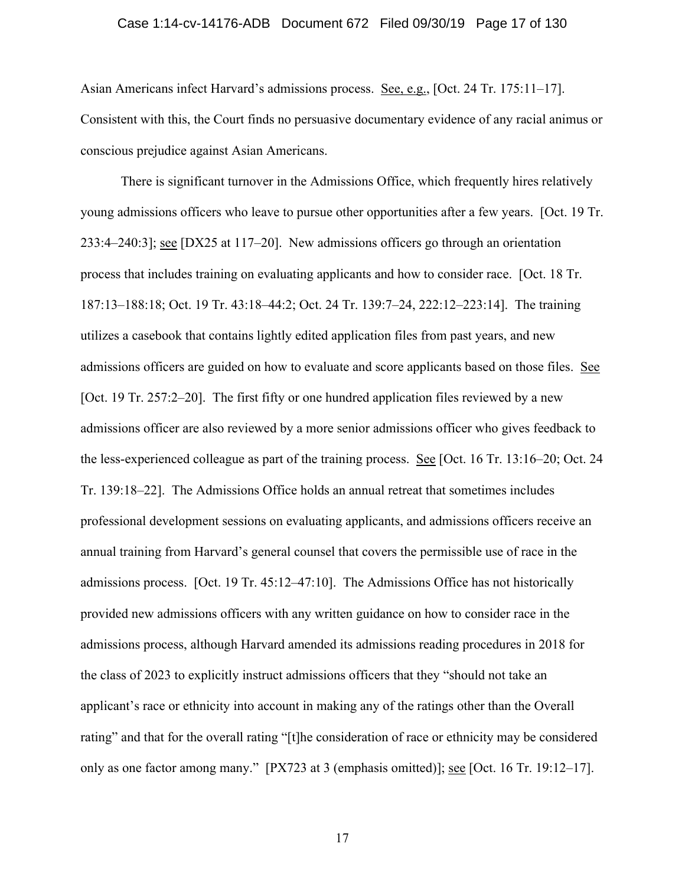#### Case 1:14-cv-14176-ADB Document 672 Filed 09/30/19 Page 17 of 130

Asian Americans infect Harvard's admissions process. See, e.g., [Oct. 24 Tr. 175:11–17]. Consistent with this, the Court finds no persuasive documentary evidence of any racial animus or conscious prejudice against Asian Americans.

There is significant turnover in the Admissions Office, which frequently hires relatively young admissions officers who leave to pursue other opportunities after a few years. [Oct. 19 Tr. 233:4–240:3]; see [DX25 at 117–20]. New admissions officers go through an orientation process that includes training on evaluating applicants and how to consider race. [Oct. 18 Tr. 187:13–188:18; Oct. 19 Tr. 43:18–44:2; Oct. 24 Tr. 139:7–24, 222:12–223:14]. The training utilizes a casebook that contains lightly edited application files from past years, and new admissions officers are guided on how to evaluate and score applicants based on those files. See [Oct. 19 Tr. 257:2–20]. The first fifty or one hundred application files reviewed by a new admissions officer are also reviewed by a more senior admissions officer who gives feedback to the less-experienced colleague as part of the training process. See [Oct. 16 Tr. 13:16–20; Oct. 24 Tr. 139:18–22]. The Admissions Office holds an annual retreat that sometimes includes professional development sessions on evaluating applicants, and admissions officers receive an annual training from Harvard's general counsel that covers the permissible use of race in the admissions process. [Oct. 19 Tr. 45:12–47:10]. The Admissions Office has not historically provided new admissions officers with any written guidance on how to consider race in the admissions process, although Harvard amended its admissions reading procedures in 2018 for the class of 2023 to explicitly instruct admissions officers that they "should not take an applicant's race or ethnicity into account in making any of the ratings other than the Overall rating" and that for the overall rating "[t]he consideration of race or ethnicity may be considered only as one factor among many." [PX723 at 3 (emphasis omitted)]; see [Oct. 16 Tr. 19:12–17].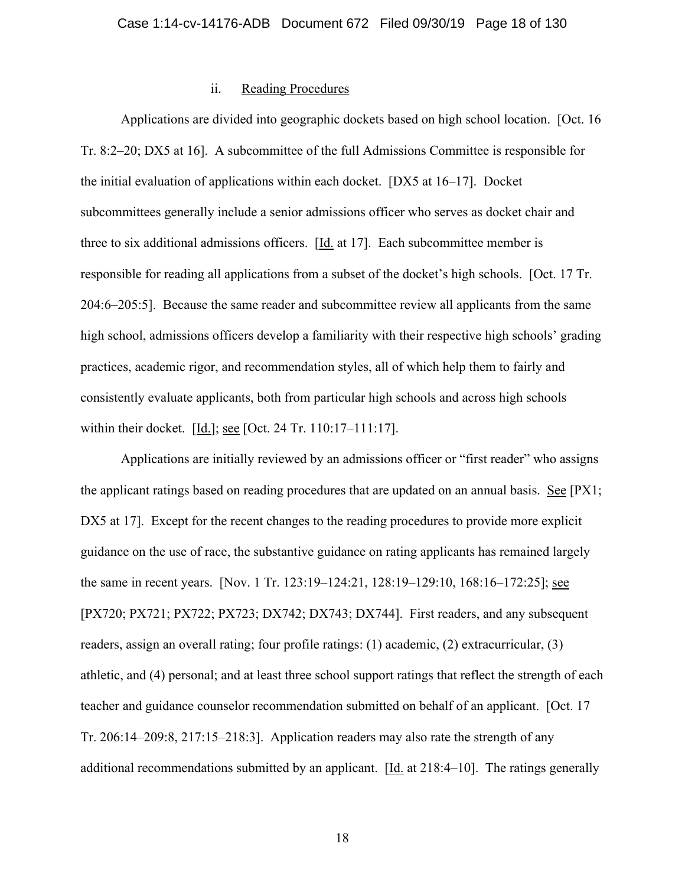### ii. Reading Procedures

Applications are divided into geographic dockets based on high school location. [Oct. 16 Tr. 8:2–20; DX5 at 16]. A subcommittee of the full Admissions Committee is responsible for the initial evaluation of applications within each docket. [DX5 at 16–17]. Docket subcommittees generally include a senior admissions officer who serves as docket chair and three to six additional admissions officers. [Id. at 17]. Each subcommittee member is responsible for reading all applications from a subset of the docket's high schools. [Oct. 17 Tr. 204:6–205:5]. Because the same reader and subcommittee review all applicants from the same high school, admissions officers develop a familiarity with their respective high schools' grading practices, academic rigor, and recommendation styles, all of which help them to fairly and consistently evaluate applicants, both from particular high schools and across high schools within their docket. [Id.]; see [Oct. 24 Tr. 110:17–111:17].

Applications are initially reviewed by an admissions officer or "first reader" who assigns the applicant ratings based on reading procedures that are updated on an annual basis. See [PX1; DX5 at 17]. Except for the recent changes to the reading procedures to provide more explicit guidance on the use of race, the substantive guidance on rating applicants has remained largely the same in recent years. [Nov. 1 Tr. 123:19–124:21, 128:19–129:10, 168:16–172:25]; see [PX720; PX721; PX722; PX723; DX742; DX743; DX744]. First readers, and any subsequent readers, assign an overall rating; four profile ratings: (1) academic, (2) extracurricular, (3) athletic, and (4) personal; and at least three school support ratings that reflect the strength of each teacher and guidance counselor recommendation submitted on behalf of an applicant. [Oct. 17 Tr. 206:14–209:8, 217:15–218:3]. Application readers may also rate the strength of any additional recommendations submitted by an applicant. [Id. at 218:4–10]. The ratings generally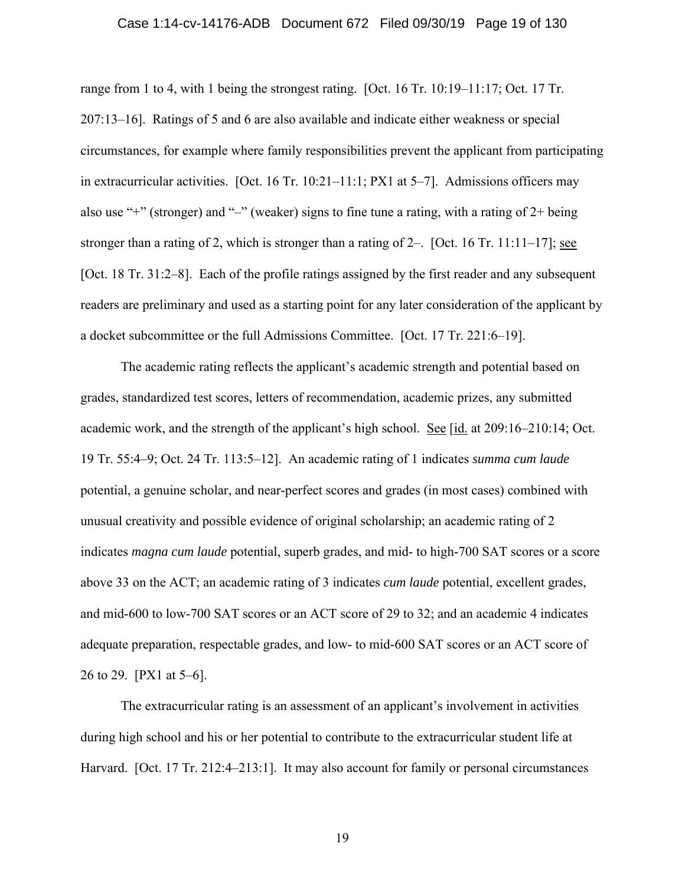#### Case 1:14-cv-14176-ADB Document 672 Filed 09/30/19 Page 19 of 130

range from 1 to 4, with 1 being the strongest rating. [Oct. 16 Tr. 10:19–11:17; Oct. 17 Tr. 207:13–16]. Ratings of 5 and 6 are also available and indicate either weakness or special circumstances, for example where family responsibilities prevent the applicant from participating in extracurricular activities. [Oct. 16 Tr. 10:21–11:1; PX1 at 5–7]. Admissions officers may also use "+" (stronger) and "–" (weaker) signs to fine tune a rating, with a rating of 2+ being stronger than a rating of 2, which is stronger than a rating of  $2-$ . [Oct. 16 Tr. 11:11–17]; see [Oct. 18 Tr. 31:2–8]. Each of the profile ratings assigned by the first reader and any subsequent readers are preliminary and used as a starting point for any later consideration of the applicant by a docket subcommittee or the full Admissions Committee. [Oct. 17 Tr. 221:6–19].

The academic rating reflects the applicant's academic strength and potential based on grades, standardized test scores, letters of recommendation, academic prizes, any submitted academic work, and the strength of the applicant's high school. See [id. at 209:16–210:14; Oct. 19 Tr. 55:4–9; Oct. 24 Tr. 113:5–12]. An academic rating of 1 indicates *summa cum laude* potential, a genuine scholar, and near-perfect scores and grades (in most cases) combined with unusual creativity and possible evidence of original scholarship; an academic rating of 2 indicates *magna cum laude* potential, superb grades, and mid- to high-700 SAT scores or a score above 33 on the ACT; an academic rating of 3 indicates *cum laude* potential, excellent grades, and mid-600 to low-700 SAT scores or an ACT score of 29 to 32; and an academic 4 indicates adequate preparation, respectable grades, and low- to mid-600 SAT scores or an ACT score of 26 to 29. [PX1 at 5–6].

The extracurricular rating is an assessment of an applicant's involvement in activities during high school and his or her potential to contribute to the extracurricular student life at Harvard. [Oct. 17 Tr. 212:4–213:1]. It may also account for family or personal circumstances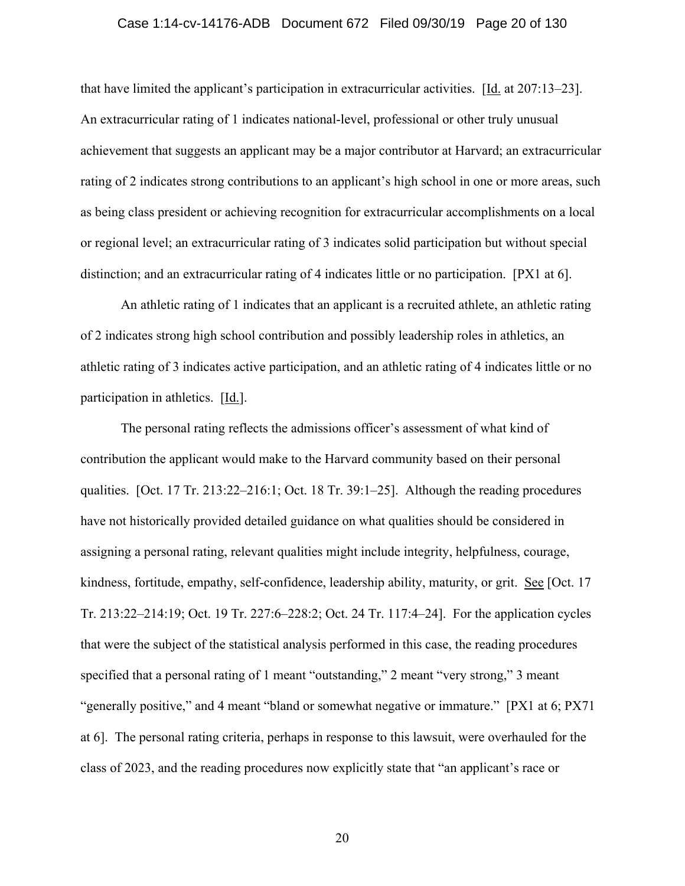#### Case 1:14-cv-14176-ADB Document 672 Filed 09/30/19 Page 20 of 130

that have limited the applicant's participation in extracurricular activities. [Id. at 207:13–23]. An extracurricular rating of 1 indicates national-level, professional or other truly unusual achievement that suggests an applicant may be a major contributor at Harvard; an extracurricular rating of 2 indicates strong contributions to an applicant's high school in one or more areas, such as being class president or achieving recognition for extracurricular accomplishments on a local or regional level; an extracurricular rating of 3 indicates solid participation but without special distinction; and an extracurricular rating of 4 indicates little or no participation. [PX1 at 6].

An athletic rating of 1 indicates that an applicant is a recruited athlete, an athletic rating of 2 indicates strong high school contribution and possibly leadership roles in athletics, an athletic rating of 3 indicates active participation, and an athletic rating of 4 indicates little or no participation in athletics. [Id.].

The personal rating reflects the admissions officer's assessment of what kind of contribution the applicant would make to the Harvard community based on their personal qualities. [Oct. 17 Tr. 213:22–216:1; Oct. 18 Tr. 39:1–25]. Although the reading procedures have not historically provided detailed guidance on what qualities should be considered in assigning a personal rating, relevant qualities might include integrity, helpfulness, courage, kindness, fortitude, empathy, self-confidence, leadership ability, maturity, or grit. See [Oct. 17 Tr. 213:22–214:19; Oct. 19 Tr. 227:6–228:2; Oct. 24 Tr. 117:4–24]. For the application cycles that were the subject of the statistical analysis performed in this case, the reading procedures specified that a personal rating of 1 meant "outstanding," 2 meant "very strong," 3 meant "generally positive," and 4 meant "bland or somewhat negative or immature." [PX1 at 6; PX71 at 6]. The personal rating criteria, perhaps in response to this lawsuit, were overhauled for the class of 2023, and the reading procedures now explicitly state that "an applicant's race or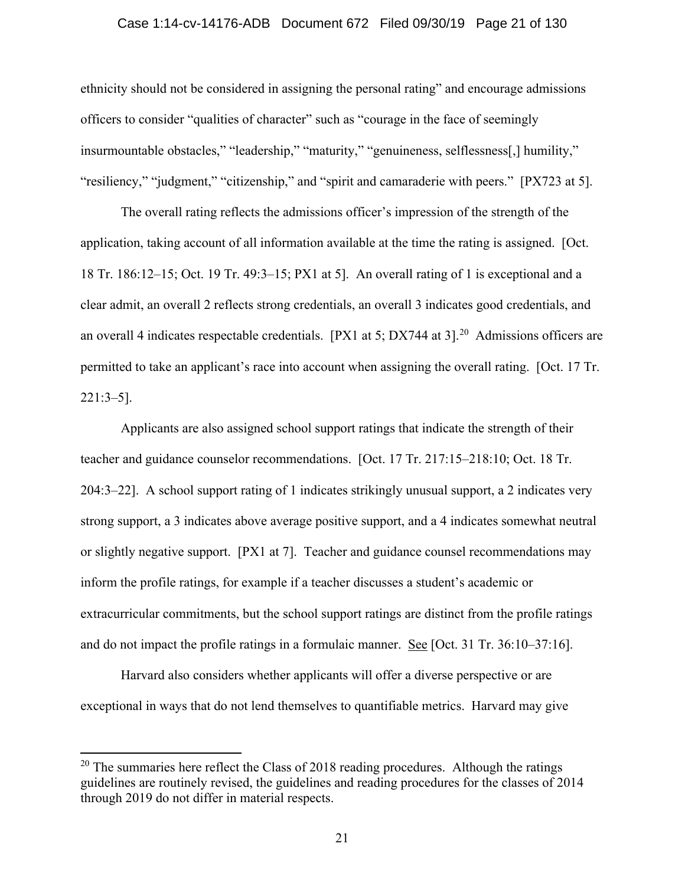#### Case 1:14-cv-14176-ADB Document 672 Filed 09/30/19 Page 21 of 130

ethnicity should not be considered in assigning the personal rating" and encourage admissions officers to consider "qualities of character" such as "courage in the face of seemingly insurmountable obstacles," "leadership," "maturity," "genuineness, selflessness[,] humility," "resiliency," "judgment," "citizenship," and "spirit and camaraderie with peers." [PX723 at 5].

The overall rating reflects the admissions officer's impression of the strength of the application, taking account of all information available at the time the rating is assigned. [Oct. 18 Tr. 186:12–15; Oct. 19 Tr. 49:3–15; PX1 at 5]. An overall rating of 1 is exceptional and a clear admit, an overall 2 reflects strong credentials, an overall 3 indicates good credentials, and an overall 4 indicates respectable credentials. [PX1 at 5; DX744 at 3]<sup>20</sup> Admissions officers are permitted to take an applicant's race into account when assigning the overall rating. [Oct. 17 Tr. 221:3–5].

Applicants are also assigned school support ratings that indicate the strength of their teacher and guidance counselor recommendations. [Oct. 17 Tr. 217:15–218:10; Oct. 18 Tr. 204:3–22]. A school support rating of 1 indicates strikingly unusual support, a 2 indicates very strong support, a 3 indicates above average positive support, and a 4 indicates somewhat neutral or slightly negative support. [PX1 at 7]. Teacher and guidance counsel recommendations may inform the profile ratings, for example if a teacher discusses a student's academic or extracurricular commitments, but the school support ratings are distinct from the profile ratings and do not impact the profile ratings in a formulaic manner. See [Oct. 31 Tr. 36:10–37:16].

Harvard also considers whether applicants will offer a diverse perspective or are exceptional in ways that do not lend themselves to quantifiable metrics. Harvard may give

 $20$  The summaries here reflect the Class of 2018 reading procedures. Although the ratings guidelines are routinely revised, the guidelines and reading procedures for the classes of 2014 through 2019 do not differ in material respects.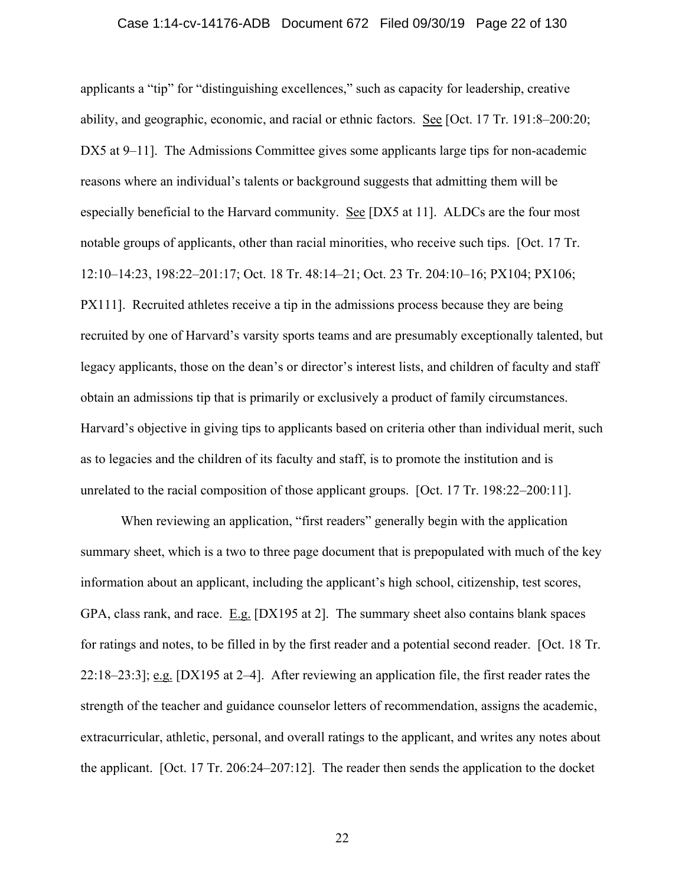applicants a "tip" for "distinguishing excellences," such as capacity for leadership, creative ability, and geographic, economic, and racial or ethnic factors. See [Oct. 17 Tr. 191:8–200:20; DX5 at 9–11. The Admissions Committee gives some applicants large tips for non-academic reasons where an individual's talents or background suggests that admitting them will be especially beneficial to the Harvard community. See [DX5 at 11]. ALDCs are the four most notable groups of applicants, other than racial minorities, who receive such tips. [Oct. 17 Tr. 12:10–14:23, 198:22–201:17; Oct. 18 Tr. 48:14–21; Oct. 23 Tr. 204:10–16; PX104; PX106; PX111]. Recruited athletes receive a tip in the admissions process because they are being recruited by one of Harvard's varsity sports teams and are presumably exceptionally talented, but legacy applicants, those on the dean's or director's interest lists, and children of faculty and staff obtain an admissions tip that is primarily or exclusively a product of family circumstances. Harvard's objective in giving tips to applicants based on criteria other than individual merit, such as to legacies and the children of its faculty and staff, is to promote the institution and is unrelated to the racial composition of those applicant groups. [Oct. 17 Tr. 198:22–200:11].

When reviewing an application, "first readers" generally begin with the application summary sheet, which is a two to three page document that is prepopulated with much of the key information about an applicant, including the applicant's high school, citizenship, test scores, GPA, class rank, and race. E.g. [DX195 at 2]. The summary sheet also contains blank spaces for ratings and notes, to be filled in by the first reader and a potential second reader. [Oct. 18 Tr. 22:18–23:3]; e.g. [DX195 at 2–4]. After reviewing an application file, the first reader rates the strength of the teacher and guidance counselor letters of recommendation, assigns the academic, extracurricular, athletic, personal, and overall ratings to the applicant, and writes any notes about the applicant. [Oct. 17 Tr. 206:24–207:12]. The reader then sends the application to the docket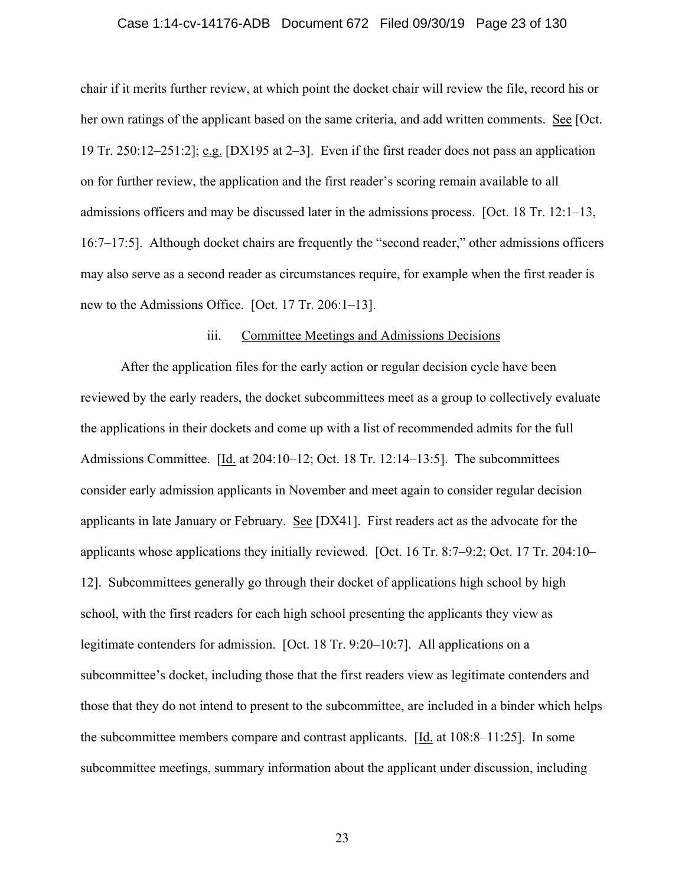#### Case 1:14-cv-14176-ADB Document 672 Filed 09/30/19 Page 23 of 130

chair if it merits further review, at which point the docket chair will review the file, record his or her own ratings of the applicant based on the same criteria, and add written comments. See [Oct. 19 Tr. 250:12–251:2]; e.g. [DX195 at 2–3]. Even if the first reader does not pass an application on for further review, the application and the first reader's scoring remain available to all admissions officers and may be discussed later in the admissions process. [Oct. 18 Tr. 12:1–13, 16:7–17:5]. Although docket chairs are frequently the "second reader," other admissions officers may also serve as a second reader as circumstances require, for example when the first reader is new to the Admissions Office. [Oct. 17 Tr. 206:1–13].

#### iii. Committee Meetings and Admissions Decisions

After the application files for the early action or regular decision cycle have been reviewed by the early readers, the docket subcommittees meet as a group to collectively evaluate the applications in their dockets and come up with a list of recommended admits for the full Admissions Committee. [Id. at 204:10–12; Oct. 18 Tr. 12:14–13:5]. The subcommittees consider early admission applicants in November and meet again to consider regular decision applicants in late January or February. See [DX41]. First readers act as the advocate for the applicants whose applications they initially reviewed. [Oct. 16 Tr. 8:7–9:2; Oct. 17 Tr. 204:10– 12]. Subcommittees generally go through their docket of applications high school by high school, with the first readers for each high school presenting the applicants they view as legitimate contenders for admission. [Oct. 18 Tr. 9:20–10:7]. All applications on a subcommittee's docket, including those that the first readers view as legitimate contenders and those that they do not intend to present to the subcommittee, are included in a binder which helps the subcommittee members compare and contrast applicants. [Id. at 108:8–11:25]. In some subcommittee meetings, summary information about the applicant under discussion, including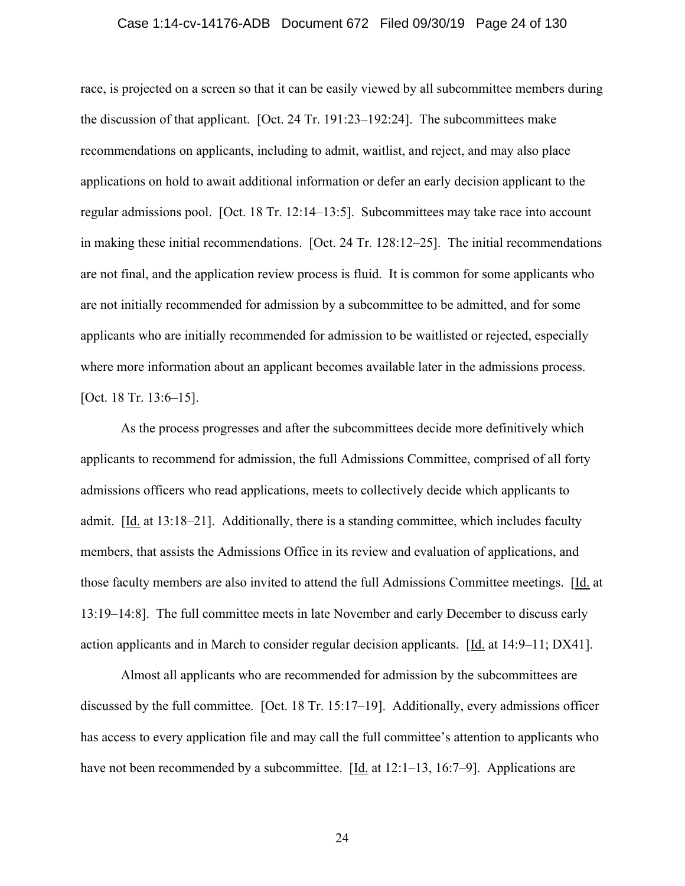#### Case 1:14-cv-14176-ADB Document 672 Filed 09/30/19 Page 24 of 130

race, is projected on a screen so that it can be easily viewed by all subcommittee members during the discussion of that applicant. [Oct. 24 Tr. 191:23–192:24]. The subcommittees make recommendations on applicants, including to admit, waitlist, and reject, and may also place applications on hold to await additional information or defer an early decision applicant to the regular admissions pool. [Oct. 18 Tr. 12:14–13:5]. Subcommittees may take race into account in making these initial recommendations. [Oct. 24 Tr. 128:12–25]. The initial recommendations are not final, and the application review process is fluid. It is common for some applicants who are not initially recommended for admission by a subcommittee to be admitted, and for some applicants who are initially recommended for admission to be waitlisted or rejected, especially where more information about an applicant becomes available later in the admissions process. [Oct. 18 Tr. 13:6–15].

As the process progresses and after the subcommittees decide more definitively which applicants to recommend for admission, the full Admissions Committee, comprised of all forty admissions officers who read applications, meets to collectively decide which applicants to admit.  $[\underline{Id}]$  at 13:18–21]. Additionally, there is a standing committee, which includes faculty members, that assists the Admissions Office in its review and evaluation of applications, and those faculty members are also invited to attend the full Admissions Committee meetings. [Id. at 13:19–14:8]. The full committee meets in late November and early December to discuss early action applicants and in March to consider regular decision applicants. [Id. at 14:9–11; DX41].

Almost all applicants who are recommended for admission by the subcommittees are discussed by the full committee. [Oct. 18 Tr. 15:17–19]. Additionally, every admissions officer has access to every application file and may call the full committee's attention to applicants who have not been recommended by a subcommittee. [Id. at 12:1–13, 16:7–9]. Applications are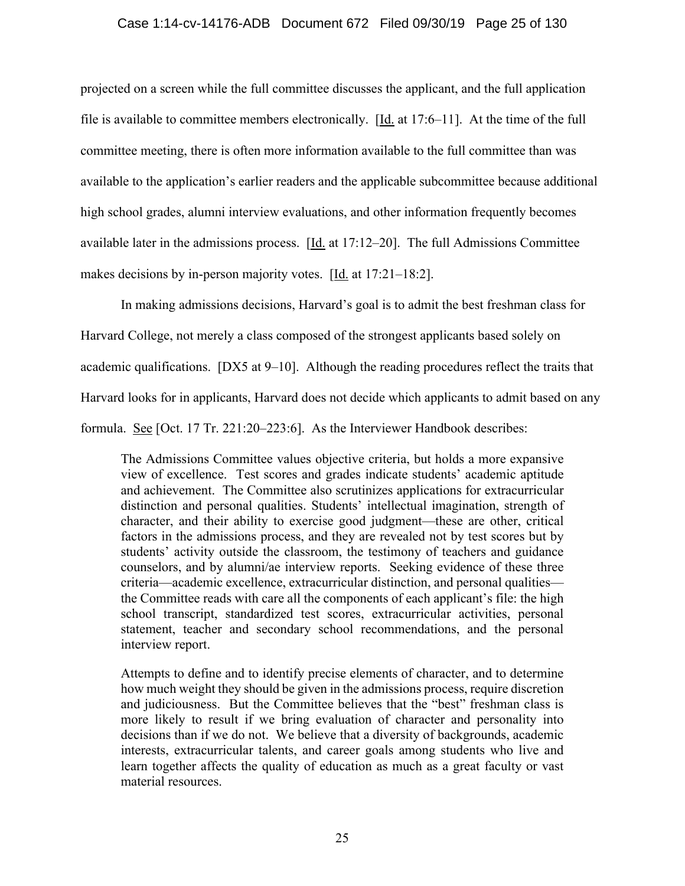## Case 1:14-cv-14176-ADB Document 672 Filed 09/30/19 Page 25 of 130

projected on a screen while the full committee discusses the applicant, and the full application file is available to committee members electronically. [Id. at 17:6–11]. At the time of the full committee meeting, there is often more information available to the full committee than was available to the application's earlier readers and the applicable subcommittee because additional high school grades, alumni interview evaluations, and other information frequently becomes available later in the admissions process.  $[\underline{Id}$  at 17:12–20]. The full Admissions Committee makes decisions by in-person majority votes. [Id. at 17:21–18:2].

In making admissions decisions, Harvard's goal is to admit the best freshman class for Harvard College, not merely a class composed of the strongest applicants based solely on academic qualifications. [DX5 at 9–10]. Although the reading procedures reflect the traits that Harvard looks for in applicants, Harvard does not decide which applicants to admit based on any formula. See [Oct. 17 Tr. 221:20–223:6]. As the Interviewer Handbook describes:

The Admissions Committee values objective criteria, but holds a more expansive view of excellence. Test scores and grades indicate students' academic aptitude and achievement. The Committee also scrutinizes applications for extracurricular distinction and personal qualities. Students' intellectual imagination, strength of character, and their ability to exercise good judgment—these are other, critical factors in the admissions process, and they are revealed not by test scores but by students' activity outside the classroom, the testimony of teachers and guidance counselors, and by alumni/ae interview reports. Seeking evidence of these three criteria—academic excellence, extracurricular distinction, and personal qualities the Committee reads with care all the components of each applicant's file: the high school transcript, standardized test scores, extracurricular activities, personal statement, teacher and secondary school recommendations, and the personal interview report.

Attempts to define and to identify precise elements of character, and to determine how much weight they should be given in the admissions process, require discretion and judiciousness. But the Committee believes that the "best" freshman class is more likely to result if we bring evaluation of character and personality into decisions than if we do not. We believe that a diversity of backgrounds, academic interests, extracurricular talents, and career goals among students who live and learn together affects the quality of education as much as a great faculty or vast material resources.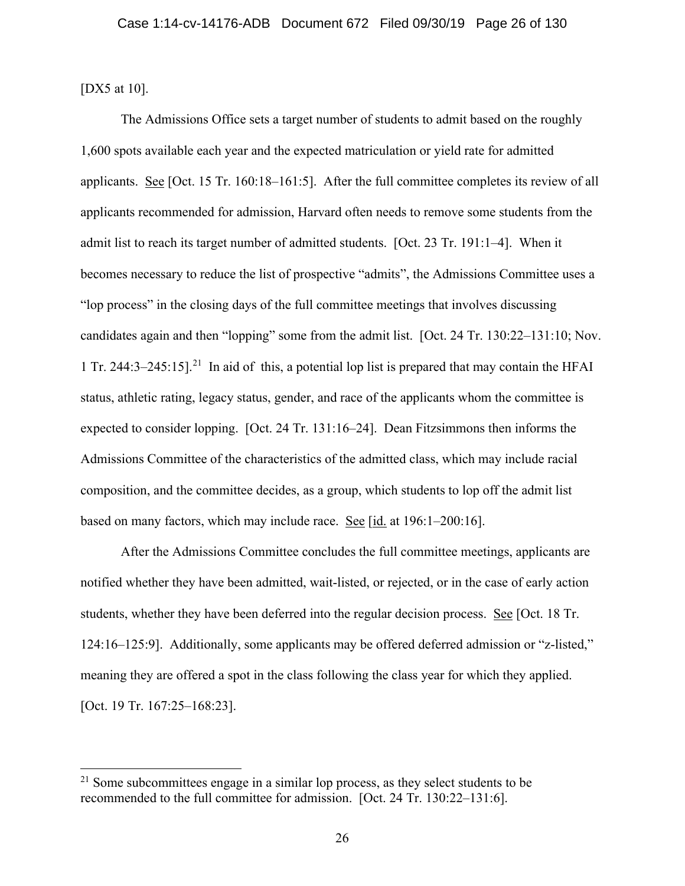[DX5 at 10].

The Admissions Office sets a target number of students to admit based on the roughly 1,600 spots available each year and the expected matriculation or yield rate for admitted applicants. See [Oct. 15 Tr. 160:18–161:5]. After the full committee completes its review of all applicants recommended for admission, Harvard often needs to remove some students from the admit list to reach its target number of admitted students. [Oct. 23 Tr. 191:1–4]. When it becomes necessary to reduce the list of prospective "admits", the Admissions Committee uses a "lop process" in the closing days of the full committee meetings that involves discussing candidates again and then "lopping" some from the admit list. [Oct. 24 Tr. 130:22–131:10; Nov. 1 Tr. 244:3–245:15].<sup>21</sup> In aid of this, a potential lop list is prepared that may contain the HFAI status, athletic rating, legacy status, gender, and race of the applicants whom the committee is expected to consider lopping. [Oct. 24 Tr. 131:16–24]. Dean Fitzsimmons then informs the Admissions Committee of the characteristics of the admitted class, which may include racial composition, and the committee decides, as a group, which students to lop off the admit list based on many factors, which may include race. See  $\left[$ id. at 196:1–200:16].

After the Admissions Committee concludes the full committee meetings, applicants are notified whether they have been admitted, wait-listed, or rejected, or in the case of early action students, whether they have been deferred into the regular decision process. See [Oct. 18 Tr. 124:16–125:9]. Additionally, some applicants may be offered deferred admission or "z-listed," meaning they are offered a spot in the class following the class year for which they applied. [Oct. 19 Tr. 167:25–168:23].

<sup>&</sup>lt;sup>21</sup> Some subcommittees engage in a similar lop process, as they select students to be recommended to the full committee for admission. [Oct. 24 Tr. 130:22–131:6].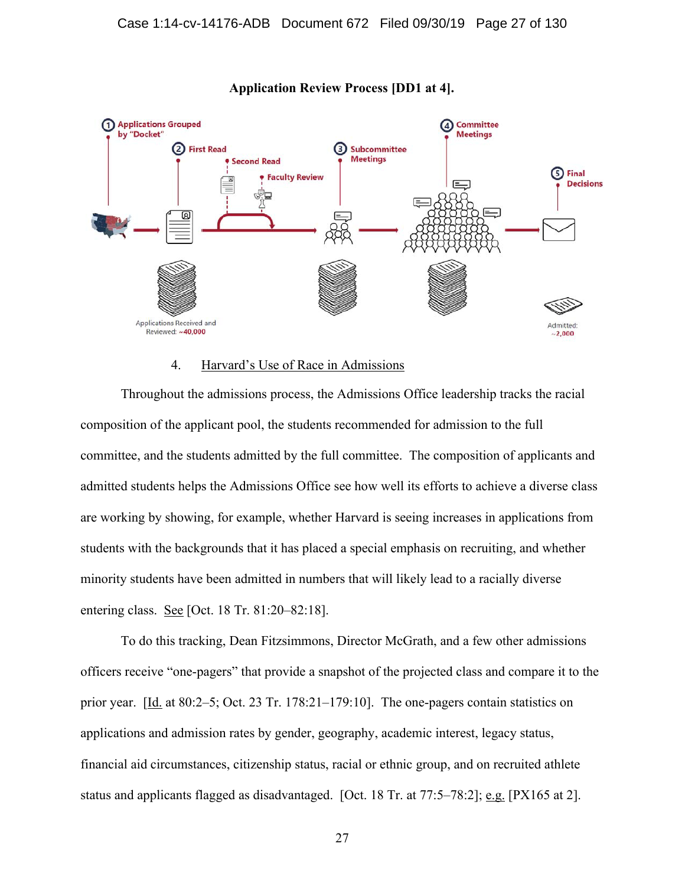

### **Application Review Process [DD1 at 4].**

## 4. Harvard's Use of Race in Admissions

Throughout the admissions process, the Admissions Office leadership tracks the racial composition of the applicant pool, the students recommended for admission to the full committee, and the students admitted by the full committee. The composition of applicants and admitted students helps the Admissions Office see how well its efforts to achieve a diverse class are working by showing, for example, whether Harvard is seeing increases in applications from students with the backgrounds that it has placed a special emphasis on recruiting, and whether minority students have been admitted in numbers that will likely lead to a racially diverse entering class. See [Oct. 18 Tr. 81:20–82:18].

To do this tracking, Dean Fitzsimmons, Director McGrath, and a few other admissions officers receive "one-pagers" that provide a snapshot of the projected class and compare it to the prior year. [Id. at 80:2–5; Oct. 23 Tr. 178:21–179:10]. The one-pagers contain statistics on applications and admission rates by gender, geography, academic interest, legacy status, financial aid circumstances, citizenship status, racial or ethnic group, and on recruited athlete status and applicants flagged as disadvantaged. [Oct. 18 Tr. at 77:5–78:2]; e.g. [PX165 at 2].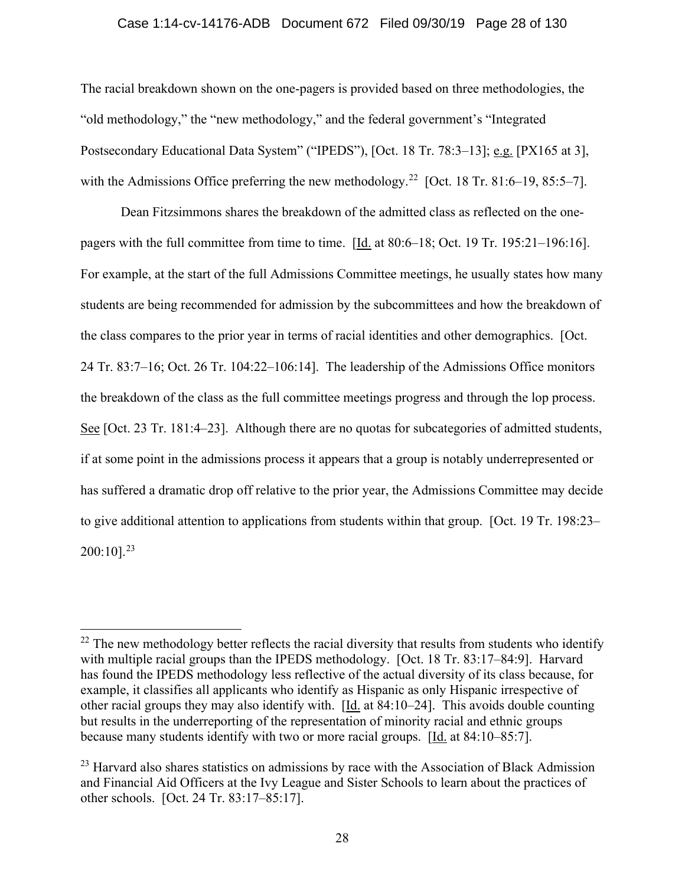#### Case 1:14-cv-14176-ADB Document 672 Filed 09/30/19 Page 28 of 130

The racial breakdown shown on the one-pagers is provided based on three methodologies, the "old methodology," the "new methodology," and the federal government's "Integrated Postsecondary Educational Data System" ("IPEDS"), [Oct. 18 Tr. 78:3–13]; e.g. [PX165 at 3], with the Admissions Office preferring the new methodology.<sup>22</sup> [Oct. 18 Tr. 81:6–19, 85:5–7].

Dean Fitzsimmons shares the breakdown of the admitted class as reflected on the onepagers with the full committee from time to time. [Id. at 80:6–18; Oct. 19 Tr. 195:21–196:16]. For example, at the start of the full Admissions Committee meetings, he usually states how many students are being recommended for admission by the subcommittees and how the breakdown of the class compares to the prior year in terms of racial identities and other demographics. [Oct. 24 Tr. 83:7–16; Oct. 26 Tr. 104:22–106:14]. The leadership of the Admissions Office monitors the breakdown of the class as the full committee meetings progress and through the lop process. See [Oct. 23 Tr. 181:4–23]. Although there are no quotas for subcategories of admitted students, if at some point in the admissions process it appears that a group is notably underrepresented or has suffered a dramatic drop off relative to the prior year, the Admissions Committee may decide to give additional attention to applications from students within that group. [Oct. 19 Tr. 198:23–  $200:10$ <sup>23</sup>

 $22$  The new methodology better reflects the racial diversity that results from students who identify with multiple racial groups than the IPEDS methodology. [Oct. 18 Tr. 83:17–84:9]. Harvard has found the IPEDS methodology less reflective of the actual diversity of its class because, for example, it classifies all applicants who identify as Hispanic as only Hispanic irrespective of other racial groups they may also identify with. [Id. at 84:10–24]. This avoids double counting but results in the underreporting of the representation of minority racial and ethnic groups because many students identify with two or more racial groups. [Id. at 84:10–85:7].

 $^{23}$  Harvard also shares statistics on admissions by race with the Association of Black Admission and Financial Aid Officers at the Ivy League and Sister Schools to learn about the practices of other schools. [Oct. 24 Tr. 83:17–85:17].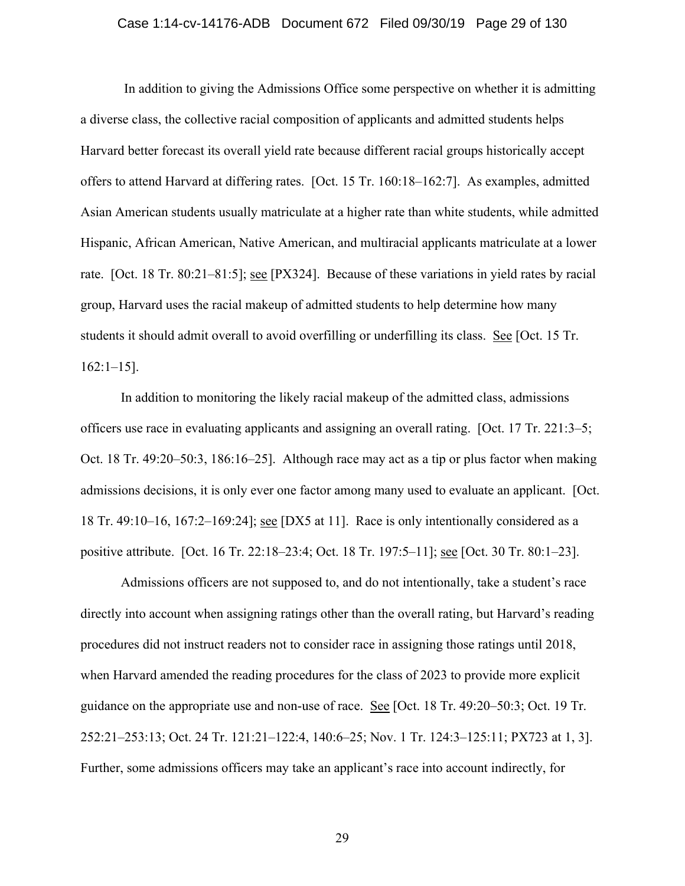#### Case 1:14-cv-14176-ADB Document 672 Filed 09/30/19 Page 29 of 130

 In addition to giving the Admissions Office some perspective on whether it is admitting a diverse class, the collective racial composition of applicants and admitted students helps Harvard better forecast its overall yield rate because different racial groups historically accept offers to attend Harvard at differing rates. [Oct. 15 Tr. 160:18–162:7]. As examples, admitted Asian American students usually matriculate at a higher rate than white students, while admitted Hispanic, African American, Native American, and multiracial applicants matriculate at a lower rate. [Oct. 18 Tr. 80:21–81:5]; see [PX324]. Because of these variations in yield rates by racial group, Harvard uses the racial makeup of admitted students to help determine how many students it should admit overall to avoid overfilling or underfilling its class. See [Oct. 15 Tr. 162:1–15].

In addition to monitoring the likely racial makeup of the admitted class, admissions officers use race in evaluating applicants and assigning an overall rating. [Oct. 17 Tr. 221:3–5; Oct. 18 Tr. 49:20–50:3, 186:16–25]. Although race may act as a tip or plus factor when making admissions decisions, it is only ever one factor among many used to evaluate an applicant. [Oct. 18 Tr. 49:10–16, 167:2–169:24]; see [DX5 at 11]. Race is only intentionally considered as a positive attribute. [Oct. 16 Tr. 22:18–23:4; Oct. 18 Tr. 197:5–11]; see [Oct. 30 Tr. 80:1–23].

Admissions officers are not supposed to, and do not intentionally, take a student's race directly into account when assigning ratings other than the overall rating, but Harvard's reading procedures did not instruct readers not to consider race in assigning those ratings until 2018, when Harvard amended the reading procedures for the class of 2023 to provide more explicit guidance on the appropriate use and non-use of race. See [Oct. 18 Tr. 49:20–50:3; Oct. 19 Tr. 252:21–253:13; Oct. 24 Tr. 121:21–122:4, 140:6–25; Nov. 1 Tr. 124:3–125:11; PX723 at 1, 3]. Further, some admissions officers may take an applicant's race into account indirectly, for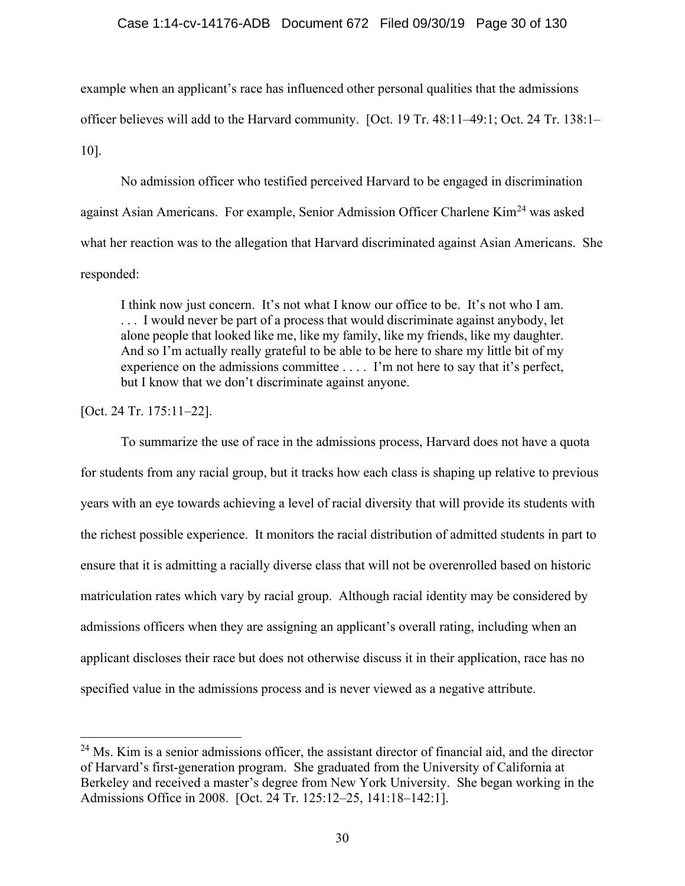### Case 1:14-cv-14176-ADB Document 672 Filed 09/30/19 Page 30 of 130

example when an applicant's race has influenced other personal qualities that the admissions officer believes will add to the Harvard community. [Oct. 19 Tr. 48:11–49:1; Oct. 24 Tr. 138:1– 10].

No admission officer who testified perceived Harvard to be engaged in discrimination against Asian Americans. For example, Senior Admission Officer Charlene Kim<sup>24</sup> was asked what her reaction was to the allegation that Harvard discriminated against Asian Americans. She responded:

I think now just concern. It's not what I know our office to be. It's not who I am. ... I would never be part of a process that would discriminate against anybody, let alone people that looked like me, like my family, like my friends, like my daughter. And so I'm actually really grateful to be able to be here to share my little bit of my experience on the admissions committee . . . . I'm not here to say that it's perfect, but I know that we don't discriminate against anyone.

[Oct. 24 Tr. 175:11–22].

To summarize the use of race in the admissions process, Harvard does not have a quota for students from any racial group, but it tracks how each class is shaping up relative to previous years with an eye towards achieving a level of racial diversity that will provide its students with the richest possible experience. It monitors the racial distribution of admitted students in part to ensure that it is admitting a racially diverse class that will not be overenrolled based on historic matriculation rates which vary by racial group. Although racial identity may be considered by admissions officers when they are assigning an applicant's overall rating, including when an applicant discloses their race but does not otherwise discuss it in their application, race has no specified value in the admissions process and is never viewed as a negative attribute.

<sup>&</sup>lt;sup>24</sup> Ms. Kim is a senior admissions officer, the assistant director of financial aid, and the director of Harvard's first-generation program. She graduated from the University of California at Berkeley and received a master's degree from New York University. She began working in the Admissions Office in 2008. [Oct. 24 Tr. 125:12–25, 141:18–142:1].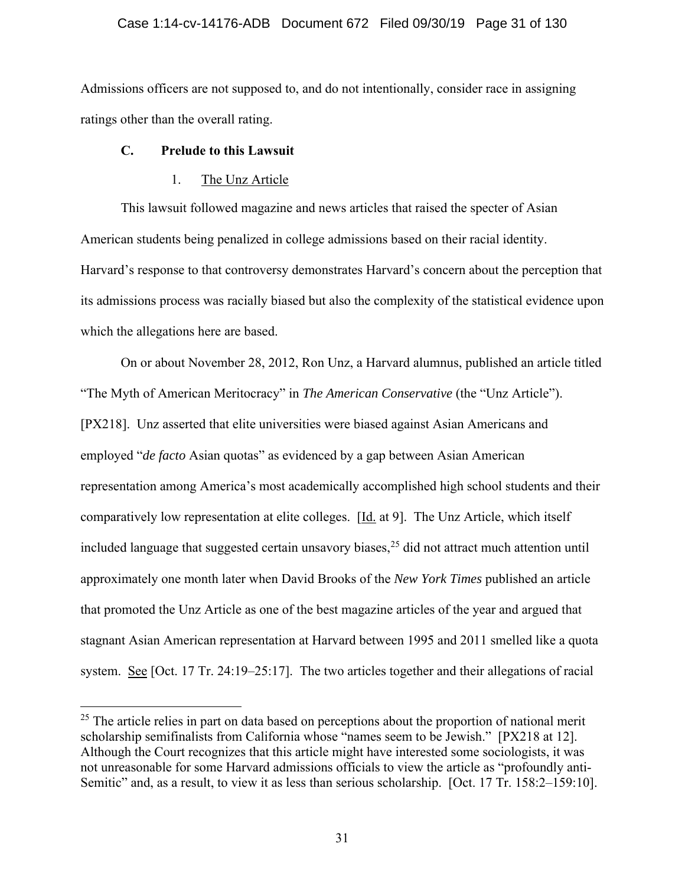### Case 1:14-cv-14176-ADB Document 672 Filed 09/30/19 Page 31 of 130

Admissions officers are not supposed to, and do not intentionally, consider race in assigning ratings other than the overall rating.

## **C. Prelude to this Lawsuit**

## 1. The Unz Article

This lawsuit followed magazine and news articles that raised the specter of Asian American students being penalized in college admissions based on their racial identity. Harvard's response to that controversy demonstrates Harvard's concern about the perception that its admissions process was racially biased but also the complexity of the statistical evidence upon which the allegations here are based.

On or about November 28, 2012, Ron Unz, a Harvard alumnus, published an article titled "The Myth of American Meritocracy" in *The American Conservative* (the "Unz Article"). [PX218]. Unz asserted that elite universities were biased against Asian Americans and employed "*de facto* Asian quotas" as evidenced by a gap between Asian American representation among America's most academically accomplished high school students and their comparatively low representation at elite colleges. [Id. at 9]. The Unz Article, which itself included language that suggested certain unsavory biases,  $2<sup>5</sup>$  did not attract much attention until approximately one month later when David Brooks of the *New York Times* published an article that promoted the Unz Article as one of the best magazine articles of the year and argued that stagnant Asian American representation at Harvard between 1995 and 2011 smelled like a quota system. See [Oct. 17 Tr. 24:19–25:17]. The two articles together and their allegations of racial

 $25$  The article relies in part on data based on perceptions about the proportion of national merit scholarship semifinalists from California whose "names seem to be Jewish." [PX218 at 12]. Although the Court recognizes that this article might have interested some sociologists, it was not unreasonable for some Harvard admissions officials to view the article as "profoundly anti-Semitic" and, as a result, to view it as less than serious scholarship. [Oct. 17 Tr. 158:2–159:10].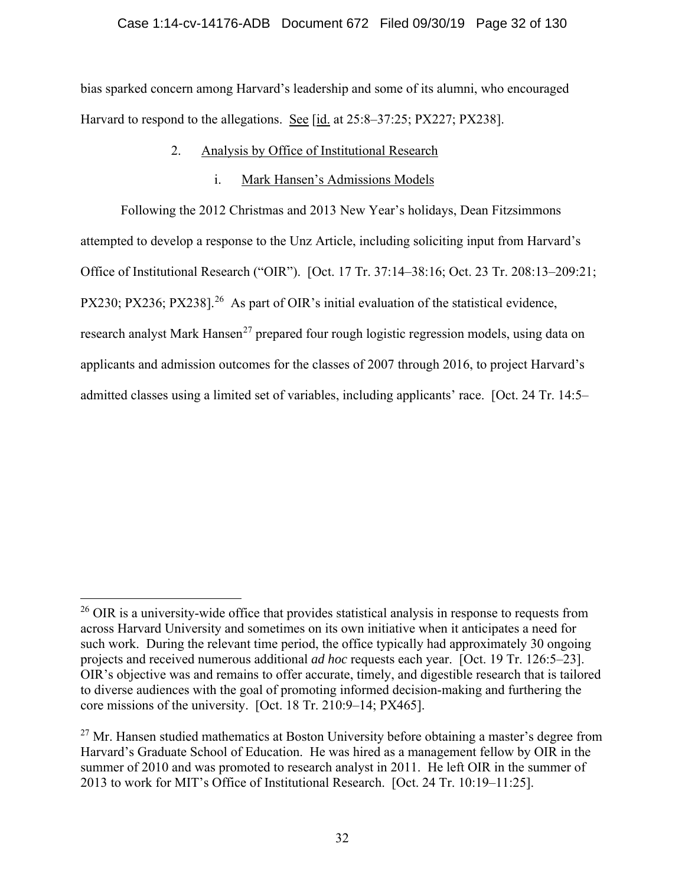bias sparked concern among Harvard's leadership and some of its alumni, who encouraged Harvard to respond to the allegations. See [id. at 25:8–37:25; PX227; PX238].

## 2. Analysis by Office of Institutional Research

## i. Mark Hansen's Admissions Models

Following the 2012 Christmas and 2013 New Year's holidays, Dean Fitzsimmons attempted to develop a response to the Unz Article, including soliciting input from Harvard's Office of Institutional Research ("OIR"). [Oct. 17 Tr. 37:14–38:16; Oct. 23 Tr. 208:13–209:21; PX230; PX236; PX238].<sup>26</sup> As part of OIR's initial evaluation of the statistical evidence, research analyst Mark Hansen<sup>27</sup> prepared four rough logistic regression models, using data on applicants and admission outcomes for the classes of 2007 through 2016, to project Harvard's admitted classes using a limited set of variables, including applicants' race. [Oct. 24 Tr. 14:5–

 $^{26}$  OIR is a university-wide office that provides statistical analysis in response to requests from across Harvard University and sometimes on its own initiative when it anticipates a need for such work. During the relevant time period, the office typically had approximately 30 ongoing projects and received numerous additional *ad hoc* requests each year. [Oct. 19 Tr. 126:5–23]. OIR's objective was and remains to offer accurate, timely, and digestible research that is tailored to diverse audiences with the goal of promoting informed decision-making and furthering the core missions of the university. [Oct. 18 Tr. 210:9–14; PX465].

 $27$  Mr. Hansen studied mathematics at Boston University before obtaining a master's degree from Harvard's Graduate School of Education. He was hired as a management fellow by OIR in the summer of 2010 and was promoted to research analyst in 2011. He left OIR in the summer of 2013 to work for MIT's Office of Institutional Research. [Oct. 24 Tr. 10:19–11:25].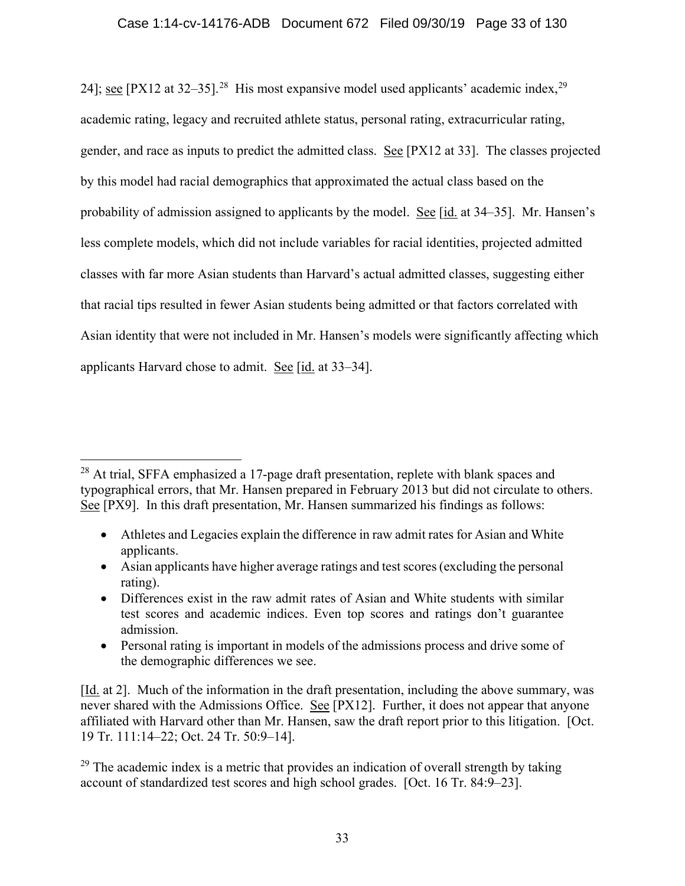24]; see [PX12 at 32–35].<sup>28</sup> His most expansive model used applicants' academic index,  $2^9$ academic rating, legacy and recruited athlete status, personal rating, extracurricular rating, gender, and race as inputs to predict the admitted class. See [PX12 at 33]. The classes projected by this model had racial demographics that approximated the actual class based on the probability of admission assigned to applicants by the model. See [id. at 34–35]. Mr. Hansen's less complete models, which did not include variables for racial identities, projected admitted classes with far more Asian students than Harvard's actual admitted classes, suggesting either that racial tips resulted in fewer Asian students being admitted or that factors correlated with Asian identity that were not included in Mr. Hansen's models were significantly affecting which applicants Harvard chose to admit. See [id. at 33–34].

- Athletes and Legacies explain the difference in raw admit rates for Asian and White applicants.
- Asian applicants have higher average ratings and test scores (excluding the personal rating).
- Differences exist in the raw admit rates of Asian and White students with similar test scores and academic indices. Even top scores and ratings don't guarantee admission.
- Personal rating is important in models of the admissions process and drive some of the demographic differences we see.

[Id. at 2]. Much of the information in the draft presentation, including the above summary, was never shared with the Admissions Office. See [PX12]. Further, it does not appear that anyone affiliated with Harvard other than Mr. Hansen, saw the draft report prior to this litigation. [Oct. 19 Tr. 111:14–22; Oct. 24 Tr. 50:9–14].

<sup>&</sup>lt;sup>28</sup> At trial, SFFA emphasized a 17-page draft presentation, replete with blank spaces and typographical errors, that Mr. Hansen prepared in February 2013 but did not circulate to others. See [PX9]. In this draft presentation, Mr. Hansen summarized his findings as follows:

 $29$  The academic index is a metric that provides an indication of overall strength by taking account of standardized test scores and high school grades. [Oct. 16 Tr. 84:9–23].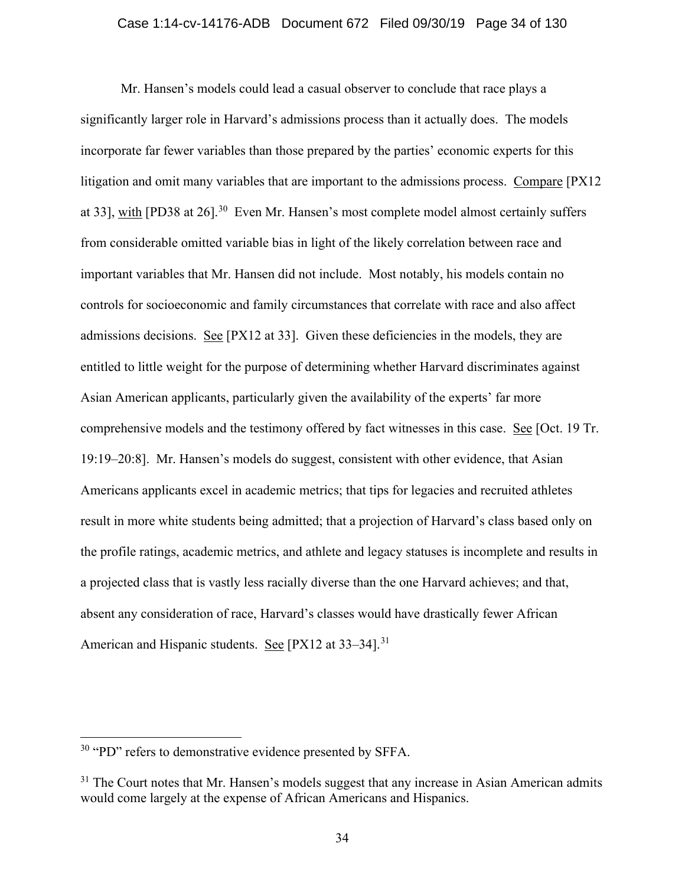#### Case 1:14-cv-14176-ADB Document 672 Filed 09/30/19 Page 34 of 130

Mr. Hansen's models could lead a casual observer to conclude that race plays a significantly larger role in Harvard's admissions process than it actually does. The models incorporate far fewer variables than those prepared by the parties' economic experts for this litigation and omit many variables that are important to the admissions process. Compare [PX12 at 33], with  $[PD38$  at 26].<sup>30</sup> Even Mr. Hansen's most complete model almost certainly suffers from considerable omitted variable bias in light of the likely correlation between race and important variables that Mr. Hansen did not include. Most notably, his models contain no controls for socioeconomic and family circumstances that correlate with race and also affect admissions decisions. See [PX12 at 33]. Given these deficiencies in the models, they are entitled to little weight for the purpose of determining whether Harvard discriminates against Asian American applicants, particularly given the availability of the experts' far more comprehensive models and the testimony offered by fact witnesses in this case. See [Oct. 19 Tr. 19:19–20:8]. Mr. Hansen's models do suggest, consistent with other evidence, that Asian Americans applicants excel in academic metrics; that tips for legacies and recruited athletes result in more white students being admitted; that a projection of Harvard's class based only on the profile ratings, academic metrics, and athlete and legacy statuses is incomplete and results in a projected class that is vastly less racially diverse than the one Harvard achieves; and that, absent any consideration of race, Harvard's classes would have drastically fewer African American and Hispanic students. See [PX12 at 33–34].<sup>31</sup>

<sup>&</sup>lt;sup>30</sup> "PD" refers to demonstrative evidence presented by SFFA.

 $31$  The Court notes that Mr. Hansen's models suggest that any increase in Asian American admits would come largely at the expense of African Americans and Hispanics.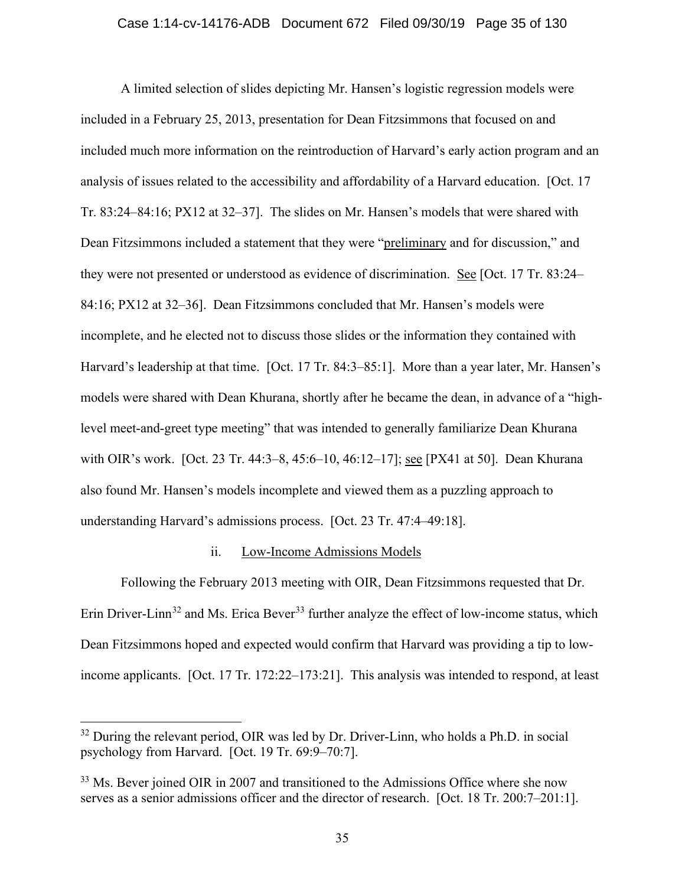#### Case 1:14-cv-14176-ADB Document 672 Filed 09/30/19 Page 35 of 130

A limited selection of slides depicting Mr. Hansen's logistic regression models were included in a February 25, 2013, presentation for Dean Fitzsimmons that focused on and included much more information on the reintroduction of Harvard's early action program and an analysis of issues related to the accessibility and affordability of a Harvard education. [Oct. 17 Tr. 83:24–84:16; PX12 at 32–37]. The slides on Mr. Hansen's models that were shared with Dean Fitzsimmons included a statement that they were "preliminary and for discussion," and they were not presented or understood as evidence of discrimination. See [Oct. 17 Tr. 83:24– 84:16; PX12 at 32–36]. Dean Fitzsimmons concluded that Mr. Hansen's models were incomplete, and he elected not to discuss those slides or the information they contained with Harvard's leadership at that time. [Oct. 17 Tr. 84:3–85:1]. More than a year later, Mr. Hansen's models were shared with Dean Khurana, shortly after he became the dean, in advance of a "highlevel meet-and-greet type meeting" that was intended to generally familiarize Dean Khurana with OIR's work. [Oct. 23 Tr. 44:3–8, 45:6–10, 46:12–17]; see [PX41 at 50]. Dean Khurana also found Mr. Hansen's models incomplete and viewed them as a puzzling approach to understanding Harvard's admissions process. [Oct. 23 Tr. 47:4–49:18].

#### ii. Low-Income Admissions Models

Following the February 2013 meeting with OIR, Dean Fitzsimmons requested that Dr. Erin Driver-Linn<sup>32</sup> and Ms. Erica Bever<sup>33</sup> further analyze the effect of low-income status, which Dean Fitzsimmons hoped and expected would confirm that Harvard was providing a tip to lowincome applicants. [Oct. 17 Tr. 172:22–173:21]. This analysis was intended to respond, at least

<sup>&</sup>lt;sup>32</sup> During the relevant period, OIR was led by Dr. Driver-Linn, who holds a Ph.D. in social psychology from Harvard. [Oct. 19 Tr. 69:9–70:7].

<sup>&</sup>lt;sup>33</sup> Ms. Bever joined OIR in 2007 and transitioned to the Admissions Office where she now serves as a senior admissions officer and the director of research. [Oct. 18 Tr. 200:7–201:1].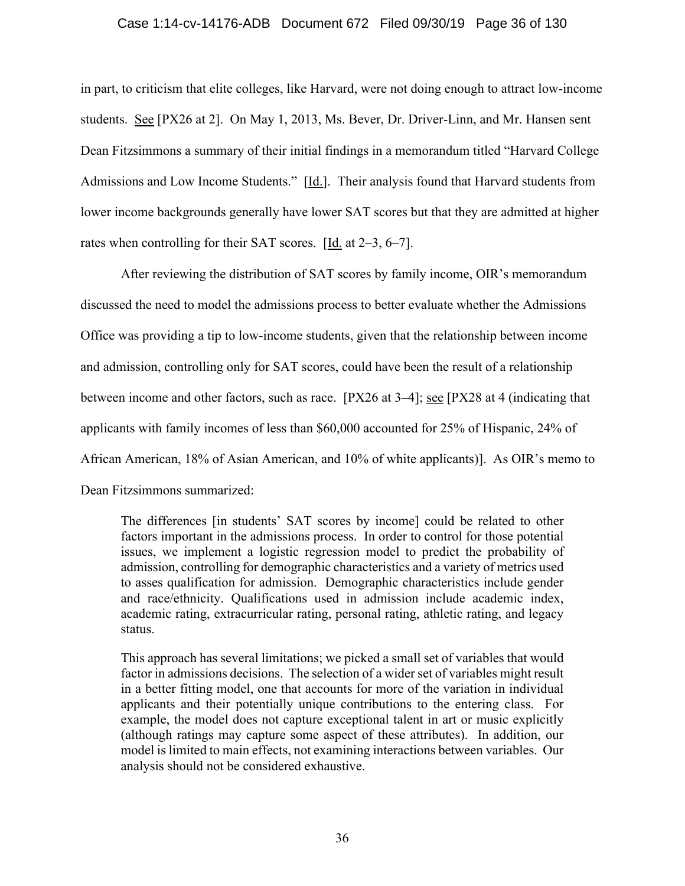#### Case 1:14-cv-14176-ADB Document 672 Filed 09/30/19 Page 36 of 130

in part, to criticism that elite colleges, like Harvard, were not doing enough to attract low-income students. See [PX26 at 2]. On May 1, 2013, Ms. Bever, Dr. Driver-Linn, and Mr. Hansen sent Dean Fitzsimmons a summary of their initial findings in a memorandum titled "Harvard College Admissions and Low Income Students." [Id.]. Their analysis found that Harvard students from lower income backgrounds generally have lower SAT scores but that they are admitted at higher rates when controlling for their SAT scores.  $[\underline{Id}$  at 2–3, 6–7].

 After reviewing the distribution of SAT scores by family income, OIR's memorandum discussed the need to model the admissions process to better evaluate whether the Admissions Office was providing a tip to low-income students, given that the relationship between income and admission, controlling only for SAT scores, could have been the result of a relationship between income and other factors, such as race. [PX26 at 3–4]; <u>see</u> [PX28 at 4 (indicating that applicants with family incomes of less than \$60,000 accounted for 25% of Hispanic, 24% of African American, 18% of Asian American, and 10% of white applicants)]. As OIR's memo to Dean Fitzsimmons summarized:

The differences [in students' SAT scores by income] could be related to other factors important in the admissions process. In order to control for those potential issues, we implement a logistic regression model to predict the probability of admission, controlling for demographic characteristics and a variety of metrics used to asses qualification for admission. Demographic characteristics include gender and race/ethnicity. Qualifications used in admission include academic index, academic rating, extracurricular rating, personal rating, athletic rating, and legacy status.

This approach has several limitations; we picked a small set of variables that would factor in admissions decisions. The selection of a wider set of variables might result in a better fitting model, one that accounts for more of the variation in individual applicants and their potentially unique contributions to the entering class. For example, the model does not capture exceptional talent in art or music explicitly (although ratings may capture some aspect of these attributes). In addition, our model is limited to main effects, not examining interactions between variables. Our analysis should not be considered exhaustive.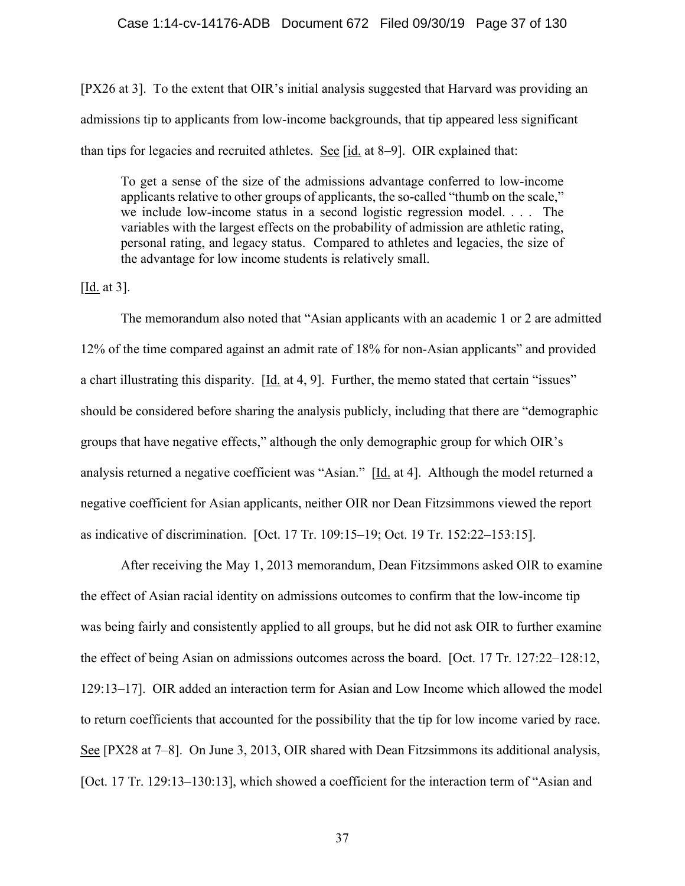### Case 1:14-cv-14176-ADB Document 672 Filed 09/30/19 Page 37 of 130

[PX26 at 3]. To the extent that OIR's initial analysis suggested that Harvard was providing an admissions tip to applicants from low-income backgrounds, that tip appeared less significant than tips for legacies and recruited athletes. See  $\left[$ id. at 8–9 $\right]$ . OIR explained that:

To get a sense of the size of the admissions advantage conferred to low-income applicants relative to other groups of applicants, the so-called "thumb on the scale," we include low-income status in a second logistic regression model. . . . The variables with the largest effects on the probability of admission are athletic rating, personal rating, and legacy status. Compared to athletes and legacies, the size of the advantage for low income students is relatively small.

 $[\underline{Id}$ . at 3].

The memorandum also noted that "Asian applicants with an academic 1 or 2 are admitted 12% of the time compared against an admit rate of 18% for non-Asian applicants" and provided a chart illustrating this disparity. [Id. at 4, 9]. Further, the memo stated that certain "issues" should be considered before sharing the analysis publicly, including that there are "demographic groups that have negative effects," although the only demographic group for which OIR's analysis returned a negative coefficient was "Asian." [Id. at 4]. Although the model returned a negative coefficient for Asian applicants, neither OIR nor Dean Fitzsimmons viewed the report as indicative of discrimination. [Oct. 17 Tr. 109:15–19; Oct. 19 Tr. 152:22–153:15].

After receiving the May 1, 2013 memorandum, Dean Fitzsimmons asked OIR to examine the effect of Asian racial identity on admissions outcomes to confirm that the low-income tip was being fairly and consistently applied to all groups, but he did not ask OIR to further examine the effect of being Asian on admissions outcomes across the board. [Oct. 17 Tr. 127:22–128:12, 129:13–17]. OIR added an interaction term for Asian and Low Income which allowed the model to return coefficients that accounted for the possibility that the tip for low income varied by race. See [PX28 at 7–8]. On June 3, 2013, OIR shared with Dean Fitzsimmons its additional analysis, [Oct. 17 Tr. 129:13–130:13], which showed a coefficient for the interaction term of "Asian and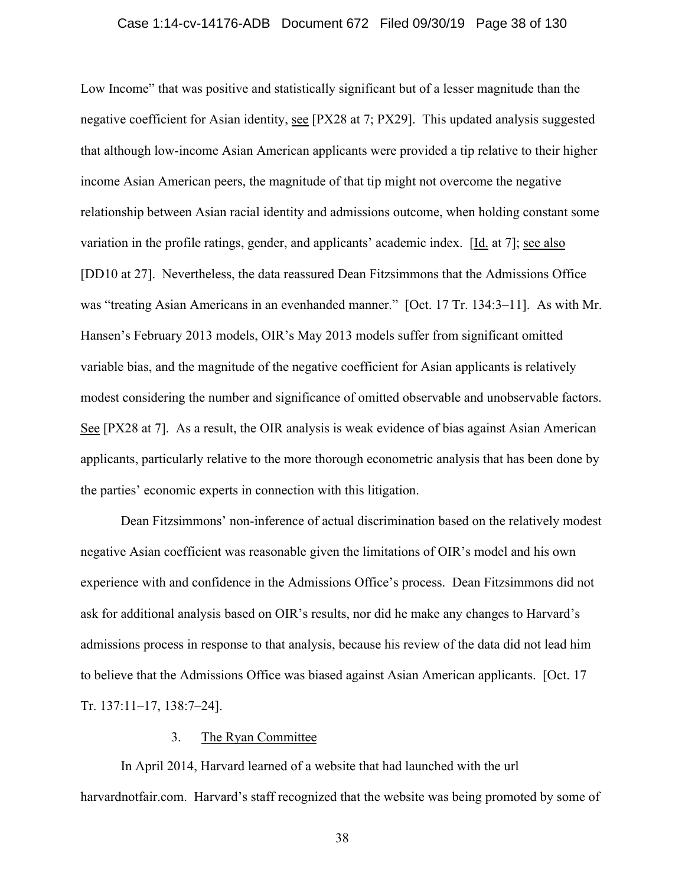### Case 1:14-cv-14176-ADB Document 672 Filed 09/30/19 Page 38 of 130

Low Income" that was positive and statistically significant but of a lesser magnitude than the negative coefficient for Asian identity, see [PX28 at 7; PX29]. This updated analysis suggested that although low-income Asian American applicants were provided a tip relative to their higher income Asian American peers, the magnitude of that tip might not overcome the negative relationship between Asian racial identity and admissions outcome, when holding constant some variation in the profile ratings, gender, and applicants' academic index. [Id. at 7]; see also [DD10 at 27]. Nevertheless, the data reassured Dean Fitzsimmons that the Admissions Office was "treating Asian Americans in an evenhanded manner." [Oct. 17 Tr. 134:3–11]. As with Mr. Hansen's February 2013 models, OIR's May 2013 models suffer from significant omitted variable bias, and the magnitude of the negative coefficient for Asian applicants is relatively modest considering the number and significance of omitted observable and unobservable factors. See [PX28 at 7]. As a result, the OIR analysis is weak evidence of bias against Asian American applicants, particularly relative to the more thorough econometric analysis that has been done by the parties' economic experts in connection with this litigation.

Dean Fitzsimmons' non-inference of actual discrimination based on the relatively modest negative Asian coefficient was reasonable given the limitations of OIR's model and his own experience with and confidence in the Admissions Office's process. Dean Fitzsimmons did not ask for additional analysis based on OIR's results, nor did he make any changes to Harvard's admissions process in response to that analysis, because his review of the data did not lead him to believe that the Admissions Office was biased against Asian American applicants. [Oct. 17 Tr. 137:11–17, 138:7–24].

### 3. The Ryan Committee

In April 2014, Harvard learned of a website that had launched with the url harvardnotfair.com. Harvard's staff recognized that the website was being promoted by some of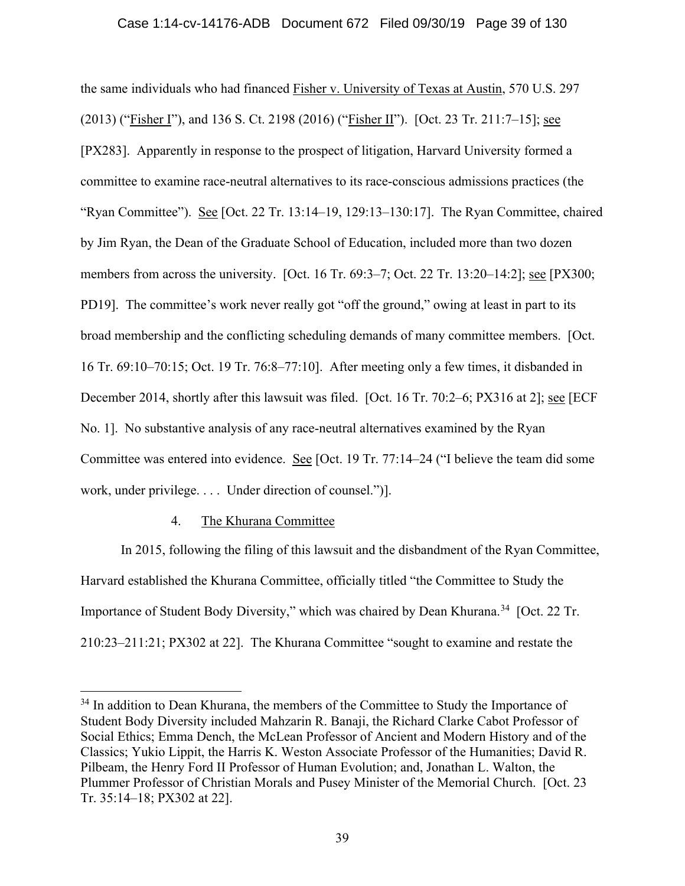the same individuals who had financed Fisher v. University of Texas at Austin, 570 U.S. 297 (2013) ("Fisher I"), and 136 S. Ct. 2198 (2016) ("Fisher II"). [Oct. 23 Tr. 211:7–15]; see [PX283]. Apparently in response to the prospect of litigation, Harvard University formed a committee to examine race-neutral alternatives to its race-conscious admissions practices (the "Ryan Committee"). See [Oct. 22 Tr. 13:14–19, 129:13–130:17]. The Ryan Committee, chaired by Jim Ryan, the Dean of the Graduate School of Education, included more than two dozen members from across the university. [Oct. 16 Tr. 69:3–7; Oct. 22 Tr. 13:20–14:2]; see [PX300; PD19]. The committee's work never really got "off the ground," owing at least in part to its broad membership and the conflicting scheduling demands of many committee members. [Oct. 16 Tr. 69:10–70:15; Oct. 19 Tr. 76:8–77:10]. After meeting only a few times, it disbanded in December 2014, shortly after this lawsuit was filed. [Oct. 16 Tr. 70:2-6; PX316 at 2]; see [ECF No. 1]. No substantive analysis of any race-neutral alternatives examined by the Ryan Committee was entered into evidence. See [Oct. 19 Tr. 77:14–24 ("I believe the team did some work, under privilege. . . . Under direction of counsel.")].

# 4. The Khurana Committee

In 2015, following the filing of this lawsuit and the disbandment of the Ryan Committee, Harvard established the Khurana Committee, officially titled "the Committee to Study the Importance of Student Body Diversity," which was chaired by Dean Khurana.<sup>34</sup> [Oct. 22 Tr. 210:23–211:21; PX302 at 22]. The Khurana Committee "sought to examine and restate the

<sup>&</sup>lt;sup>34</sup> In addition to Dean Khurana, the members of the Committee to Study the Importance of Student Body Diversity included Mahzarin R. Banaji, the Richard Clarke Cabot Professor of Social Ethics; Emma Dench, the McLean Professor of Ancient and Modern History and of the Classics; Yukio Lippit, the Harris K. Weston Associate Professor of the Humanities; David R. Pilbeam, the Henry Ford II Professor of Human Evolution; and, Jonathan L. Walton, the Plummer Professor of Christian Morals and Pusey Minister of the Memorial Church. [Oct. 23 Tr. 35:14–18; PX302 at 22].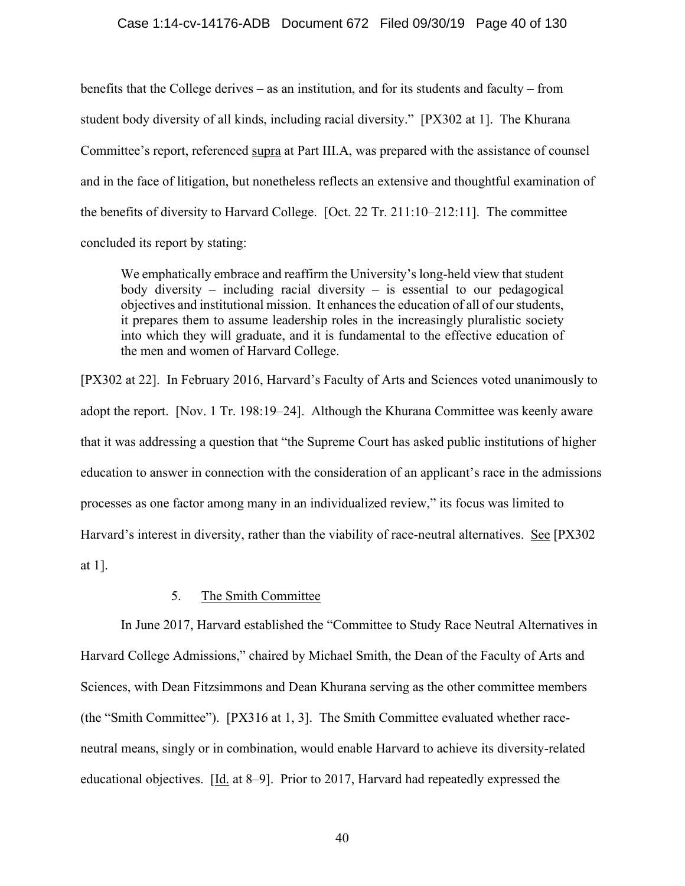### Case 1:14-cv-14176-ADB Document 672 Filed 09/30/19 Page 40 of 130

benefits that the College derives – as an institution, and for its students and faculty – from student body diversity of all kinds, including racial diversity." [PX302 at 1]. The Khurana Committee's report, referenced supra at Part III.A, was prepared with the assistance of counsel and in the face of litigation, but nonetheless reflects an extensive and thoughtful examination of the benefits of diversity to Harvard College. [Oct. 22 Tr. 211:10–212:11]. The committee concluded its report by stating:

We emphatically embrace and reaffirm the University's long-held view that student body diversity – including racial diversity – is essential to our pedagogical objectives and institutional mission. It enhances the education of all of our students, it prepares them to assume leadership roles in the increasingly pluralistic society into which they will graduate, and it is fundamental to the effective education of the men and women of Harvard College.

[PX302 at 22]. In February 2016, Harvard's Faculty of Arts and Sciences voted unanimously to adopt the report. [Nov. 1 Tr. 198:19–24]. Although the Khurana Committee was keenly aware that it was addressing a question that "the Supreme Court has asked public institutions of higher education to answer in connection with the consideration of an applicant's race in the admissions processes as one factor among many in an individualized review," its focus was limited to Harvard's interest in diversity, rather than the viability of race-neutral alternatives. See [PX302] at 1].

### 5. The Smith Committee

In June 2017, Harvard established the "Committee to Study Race Neutral Alternatives in Harvard College Admissions," chaired by Michael Smith, the Dean of the Faculty of Arts and Sciences, with Dean Fitzsimmons and Dean Khurana serving as the other committee members (the "Smith Committee"). [PX316 at 1, 3]. The Smith Committee evaluated whether raceneutral means, singly or in combination, would enable Harvard to achieve its diversity-related educational objectives. [Id. at 8–9]. Prior to 2017, Harvard had repeatedly expressed the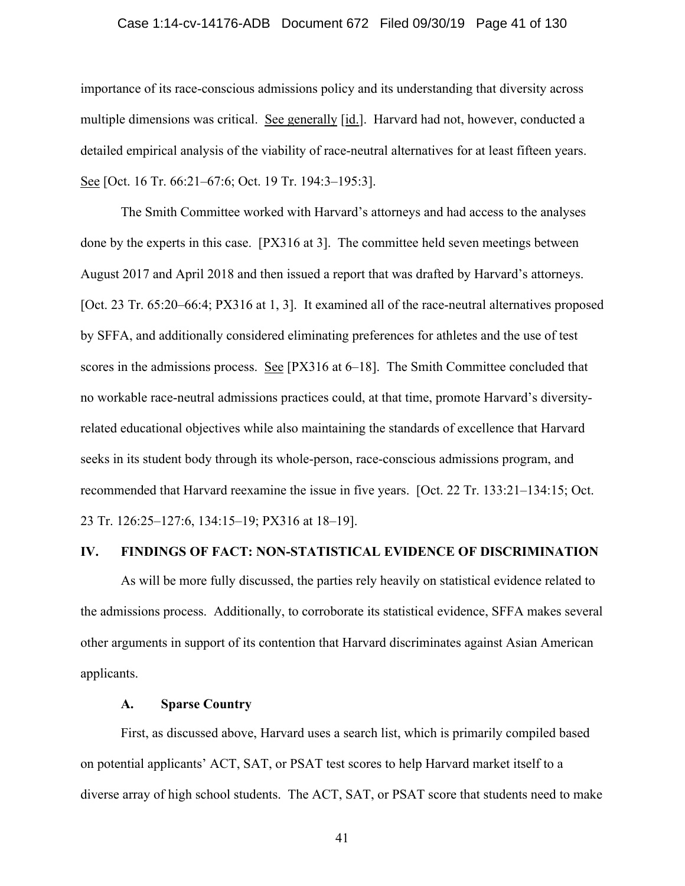### Case 1:14-cv-14176-ADB Document 672 Filed 09/30/19 Page 41 of 130

importance of its race-conscious admissions policy and its understanding that diversity across multiple dimensions was critical. See generally [id.]. Harvard had not, however, conducted a detailed empirical analysis of the viability of race-neutral alternatives for at least fifteen years. See [Oct. 16 Tr. 66:21–67:6; Oct. 19 Tr. 194:3–195:3].

The Smith Committee worked with Harvard's attorneys and had access to the analyses done by the experts in this case. [PX316 at 3]. The committee held seven meetings between August 2017 and April 2018 and then issued a report that was drafted by Harvard's attorneys. [Oct. 23 Tr. 65:20–66:4; PX316 at 1, 3]. It examined all of the race-neutral alternatives proposed by SFFA, and additionally considered eliminating preferences for athletes and the use of test scores in the admissions process. See [PX316 at 6–18]. The Smith Committee concluded that no workable race-neutral admissions practices could, at that time, promote Harvard's diversityrelated educational objectives while also maintaining the standards of excellence that Harvard seeks in its student body through its whole-person, race-conscious admissions program, and recommended that Harvard reexamine the issue in five years. [Oct. 22 Tr. 133:21–134:15; Oct. 23 Tr. 126:25–127:6, 134:15–19; PX316 at 18–19].

# **IV. FINDINGS OF FACT: NON-STATISTICAL EVIDENCE OF DISCRIMINATION**

As will be more fully discussed, the parties rely heavily on statistical evidence related to the admissions process. Additionally, to corroborate its statistical evidence, SFFA makes several other arguments in support of its contention that Harvard discriminates against Asian American applicants.

# **A. Sparse Country**

First, as discussed above, Harvard uses a search list, which is primarily compiled based on potential applicants' ACT, SAT, or PSAT test scores to help Harvard market itself to a diverse array of high school students. The ACT, SAT, or PSAT score that students need to make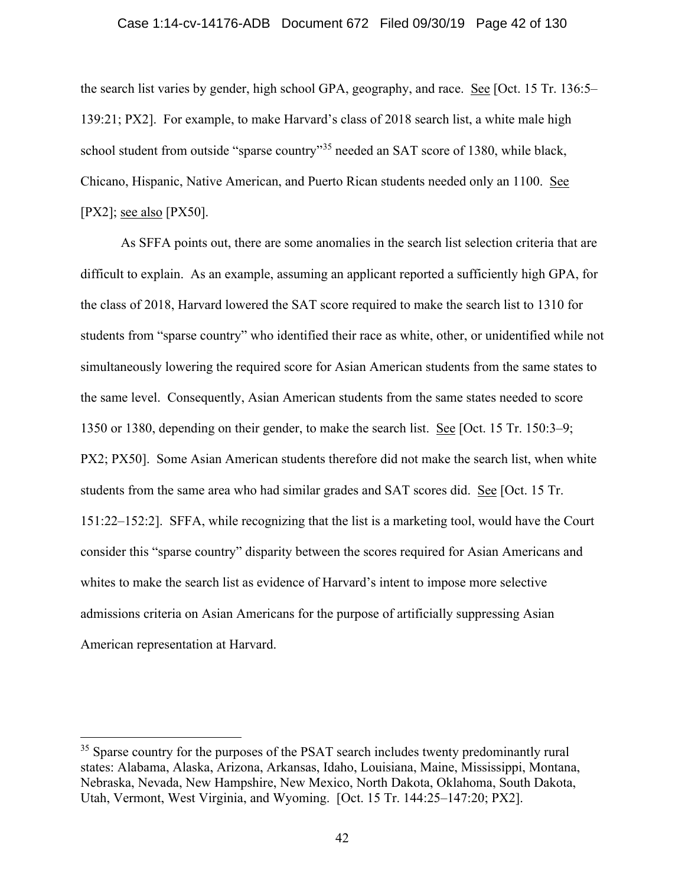#### Case 1:14-cv-14176-ADB Document 672 Filed 09/30/19 Page 42 of 130

the search list varies by gender, high school GPA, geography, and race. See [Oct. 15 Tr. 136:5– 139:21; PX2]. For example, to make Harvard's class of 2018 search list, a white male high school student from outside "sparse country"<sup>35</sup> needed an SAT score of 1380, while black, Chicano, Hispanic, Native American, and Puerto Rican students needed only an 1100. See [PX2]; see also [PX50].

As SFFA points out, there are some anomalies in the search list selection criteria that are difficult to explain. As an example, assuming an applicant reported a sufficiently high GPA, for the class of 2018, Harvard lowered the SAT score required to make the search list to 1310 for students from "sparse country" who identified their race as white, other, or unidentified while not simultaneously lowering the required score for Asian American students from the same states to the same level. Consequently, Asian American students from the same states needed to score 1350 or 1380, depending on their gender, to make the search list. See [Oct. 15 Tr. 150:3–9; PX2; PX50]. Some Asian American students therefore did not make the search list, when white students from the same area who had similar grades and SAT scores did. See [Oct. 15 Tr. 151:22–152:2]. SFFA, while recognizing that the list is a marketing tool, would have the Court consider this "sparse country" disparity between the scores required for Asian Americans and whites to make the search list as evidence of Harvard's intent to impose more selective admissions criteria on Asian Americans for the purpose of artificially suppressing Asian American representation at Harvard.

<sup>&</sup>lt;sup>35</sup> Sparse country for the purposes of the PSAT search includes twenty predominantly rural states: Alabama, Alaska, Arizona, Arkansas, Idaho, Louisiana, Maine, Mississippi, Montana, Nebraska, Nevada, New Hampshire, New Mexico, North Dakota, Oklahoma, South Dakota, Utah, Vermont, West Virginia, and Wyoming. [Oct. 15 Tr. 144:25–147:20; PX2].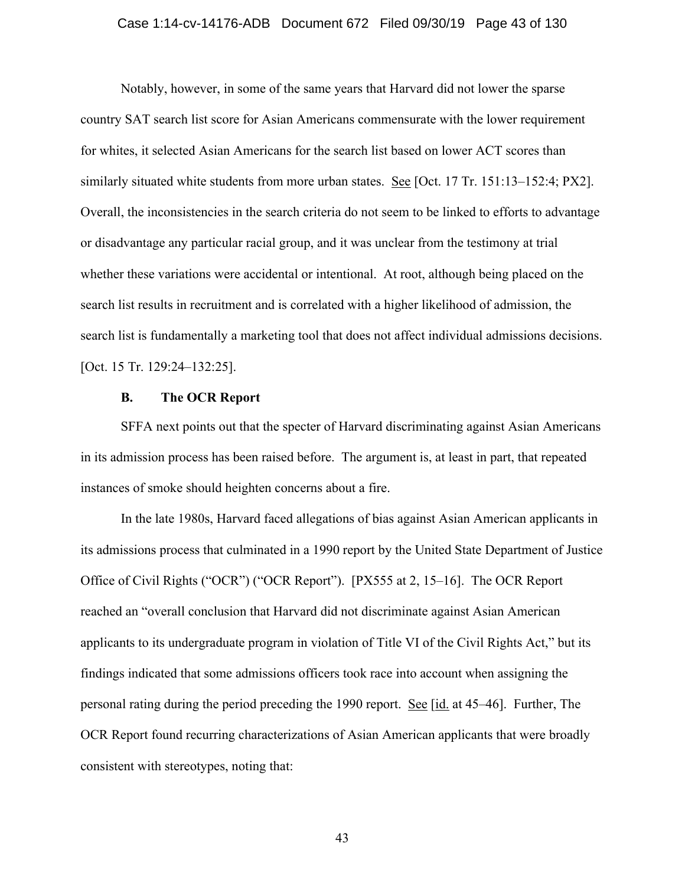### Case 1:14-cv-14176-ADB Document 672 Filed 09/30/19 Page 43 of 130

Notably, however, in some of the same years that Harvard did not lower the sparse country SAT search list score for Asian Americans commensurate with the lower requirement for whites, it selected Asian Americans for the search list based on lower ACT scores than similarly situated white students from more urban states. See [Oct. 17 Tr. 151:13–152:4; PX2]. Overall, the inconsistencies in the search criteria do not seem to be linked to efforts to advantage or disadvantage any particular racial group, and it was unclear from the testimony at trial whether these variations were accidental or intentional. At root, although being placed on the search list results in recruitment and is correlated with a higher likelihood of admission, the search list is fundamentally a marketing tool that does not affect individual admissions decisions. [Oct. 15 Tr. 129:24–132:25].

### **B. The OCR Report**

SFFA next points out that the specter of Harvard discriminating against Asian Americans in its admission process has been raised before. The argument is, at least in part, that repeated instances of smoke should heighten concerns about a fire.

In the late 1980s, Harvard faced allegations of bias against Asian American applicants in its admissions process that culminated in a 1990 report by the United State Department of Justice Office of Civil Rights ("OCR") ("OCR Report"). [PX555 at 2, 15–16]. The OCR Report reached an "overall conclusion that Harvard did not discriminate against Asian American applicants to its undergraduate program in violation of Title VI of the Civil Rights Act," but its findings indicated that some admissions officers took race into account when assigning the personal rating during the period preceding the 1990 report. See [id. at 45–46]. Further, The OCR Report found recurring characterizations of Asian American applicants that were broadly consistent with stereotypes, noting that: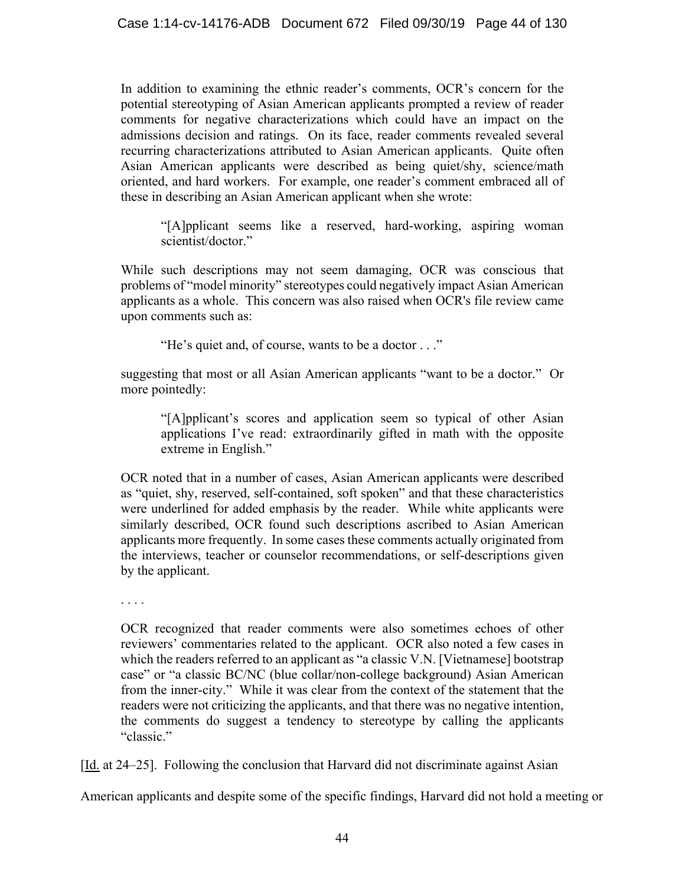In addition to examining the ethnic reader's comments, OCR's concern for the potential stereotyping of Asian American applicants prompted a review of reader comments for negative characterizations which could have an impact on the admissions decision and ratings. On its face, reader comments revealed several recurring characterizations attributed to Asian American applicants. Quite often Asian American applicants were described as being quiet/shy, science/math oriented, and hard workers. For example, one reader's comment embraced all of these in describing an Asian American applicant when she wrote:

"[A]pplicant seems like a reserved, hard-working, aspiring woman scientist/doctor."

While such descriptions may not seem damaging, OCR was conscious that problems of "model minority" stereotypes could negatively impact Asian American applicants as a whole. This concern was also raised when OCR's file review came upon comments such as:

"He's quiet and, of course, wants to be a doctor . . ."

suggesting that most or all Asian American applicants "want to be a doctor." Or more pointedly:

"[A]pplicant's scores and application seem so typical of other Asian applications I've read: extraordinarily gifted in math with the opposite extreme in English."

OCR noted that in a number of cases, Asian American applicants were described as "quiet, shy, reserved, self-contained, soft spoken" and that these characteristics were underlined for added emphasis by the reader. While white applicants were similarly described, OCR found such descriptions ascribed to Asian American applicants more frequently. In some cases these comments actually originated from the interviews, teacher or counselor recommendations, or self-descriptions given by the applicant.

. . . .

OCR recognized that reader comments were also sometimes echoes of other reviewers' commentaries related to the applicant. OCR also noted a few cases in which the readers referred to an applicant as "a classic V.N. [Vietnamese] bootstrap case" or "a classic BC/NC (blue collar/non-college background) Asian American from the inner-city." While it was clear from the context of the statement that the readers were not criticizing the applicants, and that there was no negative intention, the comments do suggest a tendency to stereotype by calling the applicants "classic."

[Id. at 24–25]. Following the conclusion that Harvard did not discriminate against Asian

American applicants and despite some of the specific findings, Harvard did not hold a meeting or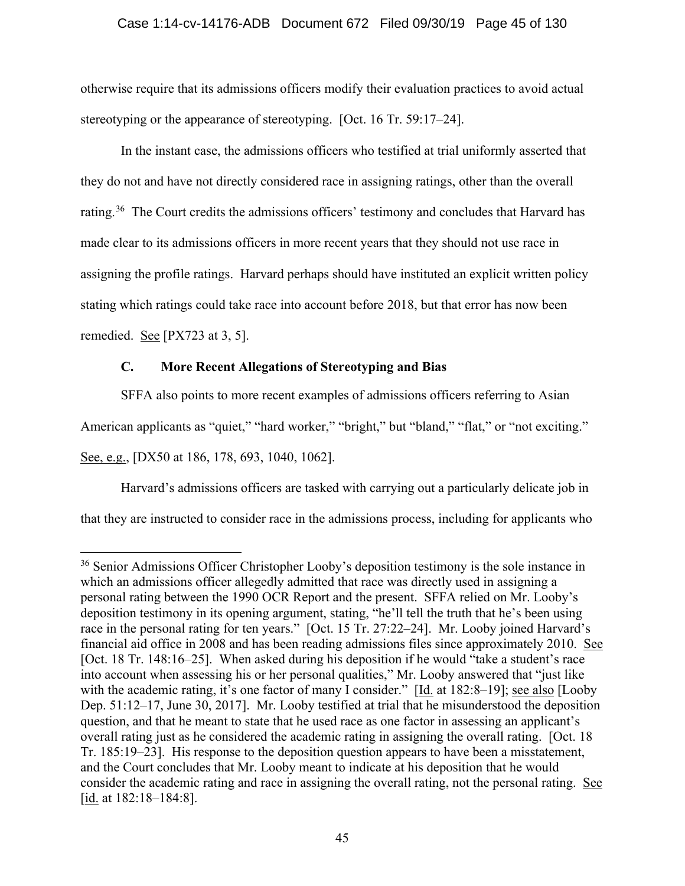# Case 1:14-cv-14176-ADB Document 672 Filed 09/30/19 Page 45 of 130

otherwise require that its admissions officers modify their evaluation practices to avoid actual stereotyping or the appearance of stereotyping. [Oct. 16 Tr. 59:17–24].

In the instant case, the admissions officers who testified at trial uniformly asserted that they do not and have not directly considered race in assigning ratings, other than the overall rating.<sup>36</sup> The Court credits the admissions officers' testimony and concludes that Harvard has made clear to its admissions officers in more recent years that they should not use race in assigning the profile ratings. Harvard perhaps should have instituted an explicit written policy stating which ratings could take race into account before 2018, but that error has now been remedied. See [PX723 at 3, 5].

# **C. More Recent Allegations of Stereotyping and Bias**

SFFA also points to more recent examples of admissions officers referring to Asian American applicants as "quiet," "hard worker," "bright," but "bland," "flat," or "not exciting." See, e.g., [DX50 at 186, 178, 693, 1040, 1062].

Harvard's admissions officers are tasked with carrying out a particularly delicate job in that they are instructed to consider race in the admissions process, including for applicants who

<sup>&</sup>lt;sup>36</sup> Senior Admissions Officer Christopher Looby's deposition testimony is the sole instance in which an admissions officer allegedly admitted that race was directly used in assigning a personal rating between the 1990 OCR Report and the present. SFFA relied on Mr. Looby's deposition testimony in its opening argument, stating, "he'll tell the truth that he's been using race in the personal rating for ten years." [Oct. 15 Tr. 27:22–24]. Mr. Looby joined Harvard's financial aid office in 2008 and has been reading admissions files since approximately 2010. See [Oct. 18 Tr. 148:16–25]. When asked during his deposition if he would "take a student's race into account when assessing his or her personal qualities," Mr. Looby answered that "just like with the academic rating, it's one factor of many I consider." [Id. at 182:8–19]; see also [Looby Dep. 51:12–17, June 30, 2017]. Mr. Looby testified at trial that he misunderstood the deposition question, and that he meant to state that he used race as one factor in assessing an applicant's overall rating just as he considered the academic rating in assigning the overall rating. [Oct. 18 Tr. 185:19–23]. His response to the deposition question appears to have been a misstatement, and the Court concludes that Mr. Looby meant to indicate at his deposition that he would consider the academic rating and race in assigning the overall rating, not the personal rating. See  $[\underline{\text{id}}]$ . at 182:18–184:8].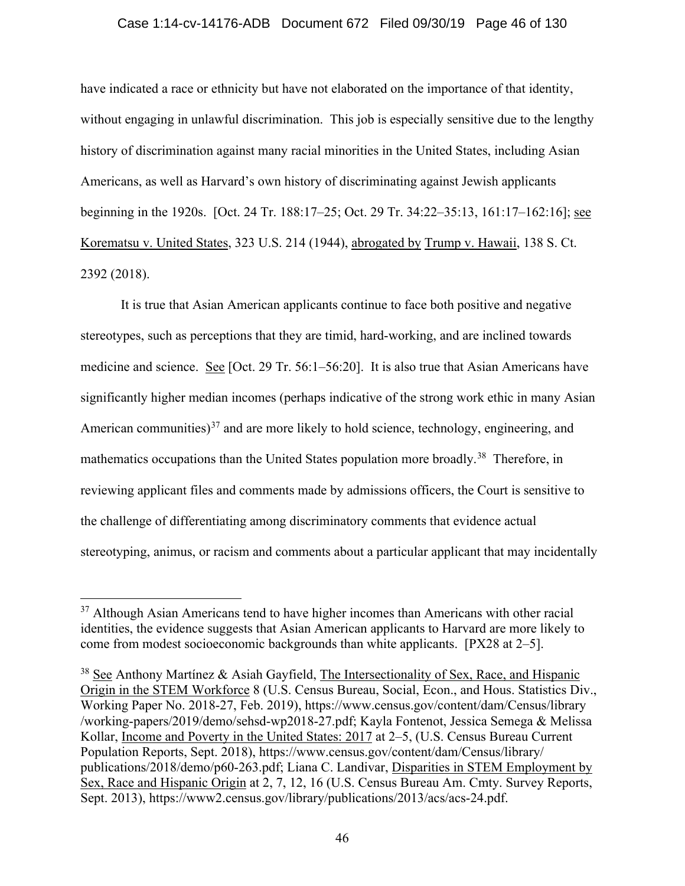### Case 1:14-cv-14176-ADB Document 672 Filed 09/30/19 Page 46 of 130

have indicated a race or ethnicity but have not elaborated on the importance of that identity, without engaging in unlawful discrimination. This job is especially sensitive due to the lengthy history of discrimination against many racial minorities in the United States, including Asian Americans, as well as Harvard's own history of discriminating against Jewish applicants beginning in the 1920s. [Oct. 24 Tr. 188:17–25; Oct. 29 Tr. 34:22–35:13, 161:17–162:16]; see Korematsu v. United States, 323 U.S. 214 (1944), abrogated by Trump v. Hawaii, 138 S. Ct. 2392 (2018).

It is true that Asian American applicants continue to face both positive and negative stereotypes, such as perceptions that they are timid, hard-working, and are inclined towards medicine and science. See [Oct. 29 Tr. 56:1–56:20]. It is also true that Asian Americans have significantly higher median incomes (perhaps indicative of the strong work ethic in many Asian American communities) $37$  and are more likely to hold science, technology, engineering, and mathematics occupations than the United States population more broadly.<sup>38</sup> Therefore, in reviewing applicant files and comments made by admissions officers, the Court is sensitive to the challenge of differentiating among discriminatory comments that evidence actual stereotyping, animus, or racism and comments about a particular applicant that may incidentally

 $37$  Although Asian Americans tend to have higher incomes than Americans with other racial identities, the evidence suggests that Asian American applicants to Harvard are more likely to come from modest socioeconomic backgrounds than white applicants. [PX28 at 2–5].

 $38$  See Anthony Martínez & Asiah Gayfield, The Intersectionality of Sex, Race, and Hispanic Origin in the STEM Workforce 8 (U.S. Census Bureau, Social, Econ., and Hous. Statistics Div., Working Paper No. 2018-27, Feb. 2019), https://www.census.gov/content/dam/Census/library /working-papers/2019/demo/sehsd-wp2018-27.pdf; Kayla Fontenot, Jessica Semega & Melissa Kollar, Income and Poverty in the United States: 2017 at 2–5, (U.S. Census Bureau Current Population Reports, Sept. 2018), https://www.census.gov/content/dam/Census/library/ publications/2018/demo/p60-263.pdf; Liana C. Landivar, Disparities in STEM Employment by Sex, Race and Hispanic Origin at 2, 7, 12, 16 (U.S. Census Bureau Am. Cmty. Survey Reports, Sept. 2013), https://www2.census.gov/library/publications/2013/acs/acs-24.pdf.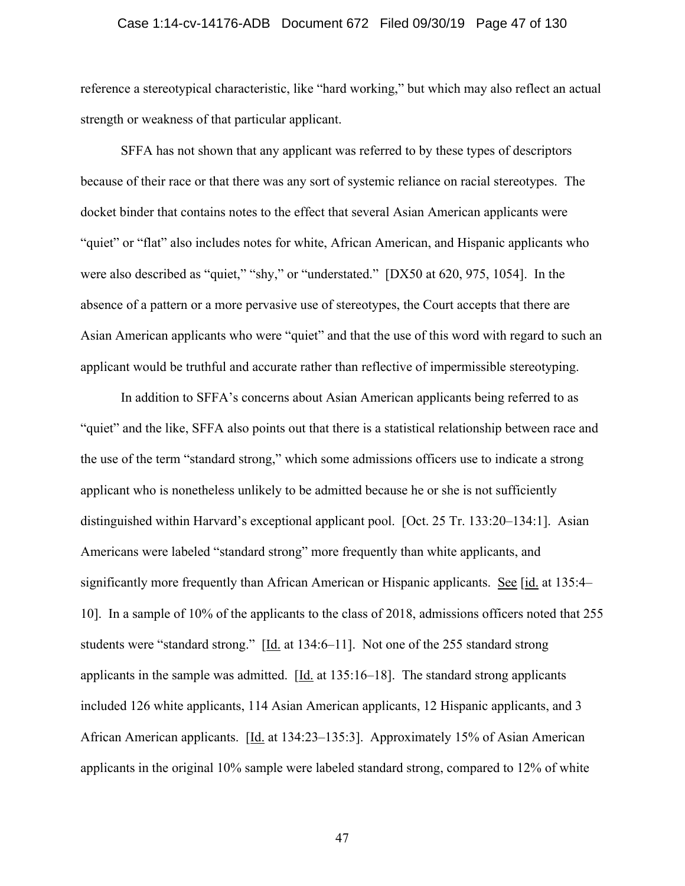### Case 1:14-cv-14176-ADB Document 672 Filed 09/30/19 Page 47 of 130

reference a stereotypical characteristic, like "hard working," but which may also reflect an actual strength or weakness of that particular applicant.

SFFA has not shown that any applicant was referred to by these types of descriptors because of their race or that there was any sort of systemic reliance on racial stereotypes. The docket binder that contains notes to the effect that several Asian American applicants were "quiet" or "flat" also includes notes for white, African American, and Hispanic applicants who were also described as "quiet," "shy," or "understated." [DX50 at 620, 975, 1054]. In the absence of a pattern or a more pervasive use of stereotypes, the Court accepts that there are Asian American applicants who were "quiet" and that the use of this word with regard to such an applicant would be truthful and accurate rather than reflective of impermissible stereotyping.

In addition to SFFA's concerns about Asian American applicants being referred to as "quiet" and the like, SFFA also points out that there is a statistical relationship between race and the use of the term "standard strong," which some admissions officers use to indicate a strong applicant who is nonetheless unlikely to be admitted because he or she is not sufficiently distinguished within Harvard's exceptional applicant pool. [Oct. 25 Tr. 133:20–134:1]. Asian Americans were labeled "standard strong" more frequently than white applicants, and significantly more frequently than African American or Hispanic applicants. See [id. at 135:4– 10]. In a sample of 10% of the applicants to the class of 2018, admissions officers noted that 255 students were "standard strong." [Id. at 134:6–11]. Not one of the 255 standard strong applicants in the sample was admitted.  $[\underline{Id}]$  at 135:16–18]. The standard strong applicants included 126 white applicants, 114 Asian American applicants, 12 Hispanic applicants, and 3 African American applicants. [Id. at 134:23–135:3]. Approximately 15% of Asian American applicants in the original 10% sample were labeled standard strong, compared to 12% of white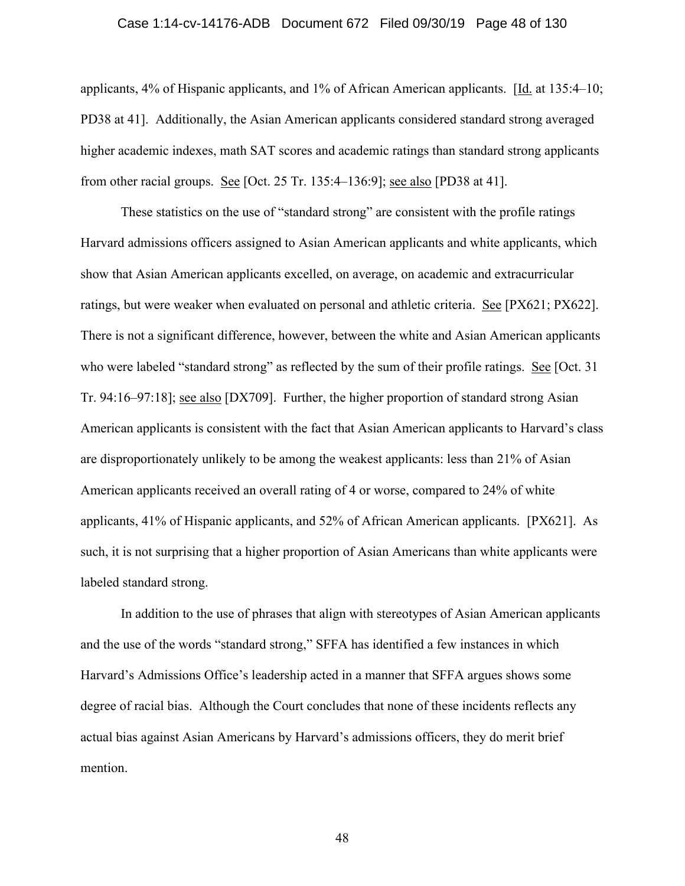### Case 1:14-cv-14176-ADB Document 672 Filed 09/30/19 Page 48 of 130

applicants, 4% of Hispanic applicants, and 1% of African American applicants.  $[\underline{Id}]$  at 135:4–10; PD38 at 41]. Additionally, the Asian American applicants considered standard strong averaged higher academic indexes, math SAT scores and academic ratings than standard strong applicants from other racial groups. See [Oct. 25 Tr. 135:4–136:9]; see also [PD38 at 41].

These statistics on the use of "standard strong" are consistent with the profile ratings Harvard admissions officers assigned to Asian American applicants and white applicants, which show that Asian American applicants excelled, on average, on academic and extracurricular ratings, but were weaker when evaluated on personal and athletic criteria. See [PX621; PX622]. There is not a significant difference, however, between the white and Asian American applicants who were labeled "standard strong" as reflected by the sum of their profile ratings. See [Oct. 31] Tr. 94:16–97:18]; see also [DX709]. Further, the higher proportion of standard strong Asian American applicants is consistent with the fact that Asian American applicants to Harvard's class are disproportionately unlikely to be among the weakest applicants: less than 21% of Asian American applicants received an overall rating of 4 or worse, compared to 24% of white applicants, 41% of Hispanic applicants, and 52% of African American applicants. [PX621]. As such, it is not surprising that a higher proportion of Asian Americans than white applicants were labeled standard strong.

In addition to the use of phrases that align with stereotypes of Asian American applicants and the use of the words "standard strong," SFFA has identified a few instances in which Harvard's Admissions Office's leadership acted in a manner that SFFA argues shows some degree of racial bias. Although the Court concludes that none of these incidents reflects any actual bias against Asian Americans by Harvard's admissions officers, they do merit brief mention.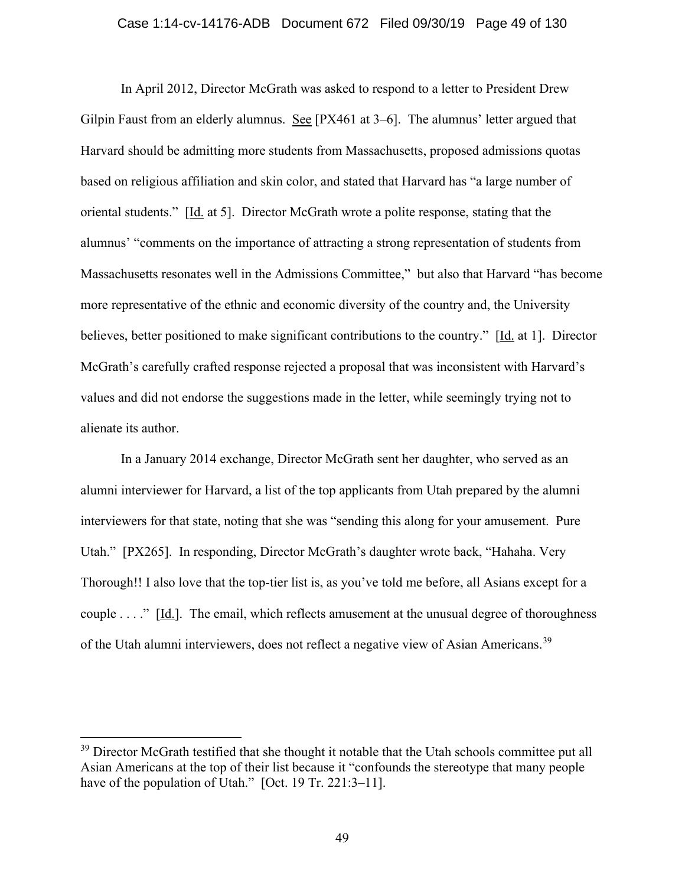### Case 1:14-cv-14176-ADB Document 672 Filed 09/30/19 Page 49 of 130

In April 2012, Director McGrath was asked to respond to a letter to President Drew Gilpin Faust from an elderly alumnus. See [PX461 at 3–6]. The alumnus' letter argued that Harvard should be admitting more students from Massachusetts, proposed admissions quotas based on religious affiliation and skin color, and stated that Harvard has "a large number of oriental students." [Id. at 5]. Director McGrath wrote a polite response, stating that the alumnus' "comments on the importance of attracting a strong representation of students from Massachusetts resonates well in the Admissions Committee," but also that Harvard "has become more representative of the ethnic and economic diversity of the country and, the University believes, better positioned to make significant contributions to the country." [Id. at 1]. Director McGrath's carefully crafted response rejected a proposal that was inconsistent with Harvard's values and did not endorse the suggestions made in the letter, while seemingly trying not to alienate its author.

In a January 2014 exchange, Director McGrath sent her daughter, who served as an alumni interviewer for Harvard, a list of the top applicants from Utah prepared by the alumni interviewers for that state, noting that she was "sending this along for your amusement. Pure Utah." [PX265]. In responding, Director McGrath's daughter wrote back, "Hahaha. Very Thorough!! I also love that the top-tier list is, as you've told me before, all Asians except for a couple . . . ." [Id.]. The email, which reflects amusement at the unusual degree of thoroughness of the Utah alumni interviewers, does not reflect a negative view of Asian Americans.<sup>39</sup>

 $39$  Director McGrath testified that she thought it notable that the Utah schools committee put all Asian Americans at the top of their list because it "confounds the stereotype that many people have of the population of Utah." [Oct. 19 Tr. 221:3–11].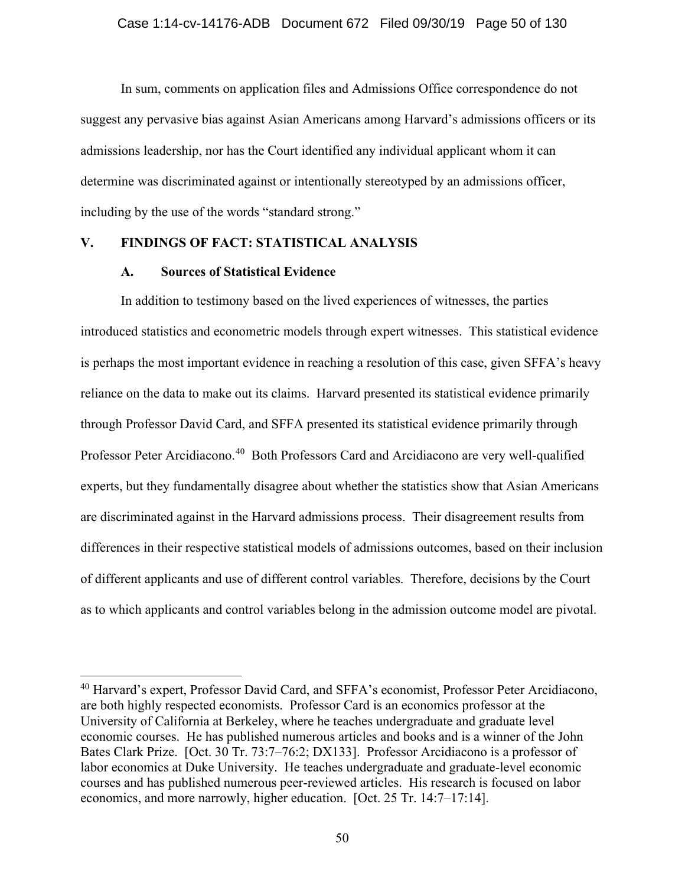In sum, comments on application files and Admissions Office correspondence do not suggest any pervasive bias against Asian Americans among Harvard's admissions officers or its admissions leadership, nor has the Court identified any individual applicant whom it can determine was discriminated against or intentionally stereotyped by an admissions officer, including by the use of the words "standard strong."

# **V. FINDINGS OF FACT: STATISTICAL ANALYSIS**

# **A. Sources of Statistical Evidence**

In addition to testimony based on the lived experiences of witnesses, the parties introduced statistics and econometric models through expert witnesses. This statistical evidence is perhaps the most important evidence in reaching a resolution of this case, given SFFA's heavy reliance on the data to make out its claims. Harvard presented its statistical evidence primarily through Professor David Card, and SFFA presented its statistical evidence primarily through Professor Peter Arcidiacono.<sup>40</sup> Both Professors Card and Arcidiacono are very well-qualified experts, but they fundamentally disagree about whether the statistics show that Asian Americans are discriminated against in the Harvard admissions process. Their disagreement results from differences in their respective statistical models of admissions outcomes, based on their inclusion of different applicants and use of different control variables. Therefore, decisions by the Court as to which applicants and control variables belong in the admission outcome model are pivotal.

<sup>&</sup>lt;sup>40</sup> Harvard's expert, Professor David Card, and SFFA's economist, Professor Peter Arcidiacono, are both highly respected economists. Professor Card is an economics professor at the University of California at Berkeley, where he teaches undergraduate and graduate level economic courses. He has published numerous articles and books and is a winner of the John Bates Clark Prize. [Oct. 30 Tr. 73:7–76:2; DX133]. Professor Arcidiacono is a professor of labor economics at Duke University. He teaches undergraduate and graduate-level economic courses and has published numerous peer-reviewed articles. His research is focused on labor economics, and more narrowly, higher education. [Oct. 25 Tr. 14:7–17:14].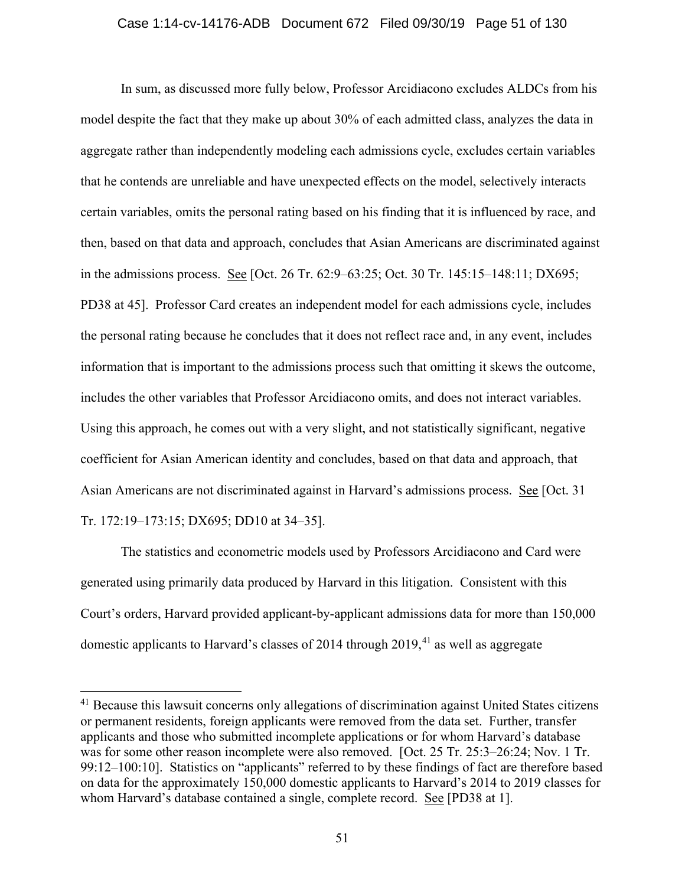In sum, as discussed more fully below, Professor Arcidiacono excludes ALDCs from his model despite the fact that they make up about 30% of each admitted class, analyzes the data in aggregate rather than independently modeling each admissions cycle, excludes certain variables that he contends are unreliable and have unexpected effects on the model, selectively interacts certain variables, omits the personal rating based on his finding that it is influenced by race, and then, based on that data and approach, concludes that Asian Americans are discriminated against in the admissions process. See [Oct. 26 Tr. 62:9–63:25; Oct. 30 Tr. 145:15–148:11; DX695; PD38 at 45]. Professor Card creates an independent model for each admissions cycle, includes the personal rating because he concludes that it does not reflect race and, in any event, includes information that is important to the admissions process such that omitting it skews the outcome, includes the other variables that Professor Arcidiacono omits, and does not interact variables. Using this approach, he comes out with a very slight, and not statistically significant, negative coefficient for Asian American identity and concludes, based on that data and approach, that Asian Americans are not discriminated against in Harvard's admissions process. See [Oct. 31 Tr. 172:19–173:15; DX695; DD10 at 34–35].

The statistics and econometric models used by Professors Arcidiacono and Card were generated using primarily data produced by Harvard in this litigation. Consistent with this Court's orders, Harvard provided applicant-by-applicant admissions data for more than 150,000 domestic applicants to Harvard's classes of 2014 through  $2019$ <sup>41</sup> as well as aggregate

<sup>&</sup>lt;sup>41</sup> Because this lawsuit concerns only allegations of discrimination against United States citizens or permanent residents, foreign applicants were removed from the data set. Further, transfer applicants and those who submitted incomplete applications or for whom Harvard's database was for some other reason incomplete were also removed. [Oct. 25 Tr. 25:3–26:24; Nov. 1 Tr. 99:12–100:10]. Statistics on "applicants" referred to by these findings of fact are therefore based on data for the approximately 150,000 domestic applicants to Harvard's 2014 to 2019 classes for whom Harvard's database contained a single, complete record. See [PD38 at 1].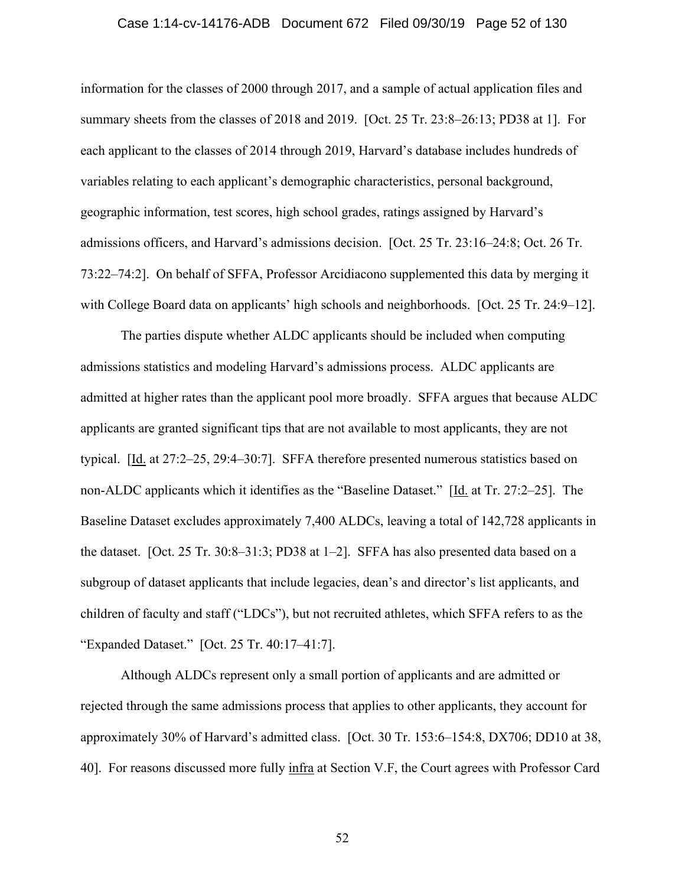### Case 1:14-cv-14176-ADB Document 672 Filed 09/30/19 Page 52 of 130

information for the classes of 2000 through 2017, and a sample of actual application files and summary sheets from the classes of 2018 and 2019. [Oct. 25 Tr. 23:8–26:13; PD38 at 1]. For each applicant to the classes of 2014 through 2019, Harvard's database includes hundreds of variables relating to each applicant's demographic characteristics, personal background, geographic information, test scores, high school grades, ratings assigned by Harvard's admissions officers, and Harvard's admissions decision. [Oct. 25 Tr. 23:16–24:8; Oct. 26 Tr. 73:22–74:2]. On behalf of SFFA, Professor Arcidiacono supplemented this data by merging it with College Board data on applicants' high schools and neighborhoods. [Oct. 25 Tr. 24:9–12].

The parties dispute whether ALDC applicants should be included when computing admissions statistics and modeling Harvard's admissions process. ALDC applicants are admitted at higher rates than the applicant pool more broadly. SFFA argues that because ALDC applicants are granted significant tips that are not available to most applicants, they are not typical. [Id. at 27:2–25, 29:4–30:7]. SFFA therefore presented numerous statistics based on non-ALDC applicants which it identifies as the "Baseline Dataset." [Id. at Tr. 27:2–25]. The Baseline Dataset excludes approximately 7,400 ALDCs, leaving a total of 142,728 applicants in the dataset. [Oct. 25 Tr. 30:8–31:3; PD38 at 1–2]. SFFA has also presented data based on a subgroup of dataset applicants that include legacies, dean's and director's list applicants, and children of faculty and staff ("LDCs"), but not recruited athletes, which SFFA refers to as the "Expanded Dataset." [Oct. 25 Tr. 40:17–41:7].

Although ALDCs represent only a small portion of applicants and are admitted or rejected through the same admissions process that applies to other applicants, they account for approximately 30% of Harvard's admitted class. [Oct. 30 Tr. 153:6–154:8, DX706; DD10 at 38, 40]. For reasons discussed more fully infra at Section V.F, the Court agrees with Professor Card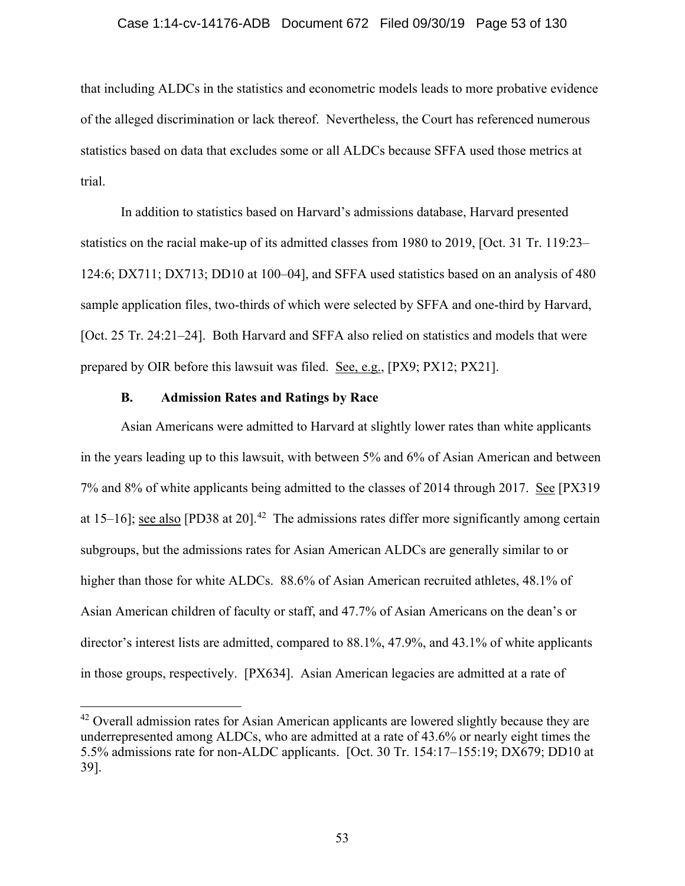### Case 1:14-cv-14176-ADB Document 672 Filed 09/30/19 Page 53 of 130

that including ALDCs in the statistics and econometric models leads to more probative evidence of the alleged discrimination or lack thereof. Nevertheless, the Court has referenced numerous statistics based on data that excludes some or all ALDCs because SFFA used those metrics at trial.

In addition to statistics based on Harvard's admissions database, Harvard presented statistics on the racial make-up of its admitted classes from 1980 to 2019, [Oct. 31 Tr. 119:23– 124:6; DX711; DX713; DD10 at 100–04], and SFFA used statistics based on an analysis of 480 sample application files, two-thirds of which were selected by SFFA and one-third by Harvard, [Oct. 25 Tr. 24:21–24]. Both Harvard and SFFA also relied on statistics and models that were prepared by OIR before this lawsuit was filed. See, e.g., [PX9; PX12; PX21].

### **B. Admission Rates and Ratings by Race**

Asian Americans were admitted to Harvard at slightly lower rates than white applicants in the years leading up to this lawsuit, with between 5% and 6% of Asian American and between 7% and 8% of white applicants being admitted to the classes of 2014 through 2017. See [PX319 at 15–16]; see also [PD38 at 20].<sup>42</sup> The admissions rates differ more significantly among certain subgroups, but the admissions rates for Asian American ALDCs are generally similar to or higher than those for white ALDCs. 88.6% of Asian American recruited athletes, 48.1% of Asian American children of faculty or staff, and 47.7% of Asian Americans on the dean's or director's interest lists are admitted, compared to 88.1%, 47.9%, and 43.1% of white applicants in those groups, respectively. [PX634]. Asian American legacies are admitted at a rate of

<sup>&</sup>lt;sup>42</sup> Overall admission rates for Asian American applicants are lowered slightly because they are underrepresented among ALDCs, who are admitted at a rate of 43.6% or nearly eight times the 5.5% admissions rate for non-ALDC applicants. [Oct. 30 Tr. 154:17–155:19; DX679; DD10 at 39].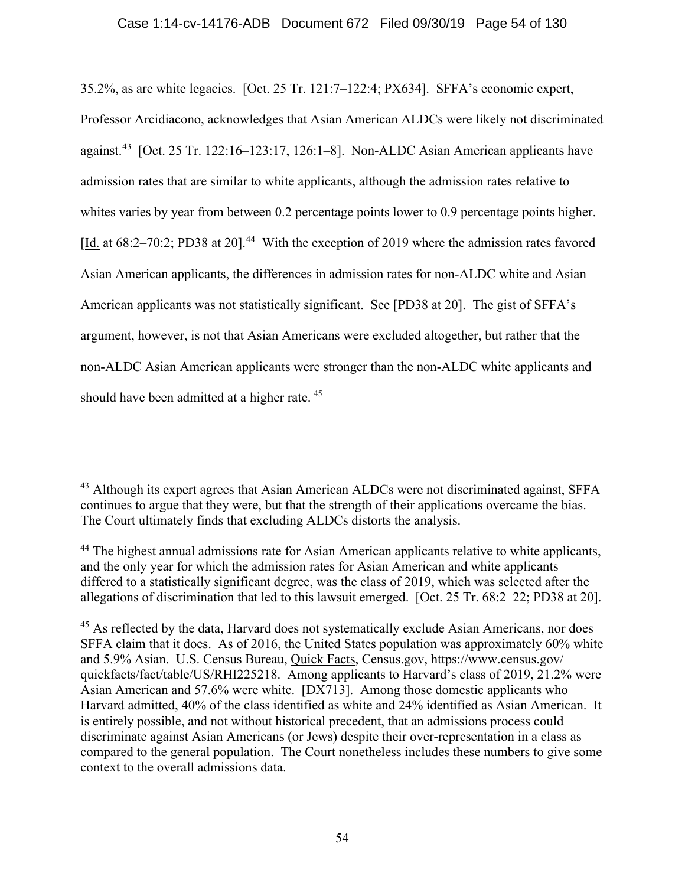35.2%, as are white legacies. [Oct. 25 Tr. 121:7–122:4; PX634]. SFFA's economic expert, Professor Arcidiacono, acknowledges that Asian American ALDCs were likely not discriminated against.<sup>43</sup> [Oct. 25 Tr. 122:16–123:17, 126:1–8]. Non-ALDC Asian American applicants have admission rates that are similar to white applicants, although the admission rates relative to whites varies by year from between 0.2 percentage points lower to 0.9 percentage points higher. [Id. at 68:2-70:2; PD38 at 20].<sup>44</sup> With the exception of 2019 where the admission rates favored Asian American applicants, the differences in admission rates for non-ALDC white and Asian American applicants was not statistically significant. See [PD38 at 20]. The gist of SFFA's argument, however, is not that Asian Americans were excluded altogether, but rather that the non-ALDC Asian American applicants were stronger than the non-ALDC white applicants and should have been admitted at a higher rate. 45

<sup>&</sup>lt;sup>43</sup> Although its expert agrees that Asian American ALDCs were not discriminated against, SFFA continues to argue that they were, but that the strength of their applications overcame the bias. The Court ultimately finds that excluding ALDCs distorts the analysis.

<sup>&</sup>lt;sup>44</sup> The highest annual admissions rate for Asian American applicants relative to white applicants, and the only year for which the admission rates for Asian American and white applicants differed to a statistically significant degree, was the class of 2019, which was selected after the allegations of discrimination that led to this lawsuit emerged. [Oct. 25 Tr. 68:2–22; PD38 at 20].

<sup>&</sup>lt;sup>45</sup> As reflected by the data, Harvard does not systematically exclude Asian Americans, nor does SFFA claim that it does. As of 2016, the United States population was approximately 60% white and 5.9% Asian. U.S. Census Bureau, Quick Facts, Census.gov, https://www.census.gov/ quickfacts/fact/table/US/RHI225218. Among applicants to Harvard's class of 2019, 21.2% were Asian American and 57.6% were white. [DX713]. Among those domestic applicants who Harvard admitted, 40% of the class identified as white and 24% identified as Asian American. It is entirely possible, and not without historical precedent, that an admissions process could discriminate against Asian Americans (or Jews) despite their over-representation in a class as compared to the general population. The Court nonetheless includes these numbers to give some context to the overall admissions data.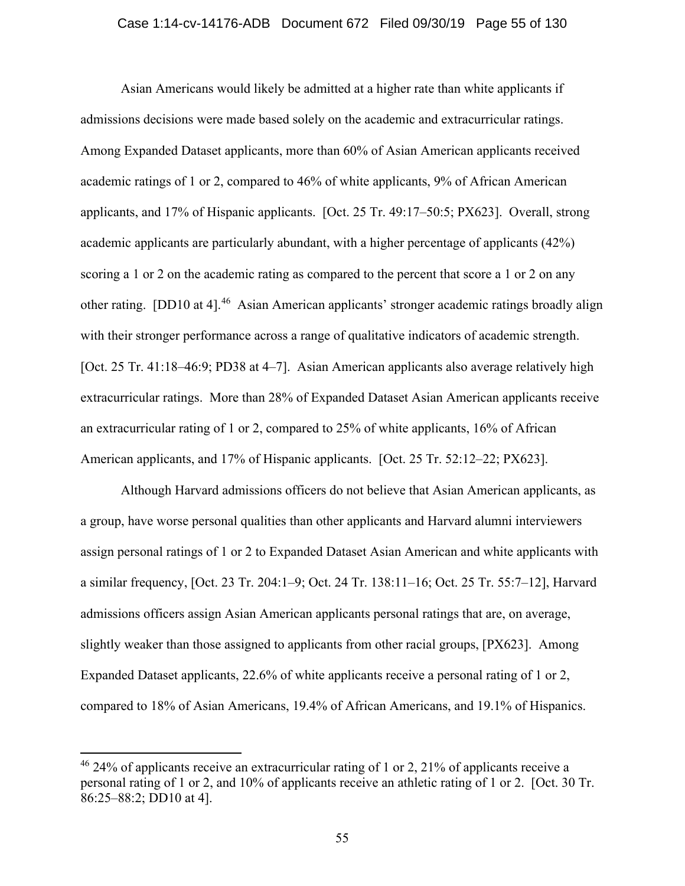### Case 1:14-cv-14176-ADB Document 672 Filed 09/30/19 Page 55 of 130

Asian Americans would likely be admitted at a higher rate than white applicants if admissions decisions were made based solely on the academic and extracurricular ratings. Among Expanded Dataset applicants, more than 60% of Asian American applicants received academic ratings of 1 or 2, compared to 46% of white applicants, 9% of African American applicants, and 17% of Hispanic applicants. [Oct. 25 Tr. 49:17–50:5; PX623]. Overall, strong academic applicants are particularly abundant, with a higher percentage of applicants (42%) scoring a 1 or 2 on the academic rating as compared to the percent that score a 1 or 2 on any other rating. [DD10 at 4].<sup>46</sup> Asian American applicants' stronger academic ratings broadly align with their stronger performance across a range of qualitative indicators of academic strength. [Oct. 25 Tr. 41:18–46:9; PD38 at 4–7]. Asian American applicants also average relatively high extracurricular ratings. More than 28% of Expanded Dataset Asian American applicants receive an extracurricular rating of 1 or 2, compared to 25% of white applicants, 16% of African American applicants, and 17% of Hispanic applicants. [Oct. 25 Tr. 52:12–22; PX623].

Although Harvard admissions officers do not believe that Asian American applicants, as a group, have worse personal qualities than other applicants and Harvard alumni interviewers assign personal ratings of 1 or 2 to Expanded Dataset Asian American and white applicants with a similar frequency, [Oct. 23 Tr. 204:1–9; Oct. 24 Tr. 138:11–16; Oct. 25 Tr. 55:7–12], Harvard admissions officers assign Asian American applicants personal ratings that are, on average, slightly weaker than those assigned to applicants from other racial groups, [PX623]. Among Expanded Dataset applicants, 22.6% of white applicants receive a personal rating of 1 or 2, compared to 18% of Asian Americans, 19.4% of African Americans, and 19.1% of Hispanics.

 $46\,24\%$  of applicants receive an extracurricular rating of 1 or 2, 21% of applicants receive a personal rating of 1 or 2, and 10% of applicants receive an athletic rating of 1 or 2. [Oct. 30 Tr. 86:25–88:2; DD10 at 4].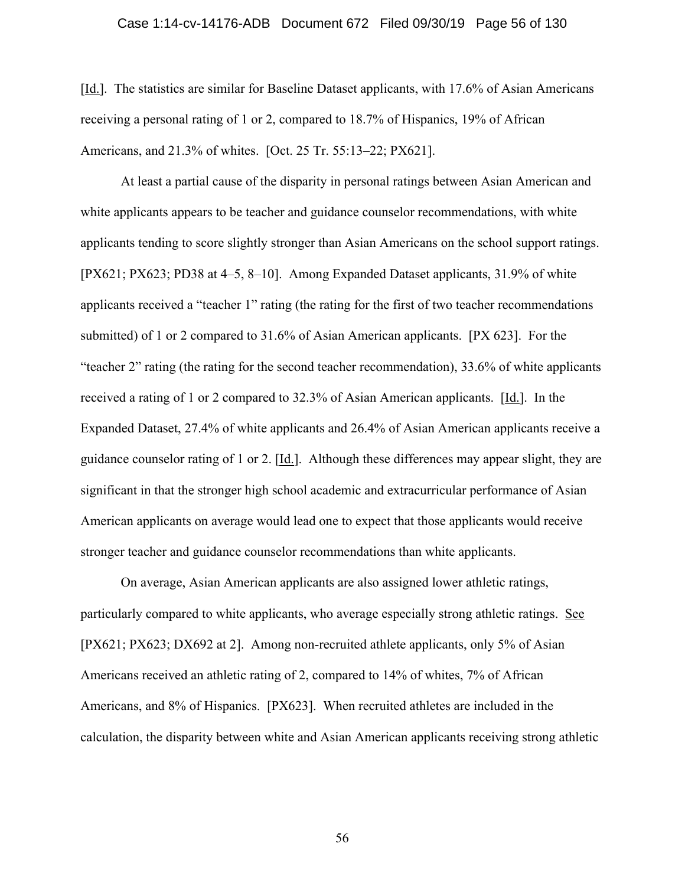#### Case 1:14-cv-14176-ADB Document 672 Filed 09/30/19 Page 56 of 130

[Id.]. The statistics are similar for Baseline Dataset applicants, with 17.6% of Asian Americans receiving a personal rating of 1 or 2, compared to 18.7% of Hispanics, 19% of African Americans, and 21.3% of whites. [Oct. 25 Tr. 55:13–22; PX621].

At least a partial cause of the disparity in personal ratings between Asian American and white applicants appears to be teacher and guidance counselor recommendations, with white applicants tending to score slightly stronger than Asian Americans on the school support ratings. [PX621; PX623; PD38 at 4–5, 8–10]. Among Expanded Dataset applicants, 31.9% of white applicants received a "teacher 1" rating (the rating for the first of two teacher recommendations submitted) of 1 or 2 compared to 31.6% of Asian American applicants. [PX 623]. For the "teacher 2" rating (the rating for the second teacher recommendation), 33.6% of white applicants received a rating of 1 or 2 compared to  $32.3\%$  of Asian American applicants. [Id.]. In the Expanded Dataset, 27.4% of white applicants and 26.4% of Asian American applicants receive a guidance counselor rating of 1 or 2. [Id.]. Although these differences may appear slight, they are significant in that the stronger high school academic and extracurricular performance of Asian American applicants on average would lead one to expect that those applicants would receive stronger teacher and guidance counselor recommendations than white applicants.

On average, Asian American applicants are also assigned lower athletic ratings, particularly compared to white applicants, who average especially strong athletic ratings. See [PX621; PX623; DX692 at 2]. Among non-recruited athlete applicants, only 5% of Asian Americans received an athletic rating of 2, compared to 14% of whites, 7% of African Americans, and 8% of Hispanics. [PX623]. When recruited athletes are included in the calculation, the disparity between white and Asian American applicants receiving strong athletic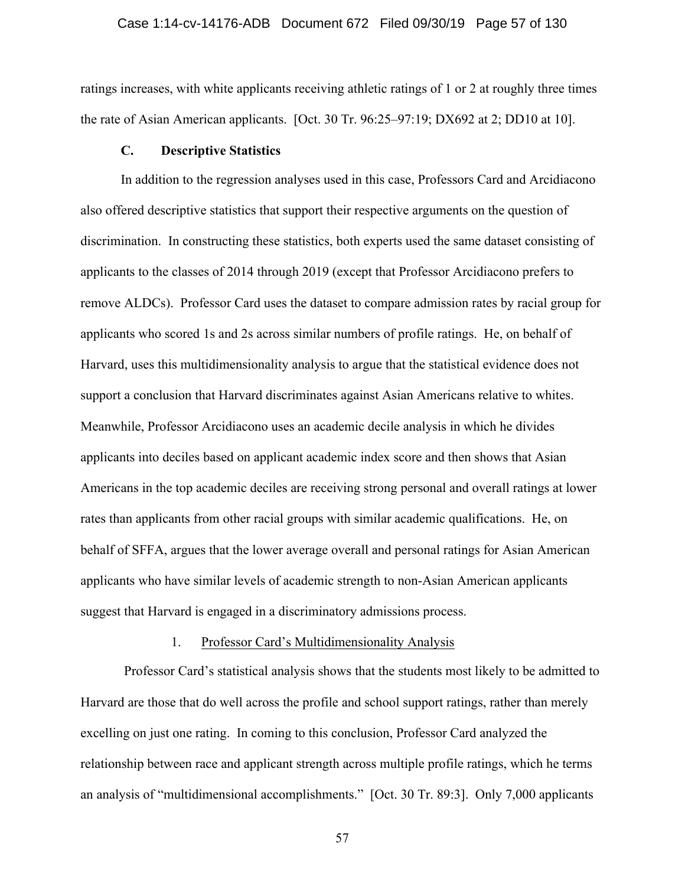### Case 1:14-cv-14176-ADB Document 672 Filed 09/30/19 Page 57 of 130

ratings increases, with white applicants receiving athletic ratings of 1 or 2 at roughly three times the rate of Asian American applicants. [Oct. 30 Tr. 96:25–97:19; DX692 at 2; DD10 at 10].

# **C. Descriptive Statistics**

In addition to the regression analyses used in this case, Professors Card and Arcidiacono also offered descriptive statistics that support their respective arguments on the question of discrimination. In constructing these statistics, both experts used the same dataset consisting of applicants to the classes of 2014 through 2019 (except that Professor Arcidiacono prefers to remove ALDCs). Professor Card uses the dataset to compare admission rates by racial group for applicants who scored 1s and 2s across similar numbers of profile ratings. He, on behalf of Harvard, uses this multidimensionality analysis to argue that the statistical evidence does not support a conclusion that Harvard discriminates against Asian Americans relative to whites. Meanwhile, Professor Arcidiacono uses an academic decile analysis in which he divides applicants into deciles based on applicant academic index score and then shows that Asian Americans in the top academic deciles are receiving strong personal and overall ratings at lower rates than applicants from other racial groups with similar academic qualifications. He, on behalf of SFFA, argues that the lower average overall and personal ratings for Asian American applicants who have similar levels of academic strength to non-Asian American applicants suggest that Harvard is engaged in a discriminatory admissions process.

# 1. Professor Card's Multidimensionality Analysis

 Professor Card's statistical analysis shows that the students most likely to be admitted to Harvard are those that do well across the profile and school support ratings, rather than merely excelling on just one rating. In coming to this conclusion, Professor Card analyzed the relationship between race and applicant strength across multiple profile ratings, which he terms an analysis of "multidimensional accomplishments." [Oct. 30 Tr. 89:3]. Only 7,000 applicants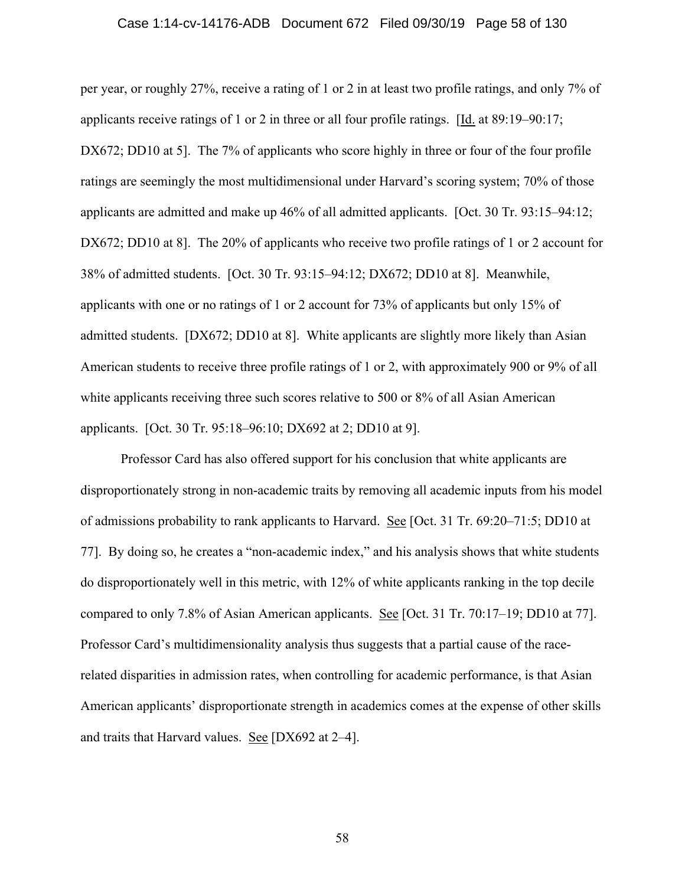#### Case 1:14-cv-14176-ADB Document 672 Filed 09/30/19 Page 58 of 130

per year, or roughly 27%, receive a rating of 1 or 2 in at least two profile ratings, and only 7% of applicants receive ratings of 1 or 2 in three or all four profile ratings. [Id. at 89:19–90:17; DX672; DD10 at 5]. The 7% of applicants who score highly in three or four of the four profile ratings are seemingly the most multidimensional under Harvard's scoring system; 70% of those applicants are admitted and make up 46% of all admitted applicants. [Oct. 30 Tr. 93:15–94:12; DX672; DD10 at 8. The 20% of applicants who receive two profile ratings of 1 or 2 account for 38% of admitted students. [Oct. 30 Tr. 93:15–94:12; DX672; DD10 at 8]. Meanwhile, applicants with one or no ratings of 1 or 2 account for 73% of applicants but only 15% of admitted students. [DX672; DD10 at 8]. White applicants are slightly more likely than Asian American students to receive three profile ratings of 1 or 2, with approximately 900 or 9% of all white applicants receiving three such scores relative to 500 or 8% of all Asian American applicants. [Oct. 30 Tr. 95:18–96:10; DX692 at 2; DD10 at 9].

Professor Card has also offered support for his conclusion that white applicants are disproportionately strong in non-academic traits by removing all academic inputs from his model of admissions probability to rank applicants to Harvard. See [Oct. 31 Tr. 69:20–71:5; DD10 at 77]. By doing so, he creates a "non-academic index," and his analysis shows that white students do disproportionately well in this metric, with 12% of white applicants ranking in the top decile compared to only 7.8% of Asian American applicants. See [Oct. 31 Tr. 70:17–19; DD10 at 77]. Professor Card's multidimensionality analysis thus suggests that a partial cause of the racerelated disparities in admission rates, when controlling for academic performance, is that Asian American applicants' disproportionate strength in academics comes at the expense of other skills and traits that Harvard values. See [DX692 at 2–4].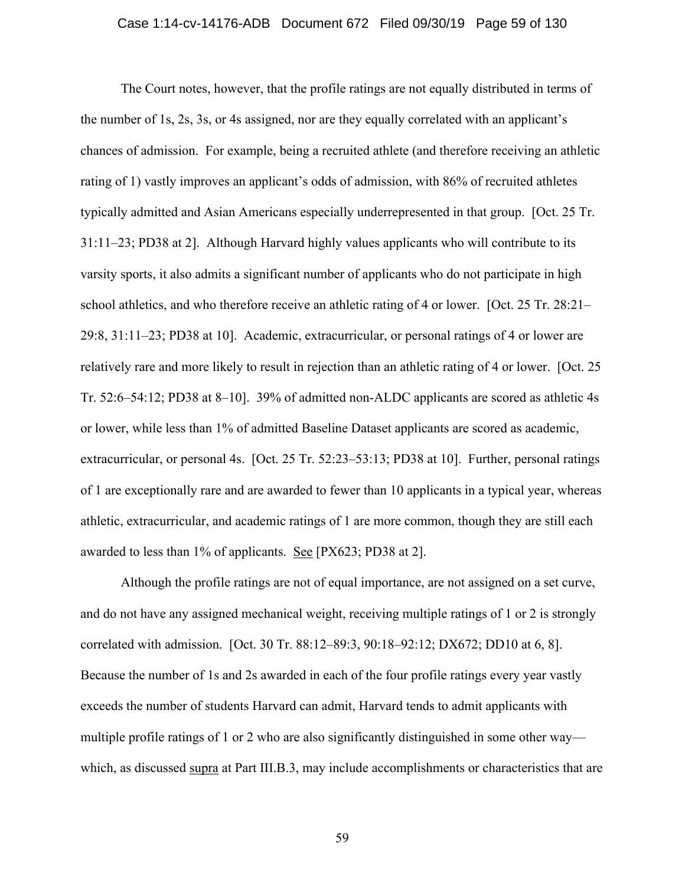### Case 1:14-cv-14176-ADB Document 672 Filed 09/30/19 Page 59 of 130

The Court notes, however, that the profile ratings are not equally distributed in terms of the number of 1s, 2s, 3s, or 4s assigned, nor are they equally correlated with an applicant's chances of admission. For example, being a recruited athlete (and therefore receiving an athletic rating of 1) vastly improves an applicant's odds of admission, with 86% of recruited athletes typically admitted and Asian Americans especially underrepresented in that group. [Oct. 25 Tr. 31:11–23; PD38 at 2]. Although Harvard highly values applicants who will contribute to its varsity sports, it also admits a significant number of applicants who do not participate in high school athletics, and who therefore receive an athletic rating of 4 or lower. [Oct. 25 Tr. 28:21– 29:8, 31:11–23; PD38 at 10]. Academic, extracurricular, or personal ratings of 4 or lower are relatively rare and more likely to result in rejection than an athletic rating of 4 or lower. [Oct. 25 Tr. 52:6–54:12; PD38 at 8–10]. 39% of admitted non-ALDC applicants are scored as athletic 4s or lower, while less than 1% of admitted Baseline Dataset applicants are scored as academic, extracurricular, or personal 4s. [Oct. 25 Tr. 52:23–53:13; PD38 at 10]. Further, personal ratings of 1 are exceptionally rare and are awarded to fewer than 10 applicants in a typical year, whereas athletic, extracurricular, and academic ratings of 1 are more common, though they are still each awarded to less than 1% of applicants. See [PX623; PD38 at 2].

Although the profile ratings are not of equal importance, are not assigned on a set curve, and do not have any assigned mechanical weight, receiving multiple ratings of 1 or 2 is strongly correlated with admission. [Oct. 30 Tr. 88:12–89:3, 90:18–92:12; DX672; DD10 at 6, 8]. Because the number of 1s and 2s awarded in each of the four profile ratings every year vastly exceeds the number of students Harvard can admit, Harvard tends to admit applicants with multiple profile ratings of 1 or 2 who are also significantly distinguished in some other way which, as discussed supra at Part III.B.3, may include accomplishments or characteristics that are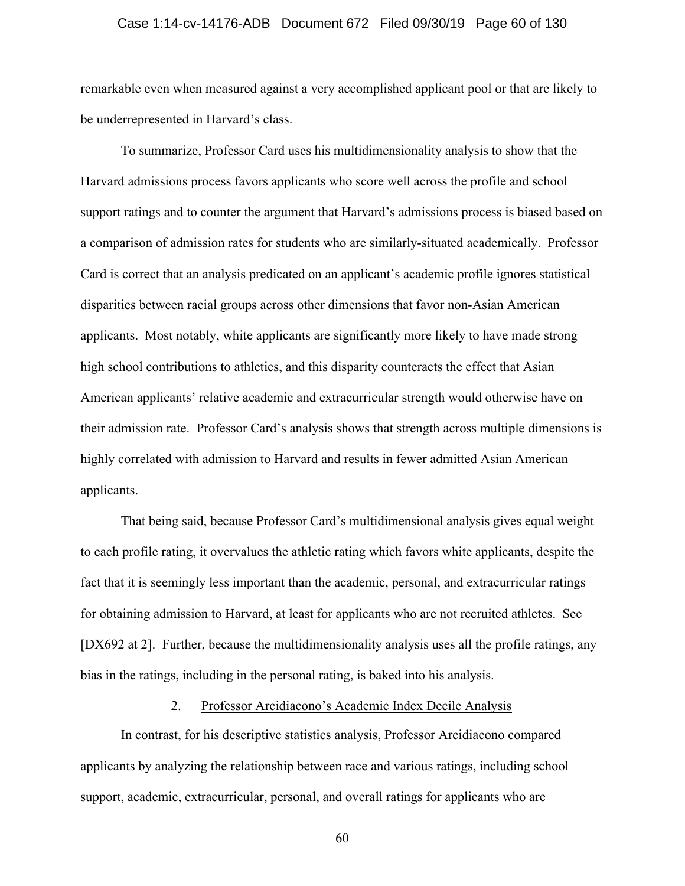### Case 1:14-cv-14176-ADB Document 672 Filed 09/30/19 Page 60 of 130

remarkable even when measured against a very accomplished applicant pool or that are likely to be underrepresented in Harvard's class.

To summarize, Professor Card uses his multidimensionality analysis to show that the Harvard admissions process favors applicants who score well across the profile and school support ratings and to counter the argument that Harvard's admissions process is biased based on a comparison of admission rates for students who are similarly-situated academically. Professor Card is correct that an analysis predicated on an applicant's academic profile ignores statistical disparities between racial groups across other dimensions that favor non-Asian American applicants. Most notably, white applicants are significantly more likely to have made strong high school contributions to athletics, and this disparity counteracts the effect that Asian American applicants' relative academic and extracurricular strength would otherwise have on their admission rate. Professor Card's analysis shows that strength across multiple dimensions is highly correlated with admission to Harvard and results in fewer admitted Asian American applicants.

That being said, because Professor Card's multidimensional analysis gives equal weight to each profile rating, it overvalues the athletic rating which favors white applicants, despite the fact that it is seemingly less important than the academic, personal, and extracurricular ratings for obtaining admission to Harvard, at least for applicants who are not recruited athletes. See [DX692 at 2]. Further, because the multidimensionality analysis uses all the profile ratings, any bias in the ratings, including in the personal rating, is baked into his analysis.

# 2. Professor Arcidiacono's Academic Index Decile Analysis

In contrast, for his descriptive statistics analysis, Professor Arcidiacono compared applicants by analyzing the relationship between race and various ratings, including school support, academic, extracurricular, personal, and overall ratings for applicants who are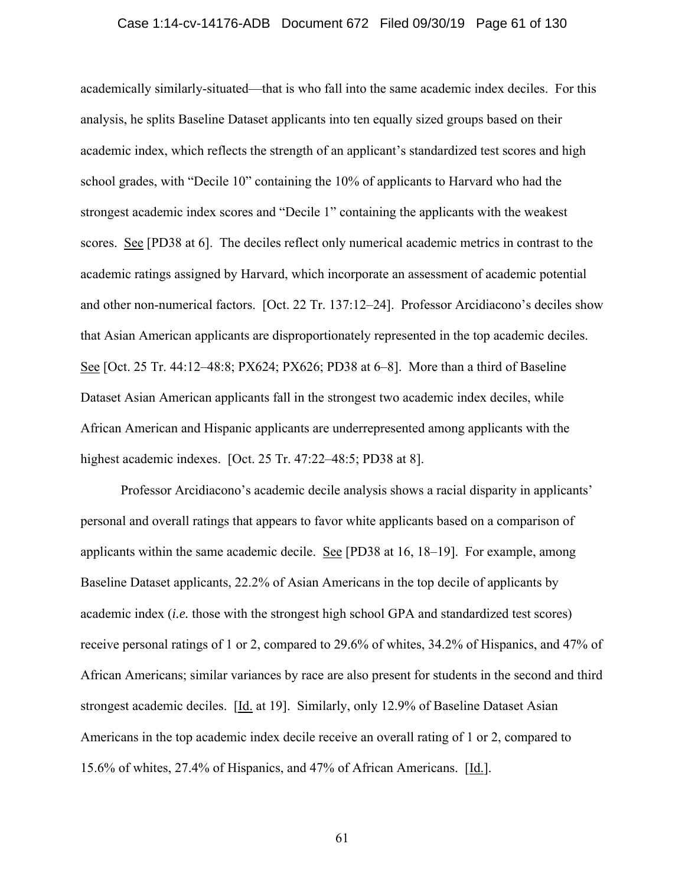### Case 1:14-cv-14176-ADB Document 672 Filed 09/30/19 Page 61 of 130

academically similarly-situated—that is who fall into the same academic index deciles. For this analysis, he splits Baseline Dataset applicants into ten equally sized groups based on their academic index, which reflects the strength of an applicant's standardized test scores and high school grades, with "Decile 10" containing the 10% of applicants to Harvard who had the strongest academic index scores and "Decile 1" containing the applicants with the weakest scores. See [PD38 at 6]. The deciles reflect only numerical academic metrics in contrast to the academic ratings assigned by Harvard, which incorporate an assessment of academic potential and other non-numerical factors. [Oct. 22 Tr. 137:12–24]. Professor Arcidiacono's deciles show that Asian American applicants are disproportionately represented in the top academic deciles. See [Oct. 25 Tr. 44:12–48:8; PX624; PX626; PD38 at 6–8]. More than a third of Baseline Dataset Asian American applicants fall in the strongest two academic index deciles, while African American and Hispanic applicants are underrepresented among applicants with the highest academic indexes. [Oct. 25 Tr. 47:22–48:5; PD38 at 8].

Professor Arcidiacono's academic decile analysis shows a racial disparity in applicants' personal and overall ratings that appears to favor white applicants based on a comparison of applicants within the same academic decile. See [PD38 at 16, 18–19]. For example, among Baseline Dataset applicants, 22.2% of Asian Americans in the top decile of applicants by academic index (*i.e.* those with the strongest high school GPA and standardized test scores) receive personal ratings of 1 or 2, compared to 29.6% of whites, 34.2% of Hispanics, and 47% of African Americans; similar variances by race are also present for students in the second and third strongest academic deciles. [Id. at 19]. Similarly, only 12.9% of Baseline Dataset Asian Americans in the top academic index decile receive an overall rating of 1 or 2, compared to 15.6% of whites, 27.4% of Hispanics, and 47% of African Americans. [Id.].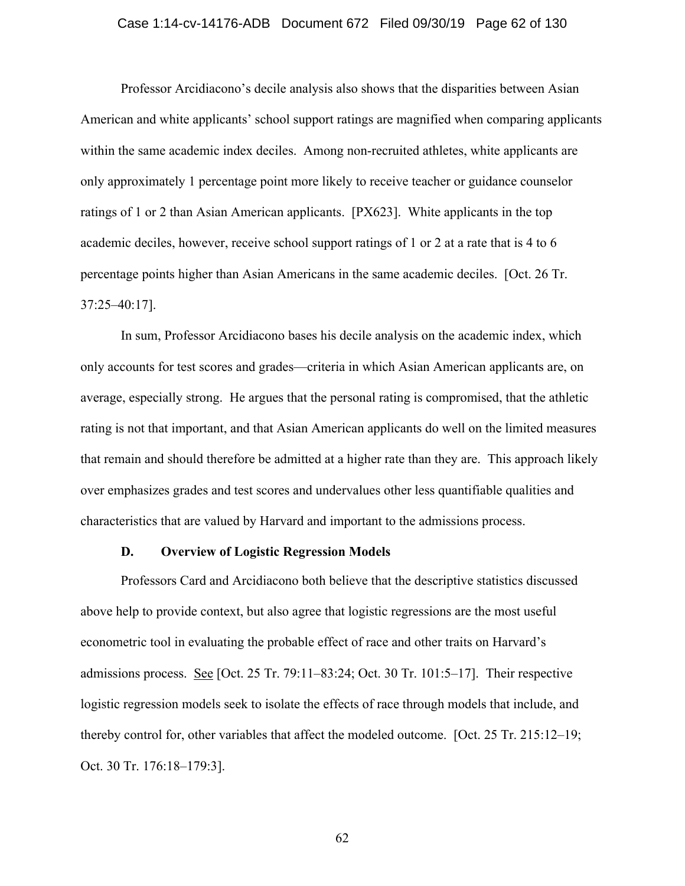### Case 1:14-cv-14176-ADB Document 672 Filed 09/30/19 Page 62 of 130

Professor Arcidiacono's decile analysis also shows that the disparities between Asian American and white applicants' school support ratings are magnified when comparing applicants within the same academic index deciles. Among non-recruited athletes, white applicants are only approximately 1 percentage point more likely to receive teacher or guidance counselor ratings of 1 or 2 than Asian American applicants. [PX623]. White applicants in the top academic deciles, however, receive school support ratings of 1 or 2 at a rate that is 4 to 6 percentage points higher than Asian Americans in the same academic deciles. [Oct. 26 Tr. 37:25–40:17].

In sum, Professor Arcidiacono bases his decile analysis on the academic index, which only accounts for test scores and grades—criteria in which Asian American applicants are, on average, especially strong. He argues that the personal rating is compromised, that the athletic rating is not that important, and that Asian American applicants do well on the limited measures that remain and should therefore be admitted at a higher rate than they are. This approach likely over emphasizes grades and test scores and undervalues other less quantifiable qualities and characteristics that are valued by Harvard and important to the admissions process.

### **D. Overview of Logistic Regression Models**

Professors Card and Arcidiacono both believe that the descriptive statistics discussed above help to provide context, but also agree that logistic regressions are the most useful econometric tool in evaluating the probable effect of race and other traits on Harvard's admissions process. See [Oct. 25 Tr. 79:11–83:24; Oct. 30 Tr. 101:5–17]. Their respective logistic regression models seek to isolate the effects of race through models that include, and thereby control for, other variables that affect the modeled outcome. [Oct. 25 Tr. 215:12–19; Oct. 30 Tr. 176:18–179:3].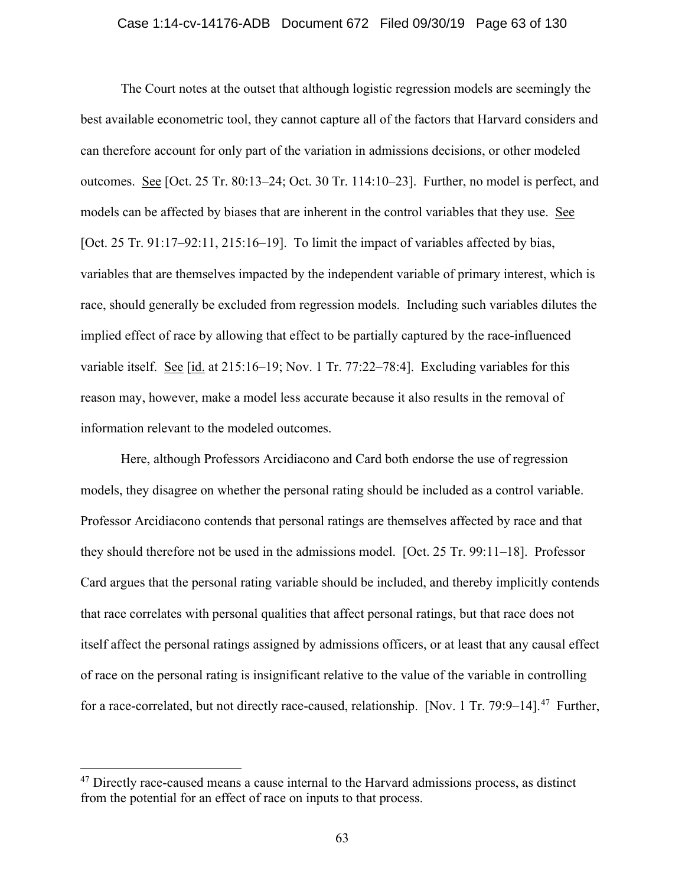### Case 1:14-cv-14176-ADB Document 672 Filed 09/30/19 Page 63 of 130

The Court notes at the outset that although logistic regression models are seemingly the best available econometric tool, they cannot capture all of the factors that Harvard considers and can therefore account for only part of the variation in admissions decisions, or other modeled outcomes. See [Oct. 25 Tr. 80:13–24; Oct. 30 Tr. 114:10–23]. Further, no model is perfect, and models can be affected by biases that are inherent in the control variables that they use. See [Oct. 25 Tr. 91:17–92:11, 215:16–19]. To limit the impact of variables affected by bias, variables that are themselves impacted by the independent variable of primary interest, which is race, should generally be excluded from regression models. Including such variables dilutes the implied effect of race by allowing that effect to be partially captured by the race-influenced variable itself. See [id. at 215:16–19; Nov. 1 Tr. 77:22–78:4]. Excluding variables for this reason may, however, make a model less accurate because it also results in the removal of information relevant to the modeled outcomes.

Here, although Professors Arcidiacono and Card both endorse the use of regression models, they disagree on whether the personal rating should be included as a control variable. Professor Arcidiacono contends that personal ratings are themselves affected by race and that they should therefore not be used in the admissions model. [Oct. 25 Tr. 99:11–18]. Professor Card argues that the personal rating variable should be included, and thereby implicitly contends that race correlates with personal qualities that affect personal ratings, but that race does not itself affect the personal ratings assigned by admissions officers, or at least that any causal effect of race on the personal rating is insignificant relative to the value of the variable in controlling for a race-correlated, but not directly race-caused, relationship. [Nov. 1 Tr. 79:9–14].<sup>47</sup> Further,

 $47$  Directly race-caused means a cause internal to the Harvard admissions process, as distinct from the potential for an effect of race on inputs to that process.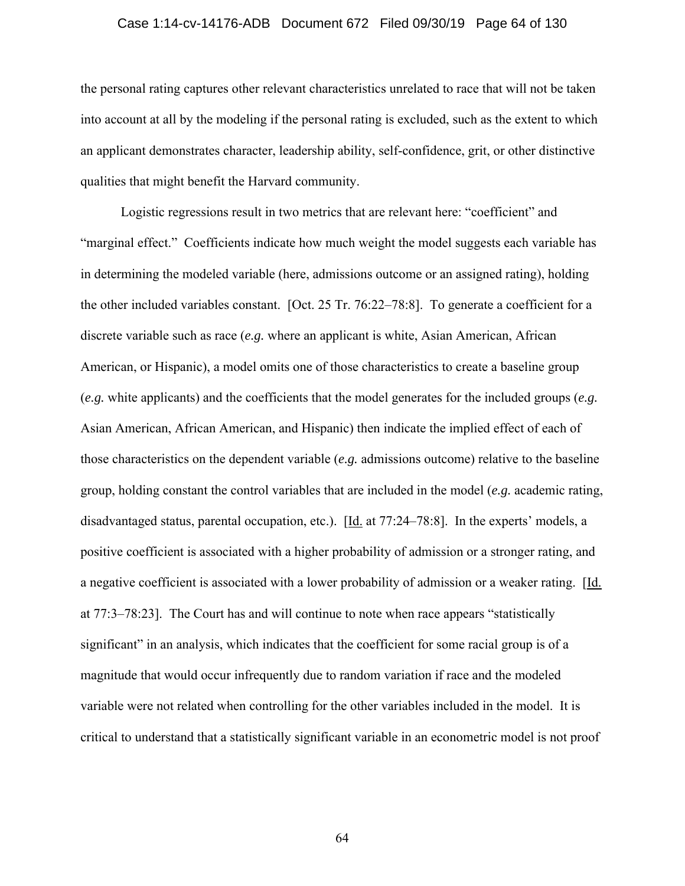### Case 1:14-cv-14176-ADB Document 672 Filed 09/30/19 Page 64 of 130

the personal rating captures other relevant characteristics unrelated to race that will not be taken into account at all by the modeling if the personal rating is excluded, such as the extent to which an applicant demonstrates character, leadership ability, self-confidence, grit, or other distinctive qualities that might benefit the Harvard community.

Logistic regressions result in two metrics that are relevant here: "coefficient" and "marginal effect." Coefficients indicate how much weight the model suggests each variable has in determining the modeled variable (here, admissions outcome or an assigned rating), holding the other included variables constant. [Oct. 25 Tr. 76:22–78:8]. To generate a coefficient for a discrete variable such as race (*e.g.* where an applicant is white, Asian American, African American, or Hispanic), a model omits one of those characteristics to create a baseline group (*e.g.* white applicants) and the coefficients that the model generates for the included groups (*e.g.* Asian American, African American, and Hispanic) then indicate the implied effect of each of those characteristics on the dependent variable (*e.g.* admissions outcome) relative to the baseline group, holding constant the control variables that are included in the model (*e.g.* academic rating, disadvantaged status, parental occupation, etc.). [Id. at 77:24–78:8]. In the experts' models, a positive coefficient is associated with a higher probability of admission or a stronger rating, and a negative coefficient is associated with a lower probability of admission or a weaker rating. [Id. at 77:3–78:23]. The Court has and will continue to note when race appears "statistically significant" in an analysis, which indicates that the coefficient for some racial group is of a magnitude that would occur infrequently due to random variation if race and the modeled variable were not related when controlling for the other variables included in the model. It is critical to understand that a statistically significant variable in an econometric model is not proof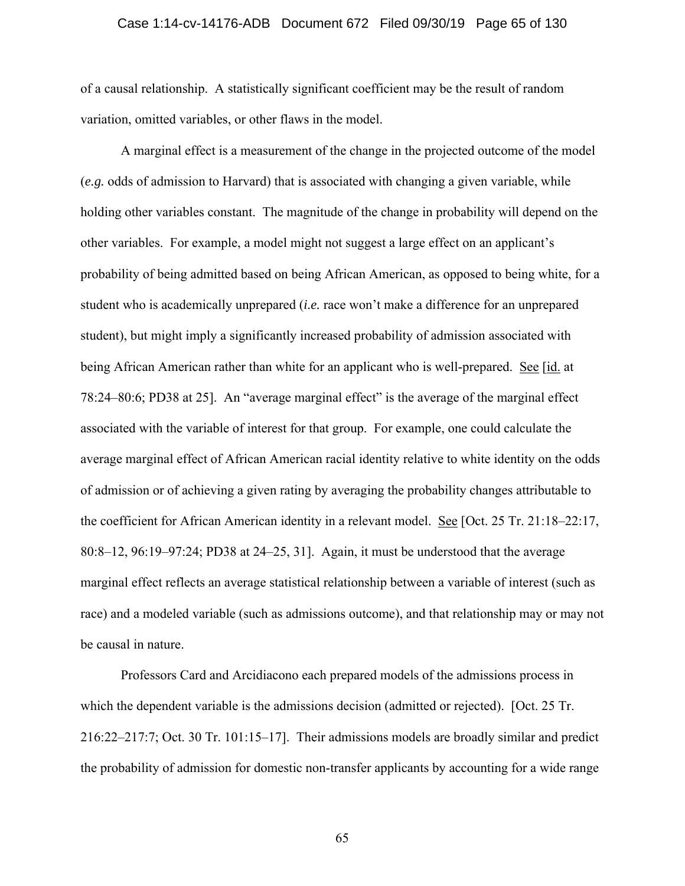### Case 1:14-cv-14176-ADB Document 672 Filed 09/30/19 Page 65 of 130

of a causal relationship. A statistically significant coefficient may be the result of random variation, omitted variables, or other flaws in the model.

A marginal effect is a measurement of the change in the projected outcome of the model (*e.g.* odds of admission to Harvard) that is associated with changing a given variable, while holding other variables constant. The magnitude of the change in probability will depend on the other variables. For example, a model might not suggest a large effect on an applicant's probability of being admitted based on being African American, as opposed to being white, for a student who is academically unprepared (*i.e.* race won't make a difference for an unprepared student), but might imply a significantly increased probability of admission associated with being African American rather than white for an applicant who is well-prepared. See [id. at 78:24–80:6; PD38 at 25]. An "average marginal effect" is the average of the marginal effect associated with the variable of interest for that group. For example, one could calculate the average marginal effect of African American racial identity relative to white identity on the odds of admission or of achieving a given rating by averaging the probability changes attributable to the coefficient for African American identity in a relevant model. See [Oct. 25 Tr. 21:18–22:17, 80:8–12, 96:19–97:24; PD38 at 24–25, 31]. Again, it must be understood that the average marginal effect reflects an average statistical relationship between a variable of interest (such as race) and a modeled variable (such as admissions outcome), and that relationship may or may not be causal in nature.

Professors Card and Arcidiacono each prepared models of the admissions process in which the dependent variable is the admissions decision (admitted or rejected). [Oct. 25 Tr. 216:22–217:7; Oct. 30 Tr. 101:15–17]. Their admissions models are broadly similar and predict the probability of admission for domestic non-transfer applicants by accounting for a wide range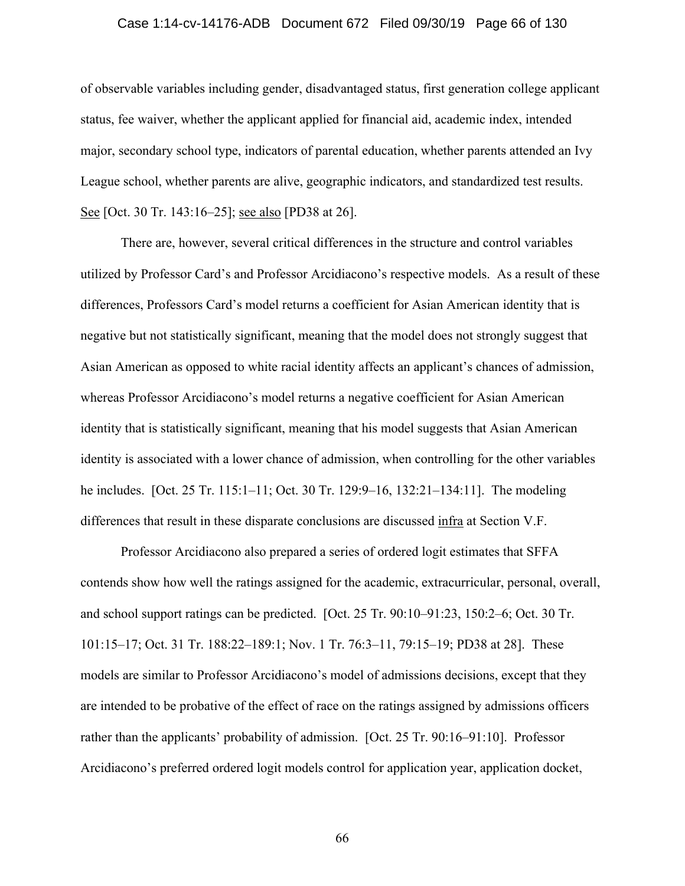### Case 1:14-cv-14176-ADB Document 672 Filed 09/30/19 Page 66 of 130

of observable variables including gender, disadvantaged status, first generation college applicant status, fee waiver, whether the applicant applied for financial aid, academic index, intended major, secondary school type, indicators of parental education, whether parents attended an Ivy League school, whether parents are alive, geographic indicators, and standardized test results. See [Oct. 30 Tr. 143:16–25]; see also [PD38 at 26].

There are, however, several critical differences in the structure and control variables utilized by Professor Card's and Professor Arcidiacono's respective models. As a result of these differences, Professors Card's model returns a coefficient for Asian American identity that is negative but not statistically significant, meaning that the model does not strongly suggest that Asian American as opposed to white racial identity affects an applicant's chances of admission, whereas Professor Arcidiacono's model returns a negative coefficient for Asian American identity that is statistically significant, meaning that his model suggests that Asian American identity is associated with a lower chance of admission, when controlling for the other variables he includes. [Oct. 25 Tr. 115:1–11; Oct. 30 Tr. 129:9–16, 132:21–134:11]. The modeling differences that result in these disparate conclusions are discussed infra at Section V.F.

Professor Arcidiacono also prepared a series of ordered logit estimates that SFFA contends show how well the ratings assigned for the academic, extracurricular, personal, overall, and school support ratings can be predicted. [Oct. 25 Tr. 90:10–91:23, 150:2–6; Oct. 30 Tr. 101:15–17; Oct. 31 Tr. 188:22–189:1; Nov. 1 Tr. 76:3–11, 79:15–19; PD38 at 28]. These models are similar to Professor Arcidiacono's model of admissions decisions, except that they are intended to be probative of the effect of race on the ratings assigned by admissions officers rather than the applicants' probability of admission. [Oct. 25 Tr. 90:16–91:10]. Professor Arcidiacono's preferred ordered logit models control for application year, application docket,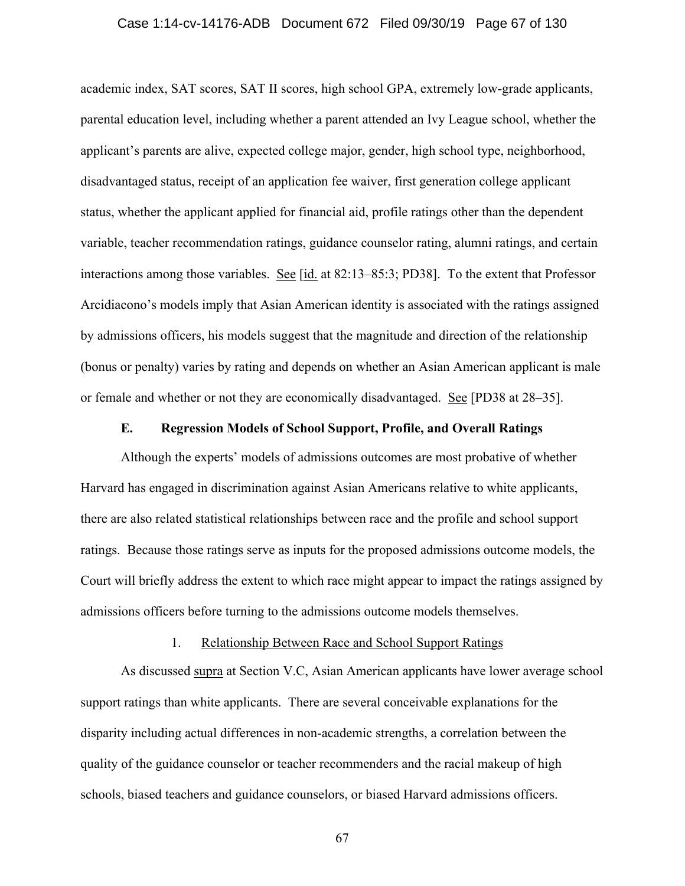### Case 1:14-cv-14176-ADB Document 672 Filed 09/30/19 Page 67 of 130

academic index, SAT scores, SAT II scores, high school GPA, extremely low-grade applicants, parental education level, including whether a parent attended an Ivy League school, whether the applicant's parents are alive, expected college major, gender, high school type, neighborhood, disadvantaged status, receipt of an application fee waiver, first generation college applicant status, whether the applicant applied for financial aid, profile ratings other than the dependent variable, teacher recommendation ratings, guidance counselor rating, alumni ratings, and certain interactions among those variables. See [id. at 82:13–85:3; PD38]. To the extent that Professor Arcidiacono's models imply that Asian American identity is associated with the ratings assigned by admissions officers, his models suggest that the magnitude and direction of the relationship (bonus or penalty) varies by rating and depends on whether an Asian American applicant is male or female and whether or not they are economically disadvantaged. See [PD38 at 28–35].

## **E. Regression Models of School Support, Profile, and Overall Ratings**

Although the experts' models of admissions outcomes are most probative of whether Harvard has engaged in discrimination against Asian Americans relative to white applicants, there are also related statistical relationships between race and the profile and school support ratings. Because those ratings serve as inputs for the proposed admissions outcome models, the Court will briefly address the extent to which race might appear to impact the ratings assigned by admissions officers before turning to the admissions outcome models themselves.

# 1. Relationship Between Race and School Support Ratings

As discussed supra at Section V.C, Asian American applicants have lower average school support ratings than white applicants. There are several conceivable explanations for the disparity including actual differences in non-academic strengths, a correlation between the quality of the guidance counselor or teacher recommenders and the racial makeup of high schools, biased teachers and guidance counselors, or biased Harvard admissions officers.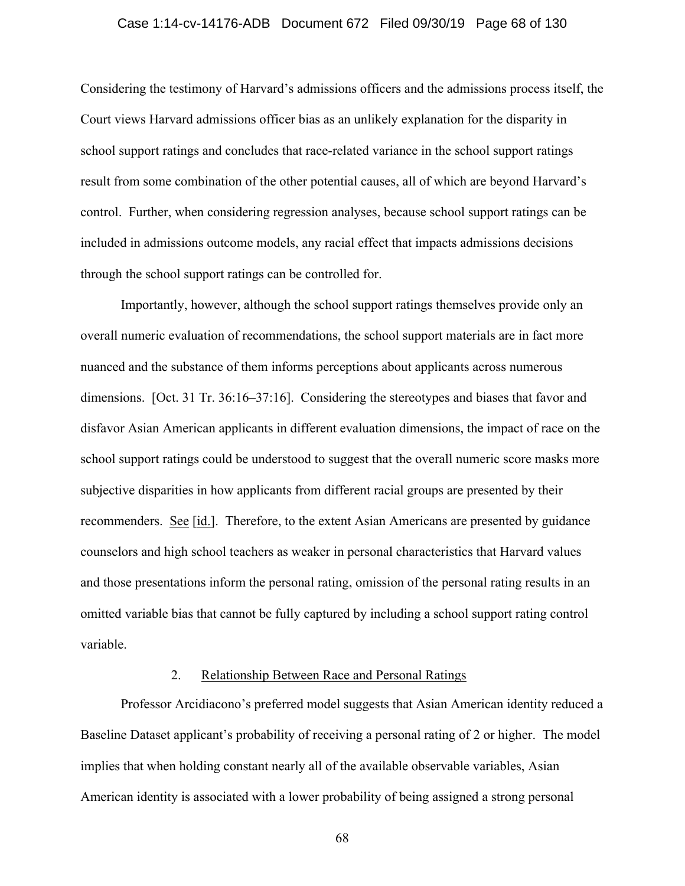### Case 1:14-cv-14176-ADB Document 672 Filed 09/30/19 Page 68 of 130

Considering the testimony of Harvard's admissions officers and the admissions process itself, the Court views Harvard admissions officer bias as an unlikely explanation for the disparity in school support ratings and concludes that race-related variance in the school support ratings result from some combination of the other potential causes, all of which are beyond Harvard's control. Further, when considering regression analyses, because school support ratings can be included in admissions outcome models, any racial effect that impacts admissions decisions through the school support ratings can be controlled for.

Importantly, however, although the school support ratings themselves provide only an overall numeric evaluation of recommendations, the school support materials are in fact more nuanced and the substance of them informs perceptions about applicants across numerous dimensions. [Oct. 31 Tr. 36:16–37:16]. Considering the stereotypes and biases that favor and disfavor Asian American applicants in different evaluation dimensions, the impact of race on the school support ratings could be understood to suggest that the overall numeric score masks more subjective disparities in how applicants from different racial groups are presented by their recommenders. See [id.]. Therefore, to the extent Asian Americans are presented by guidance counselors and high school teachers as weaker in personal characteristics that Harvard values and those presentations inform the personal rating, omission of the personal rating results in an omitted variable bias that cannot be fully captured by including a school support rating control variable.

# 2. Relationship Between Race and Personal Ratings

Professor Arcidiacono's preferred model suggests that Asian American identity reduced a Baseline Dataset applicant's probability of receiving a personal rating of 2 or higher. The model implies that when holding constant nearly all of the available observable variables, Asian American identity is associated with a lower probability of being assigned a strong personal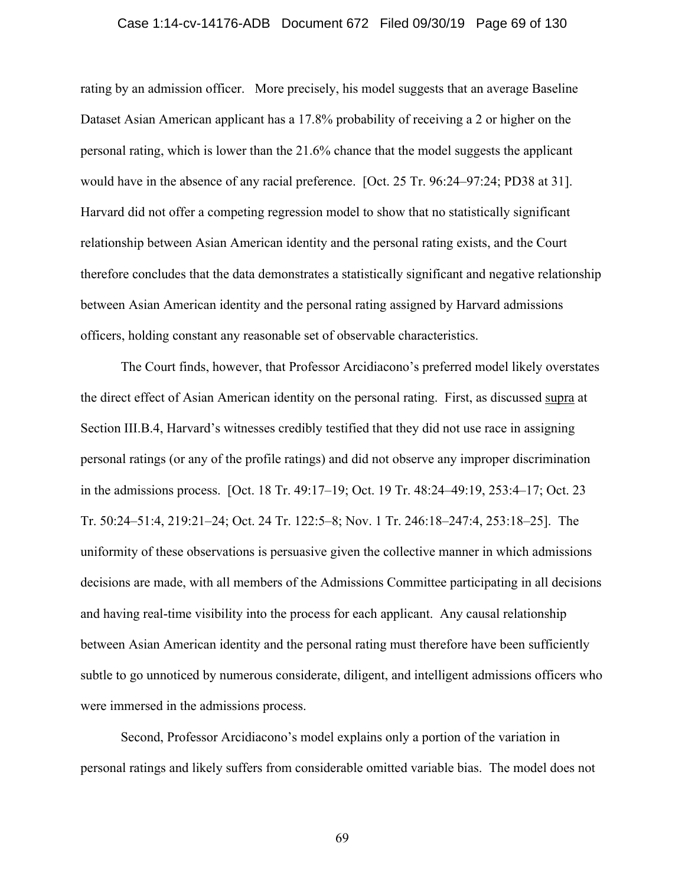### Case 1:14-cv-14176-ADB Document 672 Filed 09/30/19 Page 69 of 130

rating by an admission officer. More precisely, his model suggests that an average Baseline Dataset Asian American applicant has a 17.8% probability of receiving a 2 or higher on the personal rating, which is lower than the 21.6% chance that the model suggests the applicant would have in the absence of any racial preference. [Oct. 25 Tr. 96:24–97:24; PD38 at 31]. Harvard did not offer a competing regression model to show that no statistically significant relationship between Asian American identity and the personal rating exists, and the Court therefore concludes that the data demonstrates a statistically significant and negative relationship between Asian American identity and the personal rating assigned by Harvard admissions officers, holding constant any reasonable set of observable characteristics.

The Court finds, however, that Professor Arcidiacono's preferred model likely overstates the direct effect of Asian American identity on the personal rating. First, as discussed supra at Section III.B.4, Harvard's witnesses credibly testified that they did not use race in assigning personal ratings (or any of the profile ratings) and did not observe any improper discrimination in the admissions process. [Oct. 18 Tr. 49:17–19; Oct. 19 Tr. 48:24–49:19, 253:4–17; Oct. 23 Tr. 50:24–51:4, 219:21–24; Oct. 24 Tr. 122:5–8; Nov. 1 Tr. 246:18–247:4, 253:18–25]. The uniformity of these observations is persuasive given the collective manner in which admissions decisions are made, with all members of the Admissions Committee participating in all decisions and having real-time visibility into the process for each applicant. Any causal relationship between Asian American identity and the personal rating must therefore have been sufficiently subtle to go unnoticed by numerous considerate, diligent, and intelligent admissions officers who were immersed in the admissions process.

Second, Professor Arcidiacono's model explains only a portion of the variation in personal ratings and likely suffers from considerable omitted variable bias. The model does not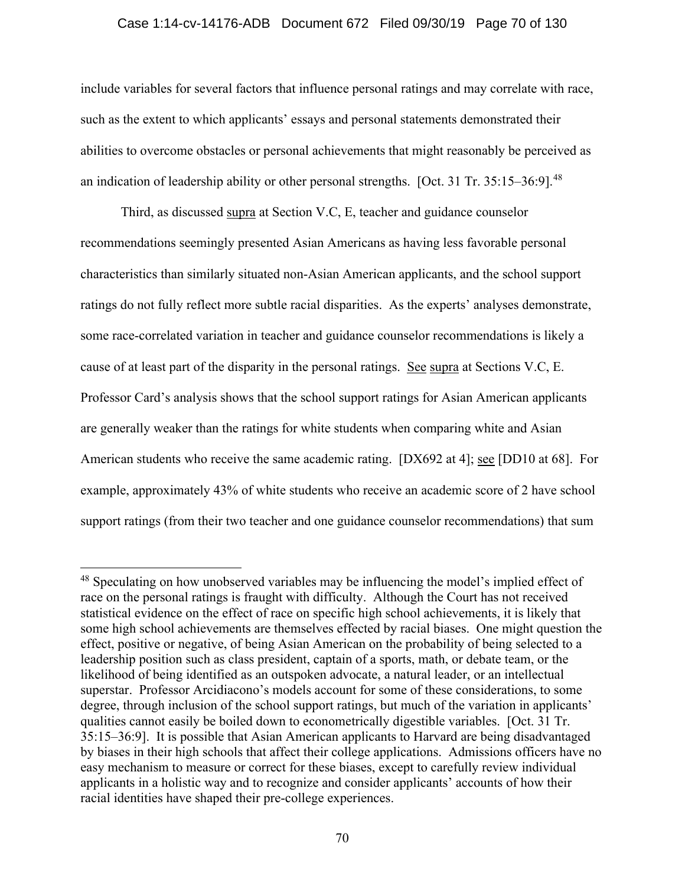### Case 1:14-cv-14176-ADB Document 672 Filed 09/30/19 Page 70 of 130

include variables for several factors that influence personal ratings and may correlate with race, such as the extent to which applicants' essays and personal statements demonstrated their abilities to overcome obstacles or personal achievements that might reasonably be perceived as an indication of leadership ability or other personal strengths. [Oct. 31 Tr.  $35:15-36:91$ .<sup>48</sup>

Third, as discussed supra at Section V.C, E, teacher and guidance counselor recommendations seemingly presented Asian Americans as having less favorable personal characteristics than similarly situated non-Asian American applicants, and the school support ratings do not fully reflect more subtle racial disparities. As the experts' analyses demonstrate, some race-correlated variation in teacher and guidance counselor recommendations is likely a cause of at least part of the disparity in the personal ratings. See supra at Sections V.C, E. Professor Card's analysis shows that the school support ratings for Asian American applicants are generally weaker than the ratings for white students when comparing white and Asian American students who receive the same academic rating. [DX692 at 4]; see [DD10 at 68]. For example, approximately 43% of white students who receive an academic score of 2 have school support ratings (from their two teacher and one guidance counselor recommendations) that sum

<sup>&</sup>lt;sup>48</sup> Speculating on how unobserved variables may be influencing the model's implied effect of race on the personal ratings is fraught with difficulty. Although the Court has not received statistical evidence on the effect of race on specific high school achievements, it is likely that some high school achievements are themselves effected by racial biases. One might question the effect, positive or negative, of being Asian American on the probability of being selected to a leadership position such as class president, captain of a sports, math, or debate team, or the likelihood of being identified as an outspoken advocate, a natural leader, or an intellectual superstar. Professor Arcidiacono's models account for some of these considerations, to some degree, through inclusion of the school support ratings, but much of the variation in applicants' qualities cannot easily be boiled down to econometrically digestible variables. [Oct. 31 Tr. 35:15–36:9]. It is possible that Asian American applicants to Harvard are being disadvantaged by biases in their high schools that affect their college applications. Admissions officers have no easy mechanism to measure or correct for these biases, except to carefully review individual applicants in a holistic way and to recognize and consider applicants' accounts of how their racial identities have shaped their pre-college experiences.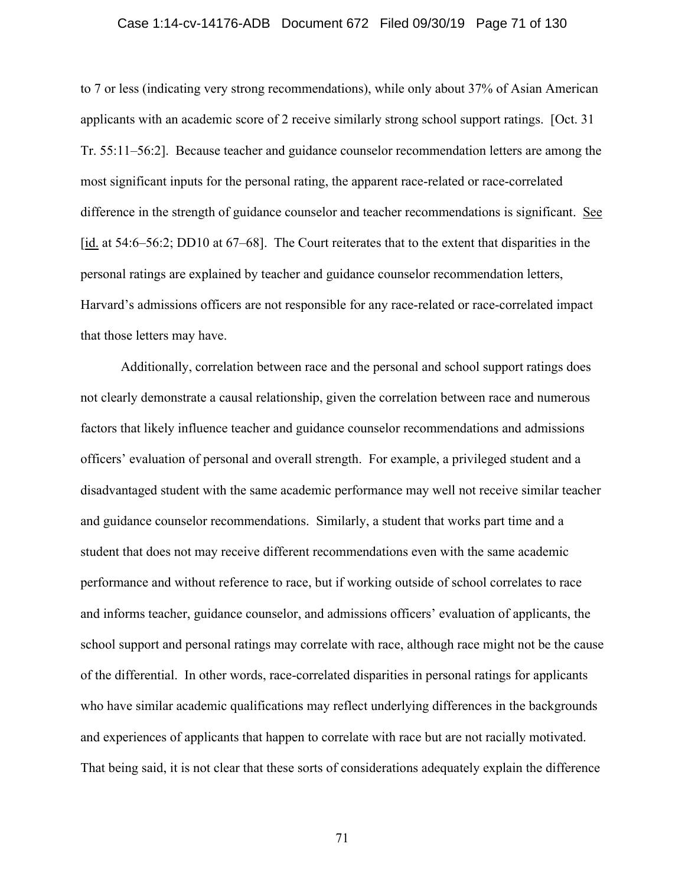### Case 1:14-cv-14176-ADB Document 672 Filed 09/30/19 Page 71 of 130

to 7 or less (indicating very strong recommendations), while only about 37% of Asian American applicants with an academic score of 2 receive similarly strong school support ratings. [Oct. 31 Tr. 55:11–56:2]. Because teacher and guidance counselor recommendation letters are among the most significant inputs for the personal rating, the apparent race-related or race-correlated difference in the strength of guidance counselor and teacher recommendations is significant. See [id. at 54:6–56:2; DD10 at 67–68]. The Court reiterates that to the extent that disparities in the personal ratings are explained by teacher and guidance counselor recommendation letters, Harvard's admissions officers are not responsible for any race-related or race-correlated impact that those letters may have.

Additionally, correlation between race and the personal and school support ratings does not clearly demonstrate a causal relationship, given the correlation between race and numerous factors that likely influence teacher and guidance counselor recommendations and admissions officers' evaluation of personal and overall strength. For example, a privileged student and a disadvantaged student with the same academic performance may well not receive similar teacher and guidance counselor recommendations. Similarly, a student that works part time and a student that does not may receive different recommendations even with the same academic performance and without reference to race, but if working outside of school correlates to race and informs teacher, guidance counselor, and admissions officers' evaluation of applicants, the school support and personal ratings may correlate with race, although race might not be the cause of the differential. In other words, race-correlated disparities in personal ratings for applicants who have similar academic qualifications may reflect underlying differences in the backgrounds and experiences of applicants that happen to correlate with race but are not racially motivated. That being said, it is not clear that these sorts of considerations adequately explain the difference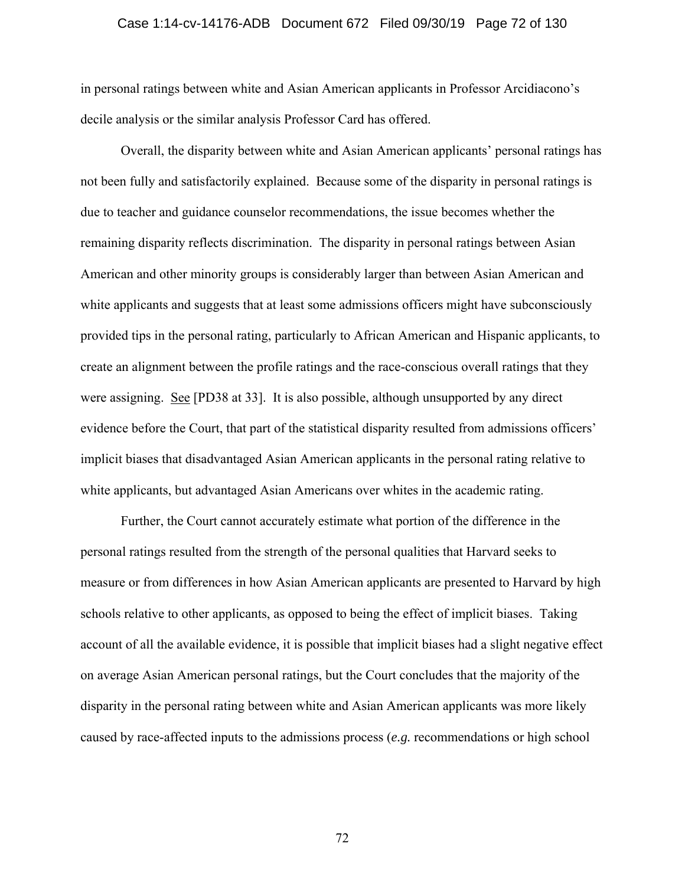### Case 1:14-cv-14176-ADB Document 672 Filed 09/30/19 Page 72 of 130

in personal ratings between white and Asian American applicants in Professor Arcidiacono's decile analysis or the similar analysis Professor Card has offered.

Overall, the disparity between white and Asian American applicants' personal ratings has not been fully and satisfactorily explained. Because some of the disparity in personal ratings is due to teacher and guidance counselor recommendations, the issue becomes whether the remaining disparity reflects discrimination. The disparity in personal ratings between Asian American and other minority groups is considerably larger than between Asian American and white applicants and suggests that at least some admissions officers might have subconsciously provided tips in the personal rating, particularly to African American and Hispanic applicants, to create an alignment between the profile ratings and the race-conscious overall ratings that they were assigning. See [PD38 at 33]. It is also possible, although unsupported by any direct evidence before the Court, that part of the statistical disparity resulted from admissions officers' implicit biases that disadvantaged Asian American applicants in the personal rating relative to white applicants, but advantaged Asian Americans over whites in the academic rating.

Further, the Court cannot accurately estimate what portion of the difference in the personal ratings resulted from the strength of the personal qualities that Harvard seeks to measure or from differences in how Asian American applicants are presented to Harvard by high schools relative to other applicants, as opposed to being the effect of implicit biases. Taking account of all the available evidence, it is possible that implicit biases had a slight negative effect on average Asian American personal ratings, but the Court concludes that the majority of the disparity in the personal rating between white and Asian American applicants was more likely caused by race-affected inputs to the admissions process (*e.g.* recommendations or high school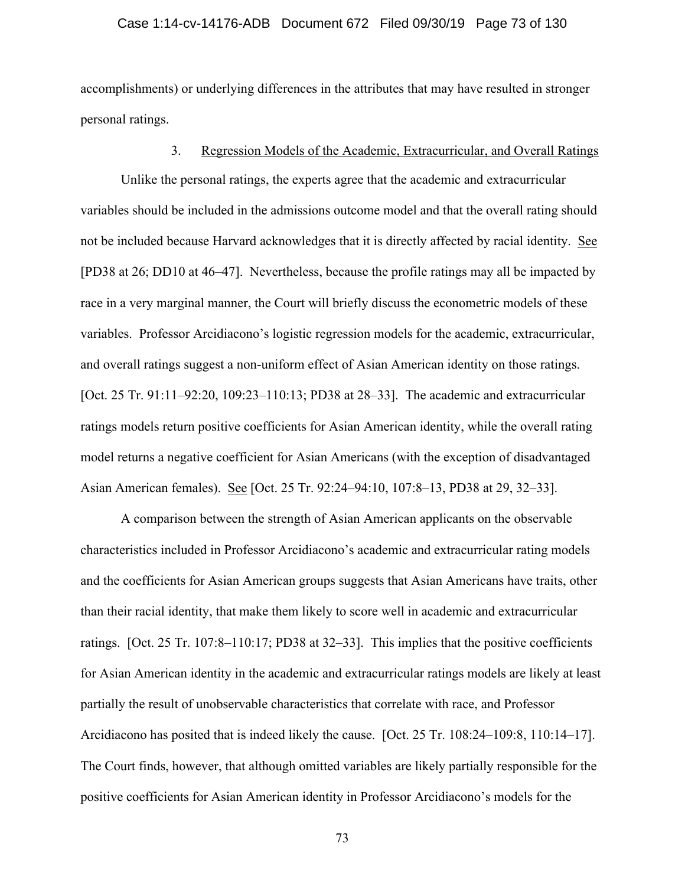### Case 1:14-cv-14176-ADB Document 672 Filed 09/30/19 Page 73 of 130

accomplishments) or underlying differences in the attributes that may have resulted in stronger personal ratings.

## 3. Regression Models of the Academic, Extracurricular, and Overall Ratings

Unlike the personal ratings, the experts agree that the academic and extracurricular variables should be included in the admissions outcome model and that the overall rating should not be included because Harvard acknowledges that it is directly affected by racial identity. See [PD38 at 26; DD10 at 46–47]. Nevertheless, because the profile ratings may all be impacted by race in a very marginal manner, the Court will briefly discuss the econometric models of these variables. Professor Arcidiacono's logistic regression models for the academic, extracurricular, and overall ratings suggest a non-uniform effect of Asian American identity on those ratings. [Oct. 25 Tr. 91:11–92:20, 109:23–110:13; PD38 at 28–33]. The academic and extracurricular ratings models return positive coefficients for Asian American identity, while the overall rating model returns a negative coefficient for Asian Americans (with the exception of disadvantaged Asian American females). See [Oct. 25 Tr. 92:24–94:10, 107:8–13, PD38 at 29, 32–33].

A comparison between the strength of Asian American applicants on the observable characteristics included in Professor Arcidiacono's academic and extracurricular rating models and the coefficients for Asian American groups suggests that Asian Americans have traits, other than their racial identity, that make them likely to score well in academic and extracurricular ratings. [Oct. 25 Tr. 107:8–110:17; PD38 at 32–33]. This implies that the positive coefficients for Asian American identity in the academic and extracurricular ratings models are likely at least partially the result of unobservable characteristics that correlate with race, and Professor Arcidiacono has posited that is indeed likely the cause. [Oct. 25 Tr. 108:24–109:8, 110:14–17]. The Court finds, however, that although omitted variables are likely partially responsible for the positive coefficients for Asian American identity in Professor Arcidiacono's models for the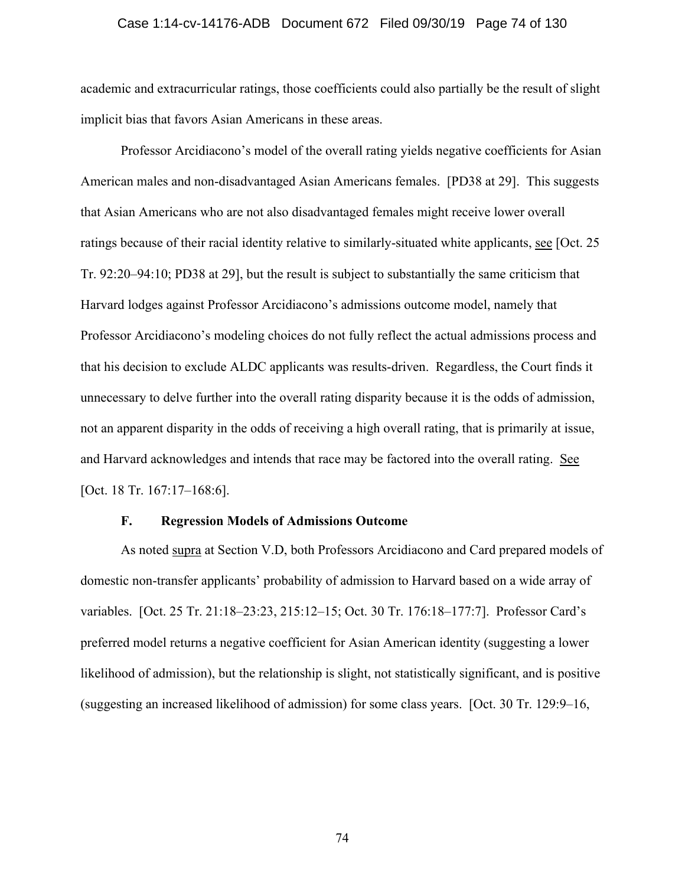#### Case 1:14-cv-14176-ADB Document 672 Filed 09/30/19 Page 74 of 130

academic and extracurricular ratings, those coefficients could also partially be the result of slight implicit bias that favors Asian Americans in these areas.

Professor Arcidiacono's model of the overall rating yields negative coefficients for Asian American males and non-disadvantaged Asian Americans females. [PD38 at 29]. This suggests that Asian Americans who are not also disadvantaged females might receive lower overall ratings because of their racial identity relative to similarly-situated white applicants, see [Oct. 25 Tr. 92:20–94:10; PD38 at 29], but the result is subject to substantially the same criticism that Harvard lodges against Professor Arcidiacono's admissions outcome model, namely that Professor Arcidiacono's modeling choices do not fully reflect the actual admissions process and that his decision to exclude ALDC applicants was results-driven. Regardless, the Court finds it unnecessary to delve further into the overall rating disparity because it is the odds of admission, not an apparent disparity in the odds of receiving a high overall rating, that is primarily at issue, and Harvard acknowledges and intends that race may be factored into the overall rating. See [Oct. 18 Tr. 167:17-168:6].

#### **F. Regression Models of Admissions Outcome**

As noted supra at Section V.D, both Professors Arcidiacono and Card prepared models of domestic non-transfer applicants' probability of admission to Harvard based on a wide array of variables. [Oct. 25 Tr. 21:18–23:23, 215:12–15; Oct. 30 Tr. 176:18–177:7]. Professor Card's preferred model returns a negative coefficient for Asian American identity (suggesting a lower likelihood of admission), but the relationship is slight, not statistically significant, and is positive (suggesting an increased likelihood of admission) for some class years. [Oct. 30 Tr. 129:9–16,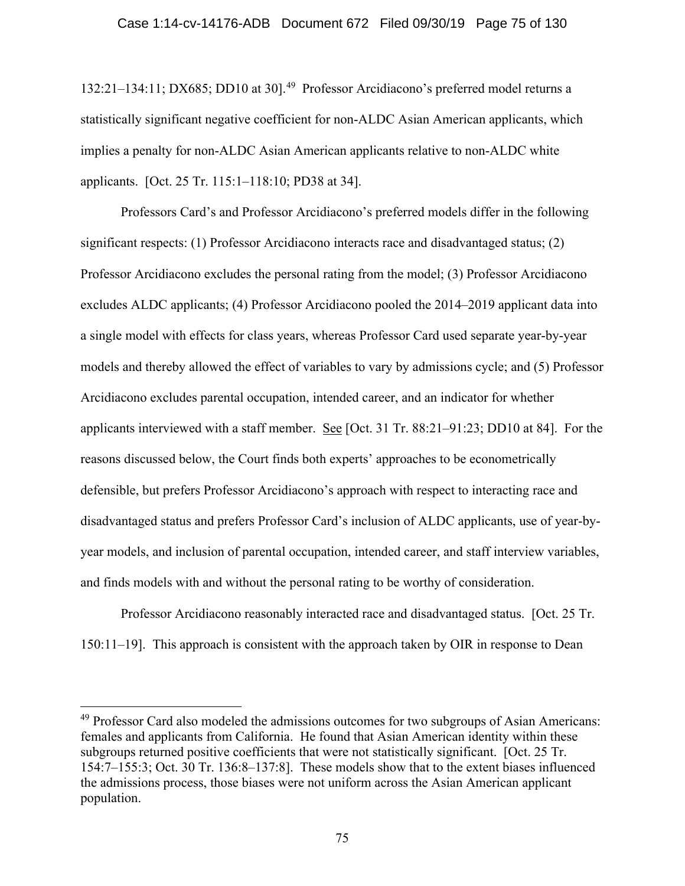132:21-134:11; DX685; DD10 at 30].<sup>49</sup> Professor Arcidiacono's preferred model returns a statistically significant negative coefficient for non-ALDC Asian American applicants, which implies a penalty for non-ALDC Asian American applicants relative to non-ALDC white applicants. [Oct. 25 Tr. 115:1–118:10; PD38 at 34].

Professors Card's and Professor Arcidiacono's preferred models differ in the following significant respects: (1) Professor Arcidiacono interacts race and disadvantaged status; (2) Professor Arcidiacono excludes the personal rating from the model; (3) Professor Arcidiacono excludes ALDC applicants; (4) Professor Arcidiacono pooled the 2014–2019 applicant data into a single model with effects for class years, whereas Professor Card used separate year-by-year models and thereby allowed the effect of variables to vary by admissions cycle; and (5) Professor Arcidiacono excludes parental occupation, intended career, and an indicator for whether applicants interviewed with a staff member. See [Oct. 31 Tr. 88:21–91:23; DD10 at 84]. For the reasons discussed below, the Court finds both experts' approaches to be econometrically defensible, but prefers Professor Arcidiacono's approach with respect to interacting race and disadvantaged status and prefers Professor Card's inclusion of ALDC applicants, use of year-byyear models, and inclusion of parental occupation, intended career, and staff interview variables, and finds models with and without the personal rating to be worthy of consideration.

Professor Arcidiacono reasonably interacted race and disadvantaged status. [Oct. 25 Tr. 150:11–19]. This approach is consistent with the approach taken by OIR in response to Dean

<sup>&</sup>lt;sup>49</sup> Professor Card also modeled the admissions outcomes for two subgroups of Asian Americans: females and applicants from California. He found that Asian American identity within these subgroups returned positive coefficients that were not statistically significant. [Oct. 25 Tr. 154:7–155:3; Oct. 30 Tr. 136:8–137:8]. These models show that to the extent biases influenced the admissions process, those biases were not uniform across the Asian American applicant population.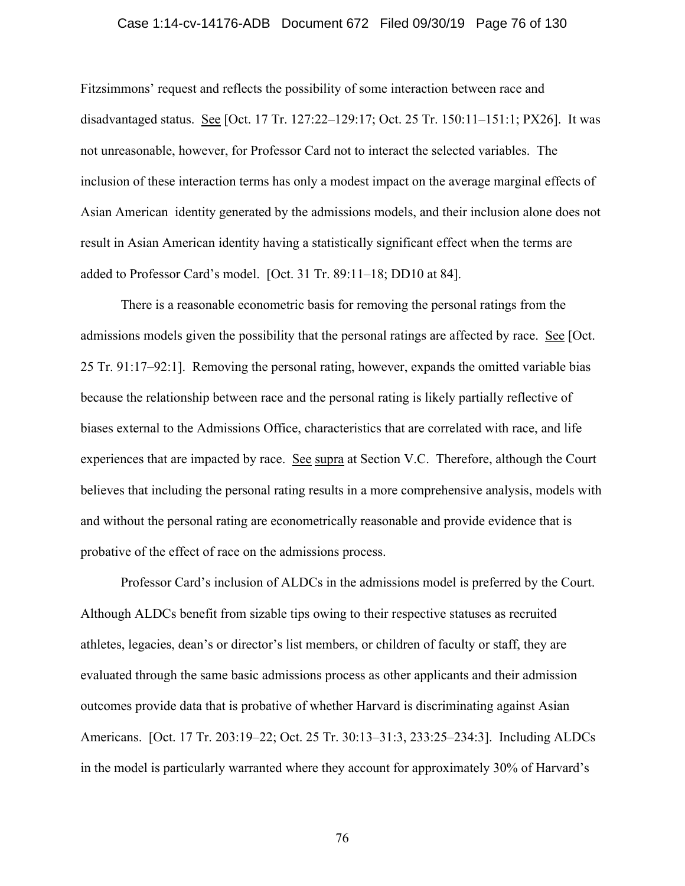#### Case 1:14-cv-14176-ADB Document 672 Filed 09/30/19 Page 76 of 130

Fitzsimmons' request and reflects the possibility of some interaction between race and disadvantaged status. See [Oct. 17 Tr. 127:22–129:17; Oct. 25 Tr. 150:11–151:1; PX26]. It was not unreasonable, however, for Professor Card not to interact the selected variables. The inclusion of these interaction terms has only a modest impact on the average marginal effects of Asian American identity generated by the admissions models, and their inclusion alone does not result in Asian American identity having a statistically significant effect when the terms are added to Professor Card's model. [Oct. 31 Tr. 89:11–18; DD10 at 84].

There is a reasonable econometric basis for removing the personal ratings from the admissions models given the possibility that the personal ratings are affected by race. See [Oct. 25 Tr. 91:17–92:1]. Removing the personal rating, however, expands the omitted variable bias because the relationship between race and the personal rating is likely partially reflective of biases external to the Admissions Office, characteristics that are correlated with race, and life experiences that are impacted by race. See supra at Section V.C. Therefore, although the Court believes that including the personal rating results in a more comprehensive analysis, models with and without the personal rating are econometrically reasonable and provide evidence that is probative of the effect of race on the admissions process.

 Professor Card's inclusion of ALDCs in the admissions model is preferred by the Court. Although ALDCs benefit from sizable tips owing to their respective statuses as recruited athletes, legacies, dean's or director's list members, or children of faculty or staff, they are evaluated through the same basic admissions process as other applicants and their admission outcomes provide data that is probative of whether Harvard is discriminating against Asian Americans. [Oct. 17 Tr. 203:19–22; Oct. 25 Tr. 30:13–31:3, 233:25–234:3]. Including ALDCs in the model is particularly warranted where they account for approximately 30% of Harvard's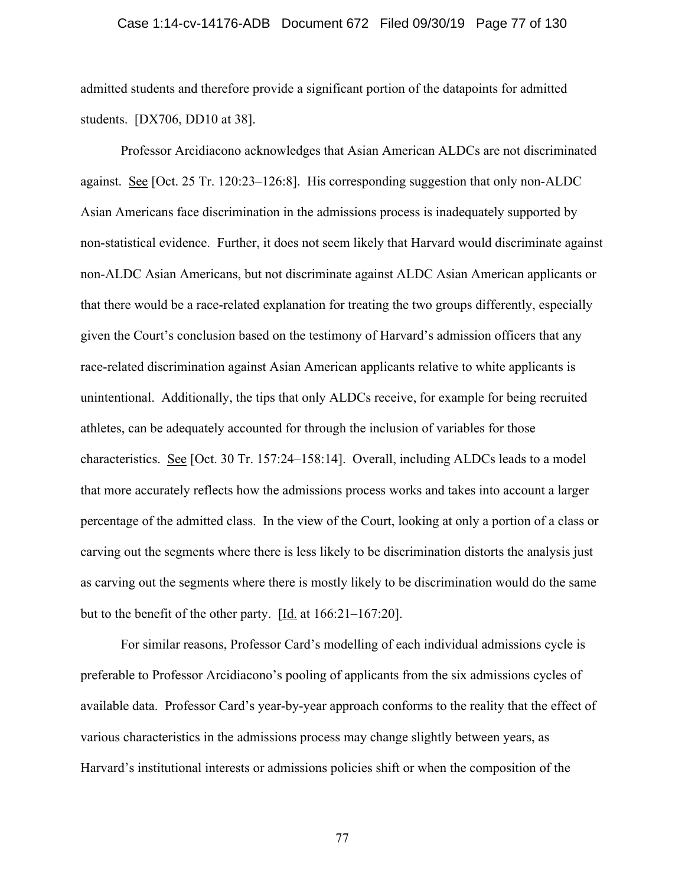#### Case 1:14-cv-14176-ADB Document 672 Filed 09/30/19 Page 77 of 130

admitted students and therefore provide a significant portion of the datapoints for admitted students. [DX706, DD10 at 38].

Professor Arcidiacono acknowledges that Asian American ALDCs are not discriminated against. See [Oct. 25 Tr. 120:23–126:8]. His corresponding suggestion that only non-ALDC Asian Americans face discrimination in the admissions process is inadequately supported by non-statistical evidence. Further, it does not seem likely that Harvard would discriminate against non-ALDC Asian Americans, but not discriminate against ALDC Asian American applicants or that there would be a race-related explanation for treating the two groups differently, especially given the Court's conclusion based on the testimony of Harvard's admission officers that any race-related discrimination against Asian American applicants relative to white applicants is unintentional. Additionally, the tips that only ALDCs receive, for example for being recruited athletes, can be adequately accounted for through the inclusion of variables for those characteristics. See [Oct. 30 Tr. 157:24–158:14]. Overall, including ALDCs leads to a model that more accurately reflects how the admissions process works and takes into account a larger percentage of the admitted class. In the view of the Court, looking at only a portion of a class or carving out the segments where there is less likely to be discrimination distorts the analysis just as carving out the segments where there is mostly likely to be discrimination would do the same but to the benefit of the other party. [Id. at 166:21–167:20].

 For similar reasons, Professor Card's modelling of each individual admissions cycle is preferable to Professor Arcidiacono's pooling of applicants from the six admissions cycles of available data. Professor Card's year-by-year approach conforms to the reality that the effect of various characteristics in the admissions process may change slightly between years, as Harvard's institutional interests or admissions policies shift or when the composition of the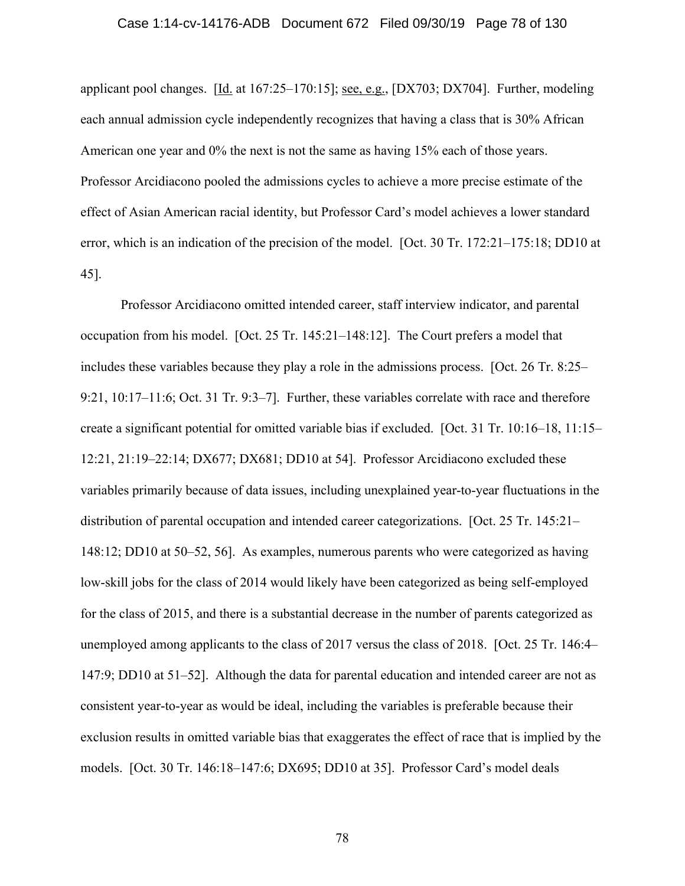applicant pool changes.  $[\underline{Id}]$  at 167:25–170:15]; <u>see, e.g.</u>, [DX703; DX704]. Further, modeling each annual admission cycle independently recognizes that having a class that is 30% African American one year and  $0\%$  the next is not the same as having 15% each of those years. Professor Arcidiacono pooled the admissions cycles to achieve a more precise estimate of the effect of Asian American racial identity, but Professor Card's model achieves a lower standard error, which is an indication of the precision of the model. [Oct. 30 Tr. 172:21–175:18; DD10 at 45].

 Professor Arcidiacono omitted intended career, staff interview indicator, and parental occupation from his model. [Oct. 25 Tr. 145:21–148:12]. The Court prefers a model that includes these variables because they play a role in the admissions process. [Oct. 26 Tr. 8:25– 9:21, 10:17–11:6; Oct. 31 Tr. 9:3–7]. Further, these variables correlate with race and therefore create a significant potential for omitted variable bias if excluded. [Oct. 31 Tr. 10:16–18, 11:15– 12:21, 21:19–22:14; DX677; DX681; DD10 at 54]. Professor Arcidiacono excluded these variables primarily because of data issues, including unexplained year-to-year fluctuations in the distribution of parental occupation and intended career categorizations. [Oct. 25 Tr. 145:21– 148:12; DD10 at 50–52, 56]. As examples, numerous parents who were categorized as having low-skill jobs for the class of 2014 would likely have been categorized as being self-employed for the class of 2015, and there is a substantial decrease in the number of parents categorized as unemployed among applicants to the class of 2017 versus the class of 2018. [Oct. 25 Tr. 146:4– 147:9; DD10 at 51–52]. Although the data for parental education and intended career are not as consistent year-to-year as would be ideal, including the variables is preferable because their exclusion results in omitted variable bias that exaggerates the effect of race that is implied by the models. [Oct. 30 Tr. 146:18–147:6; DX695; DD10 at 35]. Professor Card's model deals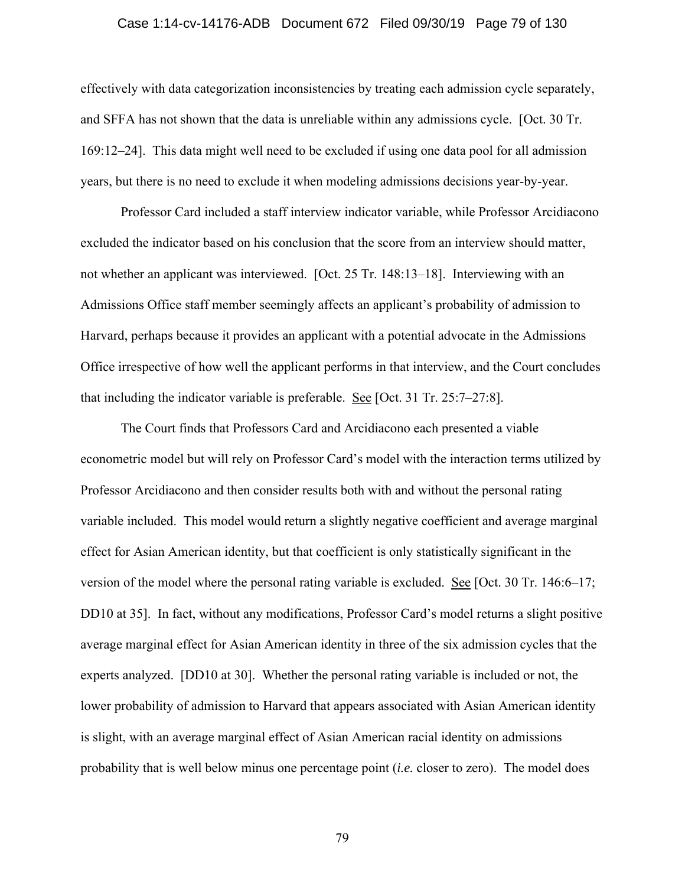#### Case 1:14-cv-14176-ADB Document 672 Filed 09/30/19 Page 79 of 130

effectively with data categorization inconsistencies by treating each admission cycle separately, and SFFA has not shown that the data is unreliable within any admissions cycle. [Oct. 30 Tr. 169:12–24]. This data might well need to be excluded if using one data pool for all admission years, but there is no need to exclude it when modeling admissions decisions year-by-year.

Professor Card included a staff interview indicator variable, while Professor Arcidiacono excluded the indicator based on his conclusion that the score from an interview should matter, not whether an applicant was interviewed. [Oct. 25 Tr. 148:13–18]. Interviewing with an Admissions Office staff member seemingly affects an applicant's probability of admission to Harvard, perhaps because it provides an applicant with a potential advocate in the Admissions Office irrespective of how well the applicant performs in that interview, and the Court concludes that including the indicator variable is preferable. See [Oct. 31 Tr. 25:7–27:8].

The Court finds that Professors Card and Arcidiacono each presented a viable econometric model but will rely on Professor Card's model with the interaction terms utilized by Professor Arcidiacono and then consider results both with and without the personal rating variable included. This model would return a slightly negative coefficient and average marginal effect for Asian American identity, but that coefficient is only statistically significant in the version of the model where the personal rating variable is excluded. See [Oct. 30 Tr. 146:6–17; DD10 at 35]. In fact, without any modifications, Professor Card's model returns a slight positive average marginal effect for Asian American identity in three of the six admission cycles that the experts analyzed. [DD10 at 30]. Whether the personal rating variable is included or not, the lower probability of admission to Harvard that appears associated with Asian American identity is slight, with an average marginal effect of Asian American racial identity on admissions probability that is well below minus one percentage point (*i.e.* closer to zero). The model does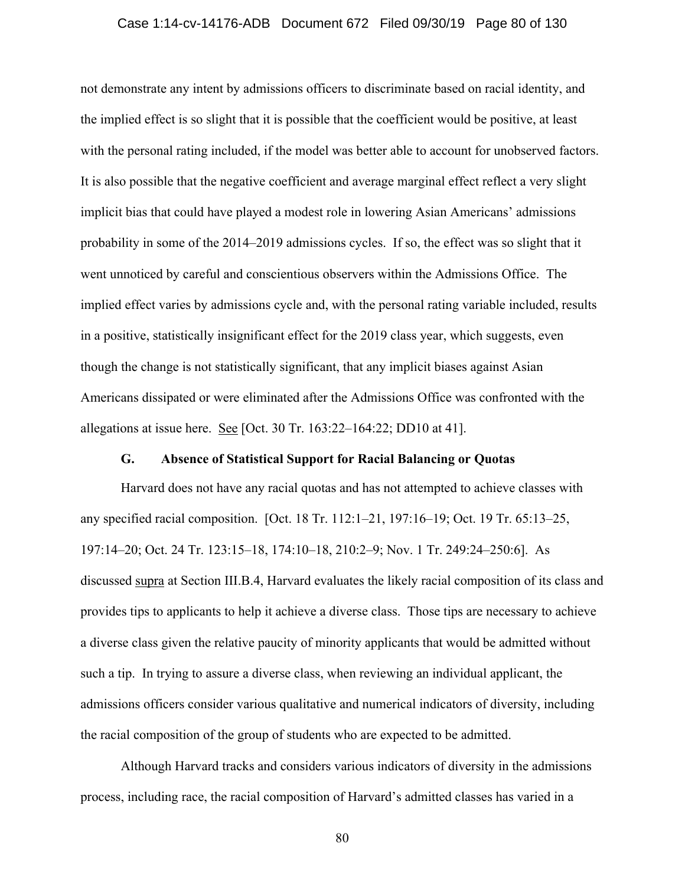### Case 1:14-cv-14176-ADB Document 672 Filed 09/30/19 Page 80 of 130

not demonstrate any intent by admissions officers to discriminate based on racial identity, and the implied effect is so slight that it is possible that the coefficient would be positive, at least with the personal rating included, if the model was better able to account for unobserved factors. It is also possible that the negative coefficient and average marginal effect reflect a very slight implicit bias that could have played a modest role in lowering Asian Americans' admissions probability in some of the 2014–2019 admissions cycles. If so, the effect was so slight that it went unnoticed by careful and conscientious observers within the Admissions Office. The implied effect varies by admissions cycle and, with the personal rating variable included, results in a positive, statistically insignificant effect for the 2019 class year, which suggests, even though the change is not statistically significant, that any implicit biases against Asian Americans dissipated or were eliminated after the Admissions Office was confronted with the allegations at issue here. See [Oct. 30 Tr. 163:22–164:22; DD10 at 41].

## **G. Absence of Statistical Support for Racial Balancing or Quotas**

Harvard does not have any racial quotas and has not attempted to achieve classes with any specified racial composition. [Oct. 18 Tr. 112:1–21, 197:16–19; Oct. 19 Tr. 65:13–25, 197:14–20; Oct. 24 Tr. 123:15–18, 174:10–18, 210:2–9; Nov. 1 Tr. 249:24–250:6]. As discussed supra at Section III.B.4, Harvard evaluates the likely racial composition of its class and provides tips to applicants to help it achieve a diverse class. Those tips are necessary to achieve a diverse class given the relative paucity of minority applicants that would be admitted without such a tip. In trying to assure a diverse class, when reviewing an individual applicant, the admissions officers consider various qualitative and numerical indicators of diversity, including the racial composition of the group of students who are expected to be admitted.

Although Harvard tracks and considers various indicators of diversity in the admissions process, including race, the racial composition of Harvard's admitted classes has varied in a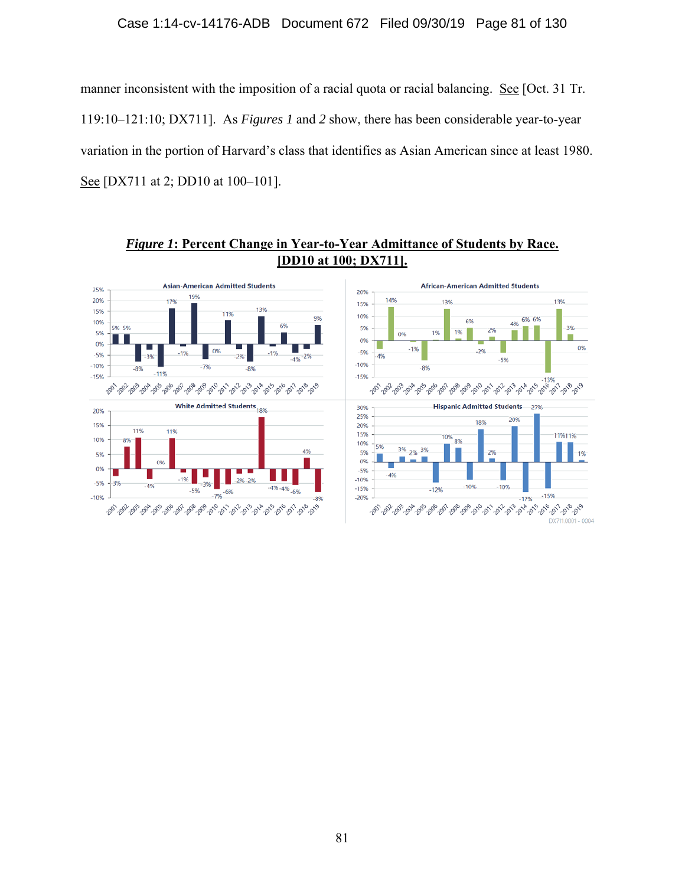# Case 1:14-cv-14176-ADB Document 672 Filed 09/30/19 Page 81 of 130

manner inconsistent with the imposition of a racial quota or racial balancing. See [Oct. 31 Tr. 119:10–121:10; DX711]. As *Figures 1* and *2* show, there has been considerable year-to-year variation in the portion of Harvard's class that identifies as Asian American since at least 1980. See [DX711 at 2; DD10 at 100–101].

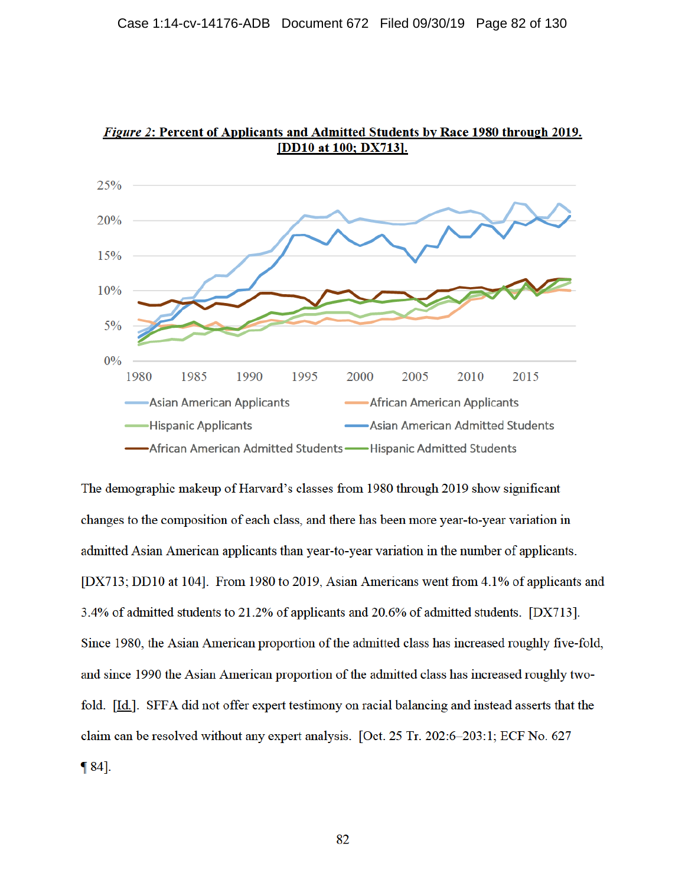

Figure 2: Percent of Applicants and Admitted Students by Race 1980 through 2019. [DD10 at 100; DX713].

The demographic makeup of Harvard's classes from 1980 through 2019 show significant changes to the composition of each class, and there has been more year-to-year variation in admitted Asian American applicants than year-to-year variation in the number of applicants. [DX713; DD10 at 104]. From 1980 to 2019, Asian Americans went from 4.1% of applicants and 3.4% of admitted students to 21.2% of applicants and 20.6% of admitted students. [DX713]. Since 1980, the Asian American proportion of the admitted class has increased roughly five-fold, and since 1990 the Asian American proportion of the admitted class has increased roughly twofold. [Id.]. SFFA did not offer expert testimony on racial balancing and instead asserts that the claim can be resolved without any expert analysis. [Oct. 25 Tr. 202:6-203:1; ECF No. 627  $\P 84$ .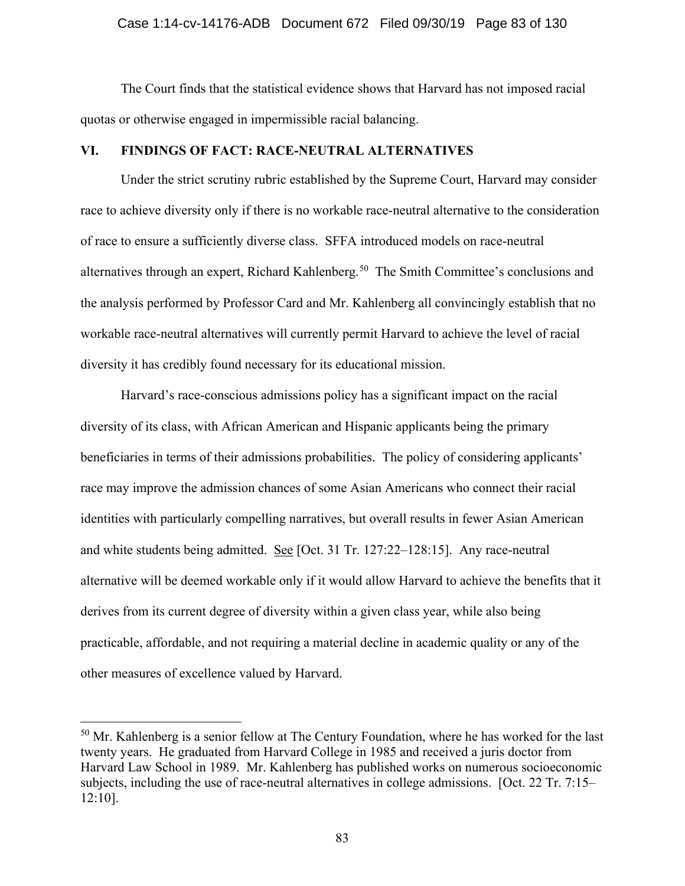### Case 1:14-cv-14176-ADB Document 672 Filed 09/30/19 Page 83 of 130

 The Court finds that the statistical evidence shows that Harvard has not imposed racial quotas or otherwise engaged in impermissible racial balancing.

## **VI. FINDINGS OF FACT: RACE-NEUTRAL ALTERNATIVES**

Under the strict scrutiny rubric established by the Supreme Court, Harvard may consider race to achieve diversity only if there is no workable race-neutral alternative to the consideration of race to ensure a sufficiently diverse class. SFFA introduced models on race-neutral alternatives through an expert, Richard Kahlenberg.<sup>50</sup> The Smith Committee's conclusions and the analysis performed by Professor Card and Mr. Kahlenberg all convincingly establish that no workable race-neutral alternatives will currently permit Harvard to achieve the level of racial diversity it has credibly found necessary for its educational mission.

Harvard's race-conscious admissions policy has a significant impact on the racial diversity of its class, with African American and Hispanic applicants being the primary beneficiaries in terms of their admissions probabilities. The policy of considering applicants' race may improve the admission chances of some Asian Americans who connect their racial identities with particularly compelling narratives, but overall results in fewer Asian American and white students being admitted. See [Oct. 31 Tr. 127:22–128:15]. Any race-neutral alternative will be deemed workable only if it would allow Harvard to achieve the benefits that it derives from its current degree of diversity within a given class year, while also being practicable, affordable, and not requiring a material decline in academic quality or any of the other measures of excellence valued by Harvard.

 $50$  Mr. Kahlenberg is a senior fellow at The Century Foundation, where he has worked for the last twenty years. He graduated from Harvard College in 1985 and received a juris doctor from Harvard Law School in 1989. Mr. Kahlenberg has published works on numerous socioeconomic subjects, including the use of race-neutral alternatives in college admissions. [Oct. 22 Tr. 7:15– 12:10].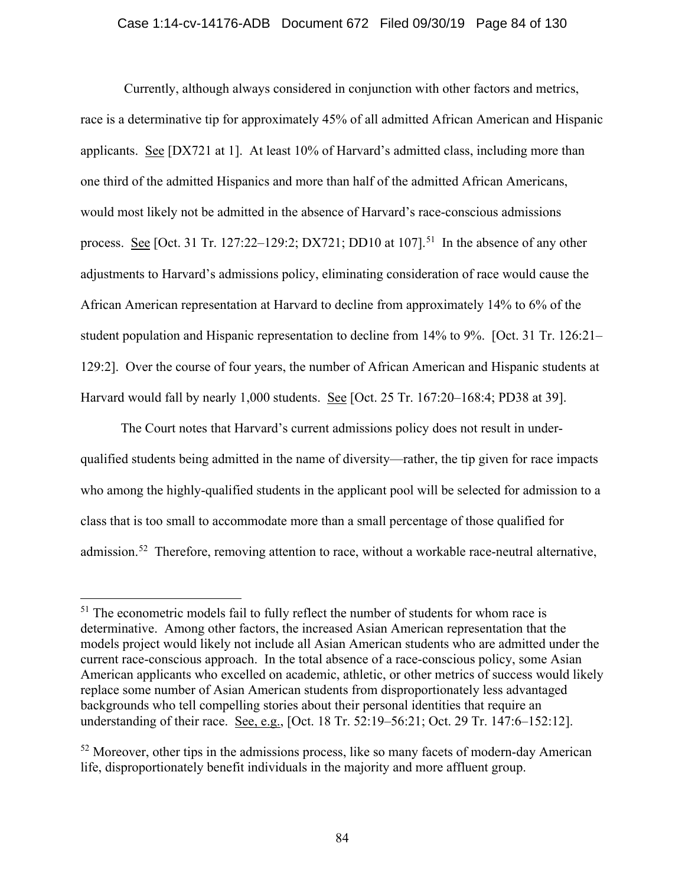## Case 1:14-cv-14176-ADB Document 672 Filed 09/30/19 Page 84 of 130

 Currently, although always considered in conjunction with other factors and metrics, race is a determinative tip for approximately 45% of all admitted African American and Hispanic applicants. See [DX721 at 1]. At least 10% of Harvard's admitted class, including more than one third of the admitted Hispanics and more than half of the admitted African Americans, would most likely not be admitted in the absence of Harvard's race-conscious admissions process. See [Oct. 31 Tr. 127:22–129:2; DX721; DD10 at 107].<sup>51</sup> In the absence of any other adjustments to Harvard's admissions policy, eliminating consideration of race would cause the African American representation at Harvard to decline from approximately 14% to 6% of the student population and Hispanic representation to decline from 14% to 9%. [Oct. 31 Tr. 126:21– 129:2]. Over the course of four years, the number of African American and Hispanic students at Harvard would fall by nearly 1,000 students. See [Oct. 25 Tr. 167:20–168:4; PD38 at 39].

The Court notes that Harvard's current admissions policy does not result in underqualified students being admitted in the name of diversity—rather, the tip given for race impacts who among the highly-qualified students in the applicant pool will be selected for admission to a class that is too small to accommodate more than a small percentage of those qualified for admission.<sup>52</sup> Therefore, removing attention to race, without a workable race-neutral alternative,

 $<sup>51</sup>$  The econometric models fail to fully reflect the number of students for whom race is</sup> determinative. Among other factors, the increased Asian American representation that the models project would likely not include all Asian American students who are admitted under the current race-conscious approach. In the total absence of a race-conscious policy, some Asian American applicants who excelled on academic, athletic, or other metrics of success would likely replace some number of Asian American students from disproportionately less advantaged backgrounds who tell compelling stories about their personal identities that require an understanding of their race. See, e.g., [Oct. 18 Tr. 52:19–56:21; Oct. 29 Tr. 147:6–152:12].

 $52$  Moreover, other tips in the admissions process, like so many facets of modern-day American life, disproportionately benefit individuals in the majority and more affluent group.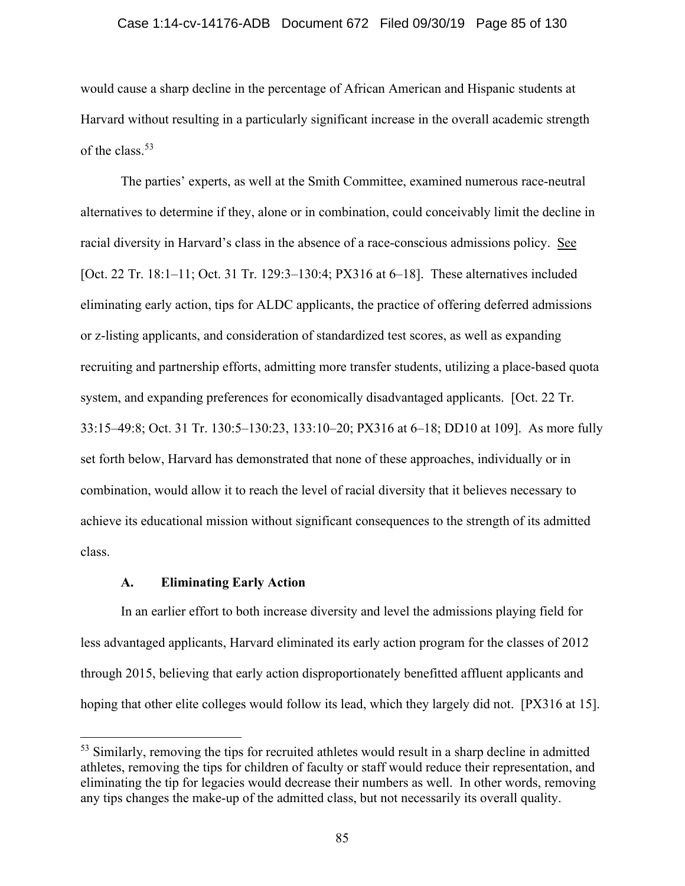#### Case 1:14-cv-14176-ADB Document 672 Filed 09/30/19 Page 85 of 130

would cause a sharp decline in the percentage of African American and Hispanic students at Harvard without resulting in a particularly significant increase in the overall academic strength of the class.<sup>53</sup>

The parties' experts, as well at the Smith Committee, examined numerous race-neutral alternatives to determine if they, alone or in combination, could conceivably limit the decline in racial diversity in Harvard's class in the absence of a race-conscious admissions policy. See [Oct. 22 Tr. 18:1–11; Oct. 31 Tr. 129:3–130:4; PX316 at 6–18]. These alternatives included eliminating early action, tips for ALDC applicants, the practice of offering deferred admissions or z-listing applicants, and consideration of standardized test scores, as well as expanding recruiting and partnership efforts, admitting more transfer students, utilizing a place-based quota system, and expanding preferences for economically disadvantaged applicants. [Oct. 22 Tr. 33:15–49:8; Oct. 31 Tr. 130:5–130:23, 133:10–20; PX316 at 6–18; DD10 at 109]. As more fully set forth below, Harvard has demonstrated that none of these approaches, individually or in combination, would allow it to reach the level of racial diversity that it believes necessary to achieve its educational mission without significant consequences to the strength of its admitted class.

## **A. Eliminating Early Action**

In an earlier effort to both increase diversity and level the admissions playing field for less advantaged applicants, Harvard eliminated its early action program for the classes of 2012 through 2015, believing that early action disproportionately benefitted affluent applicants and hoping that other elite colleges would follow its lead, which they largely did not. [PX316 at 15].

<sup>&</sup>lt;sup>53</sup> Similarly, removing the tips for recruited athletes would result in a sharp decline in admitted athletes, removing the tips for children of faculty or staff would reduce their representation, and eliminating the tip for legacies would decrease their numbers as well. In other words, removing any tips changes the make-up of the admitted class, but not necessarily its overall quality.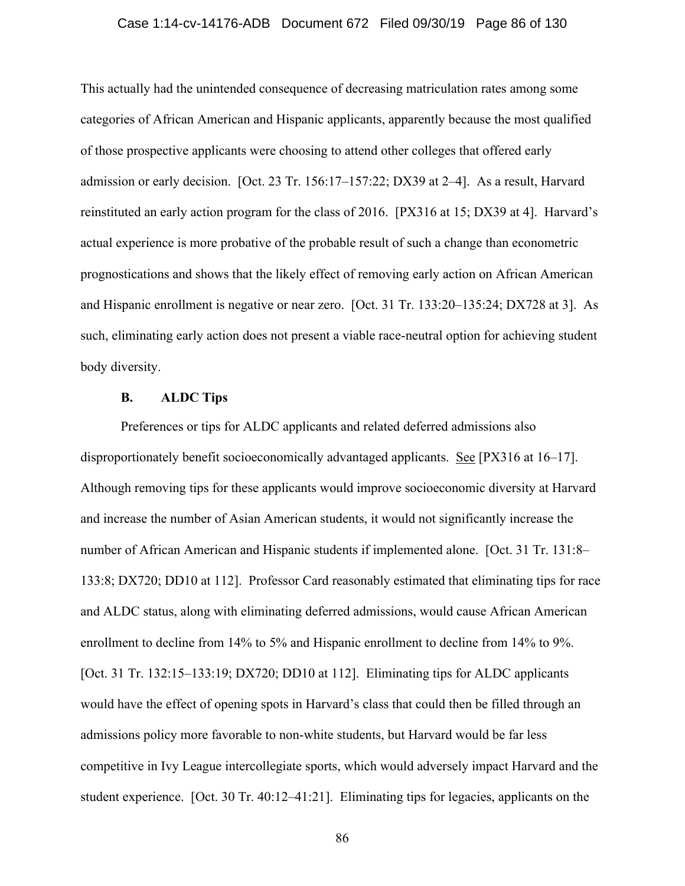#### Case 1:14-cv-14176-ADB Document 672 Filed 09/30/19 Page 86 of 130

This actually had the unintended consequence of decreasing matriculation rates among some categories of African American and Hispanic applicants, apparently because the most qualified of those prospective applicants were choosing to attend other colleges that offered early admission or early decision. [Oct. 23 Tr. 156:17–157:22; DX39 at 2–4]. As a result, Harvard reinstituted an early action program for the class of 2016. [PX316 at 15; DX39 at 4]. Harvard's actual experience is more probative of the probable result of such a change than econometric prognostications and shows that the likely effect of removing early action on African American and Hispanic enrollment is negative or near zero. [Oct. 31 Tr. 133:20–135:24; DX728 at 3]. As such, eliminating early action does not present a viable race-neutral option for achieving student body diversity.

## **B. ALDC Tips**

Preferences or tips for ALDC applicants and related deferred admissions also disproportionately benefit socioeconomically advantaged applicants. See [PX316 at 16–17]. Although removing tips for these applicants would improve socioeconomic diversity at Harvard and increase the number of Asian American students, it would not significantly increase the number of African American and Hispanic students if implemented alone. [Oct. 31 Tr. 131:8– 133:8; DX720; DD10 at 112]. Professor Card reasonably estimated that eliminating tips for race and ALDC status, along with eliminating deferred admissions, would cause African American enrollment to decline from 14% to 5% and Hispanic enrollment to decline from 14% to 9%. [Oct. 31 Tr. 132:15–133:19; DX720; DD10 at 112]. Eliminating tips for ALDC applicants would have the effect of opening spots in Harvard's class that could then be filled through an admissions policy more favorable to non-white students, but Harvard would be far less competitive in Ivy League intercollegiate sports, which would adversely impact Harvard and the student experience. [Oct. 30 Tr. 40:12–41:21]. Eliminating tips for legacies, applicants on the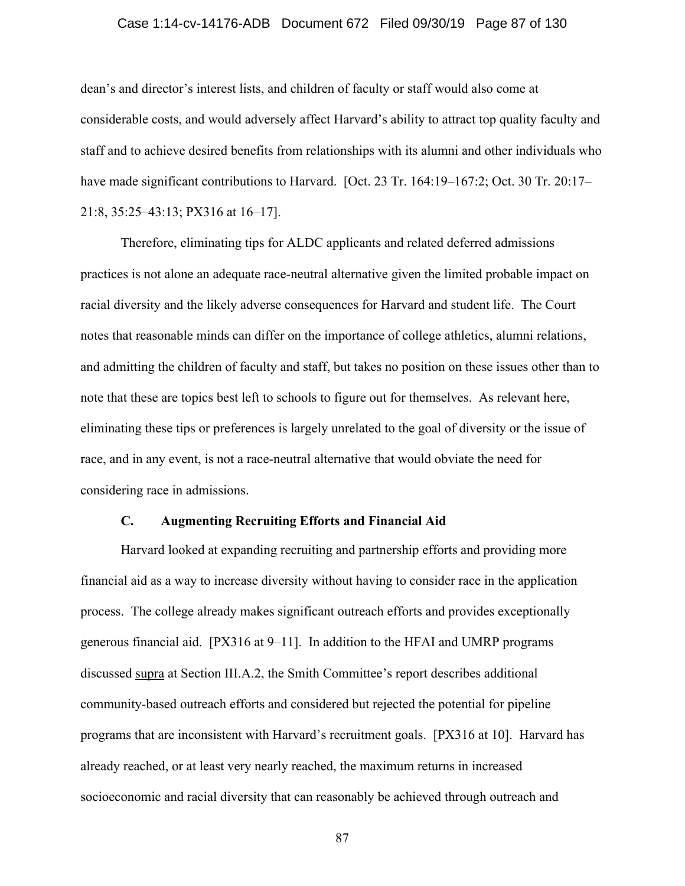#### Case 1:14-cv-14176-ADB Document 672 Filed 09/30/19 Page 87 of 130

dean's and director's interest lists, and children of faculty or staff would also come at considerable costs, and would adversely affect Harvard's ability to attract top quality faculty and staff and to achieve desired benefits from relationships with its alumni and other individuals who have made significant contributions to Harvard. [Oct. 23 Tr. 164:19–167:2; Oct. 30 Tr. 20:17– 21:8, 35:25–43:13; PX316 at 16–17].

Therefore, eliminating tips for ALDC applicants and related deferred admissions practices is not alone an adequate race-neutral alternative given the limited probable impact on racial diversity and the likely adverse consequences for Harvard and student life. The Court notes that reasonable minds can differ on the importance of college athletics, alumni relations, and admitting the children of faculty and staff, but takes no position on these issues other than to note that these are topics best left to schools to figure out for themselves. As relevant here, eliminating these tips or preferences is largely unrelated to the goal of diversity or the issue of race, and in any event, is not a race-neutral alternative that would obviate the need for considering race in admissions.

#### **C. Augmenting Recruiting Efforts and Financial Aid**

Harvard looked at expanding recruiting and partnership efforts and providing more financial aid as a way to increase diversity without having to consider race in the application process. The college already makes significant outreach efforts and provides exceptionally generous financial aid. [PX316 at 9–11]. In addition to the HFAI and UMRP programs discussed supra at Section III.A.2, the Smith Committee's report describes additional community-based outreach efforts and considered but rejected the potential for pipeline programs that are inconsistent with Harvard's recruitment goals. [PX316 at 10]. Harvard has already reached, or at least very nearly reached, the maximum returns in increased socioeconomic and racial diversity that can reasonably be achieved through outreach and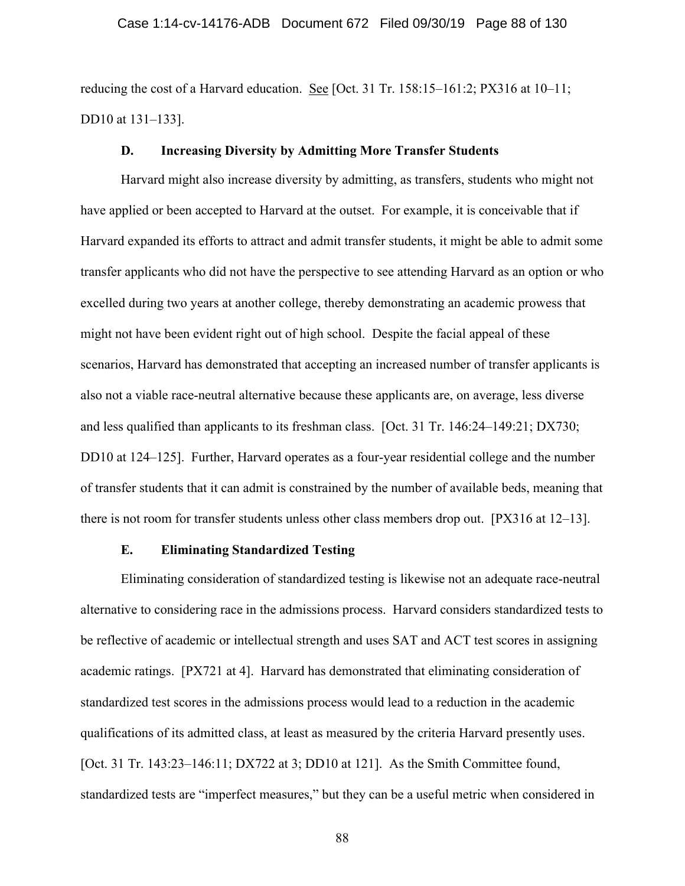reducing the cost of a Harvard education. See [Oct. 31 Tr. 158:15–161:2; PX316 at  $10-11$ ; DD10 at 131–133].

## **D. Increasing Diversity by Admitting More Transfer Students**

Harvard might also increase diversity by admitting, as transfers, students who might not have applied or been accepted to Harvard at the outset. For example, it is conceivable that if Harvard expanded its efforts to attract and admit transfer students, it might be able to admit some transfer applicants who did not have the perspective to see attending Harvard as an option or who excelled during two years at another college, thereby demonstrating an academic prowess that might not have been evident right out of high school. Despite the facial appeal of these scenarios, Harvard has demonstrated that accepting an increased number of transfer applicants is also not a viable race-neutral alternative because these applicants are, on average, less diverse and less qualified than applicants to its freshman class. [Oct. 31 Tr. 146:24–149:21; DX730; DD10 at 124–125]. Further, Harvard operates as a four-year residential college and the number of transfer students that it can admit is constrained by the number of available beds, meaning that there is not room for transfer students unless other class members drop out. [PX316 at 12–13].

# **E. Eliminating Standardized Testing**

Eliminating consideration of standardized testing is likewise not an adequate race-neutral alternative to considering race in the admissions process. Harvard considers standardized tests to be reflective of academic or intellectual strength and uses SAT and ACT test scores in assigning academic ratings. [PX721 at 4]. Harvard has demonstrated that eliminating consideration of standardized test scores in the admissions process would lead to a reduction in the academic qualifications of its admitted class, at least as measured by the criteria Harvard presently uses. [Oct. 31 Tr. 143:23–146:11; DX722 at 3; DD10 at 121]. As the Smith Committee found, standardized tests are "imperfect measures," but they can be a useful metric when considered in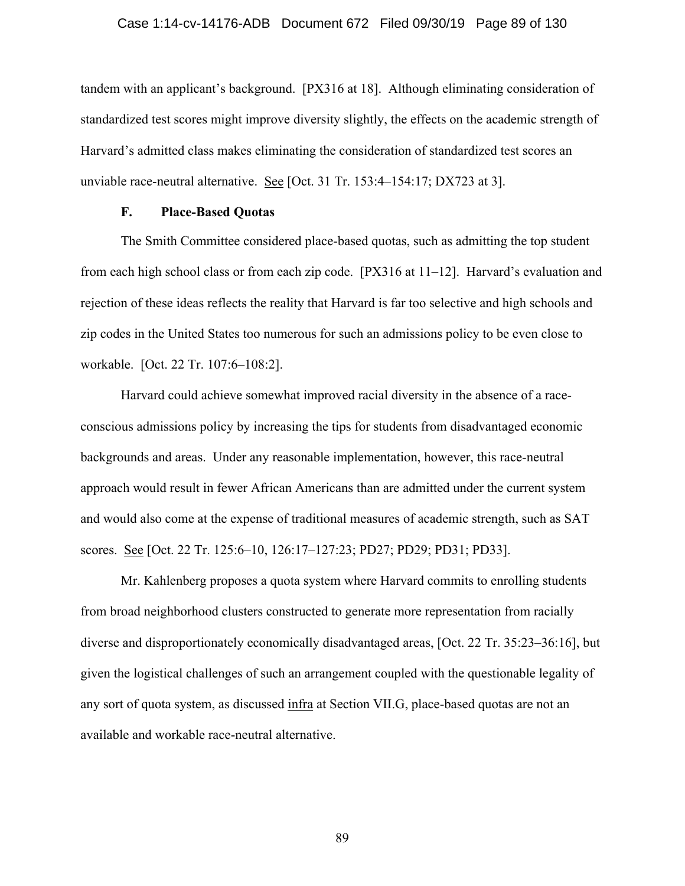### Case 1:14-cv-14176-ADB Document 672 Filed 09/30/19 Page 89 of 130

tandem with an applicant's background. [PX316 at 18]. Although eliminating consideration of standardized test scores might improve diversity slightly, the effects on the academic strength of Harvard's admitted class makes eliminating the consideration of standardized test scores an unviable race-neutral alternative. See [Oct. 31 Tr. 153:4–154:17; DX723 at 3].

## **F. Place-Based Quotas**

The Smith Committee considered place-based quotas, such as admitting the top student from each high school class or from each zip code. [PX316 at 11–12]. Harvard's evaluation and rejection of these ideas reflects the reality that Harvard is far too selective and high schools and zip codes in the United States too numerous for such an admissions policy to be even close to workable. [Oct. 22 Tr. 107:6–108:2].

Harvard could achieve somewhat improved racial diversity in the absence of a raceconscious admissions policy by increasing the tips for students from disadvantaged economic backgrounds and areas. Under any reasonable implementation, however, this race-neutral approach would result in fewer African Americans than are admitted under the current system and would also come at the expense of traditional measures of academic strength, such as SAT scores. See [Oct. 22 Tr. 125:6–10, 126:17–127:23; PD27; PD29; PD31; PD33].

Mr. Kahlenberg proposes a quota system where Harvard commits to enrolling students from broad neighborhood clusters constructed to generate more representation from racially diverse and disproportionately economically disadvantaged areas, [Oct. 22 Tr. 35:23–36:16], but given the logistical challenges of such an arrangement coupled with the questionable legality of any sort of quota system, as discussed infra at Section VII.G, place-based quotas are not an available and workable race-neutral alternative.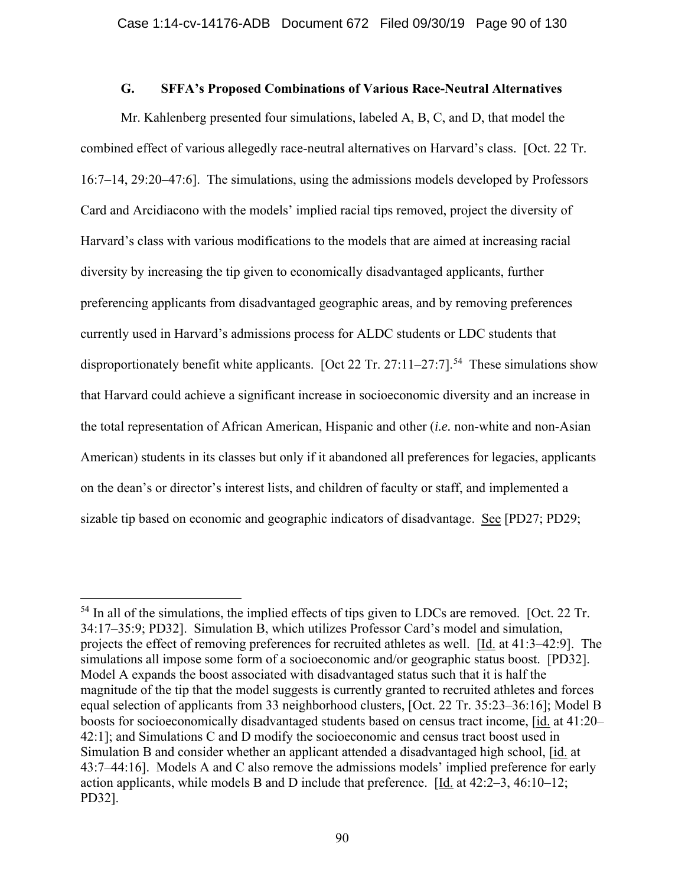## **G. SFFA's Proposed Combinations of Various Race-Neutral Alternatives**

Mr. Kahlenberg presented four simulations, labeled A, B, C, and D, that model the combined effect of various allegedly race-neutral alternatives on Harvard's class. [Oct. 22 Tr. 16:7–14, 29:20–47:6]. The simulations, using the admissions models developed by Professors Card and Arcidiacono with the models' implied racial tips removed, project the diversity of Harvard's class with various modifications to the models that are aimed at increasing racial diversity by increasing the tip given to economically disadvantaged applicants, further preferencing applicants from disadvantaged geographic areas, and by removing preferences currently used in Harvard's admissions process for ALDC students or LDC students that disproportionately benefit white applicants. [Oct 22 Tr. 27:11–27:7].<sup>54</sup> These simulations show that Harvard could achieve a significant increase in socioeconomic diversity and an increase in the total representation of African American, Hispanic and other (*i.e.* non-white and non-Asian American) students in its classes but only if it abandoned all preferences for legacies, applicants on the dean's or director's interest lists, and children of faculty or staff, and implemented a sizable tip based on economic and geographic indicators of disadvantage. See [PD27; PD29;

 $<sup>54</sup>$  In all of the simulations, the implied effects of tips given to LDCs are removed. [Oct. 22 Tr.</sup> 34:17–35:9; PD32]. Simulation B, which utilizes Professor Card's model and simulation, projects the effect of removing preferences for recruited athletes as well. [Id. at 41:3–42:9]. The simulations all impose some form of a socioeconomic and/or geographic status boost. [PD32]. Model A expands the boost associated with disadvantaged status such that it is half the magnitude of the tip that the model suggests is currently granted to recruited athletes and forces equal selection of applicants from 33 neighborhood clusters, [Oct. 22 Tr. 35:23–36:16]; Model B boosts for socioeconomically disadvantaged students based on census tract income, [id. at 41:20– 42:1]; and Simulations C and D modify the socioeconomic and census tract boost used in Simulation B and consider whether an applicant attended a disadvantaged high school, [id. at 43:7–44:16]. Models A and C also remove the admissions models' implied preference for early action applicants, while models B and D include that preference. [Id. at 42:2–3, 46:10–12; PD32].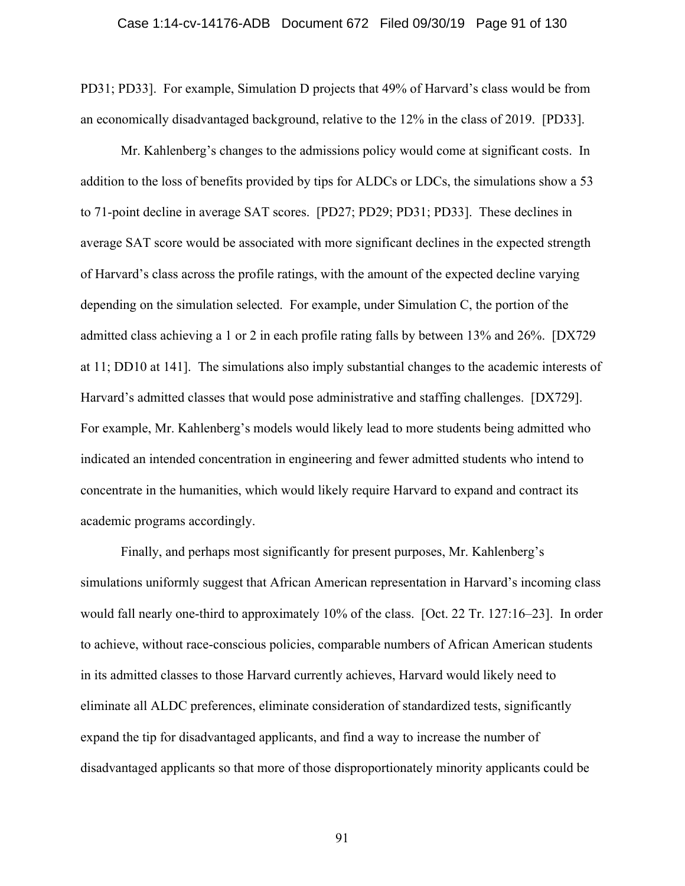PD31; PD33]. For example, Simulation D projects that 49% of Harvard's class would be from an economically disadvantaged background, relative to the 12% in the class of 2019. [PD33].

Mr. Kahlenberg's changes to the admissions policy would come at significant costs. In addition to the loss of benefits provided by tips for ALDCs or LDCs, the simulations show a 53 to 71-point decline in average SAT scores. [PD27; PD29; PD31; PD33]. These declines in average SAT score would be associated with more significant declines in the expected strength of Harvard's class across the profile ratings, with the amount of the expected decline varying depending on the simulation selected. For example, under Simulation C, the portion of the admitted class achieving a 1 or 2 in each profile rating falls by between 13% and 26%. [DX729 at 11; DD10 at 141]. The simulations also imply substantial changes to the academic interests of Harvard's admitted classes that would pose administrative and staffing challenges. [DX729]. For example, Mr. Kahlenberg's models would likely lead to more students being admitted who indicated an intended concentration in engineering and fewer admitted students who intend to concentrate in the humanities, which would likely require Harvard to expand and contract its academic programs accordingly.

Finally, and perhaps most significantly for present purposes, Mr. Kahlenberg's simulations uniformly suggest that African American representation in Harvard's incoming class would fall nearly one-third to approximately 10% of the class. [Oct. 22 Tr. 127:16–23]. In order to achieve, without race-conscious policies, comparable numbers of African American students in its admitted classes to those Harvard currently achieves, Harvard would likely need to eliminate all ALDC preferences, eliminate consideration of standardized tests, significantly expand the tip for disadvantaged applicants, and find a way to increase the number of disadvantaged applicants so that more of those disproportionately minority applicants could be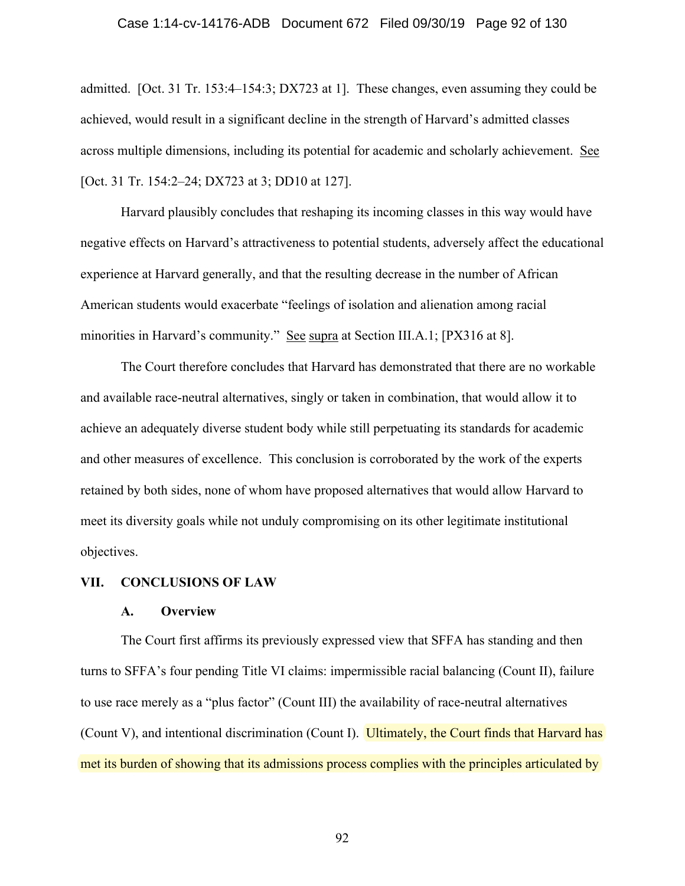### Case 1:14-cv-14176-ADB Document 672 Filed 09/30/19 Page 92 of 130

admitted. [Oct. 31 Tr. 153:4–154:3; DX723 at 1]. These changes, even assuming they could be achieved, would result in a significant decline in the strength of Harvard's admitted classes across multiple dimensions, including its potential for academic and scholarly achievement. See [Oct. 31 Tr. 154:2–24; DX723 at 3; DD10 at 127].

Harvard plausibly concludes that reshaping its incoming classes in this way would have negative effects on Harvard's attractiveness to potential students, adversely affect the educational experience at Harvard generally, and that the resulting decrease in the number of African American students would exacerbate "feelings of isolation and alienation among racial minorities in Harvard's community." See supra at Section III.A.1; [PX316 at 8].

 The Court therefore concludes that Harvard has demonstrated that there are no workable and available race-neutral alternatives, singly or taken in combination, that would allow it to achieve an adequately diverse student body while still perpetuating its standards for academic and other measures of excellence. This conclusion is corroborated by the work of the experts retained by both sides, none of whom have proposed alternatives that would allow Harvard to meet its diversity goals while not unduly compromising on its other legitimate institutional objectives.

#### **VII. CONCLUSIONS OF LAW**

## **A. Overview**

The Court first affirms its previously expressed view that SFFA has standing and then turns to SFFA's four pending Title VI claims: impermissible racial balancing (Count II), failure to use race merely as a "plus factor" (Count III) the availability of race-neutral alternatives (Count V), and intentional discrimination (Count I). Ultimately, the Court finds that Harvard has met its burden of showing that its admissions process complies with the principles articulated by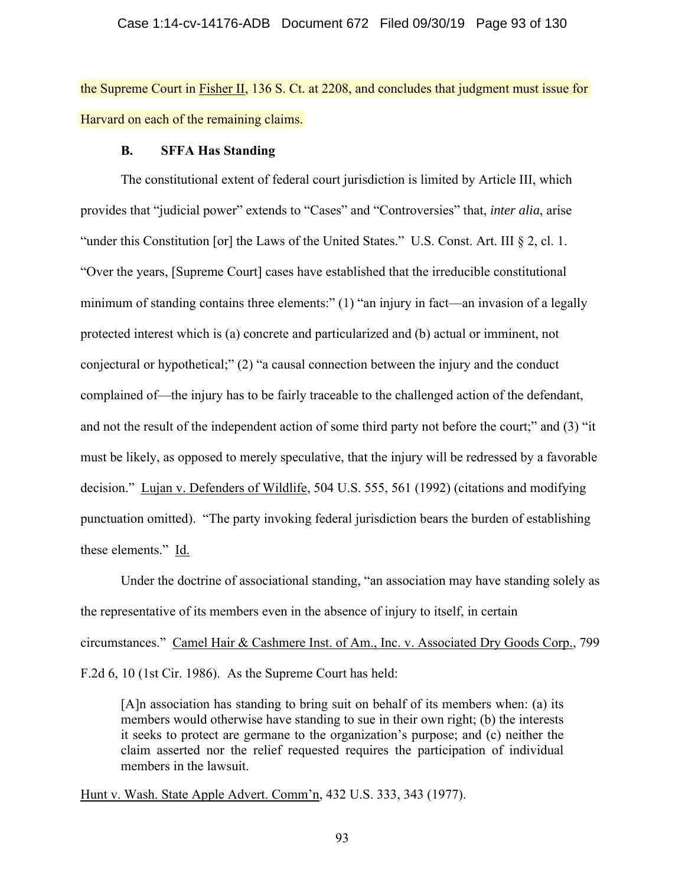the Supreme Court in Fisher II, 136 S. Ct. at 2208, and concludes that judgment must issue for Harvard on each of the remaining claims.

## **B. SFFA Has Standing**

The constitutional extent of federal court jurisdiction is limited by Article III, which provides that "judicial power" extends to "Cases" and "Controversies" that, *inter alia*, arise "under this Constitution [or] the Laws of the United States." U.S. Const. Art. III § 2, cl. 1. "Over the years, [Supreme Court] cases have established that the irreducible constitutional minimum of standing contains three elements:" (1) "an injury in fact—an invasion of a legally protected interest which is (a) concrete and particularized and (b) actual or imminent, not conjectural or hypothetical;" (2) "a causal connection between the injury and the conduct complained of—the injury has to be fairly traceable to the challenged action of the defendant, and not the result of the independent action of some third party not before the court;" and (3) "it must be likely, as opposed to merely speculative, that the injury will be redressed by a favorable decision." Lujan v. Defenders of Wildlife, 504 U.S. 555, 561 (1992) (citations and modifying punctuation omitted). "The party invoking federal jurisdiction bears the burden of establishing these elements." Id.

Under the doctrine of associational standing, "an association may have standing solely as the representative of its members even in the absence of injury to itself, in certain circumstances." Camel Hair & Cashmere Inst. of Am., Inc. v. Associated Dry Goods Corp., 799 F.2d 6, 10 (1st Cir. 1986). As the Supreme Court has held:

[A]n association has standing to bring suit on behalf of its members when: (a) its members would otherwise have standing to sue in their own right; (b) the interests it seeks to protect are germane to the organization's purpose; and (c) neither the claim asserted nor the relief requested requires the participation of individual members in the lawsuit.

Hunt v. Wash. State Apple Advert. Comm'n, 432 U.S. 333, 343 (1977).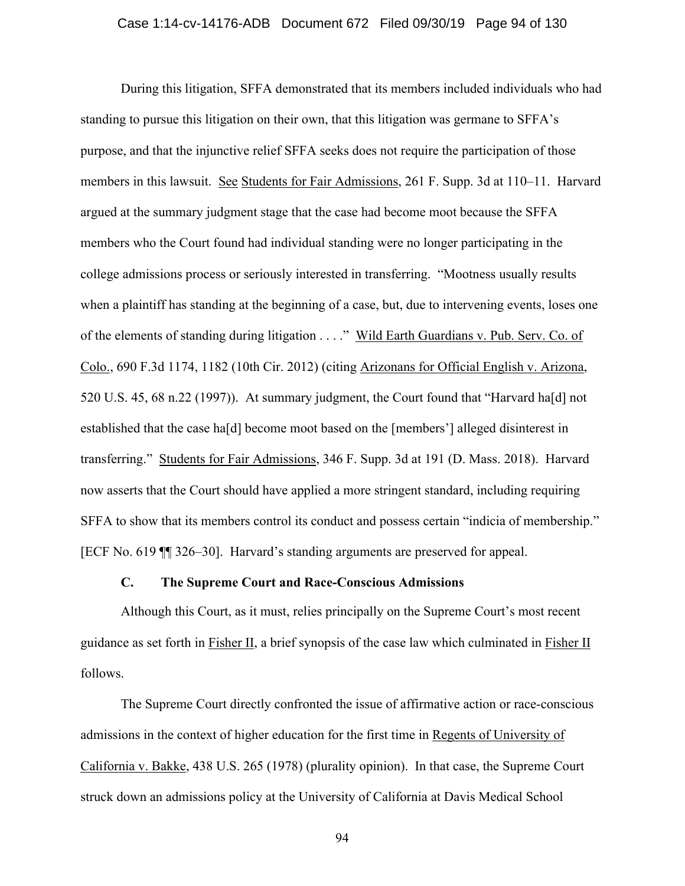### Case 1:14-cv-14176-ADB Document 672 Filed 09/30/19 Page 94 of 130

During this litigation, SFFA demonstrated that its members included individuals who had standing to pursue this litigation on their own, that this litigation was germane to SFFA's purpose, and that the injunctive relief SFFA seeks does not require the participation of those members in this lawsuit. See Students for Fair Admissions, 261 F. Supp. 3d at 110–11. Harvard argued at the summary judgment stage that the case had become moot because the SFFA members who the Court found had individual standing were no longer participating in the college admissions process or seriously interested in transferring. "Mootness usually results when a plaintiff has standing at the beginning of a case, but, due to intervening events, loses one of the elements of standing during litigation . . . ." Wild Earth Guardians v. Pub. Serv. Co. of Colo., 690 F.3d 1174, 1182 (10th Cir. 2012) (citing Arizonans for Official English v. Arizona, 520 U.S. 45, 68 n.22 (1997)). At summary judgment, the Court found that "Harvard ha[d] not established that the case ha[d] become moot based on the [members'] alleged disinterest in transferring." Students for Fair Admissions, 346 F. Supp. 3d at 191 (D. Mass. 2018). Harvard now asserts that the Court should have applied a more stringent standard, including requiring SFFA to show that its members control its conduct and possess certain "indicia of membership." [ECF No. 619 ¶¶ 326–30]. Harvard's standing arguments are preserved for appeal.

### **C. The Supreme Court and Race-Conscious Admissions**

Although this Court, as it must, relies principally on the Supreme Court's most recent guidance as set forth in Fisher II, a brief synopsis of the case law which culminated in Fisher II follows.

The Supreme Court directly confronted the issue of affirmative action or race-conscious admissions in the context of higher education for the first time in Regents of University of California v. Bakke, 438 U.S. 265 (1978) (plurality opinion). In that case, the Supreme Court struck down an admissions policy at the University of California at Davis Medical School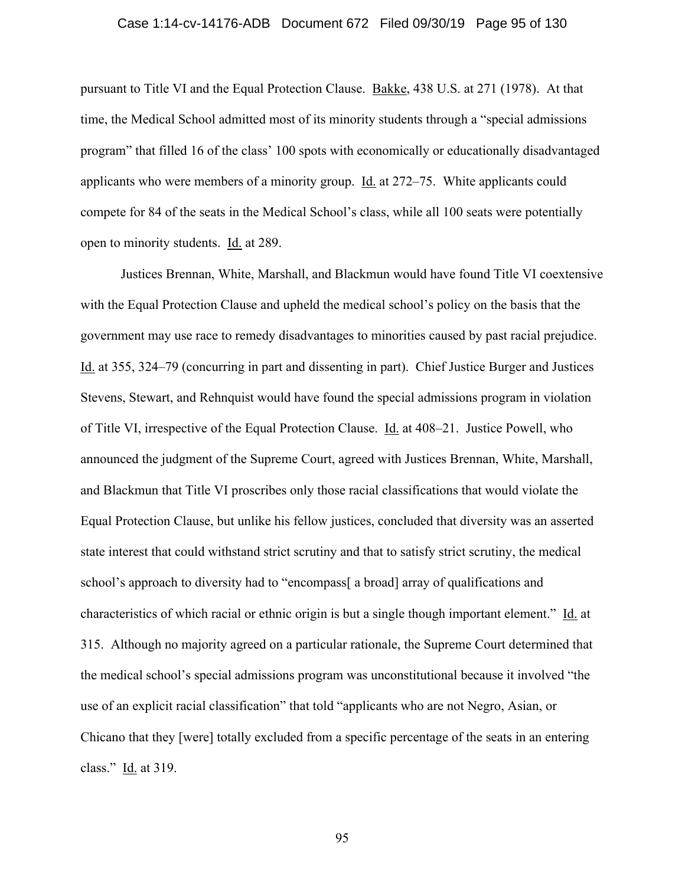#### Case 1:14-cv-14176-ADB Document 672 Filed 09/30/19 Page 95 of 130

pursuant to Title VI and the Equal Protection Clause. Bakke, 438 U.S. at 271 (1978). At that time, the Medical School admitted most of its minority students through a "special admissions program" that filled 16 of the class' 100 spots with economically or educationally disadvantaged applicants who were members of a minority group. Id. at 272–75. White applicants could compete for 84 of the seats in the Medical School's class, while all 100 seats were potentially open to minority students. Id. at 289.

Justices Brennan, White, Marshall, and Blackmun would have found Title VI coextensive with the Equal Protection Clause and upheld the medical school's policy on the basis that the government may use race to remedy disadvantages to minorities caused by past racial prejudice. Id. at 355, 324–79 (concurring in part and dissenting in part). Chief Justice Burger and Justices Stevens, Stewart, and Rehnquist would have found the special admissions program in violation of Title VI, irrespective of the Equal Protection Clause. Id. at 408–21. Justice Powell, who announced the judgment of the Supreme Court, agreed with Justices Brennan, White, Marshall, and Blackmun that Title VI proscribes only those racial classifications that would violate the Equal Protection Clause, but unlike his fellow justices, concluded that diversity was an asserted state interest that could withstand strict scrutiny and that to satisfy strict scrutiny, the medical school's approach to diversity had to "encompass[ a broad] array of qualifications and characteristics of which racial or ethnic origin is but a single though important element." Id. at 315. Although no majority agreed on a particular rationale, the Supreme Court determined that the medical school's special admissions program was unconstitutional because it involved "the use of an explicit racial classification" that told "applicants who are not Negro, Asian, or Chicano that they [were] totally excluded from a specific percentage of the seats in an entering class." Id. at 319.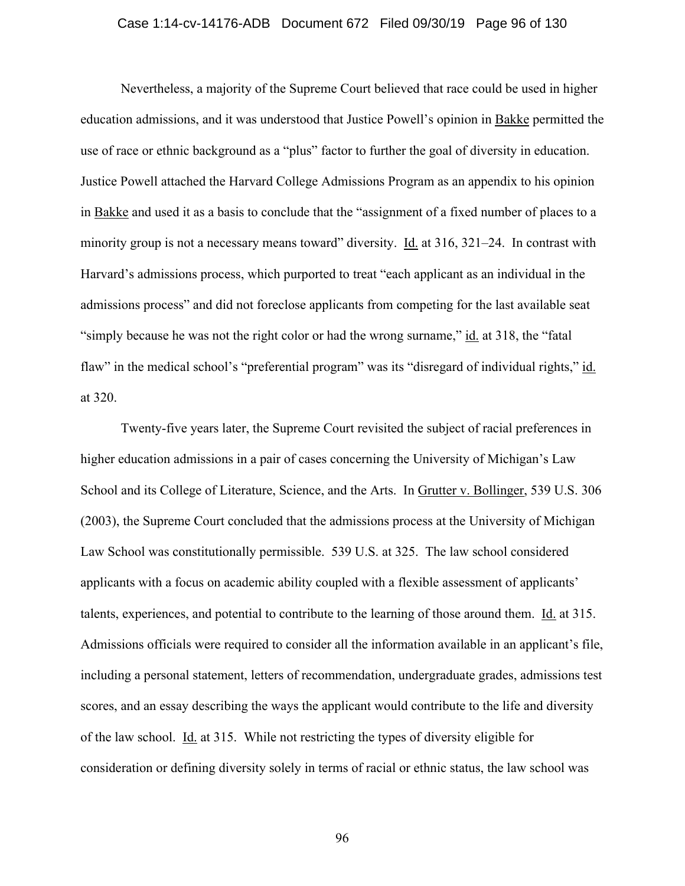#### Case 1:14-cv-14176-ADB Document 672 Filed 09/30/19 Page 96 of 130

Nevertheless, a majority of the Supreme Court believed that race could be used in higher education admissions, and it was understood that Justice Powell's opinion in Bakke permitted the use of race or ethnic background as a "plus" factor to further the goal of diversity in education. Justice Powell attached the Harvard College Admissions Program as an appendix to his opinion in Bakke and used it as a basis to conclude that the "assignment of a fixed number of places to a minority group is not a necessary means toward" diversity.  $\underline{Id}$  at 316, 321–24. In contrast with Harvard's admissions process, which purported to treat "each applicant as an individual in the admissions process" and did not foreclose applicants from competing for the last available seat "simply because he was not the right color or had the wrong surname," id. at 318, the "fatal flaw" in the medical school's "preferential program" was its "disregard of individual rights," id. at 320.

 Twenty-five years later, the Supreme Court revisited the subject of racial preferences in higher education admissions in a pair of cases concerning the University of Michigan's Law School and its College of Literature, Science, and the Arts. In Grutter v. Bollinger, 539 U.S. 306 (2003), the Supreme Court concluded that the admissions process at the University of Michigan Law School was constitutionally permissible. 539 U.S. at 325. The law school considered applicants with a focus on academic ability coupled with a flexible assessment of applicants' talents, experiences, and potential to contribute to the learning of those around them. Id. at 315. Admissions officials were required to consider all the information available in an applicant's file, including a personal statement, letters of recommendation, undergraduate grades, admissions test scores, and an essay describing the ways the applicant would contribute to the life and diversity of the law school. Id. at 315. While not restricting the types of diversity eligible for consideration or defining diversity solely in terms of racial or ethnic status, the law school was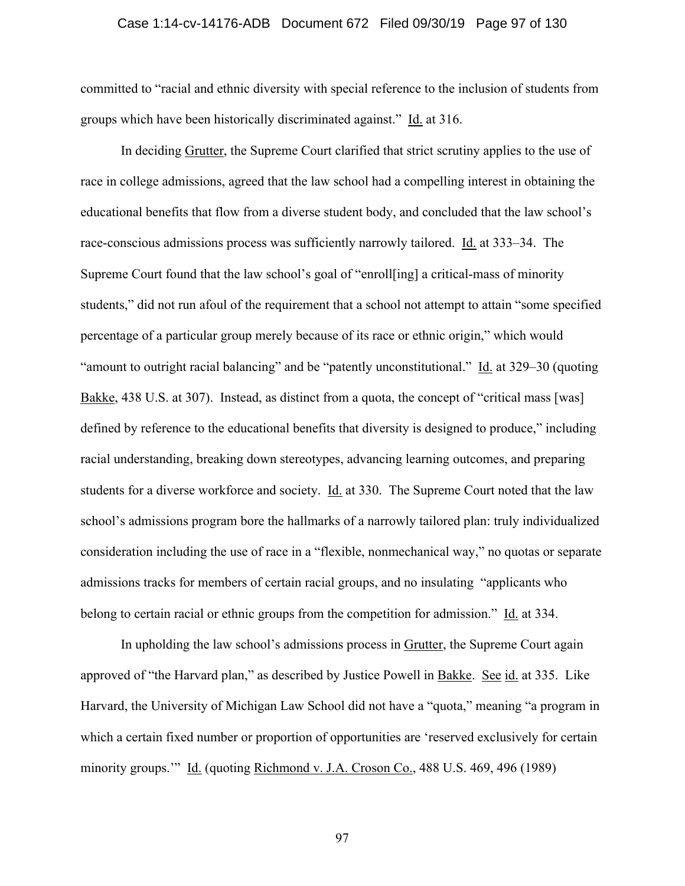#### Case 1:14-cv-14176-ADB Document 672 Filed 09/30/19 Page 97 of 130

committed to "racial and ethnic diversity with special reference to the inclusion of students from groups which have been historically discriminated against." Id. at 316.

In deciding Grutter, the Supreme Court clarified that strict scrutiny applies to the use of race in college admissions, agreed that the law school had a compelling interest in obtaining the educational benefits that flow from a diverse student body, and concluded that the law school's race-conscious admissions process was sufficiently narrowly tailored. Id. at 333–34. The Supreme Court found that the law school's goal of "enroll[ing] a critical-mass of minority students," did not run afoul of the requirement that a school not attempt to attain "some specified percentage of a particular group merely because of its race or ethnic origin," which would "amount to outright racial balancing" and be "patently unconstitutional." Id. at 329–30 (quoting Bakke, 438 U.S. at 307). Instead, as distinct from a quota, the concept of "critical mass [was] defined by reference to the educational benefits that diversity is designed to produce," including racial understanding, breaking down stereotypes, advancing learning outcomes, and preparing students for a diverse workforce and society. Id. at 330. The Supreme Court noted that the law school's admissions program bore the hallmarks of a narrowly tailored plan: truly individualized consideration including the use of race in a "flexible, nonmechanical way," no quotas or separate admissions tracks for members of certain racial groups, and no insulating "applicants who belong to certain racial or ethnic groups from the competition for admission." Id. at 334.

In upholding the law school's admissions process in Grutter, the Supreme Court again approved of "the Harvard plan," as described by Justice Powell in Bakke. See id. at 335. Like Harvard, the University of Michigan Law School did not have a "quota," meaning "a program in which a certain fixed number or proportion of opportunities are 'reserved exclusively for certain minority groups.'" Id. (quoting Richmond v. J.A. Croson Co., 488 U.S. 469, 496 (1989)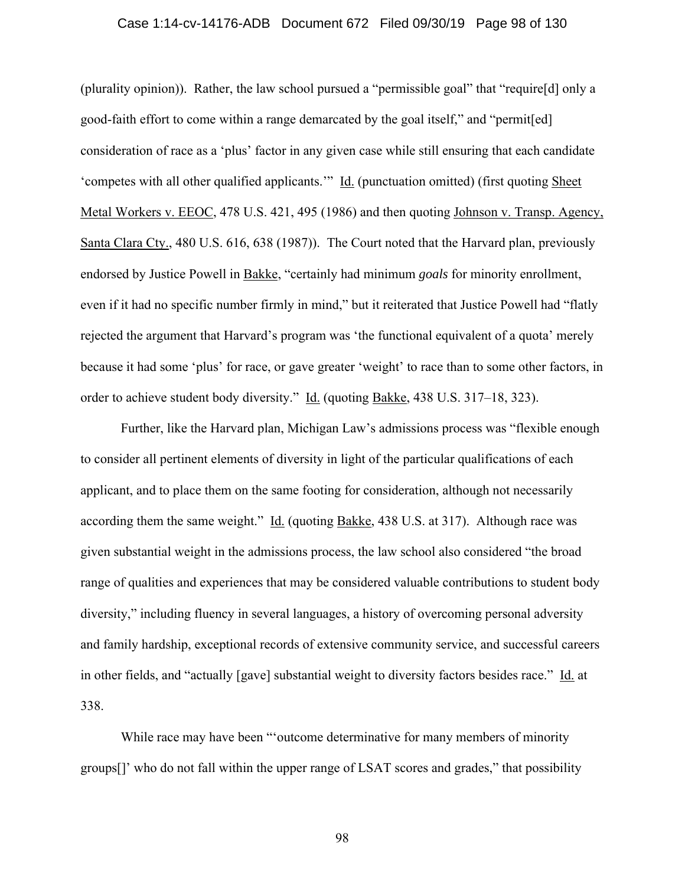#### Case 1:14-cv-14176-ADB Document 672 Filed 09/30/19 Page 98 of 130

(plurality opinion)). Rather, the law school pursued a "permissible goal" that "require[d] only a good-faith effort to come within a range demarcated by the goal itself," and "permit[ed] consideration of race as a 'plus' factor in any given case while still ensuring that each candidate 'competes with all other qualified applicants.'" Id. (punctuation omitted) (first quoting Sheet Metal Workers v. EEOC, 478 U.S. 421, 495 (1986) and then quoting Johnson v. Transp. Agency, Santa Clara Cty., 480 U.S. 616, 638 (1987)). The Court noted that the Harvard plan, previously endorsed by Justice Powell in Bakke, "certainly had minimum *goals* for minority enrollment, even if it had no specific number firmly in mind," but it reiterated that Justice Powell had "flatly rejected the argument that Harvard's program was 'the functional equivalent of a quota' merely because it had some 'plus' for race, or gave greater 'weight' to race than to some other factors, in order to achieve student body diversity." Id. (quoting Bakke, 438 U.S. 317–18, 323).

Further, like the Harvard plan, Michigan Law's admissions process was "flexible enough to consider all pertinent elements of diversity in light of the particular qualifications of each applicant, and to place them on the same footing for consideration, although not necessarily according them the same weight."  $\underline{Id}$ . (quoting Bakke, 438 U.S. at 317). Although race was given substantial weight in the admissions process, the law school also considered "the broad range of qualities and experiences that may be considered valuable contributions to student body diversity," including fluency in several languages, a history of overcoming personal adversity and family hardship, exceptional records of extensive community service, and successful careers in other fields, and "actually [gave] substantial weight to diversity factors besides race." Id. at 338.

While race may have been "'outcome determinative for many members of minority groups[]' who do not fall within the upper range of LSAT scores and grades," that possibility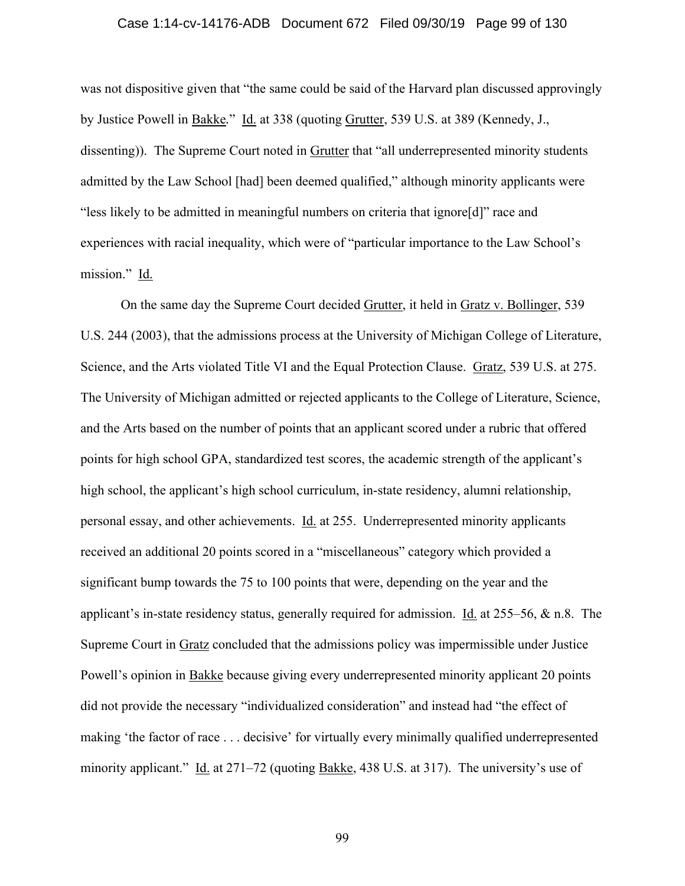#### Case 1:14-cv-14176-ADB Document 672 Filed 09/30/19 Page 99 of 130

was not dispositive given that "the same could be said of the Harvard plan discussed approvingly by Justice Powell in Bakke*.*" Id. at 338 (quoting Grutter, 539 U.S. at 389 (Kennedy, J., dissenting)). The Supreme Court noted in Grutter that "all underrepresented minority students admitted by the Law School [had] been deemed qualified," although minority applicants were "less likely to be admitted in meaningful numbers on criteria that ignore[d]" race and experiences with racial inequality, which were of "particular importance to the Law School's mission." Id.

 On the same day the Supreme Court decided Grutter, it held in Gratz v. Bollinger, 539 U.S. 244 (2003), that the admissions process at the University of Michigan College of Literature, Science, and the Arts violated Title VI and the Equal Protection Clause. Gratz, 539 U.S. at 275. The University of Michigan admitted or rejected applicants to the College of Literature, Science, and the Arts based on the number of points that an applicant scored under a rubric that offered points for high school GPA, standardized test scores, the academic strength of the applicant's high school, the applicant's high school curriculum, in-state residency, alumni relationship, personal essay, and other achievements. Id. at 255. Underrepresented minority applicants received an additional 20 points scored in a "miscellaneous" category which provided a significant bump towards the 75 to 100 points that were, depending on the year and the applicant's in-state residency status, generally required for admission. Id. at 255–56, & n.8. The Supreme Court in Gratz concluded that the admissions policy was impermissible under Justice Powell's opinion in Bakke because giving every underrepresented minority applicant 20 points did not provide the necessary "individualized consideration" and instead had "the effect of making 'the factor of race . . . decisive' for virtually every minimally qualified underrepresented minority applicant." Id. at 271–72 (quoting Bakke, 438 U.S. at 317). The university's use of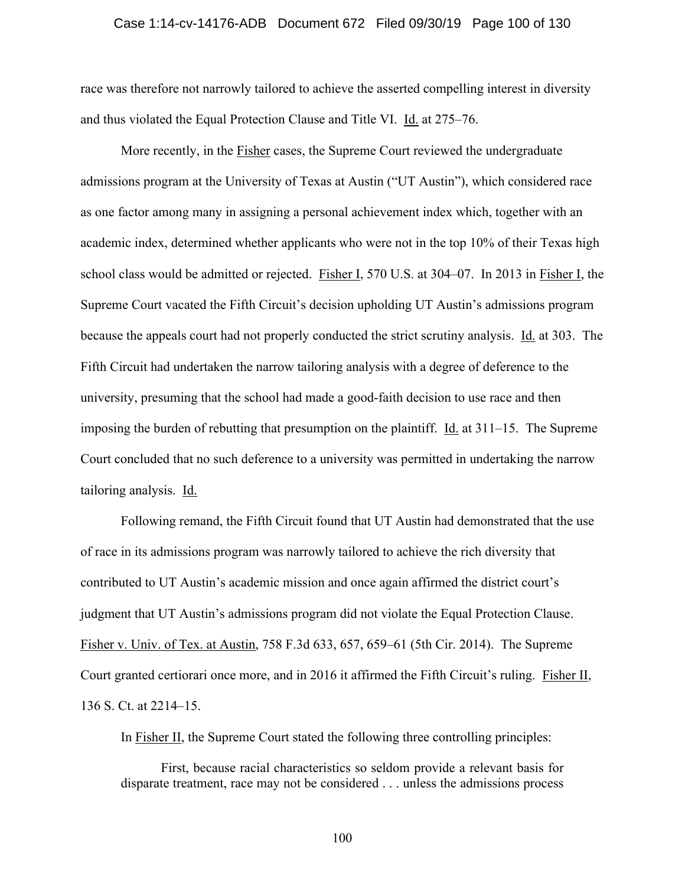#### Case 1:14-cv-14176-ADB Document 672 Filed 09/30/19 Page 100 of 130

race was therefore not narrowly tailored to achieve the asserted compelling interest in diversity and thus violated the Equal Protection Clause and Title VI. Id. at 275–76.

 More recently, in the Fisher cases, the Supreme Court reviewed the undergraduate admissions program at the University of Texas at Austin ("UT Austin"), which considered race as one factor among many in assigning a personal achievement index which, together with an academic index, determined whether applicants who were not in the top 10% of their Texas high school class would be admitted or rejected. Fisher I, 570 U.S. at 304–07. In 2013 in Fisher I, the Supreme Court vacated the Fifth Circuit's decision upholding UT Austin's admissions program because the appeals court had not properly conducted the strict scrutiny analysis. Id. at 303. The Fifth Circuit had undertaken the narrow tailoring analysis with a degree of deference to the university, presuming that the school had made a good-faith decision to use race and then imposing the burden of rebutting that presumption on the plaintiff. Id. at 311–15. The Supreme Court concluded that no such deference to a university was permitted in undertaking the narrow tailoring analysis. Id.

 Following remand, the Fifth Circuit found that UT Austin had demonstrated that the use of race in its admissions program was narrowly tailored to achieve the rich diversity that contributed to UT Austin's academic mission and once again affirmed the district court's judgment that UT Austin's admissions program did not violate the Equal Protection Clause. Fisher v. Univ. of Tex. at Austin, 758 F.3d 633, 657, 659–61 (5th Cir. 2014). The Supreme Court granted certiorari once more, and in 2016 it affirmed the Fifth Circuit's ruling. Fisher II, 136 S. Ct. at 2214–15.

In Fisher II, the Supreme Court stated the following three controlling principles:

First, because racial characteristics so seldom provide a relevant basis for disparate treatment, race may not be considered . . . unless the admissions process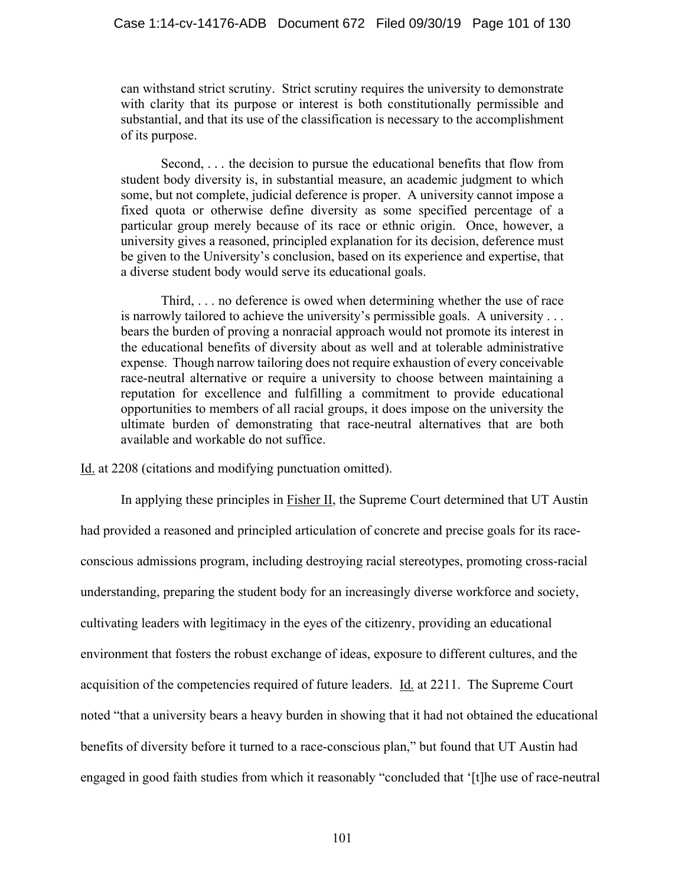can withstand strict scrutiny. Strict scrutiny requires the university to demonstrate with clarity that its purpose or interest is both constitutionally permissible and substantial, and that its use of the classification is necessary to the accomplishment of its purpose.

Second, *. . .* the decision to pursue the educational benefits that flow from student body diversity is, in substantial measure, an academic judgment to which some, but not complete, judicial deference is proper. A university cannot impose a fixed quota or otherwise define diversity as some specified percentage of a particular group merely because of its race or ethnic origin. Once, however, a university gives a reasoned, principled explanation for its decision, deference must be given to the University's conclusion, based on its experience and expertise, that a diverse student body would serve its educational goals.

Third, . . . no deference is owed when determining whether the use of race is narrowly tailored to achieve the university's permissible goals. A university . . . bears the burden of proving a nonracial approach would not promote its interest in the educational benefits of diversity about as well and at tolerable administrative expense. Though narrow tailoring does not require exhaustion of every conceivable race-neutral alternative or require a university to choose between maintaining a reputation for excellence and fulfilling a commitment to provide educational opportunities to members of all racial groups, it does impose on the university the ultimate burden of demonstrating that race-neutral alternatives that are both available and workable do not suffice.

Id. at 2208 (citations and modifying punctuation omitted).

In applying these principles in **Fisher II**, the Supreme Court determined that UT Austin had provided a reasoned and principled articulation of concrete and precise goals for its raceconscious admissions program, including destroying racial stereotypes, promoting cross-racial understanding, preparing the student body for an increasingly diverse workforce and society, cultivating leaders with legitimacy in the eyes of the citizenry, providing an educational environment that fosters the robust exchange of ideas, exposure to different cultures, and the acquisition of the competencies required of future leaders. Id. at 2211. The Supreme Court noted "that a university bears a heavy burden in showing that it had not obtained the educational benefits of diversity before it turned to a race-conscious plan," but found that UT Austin had engaged in good faith studies from which it reasonably "concluded that '[t]he use of race-neutral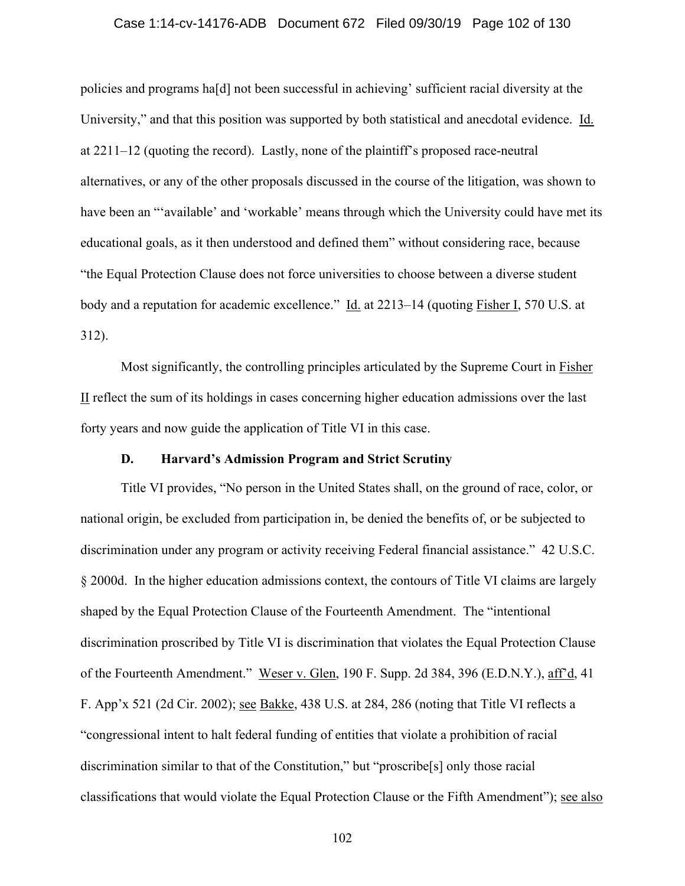### Case 1:14-cv-14176-ADB Document 672 Filed 09/30/19 Page 102 of 130

policies and programs ha[d] not been successful in achieving' sufficient racial diversity at the University," and that this position was supported by both statistical and anecdotal evidence. Id. at 2211–12 (quoting the record). Lastly, none of the plaintiff's proposed race-neutral alternatives, or any of the other proposals discussed in the course of the litigation, was shown to have been an "'available' and 'workable' means through which the University could have met its educational goals, as it then understood and defined them" without considering race, because "the Equal Protection Clause does not force universities to choose between a diverse student body and a reputation for academic excellence." Id. at 2213–14 (quoting Fisher I, 570 U.S. at 312).

Most significantly, the controlling principles articulated by the Supreme Court in Fisher II reflect the sum of its holdings in cases concerning higher education admissions over the last forty years and now guide the application of Title VI in this case.

### **D. Harvard's Admission Program and Strict Scrutiny**

Title VI provides, "No person in the United States shall, on the ground of race, color, or national origin, be excluded from participation in, be denied the benefits of, or be subjected to discrimination under any program or activity receiving Federal financial assistance." 42 U.S.C. § 2000d. In the higher education admissions context, the contours of Title VI claims are largely shaped by the Equal Protection Clause of the Fourteenth Amendment. The "intentional discrimination proscribed by Title VI is discrimination that violates the Equal Protection Clause of the Fourteenth Amendment." Weser v. Glen, 190 F. Supp. 2d 384, 396 (E.D.N.Y.), aff'd, 41 F. App'x 521 (2d Cir. 2002); see Bakke, 438 U.S. at 284, 286 (noting that Title VI reflects a "congressional intent to halt federal funding of entities that violate a prohibition of racial discrimination similar to that of the Constitution," but "proscribe[s] only those racial classifications that would violate the Equal Protection Clause or the Fifth Amendment"); see also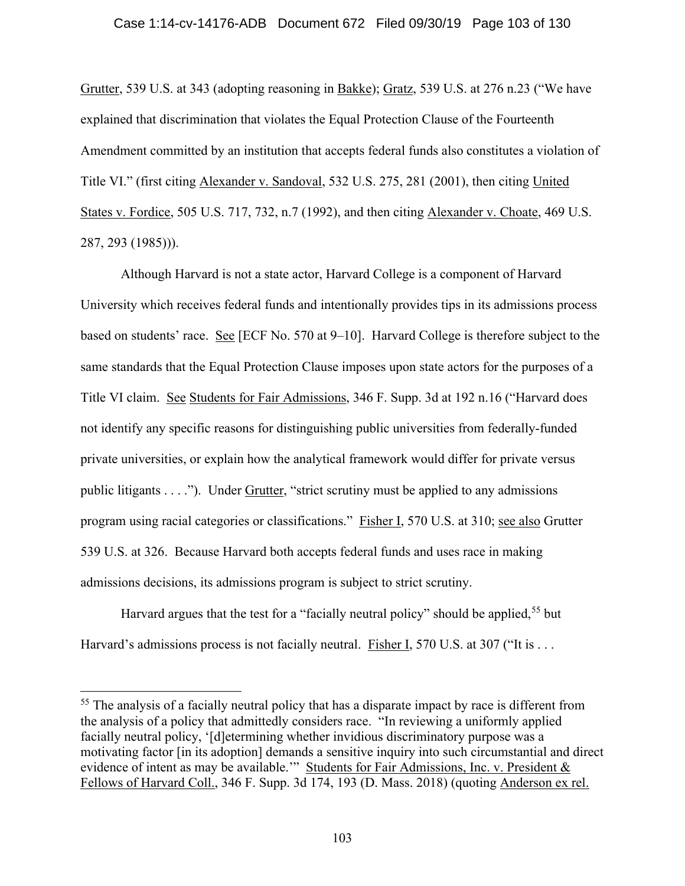## Case 1:14-cv-14176-ADB Document 672 Filed 09/30/19 Page 103 of 130

Grutter, 539 U.S. at 343 (adopting reasoning in Bakke); Gratz, 539 U.S. at 276 n.23 ("We have explained that discrimination that violates the Equal Protection Clause of the Fourteenth Amendment committed by an institution that accepts federal funds also constitutes a violation of Title VI." (first citing Alexander v. Sandoval, 532 U.S. 275, 281 (2001), then citing United States v. Fordice, 505 U.S. 717, 732, n.7 (1992), and then citing Alexander v. Choate, 469 U.S. 287, 293 (1985))).

Although Harvard is not a state actor, Harvard College is a component of Harvard University which receives federal funds and intentionally provides tips in its admissions process based on students' race. See [ECF No. 570 at 9–10]. Harvard College is therefore subject to the same standards that the Equal Protection Clause imposes upon state actors for the purposes of a Title VI claim. See Students for Fair Admissions, 346 F. Supp. 3d at 192 n.16 ("Harvard does not identify any specific reasons for distinguishing public universities from federally-funded private universities, or explain how the analytical framework would differ for private versus public litigants . . . ."). Under Grutter, "strict scrutiny must be applied to any admissions program using racial categories or classifications." Fisher I, 570 U.S. at 310; see also Grutter 539 U.S. at 326. Because Harvard both accepts federal funds and uses race in making admissions decisions, its admissions program is subject to strict scrutiny.

Harvard argues that the test for a "facially neutral policy" should be applied,<sup>55</sup> but Harvard's admissions process is not facially neutral. Fisher I, 570 U.S. at 307 ("It is ...

<sup>&</sup>lt;sup>55</sup> The analysis of a facially neutral policy that has a disparate impact by race is different from the analysis of a policy that admittedly considers race. "In reviewing a uniformly applied facially neutral policy, '[d]etermining whether invidious discriminatory purpose was a motivating factor [in its adoption] demands a sensitive inquiry into such circumstantial and direct evidence of intent as may be available." Students for Fair Admissions, Inc. v. President & Fellows of Harvard Coll., 346 F. Supp. 3d 174, 193 (D. Mass. 2018) (quoting Anderson ex rel.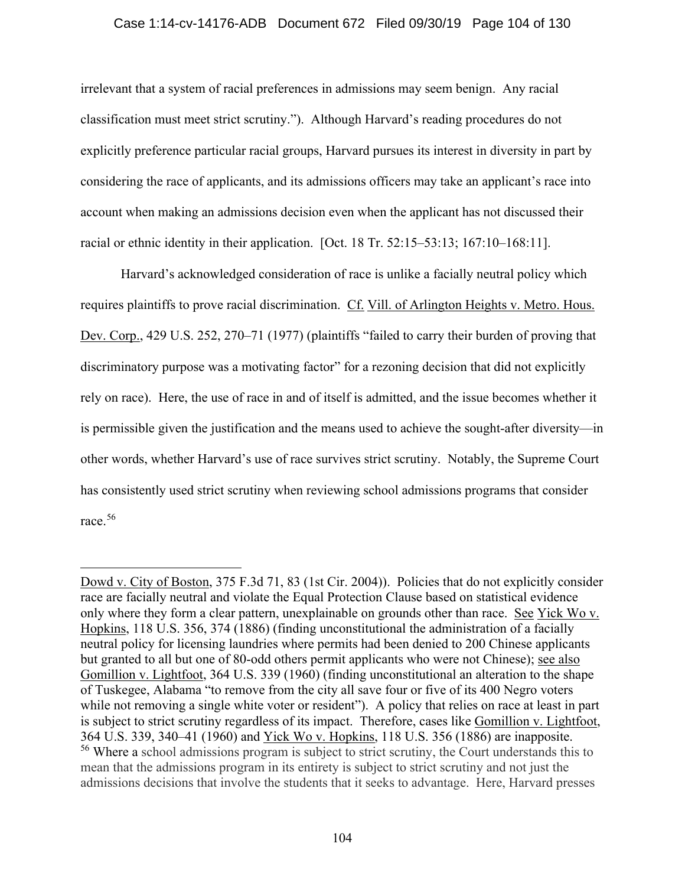## Case 1:14-cv-14176-ADB Document 672 Filed 09/30/19 Page 104 of 130

irrelevant that a system of racial preferences in admissions may seem benign. Any racial classification must meet strict scrutiny."). Although Harvard's reading procedures do not explicitly preference particular racial groups, Harvard pursues its interest in diversity in part by considering the race of applicants, and its admissions officers may take an applicant's race into account when making an admissions decision even when the applicant has not discussed their racial or ethnic identity in their application. [Oct. 18 Tr. 52:15–53:13; 167:10–168:11].

Harvard's acknowledged consideration of race is unlike a facially neutral policy which requires plaintiffs to prove racial discrimination. Cf. Vill. of Arlington Heights v. Metro. Hous. Dev. Corp., 429 U.S. 252, 270–71 (1977) (plaintiffs "failed to carry their burden of proving that discriminatory purpose was a motivating factor" for a rezoning decision that did not explicitly rely on race). Here, the use of race in and of itself is admitted, and the issue becomes whether it is permissible given the justification and the means used to achieve the sought-after diversity—in other words, whether Harvard's use of race survives strict scrutiny. Notably, the Supreme Court has consistently used strict scrutiny when reviewing school admissions programs that consider race.<sup>56</sup>

Dowd v. City of Boston, 375 F.3d 71, 83 (1st Cir. 2004)). Policies that do not explicitly consider race are facially neutral and violate the Equal Protection Clause based on statistical evidence only where they form a clear pattern, unexplainable on grounds other than race. See Yick Wo v. Hopkins, 118 U.S. 356, 374 (1886) (finding unconstitutional the administration of a facially neutral policy for licensing laundries where permits had been denied to 200 Chinese applicants but granted to all but one of 80-odd others permit applicants who were not Chinese); see also Gomillion v. Lightfoot, 364 U.S. 339 (1960) (finding unconstitutional an alteration to the shape of Tuskegee, Alabama "to remove from the city all save four or five of its 400 Negro voters while not removing a single white voter or resident"). A policy that relies on race at least in part is subject to strict scrutiny regardless of its impact. Therefore, cases like Gomillion v. Lightfoot, 364 U.S. 339, 340–41 (1960) and Yick Wo v. Hopkins, 118 U.S. 356 (1886) are inapposite. 56 Where a school admissions program is subject to strict scrutiny, the Court understands this to mean that the admissions program in its entirety is subject to strict scrutiny and not just the admissions decisions that involve the students that it seeks to advantage. Here, Harvard presses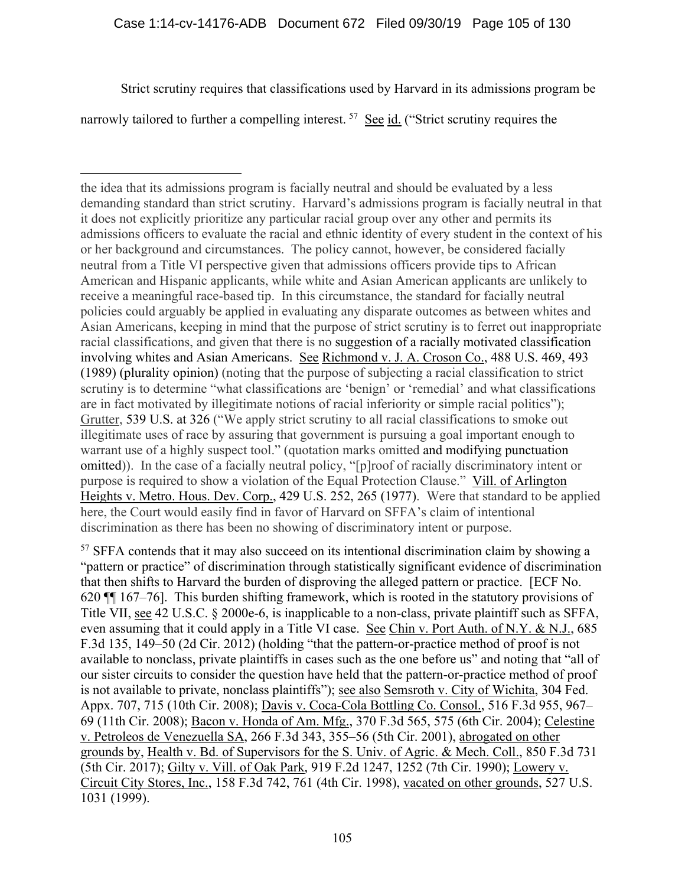# Case 1:14-cv-14176-ADB Document 672 Filed 09/30/19 Page 105 of 130

Strict scrutiny requires that classifications used by Harvard in its admissions program be

narrowly tailored to further a compelling interest.  $57$  See id. ("Strict scrutiny requires the

<sup>57</sup> SFFA contends that it may also succeed on its intentional discrimination claim by showing a "pattern or practice" of discrimination through statistically significant evidence of discrimination that then shifts to Harvard the burden of disproving the alleged pattern or practice. [ECF No. 620 ¶¶ 167–76]. This burden shifting framework, which is rooted in the statutory provisions of Title VII, see 42 U.S.C. § 2000e-6, is inapplicable to a non-class, private plaintiff such as SFFA, even assuming that it could apply in a Title VI case. See Chin v. Port Auth. of N.Y. & N.J., 685 F.3d 135, 149–50 (2d Cir. 2012) (holding "that the pattern-or-practice method of proof is not available to nonclass, private plaintiffs in cases such as the one before us" and noting that "all of our sister circuits to consider the question have held that the pattern-or-practice method of proof is not available to private, nonclass plaintiffs"); see also Semsroth v. City of Wichita, 304 Fed. Appx. 707, 715 (10th Cir. 2008); Davis v. Coca-Cola Bottling Co. Consol., 516 F.3d 955, 967– 69 (11th Cir. 2008); Bacon v. Honda of Am. Mfg., 370 F.3d 565, 575 (6th Cir. 2004); Celestine v. Petroleos de Venezuella SA, 266 F.3d 343, 355–56 (5th Cir. 2001), abrogated on other grounds by, Health v. Bd. of Supervisors for the S. Univ. of Agric. & Mech. Coll., 850 F.3d 731 (5th Cir. 2017); Gilty v. Vill. of Oak Park, 919 F.2d 1247, 1252 (7th Cir. 1990); Lowery v. Circuit City Stores, Inc., 158 F.3d 742, 761 (4th Cir. 1998), vacated on other grounds, 527 U.S. 1031 (1999).

the idea that its admissions program is facially neutral and should be evaluated by a less demanding standard than strict scrutiny. Harvard's admissions program is facially neutral in that it does not explicitly prioritize any particular racial group over any other and permits its admissions officers to evaluate the racial and ethnic identity of every student in the context of his or her background and circumstances. The policy cannot, however, be considered facially neutral from a Title VI perspective given that admissions officers provide tips to African American and Hispanic applicants, while white and Asian American applicants are unlikely to receive a meaningful race-based tip. In this circumstance, the standard for facially neutral policies could arguably be applied in evaluating any disparate outcomes as between whites and Asian Americans, keeping in mind that the purpose of strict scrutiny is to ferret out inappropriate racial classifications, and given that there is no suggestion of a racially motivated classification involving whites and Asian Americans. See Richmond v. J. A. Croson Co., 488 U.S. 469, 493 (1989) (plurality opinion) (noting that the purpose of subjecting a racial classification to strict scrutiny is to determine "what classifications are 'benign' or 'remedial' and what classifications are in fact motivated by illegitimate notions of racial inferiority or simple racial politics"); Grutter, 539 U.S. at 326 ("We apply strict scrutiny to all racial classifications to smoke out illegitimate uses of race by assuring that government is pursuing a goal important enough to warrant use of a highly suspect tool." (quotation marks omitted and modifying punctuation omitted)). In the case of a facially neutral policy, "[p]roof of racially discriminatory intent or purpose is required to show a violation of the Equal Protection Clause." Vill. of Arlington Heights v. Metro. Hous. Dev. Corp., 429 U.S. 252, 265 (1977). Were that standard to be applied here, the Court would easily find in favor of Harvard on SFFA's claim of intentional discrimination as there has been no showing of discriminatory intent or purpose.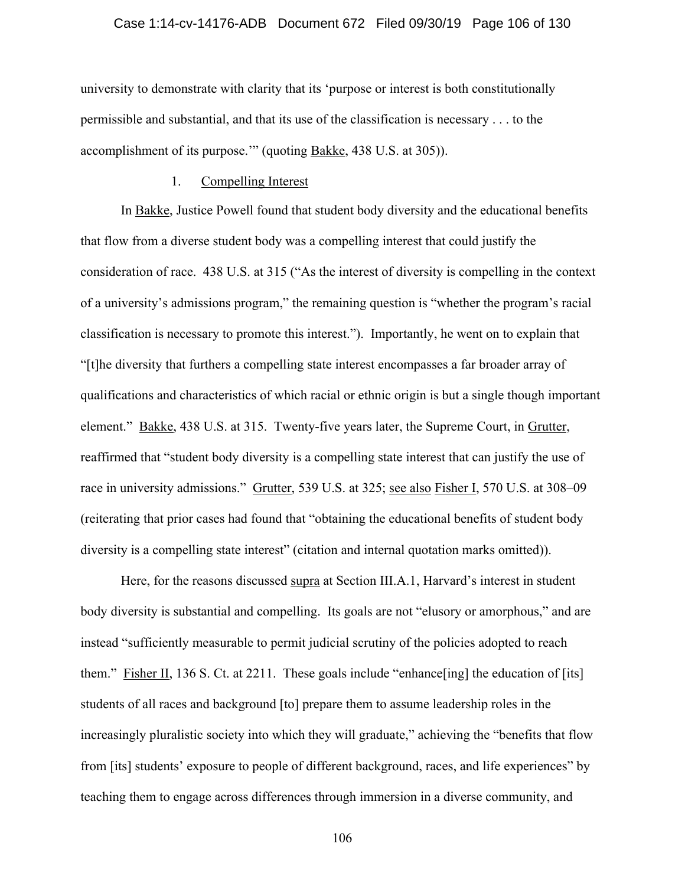### Case 1:14-cv-14176-ADB Document 672 Filed 09/30/19 Page 106 of 130

university to demonstrate with clarity that its 'purpose or interest is both constitutionally permissible and substantial, and that its use of the classification is necessary . . . to the accomplishment of its purpose.'" (quoting Bakke, 438 U.S. at 305)).

### 1. Compelling Interest

In Bakke, Justice Powell found that student body diversity and the educational benefits that flow from a diverse student body was a compelling interest that could justify the consideration of race. 438 U.S. at 315 ("As the interest of diversity is compelling in the context of a university's admissions program," the remaining question is "whether the program's racial classification is necessary to promote this interest."). Importantly, he went on to explain that "[t]he diversity that furthers a compelling state interest encompasses a far broader array of qualifications and characteristics of which racial or ethnic origin is but a single though important element." Bakke, 438 U.S. at 315. Twenty-five years later, the Supreme Court, in Grutter, reaffirmed that "student body diversity is a compelling state interest that can justify the use of race in university admissions." Grutter, 539 U.S. at 325; see also Fisher I, 570 U.S. at 308–09 (reiterating that prior cases had found that "obtaining the educational benefits of student body diversity is a compelling state interest" (citation and internal quotation marks omitted)).

Here, for the reasons discussed supra at Section III.A.1, Harvard's interest in student body diversity is substantial and compelling. Its goals are not "elusory or amorphous," and are instead "sufficiently measurable to permit judicial scrutiny of the policies adopted to reach them." Fisher II, 136 S. Ct. at 2211. These goals include "enhance[ing] the education of [its] students of all races and background [to] prepare them to assume leadership roles in the increasingly pluralistic society into which they will graduate," achieving the "benefits that flow from [its] students' exposure to people of different background, races, and life experiences" by teaching them to engage across differences through immersion in a diverse community, and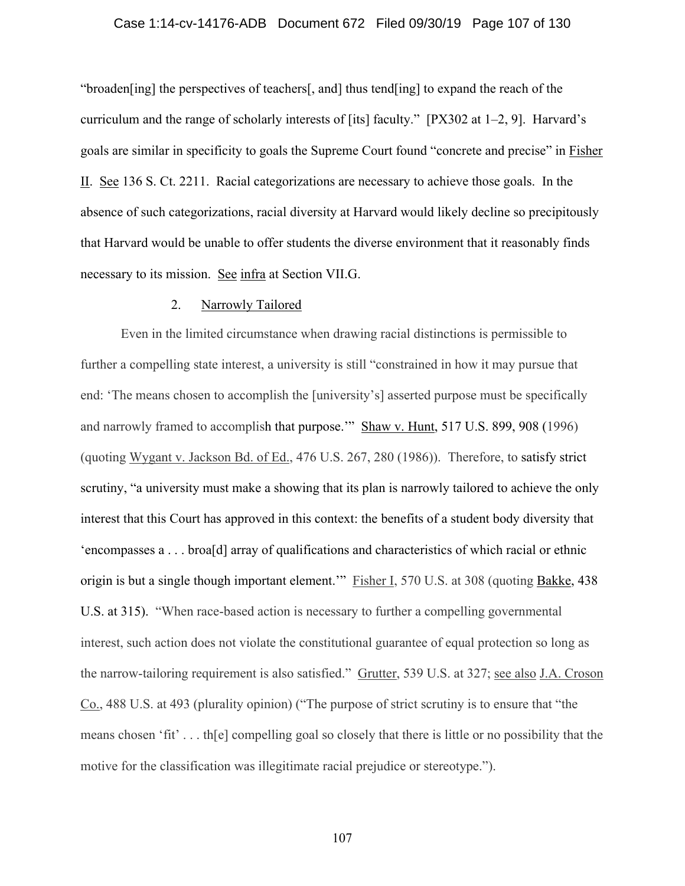### Case 1:14-cv-14176-ADB Document 672 Filed 09/30/19 Page 107 of 130

"broaden[ing] the perspectives of teachers[, and] thus tend[ing] to expand the reach of the curriculum and the range of scholarly interests of [its] faculty." [PX302 at 1–2, 9]. Harvard's goals are similar in specificity to goals the Supreme Court found "concrete and precise" in Fisher II. See 136 S. Ct. 2211. Racial categorizations are necessary to achieve those goals. In the absence of such categorizations, racial diversity at Harvard would likely decline so precipitously that Harvard would be unable to offer students the diverse environment that it reasonably finds necessary to its mission. See infra at Section VII.G.

### 2. Narrowly Tailored

Even in the limited circumstance when drawing racial distinctions is permissible to further a compelling state interest, a university is still "constrained in how it may pursue that end: 'The means chosen to accomplish the [university's] asserted purpose must be specifically and narrowly framed to accomplish that purpose.'" Shaw v. Hunt, 517 U.S. 899, 908 (1996) (quoting Wygant v. Jackson Bd. of Ed., 476 U.S. 267, 280 (1986)). Therefore, to satisfy strict scrutiny, "a university must make a showing that its plan is narrowly tailored to achieve the only interest that this Court has approved in this context: the benefits of a student body diversity that 'encompasses a . . . broa[d] array of qualifications and characteristics of which racial or ethnic origin is but a single though important element.'" Fisher I, 570 U.S. at 308 (quoting Bakke, 438 U.S. at 315). "When race-based action is necessary to further a compelling governmental interest, such action does not violate the constitutional guarantee of equal protection so long as the narrow-tailoring requirement is also satisfied." Grutter, 539 U.S. at 327; see also J.A. Croson Co., 488 U.S. at 493 (plurality opinion) ("The purpose of strict scrutiny is to ensure that "the means chosen 'fit' . . . th[e] compelling goal so closely that there is little or no possibility that the motive for the classification was illegitimate racial prejudice or stereotype.").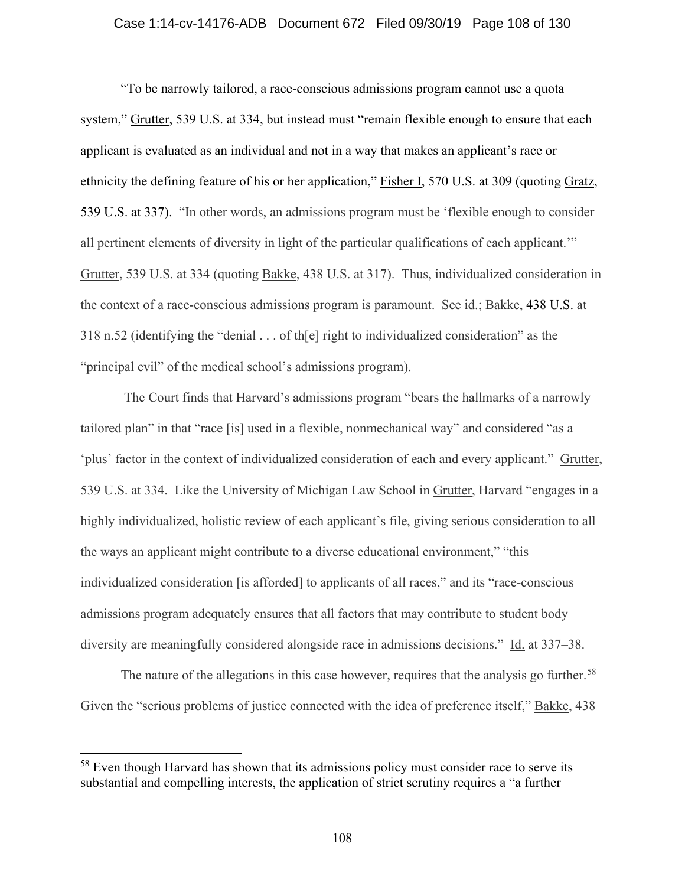### Case 1:14-cv-14176-ADB Document 672 Filed 09/30/19 Page 108 of 130

"To be narrowly tailored, a race-conscious admissions program cannot use a quota system," Grutter, 539 U.S. at 334, but instead must "remain flexible enough to ensure that each applicant is evaluated as an individual and not in a way that makes an applicant's race or ethnicity the defining feature of his or her application," Fisher I, 570 U.S. at 309 (quoting Gratz, 539 U.S. at 337). "In other words, an admissions program must be 'flexible enough to consider all pertinent elements of diversity in light of the particular qualifications of each applicant.'" Grutter, 539 U.S. at 334 (quoting Bakke, 438 U.S. at 317). Thus, individualized consideration in the context of a race-conscious admissions program is paramount. See id.; Bakke, 438 U.S. at 318 n.52 (identifying the "denial . . . of th[e] right to individualized consideration" as the "principal evil" of the medical school's admissions program).

 The Court finds that Harvard's admissions program "bears the hallmarks of a narrowly tailored plan" in that "race [is] used in a flexible, nonmechanical way" and considered "as a 'plus' factor in the context of individualized consideration of each and every applicant." Grutter, 539 U.S. at 334. Like the University of Michigan Law School in Grutter, Harvard "engages in a highly individualized, holistic review of each applicant's file, giving serious consideration to all the ways an applicant might contribute to a diverse educational environment," "this individualized consideration [is afforded] to applicants of all races," and its "race-conscious admissions program adequately ensures that all factors that may contribute to student body diversity are meaningfully considered alongside race in admissions decisions." Id. at 337–38.

The nature of the allegations in this case however, requires that the analysis go further.<sup>58</sup> Given the "serious problems of justice connected with the idea of preference itself," Bakke, 438

<sup>&</sup>lt;sup>58</sup> Even though Harvard has shown that its admissions policy must consider race to serve its substantial and compelling interests, the application of strict scrutiny requires a "a further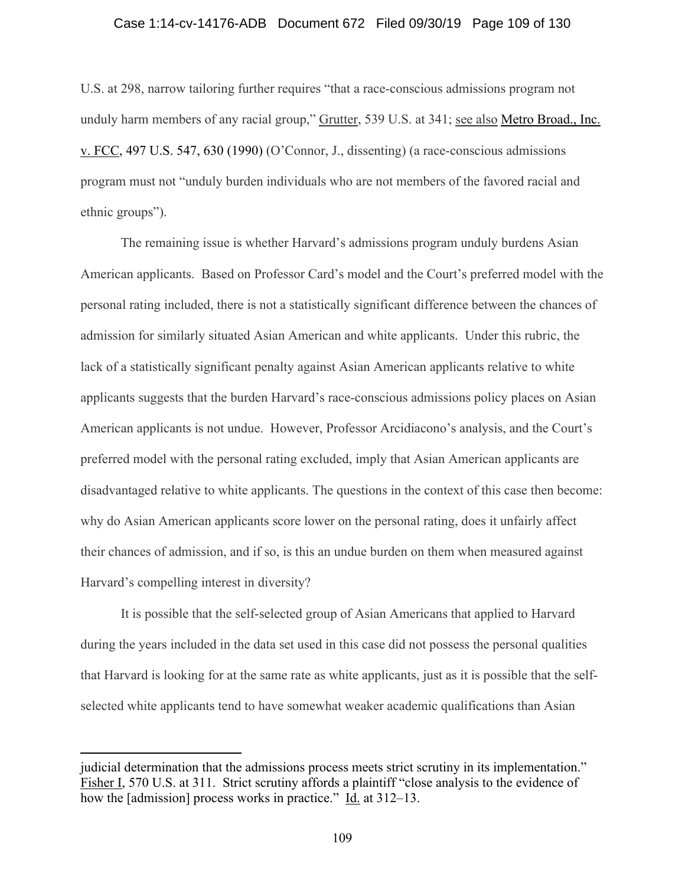#### Case 1:14-cv-14176-ADB Document 672 Filed 09/30/19 Page 109 of 130

U.S. at 298, narrow tailoring further requires "that a race-conscious admissions program not unduly harm members of any racial group," Grutter, 539 U.S. at 341; see also Metro Broad., Inc. v. FCC, 497 U.S. 547, 630 (1990) (O'Connor, J., dissenting) (a race-conscious admissions program must not "unduly burden individuals who are not members of the favored racial and ethnic groups").

The remaining issue is whether Harvard's admissions program unduly burdens Asian American applicants. Based on Professor Card's model and the Court's preferred model with the personal rating included, there is not a statistically significant difference between the chances of admission for similarly situated Asian American and white applicants. Under this rubric, the lack of a statistically significant penalty against Asian American applicants relative to white applicants suggests that the burden Harvard's race-conscious admissions policy places on Asian American applicants is not undue. However, Professor Arcidiacono's analysis, and the Court's preferred model with the personal rating excluded, imply that Asian American applicants are disadvantaged relative to white applicants. The questions in the context of this case then become: why do Asian American applicants score lower on the personal rating, does it unfairly affect their chances of admission, and if so, is this an undue burden on them when measured against Harvard's compelling interest in diversity?

 It is possible that the self-selected group of Asian Americans that applied to Harvard during the years included in the data set used in this case did not possess the personal qualities that Harvard is looking for at the same rate as white applicants, just as it is possible that the selfselected white applicants tend to have somewhat weaker academic qualifications than Asian

judicial determination that the admissions process meets strict scrutiny in its implementation." Fisher I, 570 U.S. at 311. Strict scrutiny affords a plaintiff "close analysis to the evidence of how the [admission] process works in practice."  $\underline{Id}$  at 312–13.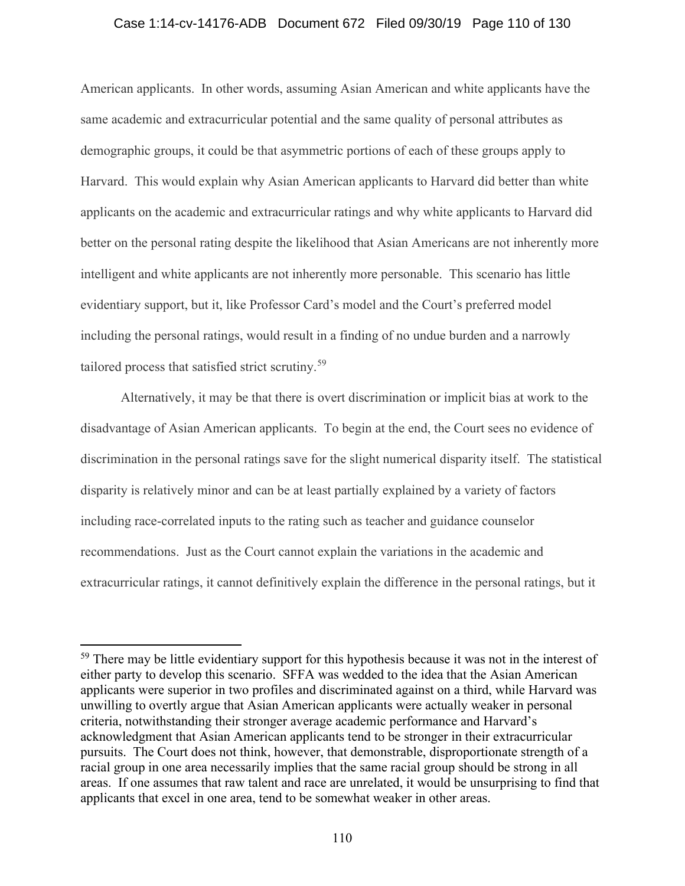## Case 1:14-cv-14176-ADB Document 672 Filed 09/30/19 Page 110 of 130

American applicants. In other words, assuming Asian American and white applicants have the same academic and extracurricular potential and the same quality of personal attributes as demographic groups, it could be that asymmetric portions of each of these groups apply to Harvard. This would explain why Asian American applicants to Harvard did better than white applicants on the academic and extracurricular ratings and why white applicants to Harvard did better on the personal rating despite the likelihood that Asian Americans are not inherently more intelligent and white applicants are not inherently more personable. This scenario has little evidentiary support, but it, like Professor Card's model and the Court's preferred model including the personal ratings, would result in a finding of no undue burden and a narrowly tailored process that satisfied strict scrutiny.<sup>59</sup>

Alternatively, it may be that there is overt discrimination or implicit bias at work to the disadvantage of Asian American applicants. To begin at the end, the Court sees no evidence of discrimination in the personal ratings save for the slight numerical disparity itself. The statistical disparity is relatively minor and can be at least partially explained by a variety of factors including race-correlated inputs to the rating such as teacher and guidance counselor recommendations. Just as the Court cannot explain the variations in the academic and extracurricular ratings, it cannot definitively explain the difference in the personal ratings, but it

<sup>&</sup>lt;sup>59</sup> There may be little evidentiary support for this hypothesis because it was not in the interest of either party to develop this scenario. SFFA was wedded to the idea that the Asian American applicants were superior in two profiles and discriminated against on a third, while Harvard was unwilling to overtly argue that Asian American applicants were actually weaker in personal criteria, notwithstanding their stronger average academic performance and Harvard's acknowledgment that Asian American applicants tend to be stronger in their extracurricular pursuits. The Court does not think, however, that demonstrable, disproportionate strength of a racial group in one area necessarily implies that the same racial group should be strong in all areas. If one assumes that raw talent and race are unrelated, it would be unsurprising to find that applicants that excel in one area, tend to be somewhat weaker in other areas.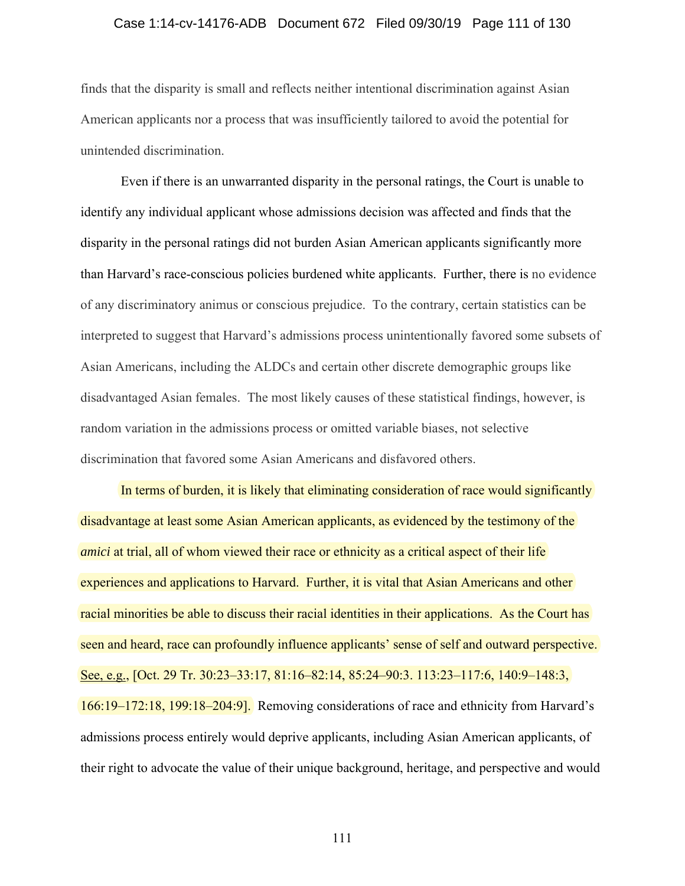### Case 1:14-cv-14176-ADB Document 672 Filed 09/30/19 Page 111 of 130

finds that the disparity is small and reflects neither intentional discrimination against Asian American applicants nor a process that was insufficiently tailored to avoid the potential for unintended discrimination.

 Even if there is an unwarranted disparity in the personal ratings, the Court is unable to identify any individual applicant whose admissions decision was affected and finds that the disparity in the personal ratings did not burden Asian American applicants significantly more than Harvard's race-conscious policies burdened white applicants. Further, there is no evidence of any discriminatory animus or conscious prejudice. To the contrary, certain statistics can be interpreted to suggest that Harvard's admissions process unintentionally favored some subsets of Asian Americans, including the ALDCs and certain other discrete demographic groups like disadvantaged Asian females. The most likely causes of these statistical findings, however, is random variation in the admissions process or omitted variable biases, not selective discrimination that favored some Asian Americans and disfavored others.

In terms of burden, it is likely that eliminating consideration of race would significantly disadvantage at least some Asian American applicants, as evidenced by the testimony of the *amici* at trial, all of whom viewed their race or ethnicity as a critical aspect of their life experiences and applications to Harvard. Further, it is vital that Asian Americans and other racial minorities be able to discuss their racial identities in their applications. As the Court has seen and heard, race can profoundly influence applicants' sense of self and outward perspective. See, e.g., [Oct. 29 Tr. 30:23–33:17, 81:16–82:14, 85:24–90:3. 113:23–117:6, 140:9–148:3, 166:19–172:18, 199:18–204:9]. Removing considerations of race and ethnicity from Harvard's admissions process entirely would deprive applicants, including Asian American applicants, of their right to advocate the value of their unique background, heritage, and perspective and would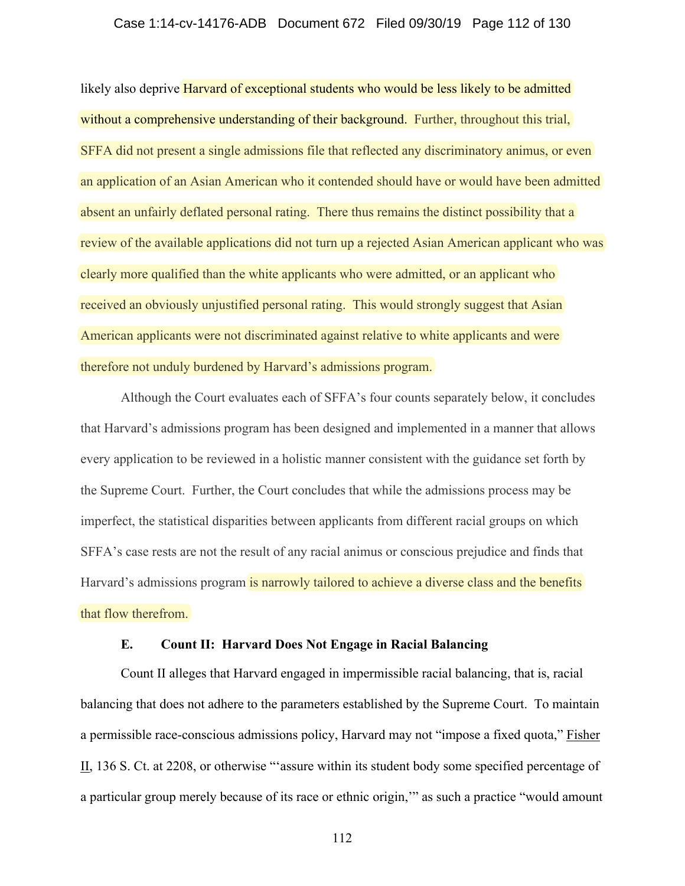#### Case 1:14-cv-14176-ADB Document 672 Filed 09/30/19 Page 112 of 130

likely also deprive Harvard of exceptional students who would be less likely to be admitted without a comprehensive understanding of their background. Further, throughout this trial, SFFA did not present a single admissions file that reflected any discriminatory animus, or even an application of an Asian American who it contended should have or would have been admitted absent an unfairly deflated personal rating. There thus remains the distinct possibility that a review of the available applications did not turn up a rejected Asian American applicant who was clearly more qualified than the white applicants who were admitted, or an applicant who received an obviously unjustified personal rating. This would strongly suggest that Asian American applicants were not discriminated against relative to white applicants and were therefore not unduly burdened by Harvard's admissions program.

Although the Court evaluates each of SFFA's four counts separately below, it concludes that Harvard's admissions program has been designed and implemented in a manner that allows every application to be reviewed in a holistic manner consistent with the guidance set forth by the Supreme Court. Further, the Court concludes that while the admissions process may be imperfect, the statistical disparities between applicants from different racial groups on which SFFA's case rests are not the result of any racial animus or conscious prejudice and finds that Harvard's admissions program is narrowly tailored to achieve a diverse class and the benefits that flow therefrom.

## **E. Count II: Harvard Does Not Engage in Racial Balancing**

Count II alleges that Harvard engaged in impermissible racial balancing, that is, racial balancing that does not adhere to the parameters established by the Supreme Court. To maintain a permissible race-conscious admissions policy, Harvard may not "impose a fixed quota," Fisher II, 136 S. Ct. at 2208, or otherwise "'assure within its student body some specified percentage of a particular group merely because of its race or ethnic origin,'" as such a practice "would amount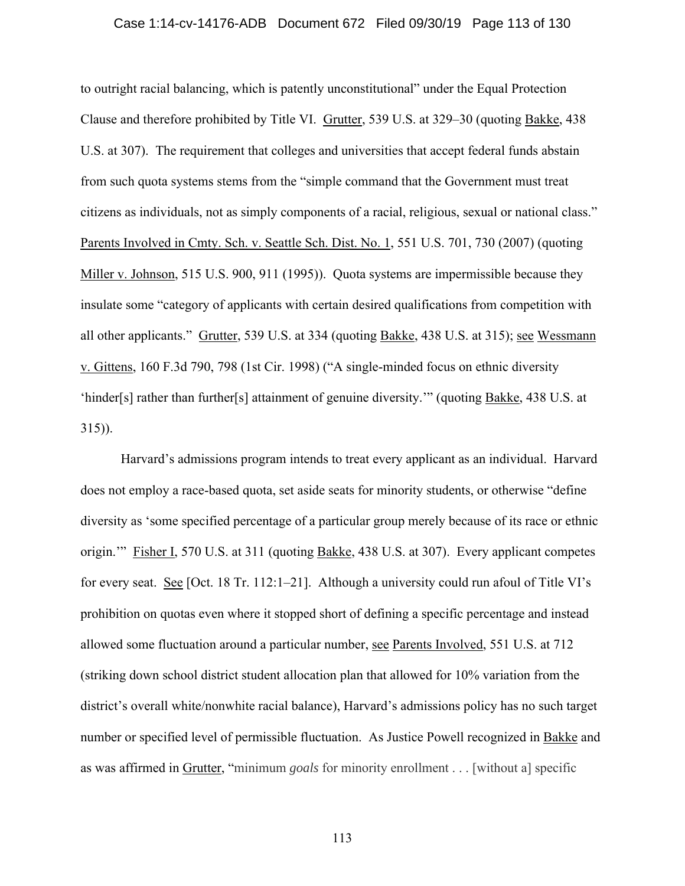#### Case 1:14-cv-14176-ADB Document 672 Filed 09/30/19 Page 113 of 130

to outright racial balancing, which is patently unconstitutional" under the Equal Protection Clause and therefore prohibited by Title VI. Grutter, 539 U.S. at 329–30 (quoting Bakke, 438 U.S. at 307). The requirement that colleges and universities that accept federal funds abstain from such quota systems stems from the "simple command that the Government must treat citizens as individuals, not as simply components of a racial, religious, sexual or national class." Parents Involved in Cmty. Sch. v. Seattle Sch. Dist. No. 1, 551 U.S. 701, 730 (2007) (quoting Miller v. Johnson, 515 U.S. 900, 911 (1995)). Quota systems are impermissible because they insulate some "category of applicants with certain desired qualifications from competition with all other applicants." Grutter, 539 U.S. at 334 (quoting Bakke, 438 U.S. at 315); see Wessmann v. Gittens, 160 F.3d 790, 798 (1st Cir. 1998) ("A single-minded focus on ethnic diversity 'hinder[s] rather than further[s] attainment of genuine diversity.'" (quoting Bakke, 438 U.S. at 315)).

Harvard's admissions program intends to treat every applicant as an individual. Harvard does not employ a race-based quota, set aside seats for minority students, or otherwise "define diversity as 'some specified percentage of a particular group merely because of its race or ethnic origin.'" Fisher I, 570 U.S. at 311 (quoting Bakke, 438 U.S. at 307). Every applicant competes for every seat. See [Oct. 18 Tr. 112:1–21]. Although a university could run afoul of Title VI's prohibition on quotas even where it stopped short of defining a specific percentage and instead allowed some fluctuation around a particular number, see Parents Involved, 551 U.S. at 712 (striking down school district student allocation plan that allowed for 10% variation from the district's overall white/nonwhite racial balance), Harvard's admissions policy has no such target number or specified level of permissible fluctuation. As Justice Powell recognized in Bakke and as was affirmed in Grutter, "minimum *goals* for minority enrollment . . . [without a] specific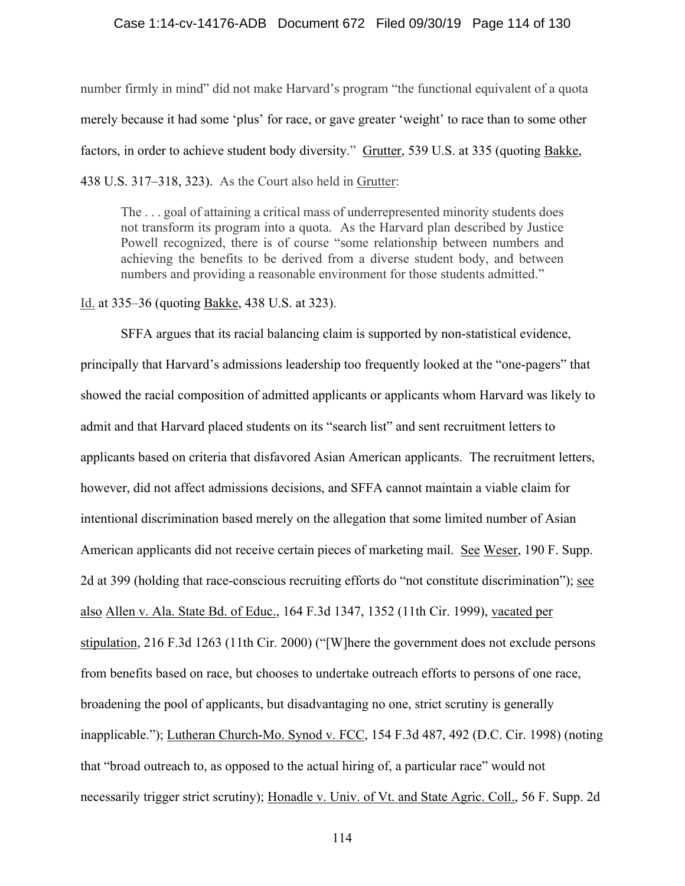#### Case 1:14-cv-14176-ADB Document 672 Filed 09/30/19 Page 114 of 130

number firmly in mind" did not make Harvard's program "the functional equivalent of a quota merely because it had some 'plus' for race, or gave greater 'weight' to race than to some other factors, in order to achieve student body diversity." Grutter, 539 U.S. at 335 (quoting Bakke, 438 U.S. 317–318, 323). As the Court also held in Grutter:

The . . . goal of attaining a critical mass of underrepresented minority students does not transform its program into a quota. As the Harvard plan described by Justice Powell recognized, there is of course "some relationship between numbers and achieving the benefits to be derived from a diverse student body, and between numbers and providing a reasonable environment for those students admitted."

Id. at 335–36 (quoting Bakke, 438 U.S. at 323).

SFFA argues that its racial balancing claim is supported by non-statistical evidence, principally that Harvard's admissions leadership too frequently looked at the "one-pagers" that showed the racial composition of admitted applicants or applicants whom Harvard was likely to admit and that Harvard placed students on its "search list" and sent recruitment letters to applicants based on criteria that disfavored Asian American applicants. The recruitment letters, however, did not affect admissions decisions, and SFFA cannot maintain a viable claim for intentional discrimination based merely on the allegation that some limited number of Asian American applicants did not receive certain pieces of marketing mail. See Weser, 190 F. Supp. 2d at 399 (holding that race-conscious recruiting efforts do "not constitute discrimination"); see also Allen v. Ala. State Bd. of Educ., 164 F.3d 1347, 1352 (11th Cir. 1999), vacated per stipulation, 216 F.3d 1263 (11th Cir. 2000) ("[W]here the government does not exclude persons from benefits based on race, but chooses to undertake outreach efforts to persons of one race, broadening the pool of applicants, but disadvantaging no one, strict scrutiny is generally inapplicable."); Lutheran Church-Mo. Synod v. FCC, 154 F.3d 487, 492 (D.C. Cir. 1998) (noting that "broad outreach to, as opposed to the actual hiring of, a particular race" would not necessarily trigger strict scrutiny); Honadle v. Univ. of Vt. and State Agric. Coll., 56 F. Supp. 2d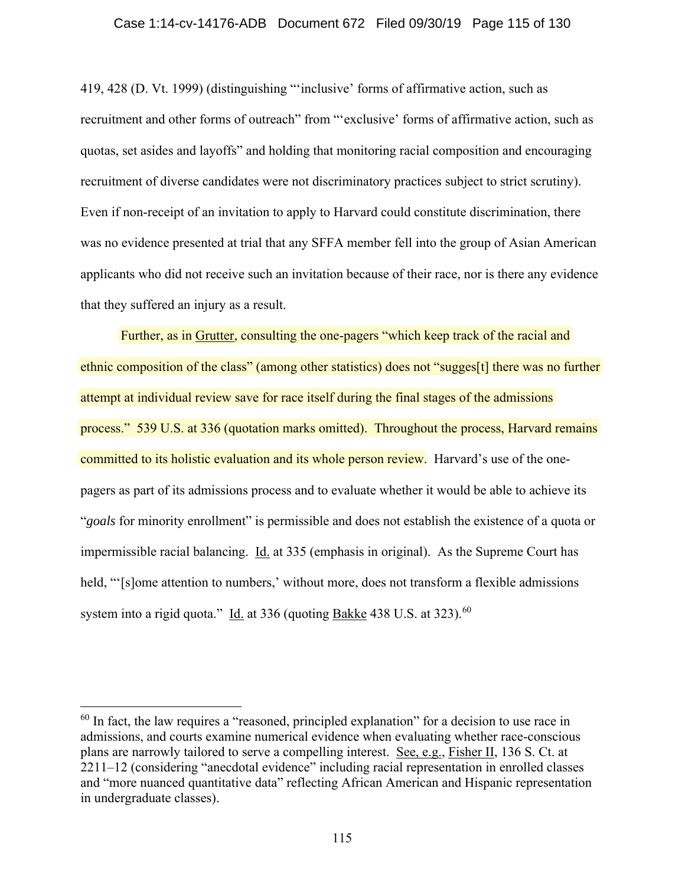#### Case 1:14-cv-14176-ADB Document 672 Filed 09/30/19 Page 115 of 130

419, 428 (D. Vt. 1999) (distinguishing "'inclusive' forms of affirmative action, such as recruitment and other forms of outreach" from "'exclusive' forms of affirmative action, such as quotas, set asides and layoffs" and holding that monitoring racial composition and encouraging recruitment of diverse candidates were not discriminatory practices subject to strict scrutiny). Even if non-receipt of an invitation to apply to Harvard could constitute discrimination, there was no evidence presented at trial that any SFFA member fell into the group of Asian American applicants who did not receive such an invitation because of their race, nor is there any evidence that they suffered an injury as a result.

Further, as in Grutter, consulting the one-pagers "which keep track of the racial and ethnic composition of the class" (among other statistics) does not "sugges[t] there was no further attempt at individual review save for race itself during the final stages of the admissions process." 539 U.S. at 336 (quotation marks omitted). Throughout the process, Harvard remains committed to its holistic evaluation and its whole person review. Harvard's use of the onepagers as part of its admissions process and to evaluate whether it would be able to achieve its "*goals* for minority enrollment" is permissible and does not establish the existence of a quota or impermissible racial balancing. Id. at 335 (emphasis in original). As the Supreme Court has held, "Solome attention to numbers,' without more, does not transform a flexible admissions system into a rigid quota." Id. at  $336$  (quoting Bakke 438 U.S. at  $323$ ).<sup>60</sup>

 $60$  In fact, the law requires a "reasoned, principled explanation" for a decision to use race in admissions, and courts examine numerical evidence when evaluating whether race-conscious plans are narrowly tailored to serve a compelling interest. See, e.g., Fisher II, 136 S. Ct. at 2211–12 (considering "anecdotal evidence" including racial representation in enrolled classes and "more nuanced quantitative data" reflecting African American and Hispanic representation in undergraduate classes).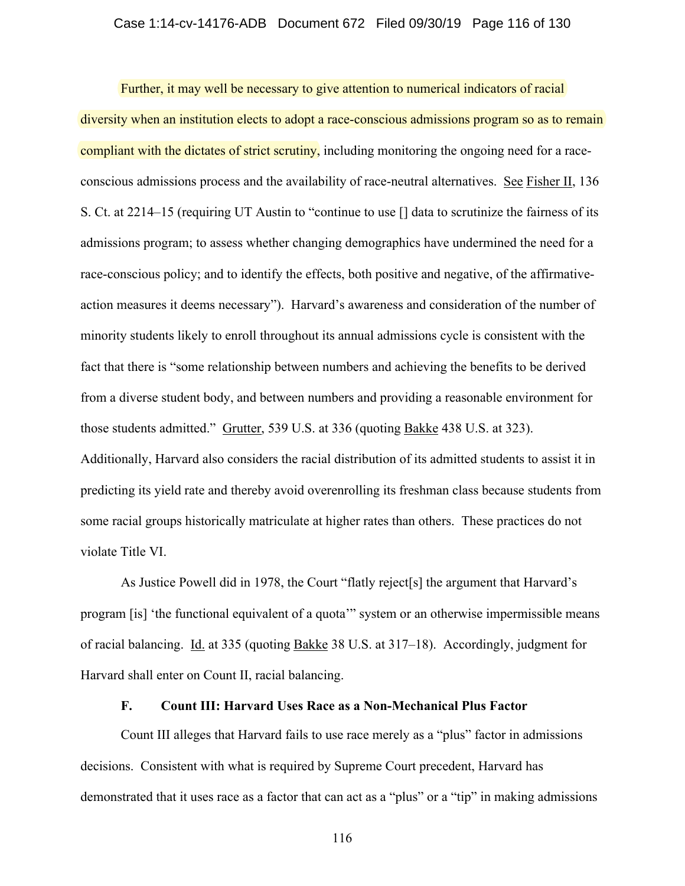#### Case 1:14-cv-14176-ADB Document 672 Filed 09/30/19 Page 116 of 130

Further, it may well be necessary to give attention to numerical indicators of racial diversity when an institution elects to adopt a race-conscious admissions program so as to remain compliant with the dictates of strict scrutiny, including monitoring the ongoing need for a raceconscious admissions process and the availability of race-neutral alternatives. See Fisher II, 136 S. Ct. at 2214–15 (requiring UT Austin to "continue to use [] data to scrutinize the fairness of its admissions program; to assess whether changing demographics have undermined the need for a race-conscious policy; and to identify the effects, both positive and negative, of the affirmativeaction measures it deems necessary"). Harvard's awareness and consideration of the number of minority students likely to enroll throughout its annual admissions cycle is consistent with the fact that there is "some relationship between numbers and achieving the benefits to be derived from a diverse student body, and between numbers and providing a reasonable environment for those students admitted." Grutter, 539 U.S. at 336 (quoting Bakke 438 U.S. at 323). Additionally, Harvard also considers the racial distribution of its admitted students to assist it in predicting its yield rate and thereby avoid overenrolling its freshman class because students from some racial groups historically matriculate at higher rates than others. These practices do not violate Title VI.

As Justice Powell did in 1978, the Court "flatly reject[s] the argument that Harvard's program [is] 'the functional equivalent of a quota'" system or an otherwise impermissible means of racial balancing. Id. at 335 (quoting Bakke 38 U.S. at 317–18). Accordingly, judgment for Harvard shall enter on Count II, racial balancing.

# **F. Count III: Harvard Uses Race as a Non-Mechanical Plus Factor**

Count III alleges that Harvard fails to use race merely as a "plus" factor in admissions decisions. Consistent with what is required by Supreme Court precedent, Harvard has demonstrated that it uses race as a factor that can act as a "plus" or a "tip" in making admissions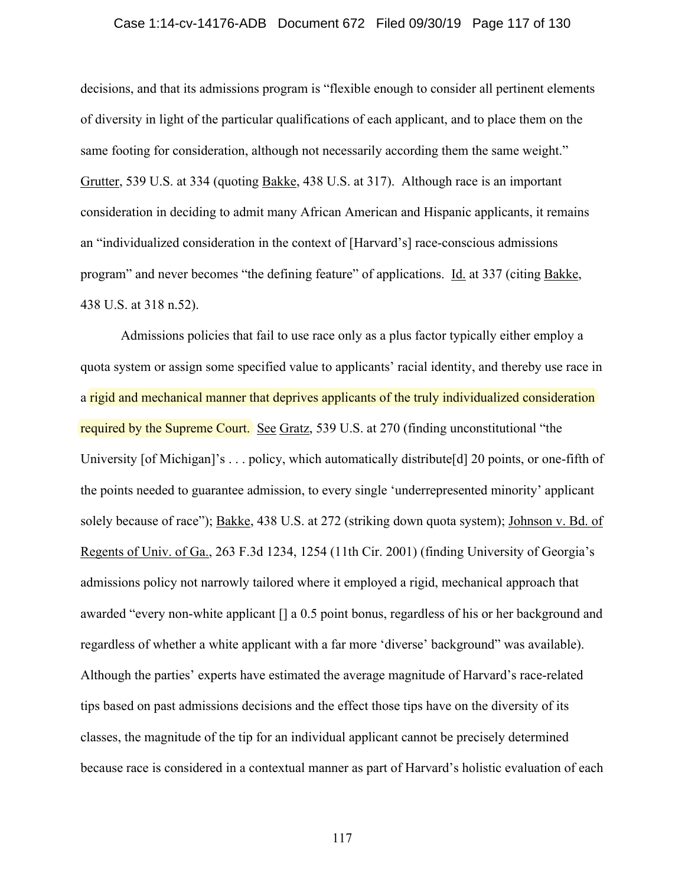#### Case 1:14-cv-14176-ADB Document 672 Filed 09/30/19 Page 117 of 130

decisions, and that its admissions program is "flexible enough to consider all pertinent elements of diversity in light of the particular qualifications of each applicant, and to place them on the same footing for consideration, although not necessarily according them the same weight." Grutter, 539 U.S. at 334 (quoting Bakke, 438 U.S. at 317). Although race is an important consideration in deciding to admit many African American and Hispanic applicants, it remains an "individualized consideration in the context of [Harvard's] race-conscious admissions program" and never becomes "the defining feature" of applications. Id. at 337 (citing Bakke, 438 U.S. at 318 n.52).

Admissions policies that fail to use race only as a plus factor typically either employ a quota system or assign some specified value to applicants' racial identity, and thereby use race in a rigid and mechanical manner that deprives applicants of the truly individualized consideration required by the Supreme Court. See Gratz, 539 U.S. at 270 (finding unconstitutional "the University [of Michigan]'s . . . policy, which automatically distribute[d] 20 points, or one-fifth of the points needed to guarantee admission, to every single 'underrepresented minority' applicant solely because of race"); Bakke, 438 U.S. at 272 (striking down quota system); Johnson v. Bd. of Regents of Univ. of Ga., 263 F.3d 1234, 1254 (11th Cir. 2001) (finding University of Georgia's admissions policy not narrowly tailored where it employed a rigid, mechanical approach that awarded "every non-white applicant [] a 0.5 point bonus, regardless of his or her background and regardless of whether a white applicant with a far more 'diverse' background" was available). Although the parties' experts have estimated the average magnitude of Harvard's race-related tips based on past admissions decisions and the effect those tips have on the diversity of its classes, the magnitude of the tip for an individual applicant cannot be precisely determined because race is considered in a contextual manner as part of Harvard's holistic evaluation of each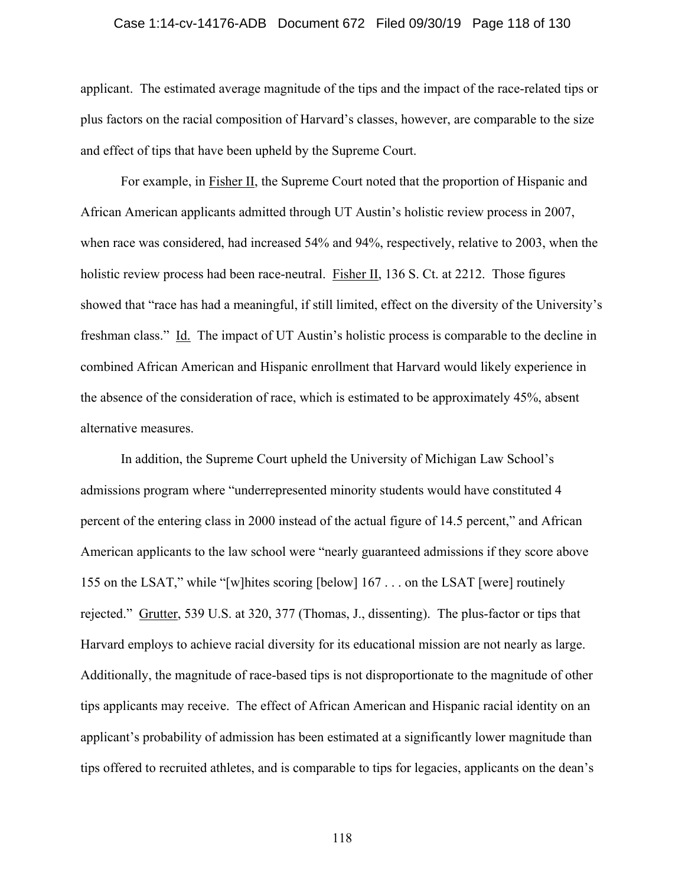#### Case 1:14-cv-14176-ADB Document 672 Filed 09/30/19 Page 118 of 130

applicant. The estimated average magnitude of the tips and the impact of the race-related tips or plus factors on the racial composition of Harvard's classes, however, are comparable to the size and effect of tips that have been upheld by the Supreme Court.

For example, in Fisher II, the Supreme Court noted that the proportion of Hispanic and African American applicants admitted through UT Austin's holistic review process in 2007, when race was considered, had increased 54% and 94%, respectively, relative to 2003, when the holistic review process had been race-neutral. Fisher II, 136 S. Ct. at 2212. Those figures showed that "race has had a meaningful, if still limited, effect on the diversity of the University's freshman class." Id. The impact of UT Austin's holistic process is comparable to the decline in combined African American and Hispanic enrollment that Harvard would likely experience in the absence of the consideration of race, which is estimated to be approximately 45%, absent alternative measures.

In addition, the Supreme Court upheld the University of Michigan Law School's admissions program where "underrepresented minority students would have constituted 4 percent of the entering class in 2000 instead of the actual figure of 14.5 percent," and African American applicants to the law school were "nearly guaranteed admissions if they score above 155 on the LSAT," while "[w]hites scoring [below] 167 . . . on the LSAT [were] routinely rejected." Grutter, 539 U.S. at 320, 377 (Thomas, J., dissenting). The plus-factor or tips that Harvard employs to achieve racial diversity for its educational mission are not nearly as large. Additionally, the magnitude of race-based tips is not disproportionate to the magnitude of other tips applicants may receive. The effect of African American and Hispanic racial identity on an applicant's probability of admission has been estimated at a significantly lower magnitude than tips offered to recruited athletes, and is comparable to tips for legacies, applicants on the dean's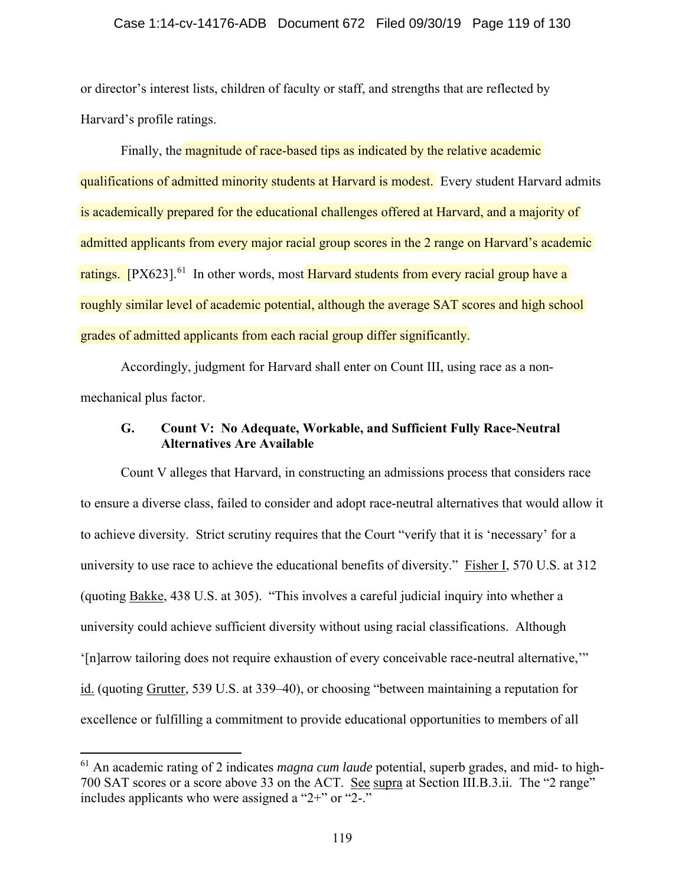## Case 1:14-cv-14176-ADB Document 672 Filed 09/30/19 Page 119 of 130

or director's interest lists, children of faculty or staff, and strengths that are reflected by Harvard's profile ratings.

Finally, the **magnitude of race-based tips as indicated by the relative academic** qualifications of admitted minority students at Harvard is modest. Every student Harvard admits is academically prepared for the educational challenges offered at Harvard, and a majority of admitted applicants from every major racial group scores in the 2 range on Harvard's academic ratings. [PX623]<sup>61</sup> In other words, most **Harvard students from every racial group have a** roughly similar level of academic potential, although the average SAT scores and high school grades of admitted applicants from each racial group differ significantly.

Accordingly, judgment for Harvard shall enter on Count III, using race as a nonmechanical plus factor.

## **G. Count V: No Adequate, Workable, and Sufficient Fully Race-Neutral Alternatives Are Available**

Count V alleges that Harvard, in constructing an admissions process that considers race to ensure a diverse class, failed to consider and adopt race-neutral alternatives that would allow it to achieve diversity. Strict scrutiny requires that the Court "verify that it is 'necessary' for a university to use race to achieve the educational benefits of diversity." Fisher I, 570 U.S. at 312 (quoting Bakke, 438 U.S. at 305). "This involves a careful judicial inquiry into whether a university could achieve sufficient diversity without using racial classifications. Although '[n]arrow tailoring does not require exhaustion of every conceivable race-neutral alternative,'" id. (quoting Grutter, 539 U.S. at 339–40), or choosing "between maintaining a reputation for excellence or fulfilling a commitment to provide educational opportunities to members of all

<sup>61</sup> An academic rating of 2 indicates *magna cum laude* potential, superb grades, and mid- to high-700 SAT scores or a score above 33 on the ACT. See supra at Section III.B.3.ii. The "2 range" includes applicants who were assigned a "2+" or "2-."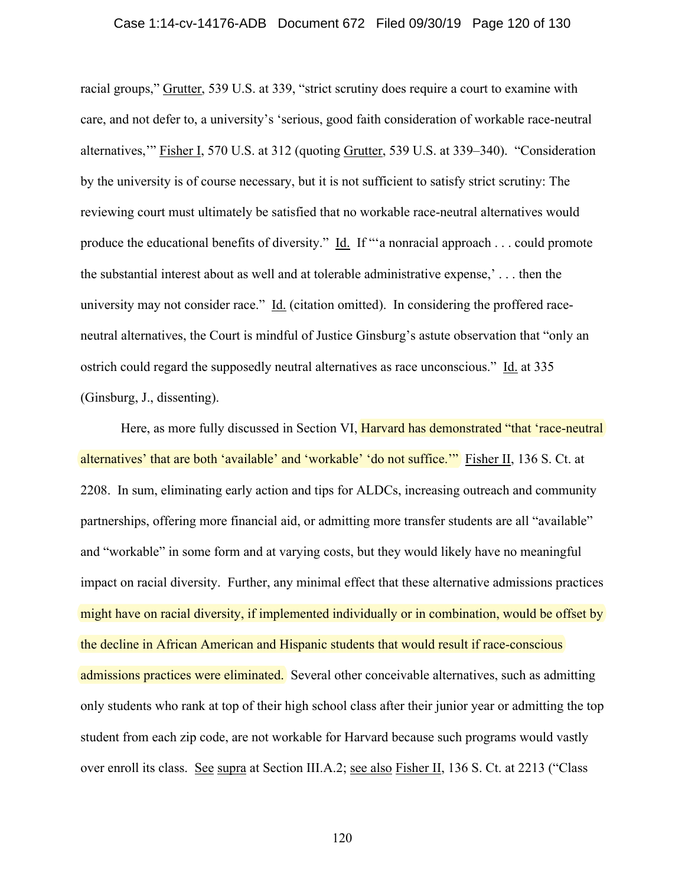#### Case 1:14-cv-14176-ADB Document 672 Filed 09/30/19 Page 120 of 130

racial groups," Grutter, 539 U.S. at 339, "strict scrutiny does require a court to examine with care, and not defer to, a university's 'serious, good faith consideration of workable race-neutral alternatives,'" Fisher I, 570 U.S. at 312 (quoting Grutter, 539 U.S. at 339–340). "Consideration by the university is of course necessary, but it is not sufficient to satisfy strict scrutiny: The reviewing court must ultimately be satisfied that no workable race-neutral alternatives would produce the educational benefits of diversity." Id. If "'a nonracial approach . . . could promote the substantial interest about as well and at tolerable administrative expense,' . . . then the university may not consider race." Id. (citation omitted). In considering the proffered raceneutral alternatives, the Court is mindful of Justice Ginsburg's astute observation that "only an ostrich could regard the supposedly neutral alternatives as race unconscious." Id. at 335 (Ginsburg, J., dissenting).

Here, as more fully discussed in Section VI, Harvard has demonstrated "that 'race-neutral alternatives' that are both 'available' and 'workable' 'do not suffice.'" Fisher II, 136 S. Ct. at 2208. In sum, eliminating early action and tips for ALDCs, increasing outreach and community partnerships, offering more financial aid, or admitting more transfer students are all "available" and "workable" in some form and at varying costs, but they would likely have no meaningful impact on racial diversity. Further, any minimal effect that these alternative admissions practices might have on racial diversity, if implemented individually or in combination, would be offset by the decline in African American and Hispanic students that would result if race-conscious admissions practices were eliminated. Several other conceivable alternatives, such as admitting only students who rank at top of their high school class after their junior year or admitting the top student from each zip code, are not workable for Harvard because such programs would vastly over enroll its class. See supra at Section III.A.2; see also Fisher II, 136 S. Ct. at 2213 ("Class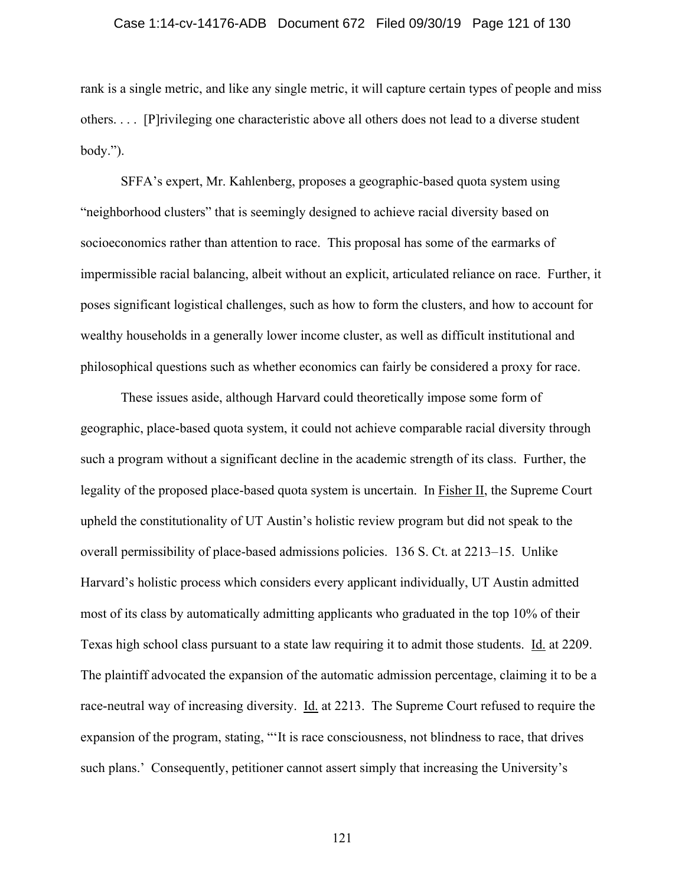#### Case 1:14-cv-14176-ADB Document 672 Filed 09/30/19 Page 121 of 130

rank is a single metric, and like any single metric, it will capture certain types of people and miss others. . . . [P]rivileging one characteristic above all others does not lead to a diverse student body.").

SFFA's expert, Mr. Kahlenberg, proposes a geographic-based quota system using "neighborhood clusters" that is seemingly designed to achieve racial diversity based on socioeconomics rather than attention to race. This proposal has some of the earmarks of impermissible racial balancing, albeit without an explicit, articulated reliance on race. Further, it poses significant logistical challenges, such as how to form the clusters, and how to account for wealthy households in a generally lower income cluster, as well as difficult institutional and philosophical questions such as whether economics can fairly be considered a proxy for race.

These issues aside, although Harvard could theoretically impose some form of geographic, place-based quota system, it could not achieve comparable racial diversity through such a program without a significant decline in the academic strength of its class. Further, the legality of the proposed place-based quota system is uncertain. In Fisher II, the Supreme Court upheld the constitutionality of UT Austin's holistic review program but did not speak to the overall permissibility of place-based admissions policies. 136 S. Ct. at 2213–15. Unlike Harvard's holistic process which considers every applicant individually, UT Austin admitted most of its class by automatically admitting applicants who graduated in the top 10% of their Texas high school class pursuant to a state law requiring it to admit those students. Id. at 2209. The plaintiff advocated the expansion of the automatic admission percentage, claiming it to be a race-neutral way of increasing diversity. Id. at 2213. The Supreme Court refused to require the expansion of the program, stating, "'It is race consciousness, not blindness to race, that drives such plans.' Consequently, petitioner cannot assert simply that increasing the University's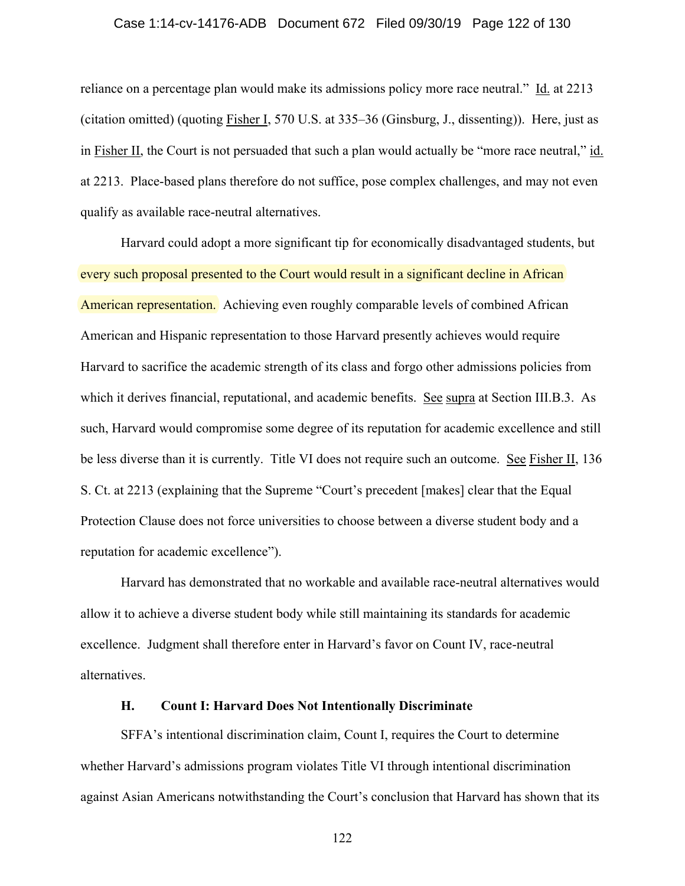#### Case 1:14-cv-14176-ADB Document 672 Filed 09/30/19 Page 122 of 130

reliance on a percentage plan would make its admissions policy more race neutral."  $\underline{Id}$  at 2213 (citation omitted) (quoting Fisher I, 570 U.S. at 335–36 (Ginsburg, J., dissenting)). Here, just as in Fisher II, the Court is not persuaded that such a plan would actually be "more race neutral," id. at 2213. Place-based plans therefore do not suffice, pose complex challenges, and may not even qualify as available race-neutral alternatives.

Harvard could adopt a more significant tip for economically disadvantaged students, but every such proposal presented to the Court would result in a significant decline in African American representation. Achieving even roughly comparable levels of combined African American and Hispanic representation to those Harvard presently achieves would require Harvard to sacrifice the academic strength of its class and forgo other admissions policies from which it derives financial, reputational, and academic benefits. See supra at Section III.B.3. As such, Harvard would compromise some degree of its reputation for academic excellence and still be less diverse than it is currently. Title VI does not require such an outcome. See Fisher II, 136 S. Ct. at 2213 (explaining that the Supreme "Court's precedent [makes] clear that the Equal Protection Clause does not force universities to choose between a diverse student body and a reputation for academic excellence").

Harvard has demonstrated that no workable and available race-neutral alternatives would allow it to achieve a diverse student body while still maintaining its standards for academic excellence. Judgment shall therefore enter in Harvard's favor on Count IV, race-neutral alternatives.

## **H. Count I: Harvard Does Not Intentionally Discriminate**

SFFA's intentional discrimination claim, Count I, requires the Court to determine whether Harvard's admissions program violates Title VI through intentional discrimination against Asian Americans notwithstanding the Court's conclusion that Harvard has shown that its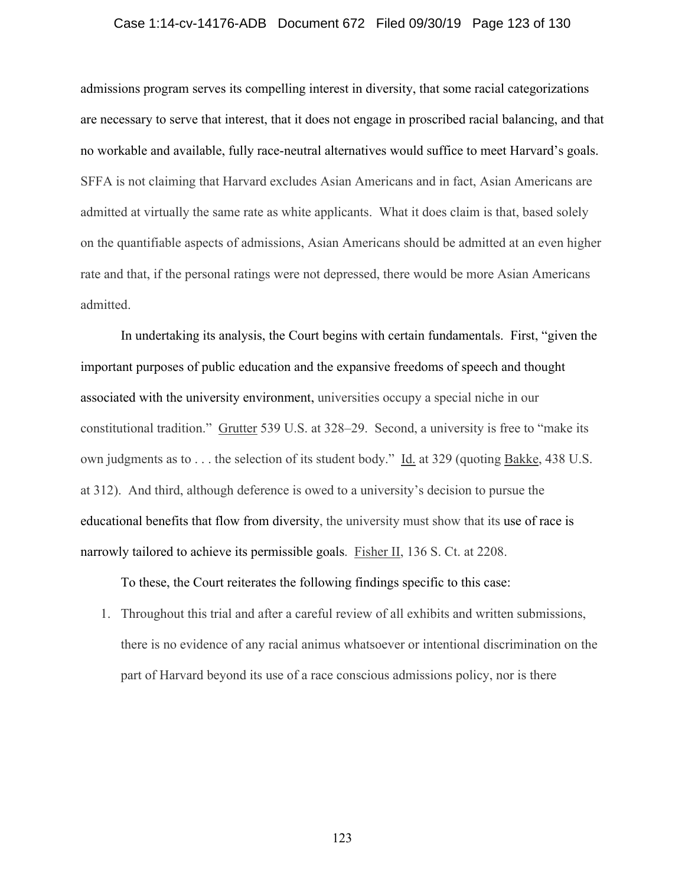#### Case 1:14-cv-14176-ADB Document 672 Filed 09/30/19 Page 123 of 130

admissions program serves its compelling interest in diversity, that some racial categorizations are necessary to serve that interest, that it does not engage in proscribed racial balancing, and that no workable and available, fully race-neutral alternatives would suffice to meet Harvard's goals. SFFA is not claiming that Harvard excludes Asian Americans and in fact, Asian Americans are admitted at virtually the same rate as white applicants. What it does claim is that, based solely on the quantifiable aspects of admissions, Asian Americans should be admitted at an even higher rate and that, if the personal ratings were not depressed, there would be more Asian Americans admitted.

In undertaking its analysis, the Court begins with certain fundamentals. First, "given the important purposes of public education and the expansive freedoms of speech and thought associated with the university environment, universities occupy a special niche in our constitutional tradition." Grutter 539 U.S. at 328–29. Second, a university is free to "make its own judgments as to . . . the selection of its student body." Id. at 329 (quoting Bakke, 438 U.S. at 312). And third, although deference is owed to a university's decision to pursue the educational benefits that flow from diversity, the university must show that its use of race is narrowly tailored to achieve its permissible goals. Fisher II, 136 S. Ct. at 2208.

To these, the Court reiterates the following findings specific to this case:

1. Throughout this trial and after a careful review of all exhibits and written submissions, there is no evidence of any racial animus whatsoever or intentional discrimination on the part of Harvard beyond its use of a race conscious admissions policy, nor is there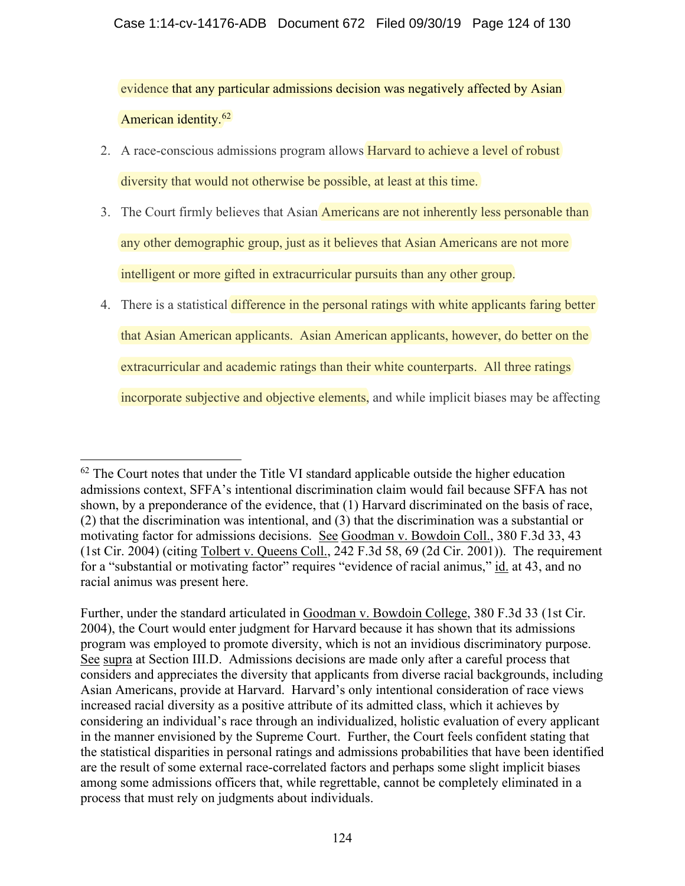evidence that any particular admissions decision was negatively affected by Asian American identity.62

- 2. A race-conscious admissions program allows **Harvard to achieve a level of robust** diversity that would not otherwise be possible, at least at this time.
- 3. The Court firmly believes that Asian Americans are not inherently less personable than any other demographic group, just as it believes that Asian Americans are not more intelligent or more gifted in extracurricular pursuits than any other group.
- 4. There is a statistical difference in the personal ratings with white applicants faring better that Asian American applicants. Asian American applicants, however, do better on the extracurricular and academic ratings than their white counterparts. All three ratings incorporate subjective and objective elements, and while implicit biases may be affecting

 $62$  The Court notes that under the Title VI standard applicable outside the higher education admissions context, SFFA's intentional discrimination claim would fail because SFFA has not shown, by a preponderance of the evidence, that (1) Harvard discriminated on the basis of race, (2) that the discrimination was intentional, and (3) that the discrimination was a substantial or motivating factor for admissions decisions. See Goodman v. Bowdoin Coll., 380 F.3d 33, 43 (1st Cir. 2004) (citing Tolbert v. Queens Coll., 242 F.3d 58, 69 (2d Cir. 2001)). The requirement for a "substantial or motivating factor" requires "evidence of racial animus," id. at 43, and no racial animus was present here.

Further, under the standard articulated in Goodman v. Bowdoin College, 380 F.3d 33 (1st Cir. 2004), the Court would enter judgment for Harvard because it has shown that its admissions program was employed to promote diversity, which is not an invidious discriminatory purpose. See supra at Section III.D. Admissions decisions are made only after a careful process that considers and appreciates the diversity that applicants from diverse racial backgrounds, including Asian Americans, provide at Harvard. Harvard's only intentional consideration of race views increased racial diversity as a positive attribute of its admitted class, which it achieves by considering an individual's race through an individualized, holistic evaluation of every applicant in the manner envisioned by the Supreme Court. Further, the Court feels confident stating that the statistical disparities in personal ratings and admissions probabilities that have been identified are the result of some external race-correlated factors and perhaps some slight implicit biases among some admissions officers that, while regrettable, cannot be completely eliminated in a process that must rely on judgments about individuals.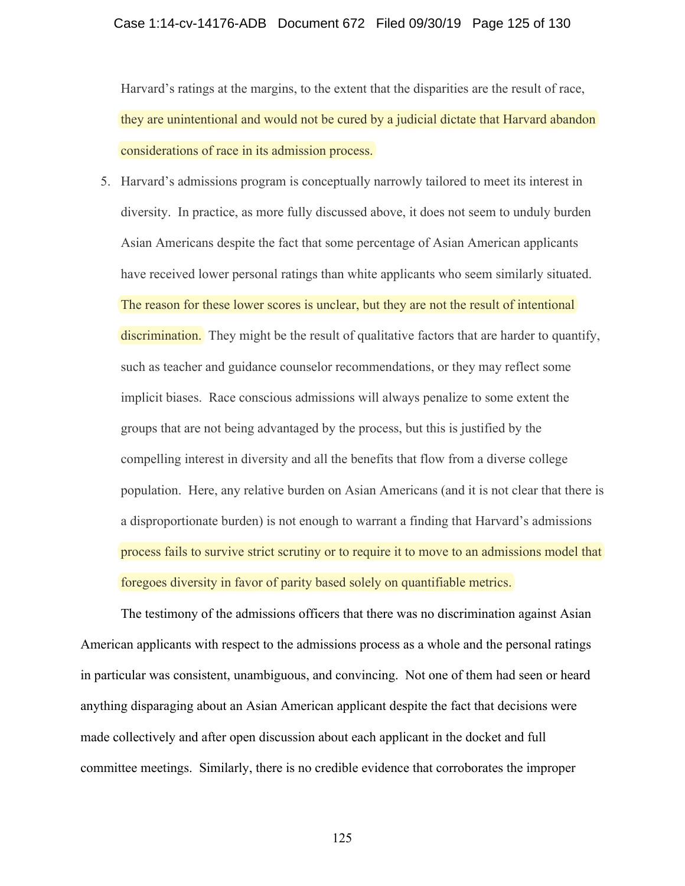#### Case 1:14-cv-14176-ADB Document 672 Filed 09/30/19 Page 125 of 130

Harvard's ratings at the margins, to the extent that the disparities are the result of race, they are unintentional and would not be cured by a judicial dictate that Harvard abandon considerations of race in its admission process.

5. Harvard's admissions program is conceptually narrowly tailored to meet its interest in diversity. In practice, as more fully discussed above, it does not seem to unduly burden Asian Americans despite the fact that some percentage of Asian American applicants have received lower personal ratings than white applicants who seem similarly situated. The reason for these lower scores is unclear, but they are not the result of intentional discrimination. They might be the result of qualitative factors that are harder to quantify, such as teacher and guidance counselor recommendations, or they may reflect some implicit biases. Race conscious admissions will always penalize to some extent the groups that are not being advantaged by the process, but this is justified by the compelling interest in diversity and all the benefits that flow from a diverse college population. Here, any relative burden on Asian Americans (and it is not clear that there is a disproportionate burden) is not enough to warrant a finding that Harvard's admissions process fails to survive strict scrutiny or to require it to move to an admissions model that foregoes diversity in favor of parity based solely on quantifiable metrics.

The testimony of the admissions officers that there was no discrimination against Asian American applicants with respect to the admissions process as a whole and the personal ratings in particular was consistent, unambiguous, and convincing. Not one of them had seen or heard anything disparaging about an Asian American applicant despite the fact that decisions were made collectively and after open discussion about each applicant in the docket and full committee meetings. Similarly, there is no credible evidence that corroborates the improper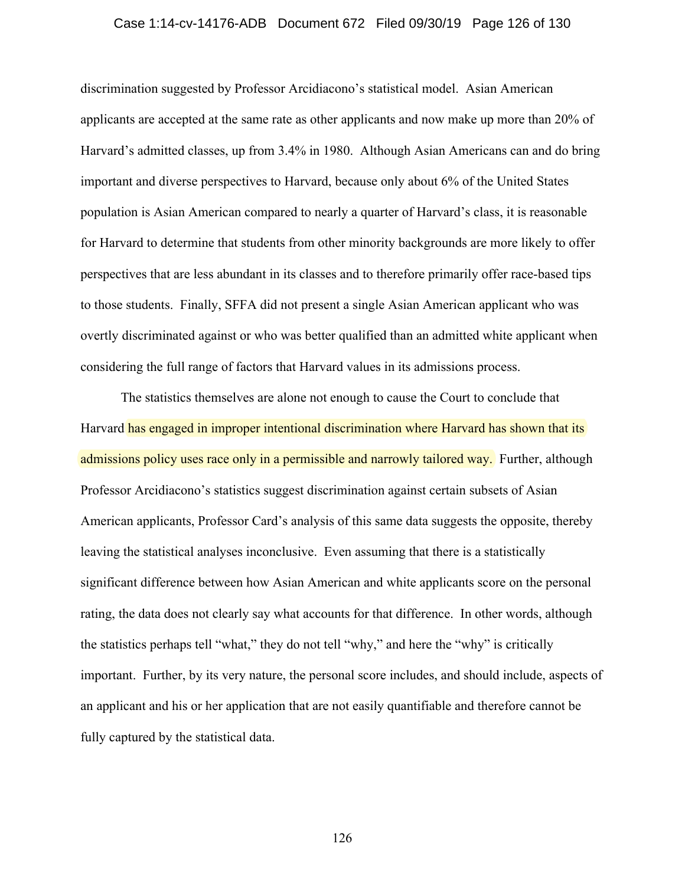#### Case 1:14-cv-14176-ADB Document 672 Filed 09/30/19 Page 126 of 130

discrimination suggested by Professor Arcidiacono's statistical model. Asian American applicants are accepted at the same rate as other applicants and now make up more than 20% of Harvard's admitted classes, up from 3.4% in 1980. Although Asian Americans can and do bring important and diverse perspectives to Harvard, because only about 6% of the United States population is Asian American compared to nearly a quarter of Harvard's class, it is reasonable for Harvard to determine that students from other minority backgrounds are more likely to offer perspectives that are less abundant in its classes and to therefore primarily offer race-based tips to those students. Finally, SFFA did not present a single Asian American applicant who was overtly discriminated against or who was better qualified than an admitted white applicant when considering the full range of factors that Harvard values in its admissions process.

The statistics themselves are alone not enough to cause the Court to conclude that Harvard has engaged in improper intentional discrimination where Harvard has shown that its admissions policy uses race only in a permissible and narrowly tailored way. Further, although Professor Arcidiacono's statistics suggest discrimination against certain subsets of Asian American applicants, Professor Card's analysis of this same data suggests the opposite, thereby leaving the statistical analyses inconclusive. Even assuming that there is a statistically significant difference between how Asian American and white applicants score on the personal rating, the data does not clearly say what accounts for that difference. In other words, although the statistics perhaps tell "what," they do not tell "why," and here the "why" is critically important. Further, by its very nature, the personal score includes, and should include, aspects of an applicant and his or her application that are not easily quantifiable and therefore cannot be fully captured by the statistical data.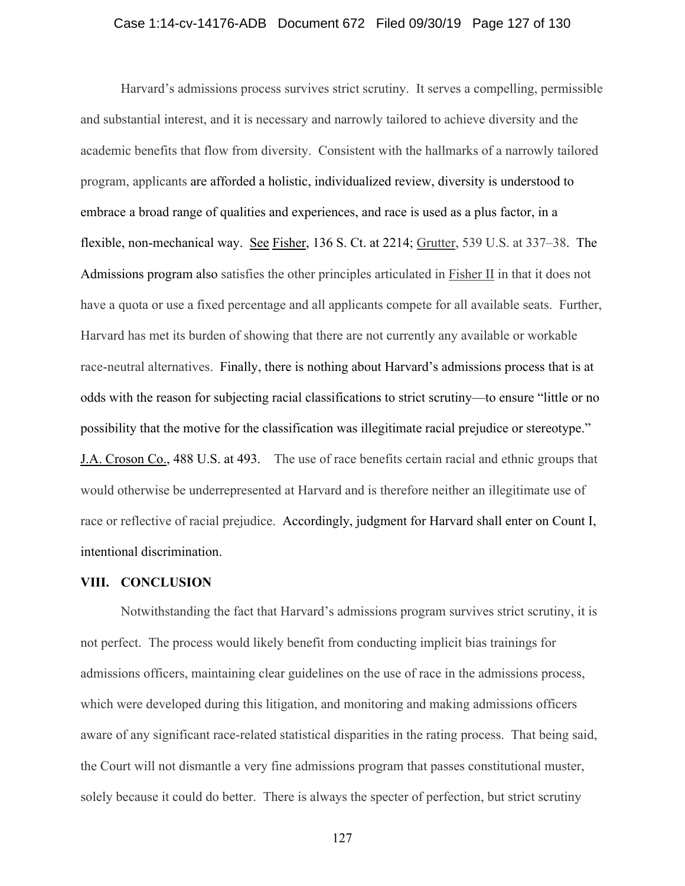## Case 1:14-cv-14176-ADB Document 672 Filed 09/30/19 Page 127 of 130

Harvard's admissions process survives strict scrutiny. It serves a compelling, permissible and substantial interest, and it is necessary and narrowly tailored to achieve diversity and the academic benefits that flow from diversity. Consistent with the hallmarks of a narrowly tailored program, applicants are afforded a holistic, individualized review, diversity is understood to embrace a broad range of qualities and experiences, and race is used as a plus factor, in a flexible, non-mechanical way. See Fisher, 136 S. Ct. at 2214; Grutter, 539 U.S. at 337–38. The Admissions program also satisfies the other principles articulated in Fisher II in that it does not have a quota or use a fixed percentage and all applicants compete for all available seats. Further, Harvard has met its burden of showing that there are not currently any available or workable race-neutral alternatives. Finally, there is nothing about Harvard's admissions process that is at odds with the reason for subjecting racial classifications to strict scrutiny—to ensure "little or no possibility that the motive for the classification was illegitimate racial prejudice or stereotype." J.A. Croson Co., 488 U.S. at 493. The use of race benefits certain racial and ethnic groups that would otherwise be underrepresented at Harvard and is therefore neither an illegitimate use of race or reflective of racial prejudice. Accordingly, judgment for Harvard shall enter on Count I, intentional discrimination.

#### **VIII. CONCLUSION**

Notwithstanding the fact that Harvard's admissions program survives strict scrutiny, it is not perfect. The process would likely benefit from conducting implicit bias trainings for admissions officers, maintaining clear guidelines on the use of race in the admissions process, which were developed during this litigation, and monitoring and making admissions officers aware of any significant race-related statistical disparities in the rating process. That being said, the Court will not dismantle a very fine admissions program that passes constitutional muster, solely because it could do better. There is always the specter of perfection, but strict scrutiny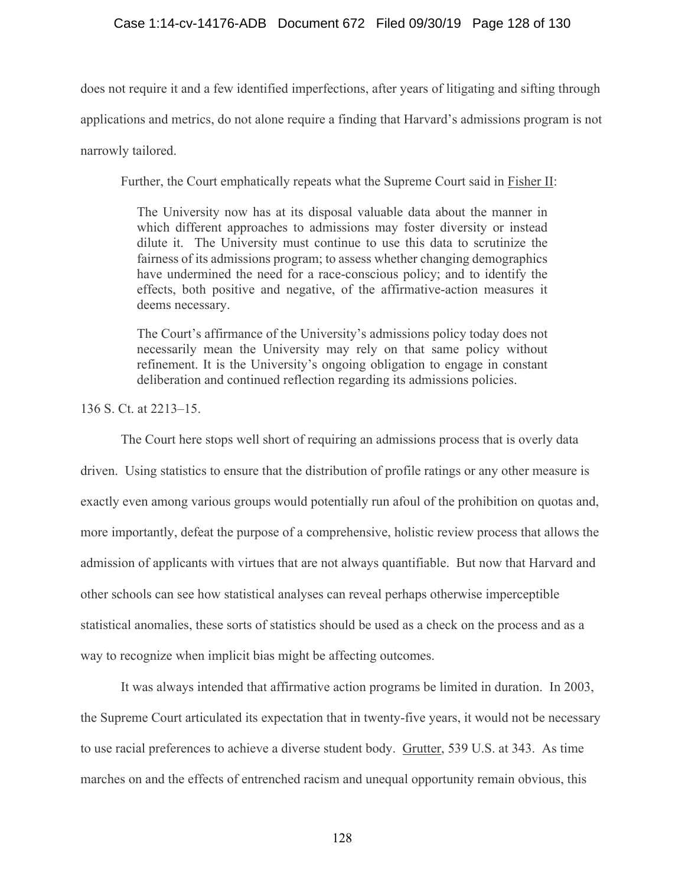# Case 1:14-cv-14176-ADB Document 672 Filed 09/30/19 Page 128 of 130

does not require it and a few identified imperfections, after years of litigating and sifting through applications and metrics, do not alone require a finding that Harvard's admissions program is not narrowly tailored.

Further, the Court emphatically repeats what the Supreme Court said in Fisher II:

The University now has at its disposal valuable data about the manner in which different approaches to admissions may foster diversity or instead dilute it. The University must continue to use this data to scrutinize the fairness of its admissions program; to assess whether changing demographics have undermined the need for a race-conscious policy; and to identify the effects, both positive and negative, of the affirmative-action measures it deems necessary.

The Court's affirmance of the University's admissions policy today does not necessarily mean the University may rely on that same policy without refinement. It is the University's ongoing obligation to engage in constant deliberation and continued reflection regarding its admissions policies.

136 S. Ct. at 2213–15.

 The Court here stops well short of requiring an admissions process that is overly data driven. Using statistics to ensure that the distribution of profile ratings or any other measure is exactly even among various groups would potentially run afoul of the prohibition on quotas and, more importantly, defeat the purpose of a comprehensive, holistic review process that allows the admission of applicants with virtues that are not always quantifiable. But now that Harvard and other schools can see how statistical analyses can reveal perhaps otherwise imperceptible statistical anomalies, these sorts of statistics should be used as a check on the process and as a way to recognize when implicit bias might be affecting outcomes.

It was always intended that affirmative action programs be limited in duration. In 2003, the Supreme Court articulated its expectation that in twenty-five years, it would not be necessary to use racial preferences to achieve a diverse student body. Grutter, 539 U.S. at 343. As time marches on and the effects of entrenched racism and unequal opportunity remain obvious, this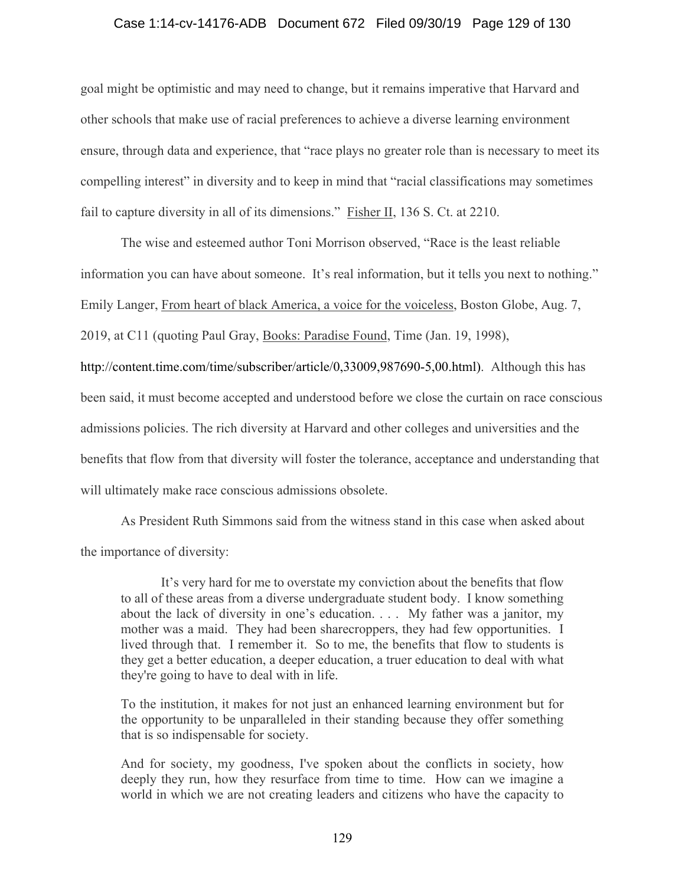## Case 1:14-cv-14176-ADB Document 672 Filed 09/30/19 Page 129 of 130

goal might be optimistic and may need to change, but it remains imperative that Harvard and other schools that make use of racial preferences to achieve a diverse learning environment ensure, through data and experience, that "race plays no greater role than is necessary to meet its compelling interest" in diversity and to keep in mind that "racial classifications may sometimes fail to capture diversity in all of its dimensions." Fisher II, 136 S. Ct. at 2210.

The wise and esteemed author Toni Morrison observed, "Race is the least reliable information you can have about someone. It's real information, but it tells you next to nothing." Emily Langer, From heart of black America, a voice for the voiceless, Boston Globe, Aug. 7, 2019, at C11 (quoting Paul Gray, Books: Paradise Found, Time (Jan. 19, 1998), http://content.time.com/time/subscriber/article/0,33009,987690-5,00.html). Although this has been said, it must become accepted and understood before we close the curtain on race conscious admissions policies. The rich diversity at Harvard and other colleges and universities and the benefits that flow from that diversity will foster the tolerance, acceptance and understanding that will ultimately make race conscious admissions obsolete.

As President Ruth Simmons said from the witness stand in this case when asked about the importance of diversity:

It's very hard for me to overstate my conviction about the benefits that flow to all of these areas from a diverse undergraduate student body. I know something about the lack of diversity in one's education. . . . My father was a janitor, my mother was a maid. They had been sharecroppers, they had few opportunities. I lived through that. I remember it. So to me, the benefits that flow to students is they get a better education, a deeper education, a truer education to deal with what they're going to have to deal with in life.

To the institution, it makes for not just an enhanced learning environment but for the opportunity to be unparalleled in their standing because they offer something that is so indispensable for society.

And for society, my goodness, I've spoken about the conflicts in society, how deeply they run, how they resurface from time to time. How can we imagine a world in which we are not creating leaders and citizens who have the capacity to